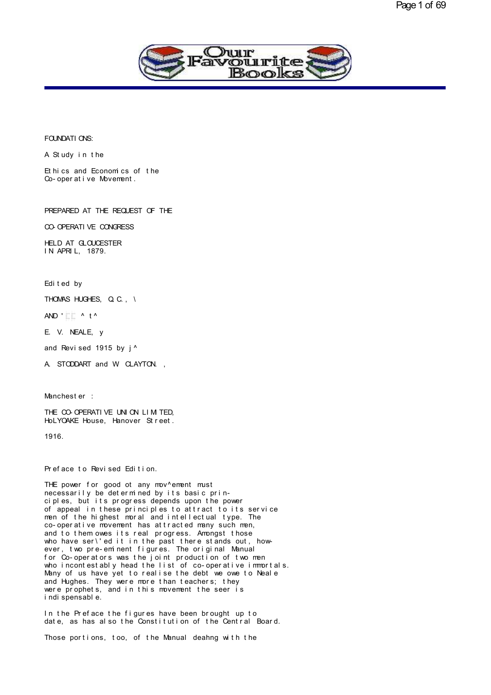

# FOUNDATIONS:<br>A Study in the

FOUNDATIONS:<br>A Study in the<br>Ethics and Economics of the FOUNDATIONS:<br>A Study in the<br>Ethics and Economics of the<br>Co-operative Movement. FOUNDATIONS:<br>A Study in the<br>Ethics and Economics of the<br>Co-operative Movement.

PREPARED AT THE REQUEST OF THE PREPARED AT THE REQUEST OF THE<br>CO- OPERATI VE CONGRESS<br>HELD AT G OLDESTER

CO-OPERATIVE CONGRESS

HELD AT GLOUCESTER IN APRIL, 1879.<br>Edited by

Edited by<br>THOMAS HUGHES, Q. C., \<br>AND 'FE A tA Edited by<br>THOMAS HUGHES, Q.C., \<br>AND ' F F ^ t ^<br>F V NEALE V THOMAS HUGHES, Q.C., \<br>AND ' E.E. ^ t ^<br>E. V. NEALE, y<br>and Revised 1915 by i ^

AND 'LEA t^<br>E.V. NEALE, y<br>and Revised 1915 by j^<br>A. STODDART and W.CLAYTON

E. V. NEALE, y<br>and Revised 1915 by j^<br>A. STODDART and W. CLAYTON. , A STODDART and W CLAYTON.,<br>Manchester :<br>THE CO-OPERATIVE UNION LIMITED.

Manchester :<br>THE CO-OPERATIVE UNION LIMITED,<br>HoLYOAKE House, Hanover Street. Manchester :<br>THE CO-OPERATIVE UNION LIM TED,<br>HoLYOAKE House, Hanover Street.<br>1916

1916.

1916.<br>Preface to Revised Edition.<br>THE nower for good of any mov^ement mu

Preface to Revised Edition.<br>THE power for good ot any mov^ement must<br>necessarily be determined by its basic prin-<br>ciples, but its progress depends upon the power Preface to Revised Edition.<br>THE power for good ot any mov^ement must<br>necessarily be determined by its basic prin-<br>ciples, but its progress depends upon the power<br>of appeal in these principles to attract to its service<br>men Preface to Revised Edition.<br>THE power for good ot any mov^ement must<br>necessarily be determined by its basic prin-<br>ciples, but its progress depends upon the power<br>of appeal in these principles to attract to its service<br>men THE power for good ot any mov^ement must<br>necessarily be determined by its basic principles, but its progress depends upon the power<br>of appeal in these principles to attract to its service<br>men of the highest moral and intel THE power for good of any mov^ement must<br>necessarily be determined by its basic prin-<br>ciples, but its progress depends upon the power<br>of appeal in these principles to attract to its servi<br>men of the highest moral and intel necessarily be determined by its basic principles, but its progress depends upon the power<br>of appeal in these principles to attract to its service<br>men of the highest moral and intellectual type. The<br>co-operative movement h ciples, but its progress depends upon the power<br>of appeal in these principles to attract to its service<br>men of the highest moral and intellectual type. The<br>co-operative movement has attracted many such men,<br>and to them owe from the highest moral and intellectual type. The co-operative movement has attracted many such men,<br>and to them owes its real progress. Amongst those<br>who have ser\'ed it in the past there stands out, how-<br>ever, two pre-em co-operative movement has attracted many such men,<br>and to them owes its real progress. Amongst those<br>who have ser\'ed it in the past there stands out, how-<br>ever, two pre-eminent figures. The original Manual<br>for Co-operator and to them owes its real progress. Amongst those<br>who have ser\'ed it in the past there stands out, how-<br>ever, two pre-eminent figures. The original Manual<br>for Co-operators was the joint production of two men<br>who incontest who have ser\'ed it in the past there stands out, how-<br>ever, two pre-eminent figures. The original Manual<br>for Co-operators was the joint production of two men<br>who incontestably head the list of co-operative immortals<br>Many ever, two pre-eminent figures. The original Manual<br>for Co-operators was the joint production of two men<br>who incontestably head the list of co-operative immortals.<br>Many of us have yet to realise the debt we owe to Neale<br>and for Co-operators was the jumb<br>who incontestably head the<br>Many of us have yet to rea<br>and Hughes. They were more<br>were prophets, and in this<br>indispensable.<br>In the Preface the figures Many of us have yet to realise the debt we owe to Neale<br>and Hughes. They were more than teachers; they<br>were prophets, and in this movement the seer is<br>indispensable.<br>In the Preface the figures have been brought up to<br>date, and Hughes. They were more than teachers; they<br>were prophets, and in this movement the seer is<br>indispensable.<br>In the Preface the figures have been brought up to<br>date, as has also the Constitution of the Central Board.<br>Thos

indispensable.<br>In the Preface the figures have been brought up to<br>date, as has also the Constitution of the Central Board.<br>Those portions, too, of the Manual deahng with the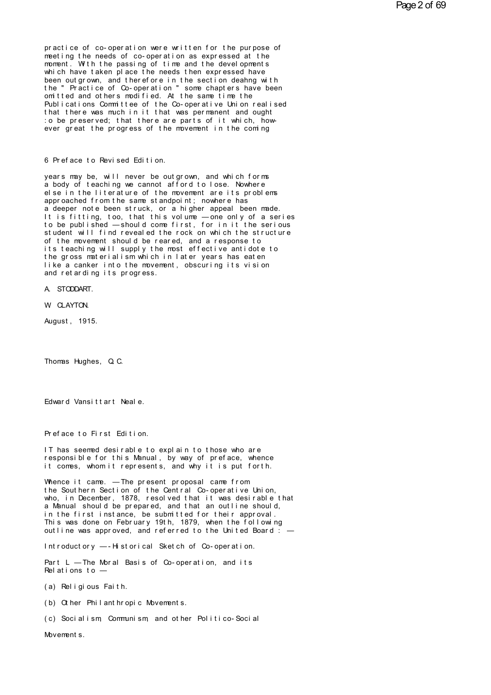practice of co-operation were written for the purpose of meeting the needs of co-operation as expressed at the moment. With the passing of time and the devel opments which have taken place the needs then expressed have been outgrown, and therefore in the section dealing with<br>the "Practice of Co-operation "some chapters have been omitted and others modified. At the same time the Publications Committee of the Co-operative Union realised that there was much in it that was permanent and ought to be preserved; that there are parts of it which, however great the progress of the movement in the coming

## 6 Preface to Revised Edition.

years may be, will never be outgrown, and which forms<br>a body of teaching we cannot afford to lose. Nowhere else in the literature of the movement are its problems approached from the same standpoint; nowhere has a deeper note been struck, or a higher appeal been made. It is fitting, too, that this volume - one only of a series to be published - should come first, for in it the serious student will find revealed the rock on which the structure of the movement should be reared, and a response to<br>its teaching will supply the most effective antidote to the gross materialism which in later years has eaten like a canker into the movement, obscuring its vision and retarding its progress.

A. STODDART.

W CLAYTON.

August, 1915.

Thomas Hughes, Q.C.

Edward Vansittart Neale.

Preface to First Edition.

IT has seemed desirable to explain to those who are responsible for this Manual, by way of preface, whence it comes, whom it represents, and why it is put forth.

Whence it came. - The present proposal came from the Southern Section of the Central Co-operative Union, who, in December, 1878, resolved that it was desirable that a Manual should be prepared, and that an outline should, in the first instance, be submitted for their approval. This was done on February 19th, 1879, when the following outline was approved, and referred to the United Board  $\frac{1}{x}$  -

Introductory --- Historical Sketch of Co-operation.

Part L - The Moral Basis of Co-operation, and its Relations to  $-$ 

(a) Religious Faith.

(b) Other Philanthropic Movements.

(c) Socialism Communism, and other Politico-Social

Movement s.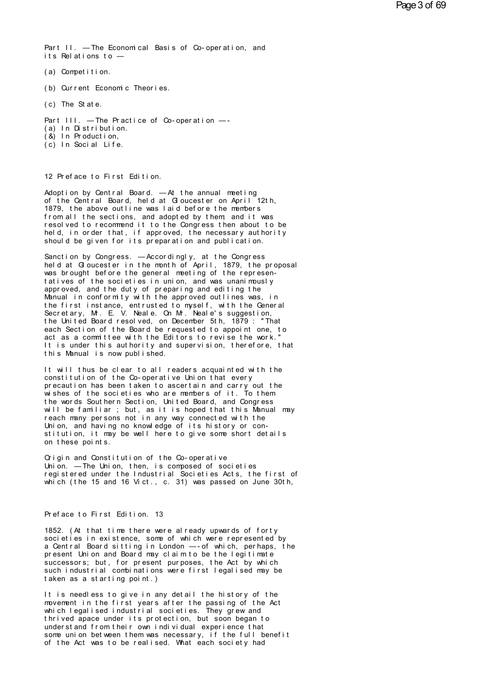Part II. - The Economical Basis of Co-operation, and its Relations to —

- (a) Competition.
- (b) Current Economic Theories.
- (c) The State.

Part III. - The Practice of Co-operation -

- (a) In Distribution.
- $(8)$  In Production,
- $(c)$  In Social Life.

12 Preface to First Edition.

Adoption by Central Board. - At the annual meeting of the Central Board, held at Gloucester on April 12th, 1879, the above outline was laid before the members from all the sections, and adopted by them, and it was resolved to recommend it to the Congress then about to be held, in order that, if approved, the necessary authority should be given for its preparation and publication.

Sanction by Congress. - Accordingly, at the Congress held at Gioucester in the month of April, 1879, the proposal was brought before the general meeting of the representatives of the societies in union, and was unanimously approved, and the duty of preparing and editing the Manual in conformity with the approved outlines was, in the first instance, entrusted to myself, with the General<br>Secretary, Mr. E. V. Neale. On Mr. Neale's suggestion, the United Board resolved, on December 5th, 1879: "That each Section of the Board be requested to appoint one, to act as a committee with the Editors to revise the work. It is under this authority and supervision, therefore, that this Manual is now published.

It will thus be clear to all readers acquainted with the constitution of the Co-operative Union that every precaution has been taken to ascertain and carry out the wishes of the societies who are members of it. To them the words Southern Section, United Board, and Congress will be familiar; but, as it is hoped that this Manual may reach many persons not in any way connected with the Union, and having no knowledge of its history or constitution, it may be well here to give some short details on these points.

Origin and Constitution of the Co-operative Union. - The Union, then, is composed of societies registered under the Industrial Societies Acts, the first of which (the 15 and 16 Vict., c. 31) was passed on June 30th,

## Preface to First Edition. 13

1852. (At that time there were already upwards of forty societies in existence, some of which were represented by a Central Board sitting in London -- of which, perhaps, the present Union and Board may claim to be the legitimate successors; but, for present purposes, the Act by which<br>such industrial combinations were first legalised may be taken as a starting point.)

It is needless to give in any detail the history of the movement in the first years after the passing of the Act<br>which legalised industrial societies. They grew and thrived apace under its protection, but soon began to understand from their own individual experience that some union between them was necessary, if the full benefit of the Act was to be realised. What each society had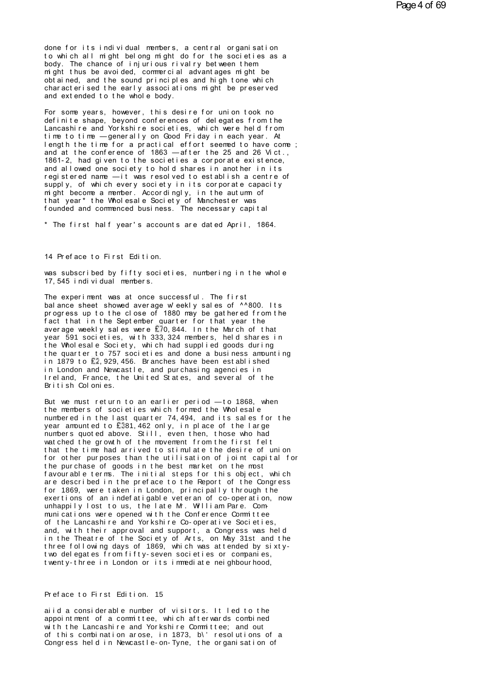done for its individual members, a central organisation<br>to which all might belong might do for the societies as a<br>hody. The chance of injurious rivalry between them done for its individual members, a central organisation<br>to which all might belong might do for the societies as a<br>body. The chance of injurious rivalry between them<br>might thus be avoided commercial advantages might be done for its individual members, a central organisation<br>to which all might belong might do for the societies as a<br>body. The chance of injurious rivalry between them<br>might thus be avoided, commercial advantages might be<br>obt done for its individual members, a central organisation<br>to which all might belong might do for the societies as a<br>body. The chance of injurious rivalry between them<br>might thus be avoided, commercial advantages might be<br>obt done for its individual members, a central organisation<br>to which all might belong might do for the societies as a<br>body. The chance of injurious rivalry between them<br>might thus be avoided, commercial advantages might be<br>obt done for its individual members, a central organisation<br>to which all might belong might do for the societies as a<br>body. The chance of injurious rivalry between them<br>might thus be avoided, commercial advantages might be<br>obt From the chance of injurious rival ry between them<br>might thus be avoided, commercial advantages might be<br>obtained, and the sound principles and high tone which<br>characterised the early associations might be preserved<br>and ex might thus be avoided, commercial advantages might be<br>obtained, and the sound principles and high tone which<br>characterised the early associations might be preserved<br>and extended to the whole body.<br>For some years, however,

obtained, and the sound principles and high tone which<br>characterised the early associations might be preserved<br>and extended to the whole body.<br>For some years, however, this desire for union took no<br>definite shape, beyond c characterised the early associations might be preserved<br>and extended to the whole body.<br>For some years, however, this desire for union took no<br>definite shape, beyond conferences of delegates from the<br>Lancashire and Yorkshi and extended to the whole body.<br>For some years, however, this desire for union took not<br>definite shape, beyond conferences of delegates from the<br>Lancashire and Yorkshire societies, which were held from<br>time to time — gener For some years, however, this desire for union took note-<br>definite shape, beyond conferences of delegates from the<br>Lancashire and Yorkshire societies, which were held from<br>time to time — generally on Good Friday in each ye For some years, however, this desire for union took notefinite shape, beyond conferences of delegates from the Lancashire and Yorkshire societies, which were held from time to time — generally on Good Friday in each year. definite shape, beyond conferences of delegates from the<br>Lancashire and Yorkshire societies, which were held from<br>time to time — generally on Good Friday in each year. At<br>length the time for a practical effort seemed to ha time to time — generally on Good Friday in each year. At<br>length the time for a practical effort seemed to have come;<br>and at the conference of 1863 — after the 25 and 26 Vict.,<br>1861-2, had given to the societies a corporate supply, of which every society in its corporate capacity length the time for a practical effort seemed to have come;<br>and at the conference of 1863 — after the 25 and 26 Vict.,<br>1861-2, had given to the societies a corporate existence,<br>and allowed one society to hold shares in ano and at the conference of 1863 — after the 25 and 26 Vict., 1861-2, had given to the societies a corporate existence, and allowed one society to hold shares in another in its registered name — it was resolved to establish a 1861-2, had given to the societies a corporate existence,<br>and allowed one society to hold shares in another in its<br>registered name —it was resolved to establish a centre of<br>supply, of which every society in its corporate c and allowed one society to hold shares in another in its<br>registered name — it was resolved to establish a centre of<br>supply, of which every society in its corporate capacity<br>might become a member. Accordingly, in the autumn supply, of which every society in its corporate capacity<br>might become a member. Accordingly, in the autumn of<br>that year\* the Wholesale Society of Manchester was<br>founded and commenced business. The necessary capital<br>\* The f

\* The first half year's accounts are dated April, 1864.<br>14 Preface to First Edition.

14 Preface to First Edition.<br>was subscribed by fifty societies, numbering in the whole<br>17,545 individual members. 14 Preface to First Edition.<br>was subscribed by fifty societies, num<br>17,545 individual members.<br>The experiment was at once successful

14 Preface to First Edition.<br>was subscribed by fifty societies, numbering in the whole<br>17,545 individual members.<br>The experiment was at once successful. The first<br>balance sheet showed average w'eekly sales of ^^800. Its<br>pr was subscribed by fifty societies, numbering in the whole<br>17,545 individual members.<br>The experiment was at once successful. The first<br>plance sheet showed average w' eekly sales of ^^800. Its<br>progress up to the close of 188 was subscribed by fifty societies, numbering in the whole<br>17,545 individual members.<br>The experiment was at once successful. The first<br>balance sheet showed average w'eekly sales of ^^800. Its<br>frogress up to the close of 188 17,545 individual members.<br>The experiment was at once successful. The first<br>balance sheet showed average w'eekly sales of ^^800. Its<br>progress up to the close of 1880 may be gathered from the<br>fact that in the September quar The experiment was at once successful. The first<br>balance sheet showed average w'eekly sales of ^^800. Its<br>progress up to the close of 1880 may be gathered from the<br>fact that in the September quarter for that year the<br>avera The experiment was at once successful. The first<br>balance sheet showed average weekly sales of ^^800. Its<br>progress up to the close of 1880 may be gathered from the<br>fact that in the September quarter for that year the<br>averag balance sheet showed average weekly sales of ^^800. Its<br>progress up to the close of 1880 may be gathered from the<br>fact that in the September quarter for that year the<br>average weekly sales were  $E70, 844$ . In the March of t progress up to the close of 1880 may be gathered from the<br>fact that in the September quarter for that year the<br>average weekly sales were  $E70, 844$ . In the March of that<br>year 591 societies, with 333,324 members, held share fact that in the September quarter for that year the<br>average weekly sales were £70,844. In the March of that<br>year 591 societies, with 333,324 members, held shares in<br>the Wholesale Society, which had supplied goods during<br>i year 591 societies, with 333,324 members, held shares in<br>the Wholesale Society, which had supplied goods during<br>the quarter to 757 societies and done a business amounti<br>in 1879 to £2,929,456. Branches have been established the quarter to 757 societies and done a business amounting British Colonies.

But we must return to an earlier period — to 1868, when the members of societies which formed the Wholesale in London and Newcastle, and purchasing agencies in<br>Ireland, France, the United States, and several of the<br>British Colonies.<br>But we must return to an earlier period — to 1868, when<br>the membered in the last quarter 74,494, Ireland, France, the United States, and several of the<br>British Colonies.<br>But we must return to an earlier period — to 1868, when<br>the members of societies which formed the Wholesale<br>numbered in the last quarter 74, 494, and British Colonies.<br>But we must return to an earlier period — to 1868, when<br>the members of societies which formed the Wholesale<br>numbered in the last quarter 74,494, and its sales for the<br>numbers quoted above. Still, even the But we must return to an earlier period — to 1868, when<br>the members of societies which formed the Wholesale<br>numbered in the last quarter 74,494, and its sales for the<br>year amounted to £381,462 only, in place of the large<br>n But we must return to an earlier period — to 1868, when<br>the members of societies which formed the Wholesale<br>numbered in the last quarter 74,494, and its sales for th<br>year amounted to £381,462 only, in place of the large<br>nu the members of societies which formed the Wholesale<br>numbered in the last quarter 74,494, and its sales for the<br>year aromunted to £381,462 only, in place of the large<br>numbers quoted above. Still, even then, those who had<br>wa numbered in the last quarter 74,494, and its sales for the<br>year amounted to  $\mathbf{E}^{381},462$  only, in place of the large<br>numbers quoted above. Still, even then, those who had<br>watched the growth of the movement from the fir year amounted to **E381,462** only, in place of the large<br>numbers quoted above. Still, even then, those who had<br>watched the growth of the movement from the first felt<br>that the time had arrived to stimulate the desire of un<br>f numbers quoted above. Still, even then, those who had<br>watched the growth of the movement from the first felt<br>that the time had arrived to stimulate the desire of union<br>for other purposes than the utilisation of joint capit wat ched the growth of the movement from the first felt<br>that the time had arrived to stimulate the desire of union<br>for other purposes than the utilisation of joint capital for<br>the purchase of goods in the best market on th for other purposes than the utilisation of joint capital for<br>for other purposes than the utilisation of joint capital for<br>the purchase of goods in the best market on the most<br>favourable terms. The initial steps for this ob the purchase of goods in the best market on the most<br>favourable terms. The initial steps for this object, which<br>are described in the preface to the Report of the Congress<br>for 1869, were taken in London, principally through of the Lancashire and Yorkshire Co-operative Societies, and, with their approval and support, a Congress was held for 1869, were taken in London, principally through the<br>exertions of an indefatigable veteran of co-operation, now<br>unhappily lost to us, the late Mr. William Pare. Com-<br>munications were opened with the Conference Committee exertions of an indefatigable veteran of co-operation, now<br>unhappily lost to us, the late Mr. William Pare. Communications were opened with the Conference Committee<br>of the Lancashire and Yorkshire Co-operative Societies,<br>a unhappily lost to us, the late Mr. William Pare. Com-<br>munications were opened with the Conference Committee<br>of the Lancashire and Yorkshire Co-operative Societies,<br>and, with their approval and support, a Congress was held<br> munications were opened with the Conference Committee of the Lancashire and Yorkshire Co-operative Societies, and, with their approval and support, a Congress was held in the Theatre of the Society of Arts, on May 31st and of the Lancashire and Yorkshire Co-operative Societies,<br>and, with their approval and support, a Congress was held<br>in the Theatre of the Society of Arts, on May 31st and th<br>three following days of 1869, which was attended b t woodelegates from fifty-seven societies or companies,<br>twenty-three in London or its immediate neighbourhood,<br>Preface to First Edition. 15

Preface to First Edition. 15<br>aiid a considerable number of visitors. It led to the<br>appointment of a committee, which afterwards combined<br>with the langeshire and Yorkshire Committee; and out Preface to First Edition. 15<br>aiid a considerable number of visitors. It led to the<br>appointment of a committee, which afterwards combined<br>with the Lancashire and Yorkshire Committee; and out<br>of this combination areas in 187 Preface to First Edition. 15<br>aiid a considerable number of visitors. It led to the<br>appointment of a committee, which afterwards combined<br>with the Lancashire and Yorkshire Committee; and out<br>of this combination arose, in 18 Preface to First Edition. 15<br>aiid a considerable number of visitors. It led to the<br>appointment of a committee, which afterwards combined<br>with the Lancashire and Yorkshire Committee; and out<br>of this combination arose, in 18 aiid a considerable number of visitors. It led to the appointment of a committee, which afterwards combined with the Lancashire and Yorkshire Committee; and out of this combination arose, in 1873, b\'resolutions of a Congr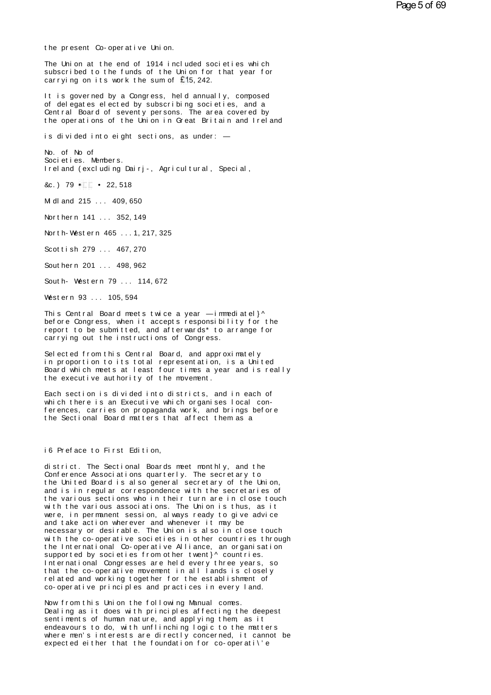the present Co-operative Union.<br>The Union at the end of 1914 included societies which The present Co-operative Union.<br>The Union at the end of 1914 included societies which<br>subscribed to the funds of the Union for that year for<br>carrying on its work the sum of 515,242 the present Co-operative Union.<br>The Union at the end of 1914 included societies which<br>subscribed to the funds of the Union for that year for<br>carrying on its work the sum of £15,242. the present Co-operative Union.<br>The Union at the end of 1914 included socies<br>ubscribed to the funds of the Union for the<br>carrying on its work the sum of £15, 242.<br>It is governed by a Congress, held annually The Union at the end of 1914 included societies which<br>subscribed to the funds of the Union for that year for<br>carrying on its work the sum of £15,242.<br>It is governed by a Congress, held annually, composed<br>of delegates elect

The Union at the end of 1914 included societies which<br>subscribed to the funds of the Union for that year for<br>carrying on its work the sum of 195,242.<br>It is governed by a Congress, held annually, composed<br>of delegates elect subscribed to the funds of the Union for that year for<br>carrying on its work the sum of £15,242.<br>It is governed by a Congress, held annually, composed<br>of delegates elected by subscribing societies, and a<br>Central Board of se carrying on its work the sum of E15,242.<br>It is governed by a Congress, held annually, composed<br>of delegates elected by subscribing societies, and a<br>Central Board of seventy persons. The area covered by<br>the operations of th It is governed by a Congress, held annually, composed<br>of delegates elected by subscribing societies, and a<br>Central Board of seventy persons. The area covered by<br>the operations of the Union in Great Britain and Ireland<br>is d

is divided into eight sections, as under:  $-$ 

the operations of the Union in Great Britain and Ireland<br>is divided into eight sections, as under: —<br>No. of No of<br>Societies. Members. Is divided into eight sections, as under: —<br>No. of No of<br>Societies. Members.<br>Ireland (excluding Dairj-, Agricultural, Special,<br>Re.) 79. FT - 22.518. No. of No. of<br>Societies. Members.<br>Ireland (excluding Dairj-, A<br>&c.) 79 • 22,518<br>Midland 215, 409,650 Mi dl and 215 . . . 409, 650

& c. ) 79 **\* F. 6** 22, 518<br>M dl and 215 ... 409, 650<br>Nor thern 141 ... 352, 149

M dl and 215 ... 409, 650<br>Northern 141 ... 352, 149<br>North-West ern 465 ... 1, 217, 325<br>Scottish 279 ... 467 270 Northern 141 ... 352, 149<br>North-Western 465 ... 1, 217, 325<br>Scottish 279 ... 467, 270<br>Southern 201 ... 488 962 North-Western 465 ... 1, 217, 325<br>Scottish 279 ... 467, 270<br>Southern 201 ... 498, 962<br>South-Western 79 ... 114, 672

Scottish 279 ... 467, 270<br>Southern 201 ... 498, 962<br>South-Western 79 ... 114, 672<br>Western 93 ... 105, 594 Southern 201 ... 498,962<br>South-Western 79 ... 114,672<br>Western 93 ... 105,594<br>This Central Board mets twic

South-Western 79 ... 114,672<br>Western 93 ... 105,594<br>This Central Board meets twice a year — immediatel}^<br>before Congress, when it accepts responsibility for the<br>report to be submitted and afterwards\* to arrange for South-Western 79 ... 114,672<br>Western 93 ... 105,594<br>This Central Board meets twice a year — immediatel}^<br>before Congress, when it accepts responsibility for the<br>report to be submitted, and afterwards\* to arrange for<br>carryi Western 93 ... 105,594<br>This Central Board meets twice a year — immediatel}^<br>before Congress, when it accepts responsibility for the<br>report to be submitted, and afterwards\* to arrange for<br>carrying out the instructions of Co Western 93 ... 105,594<br>This Central Board meets twice a year — immed<br>before Congress, when it accepts responsibili<br>report to be submitted, and afterwards\* to ar<br>carrying out the instructions of Congress.<br>Selected from this This Central Board meets twice a year — immediately Abefore Congress, when it accepts responsibility for the report to be submitted, and afterwards\* to arrange for carrying out the instructions of Congress.<br>Selected from t

before Congress, when it accepts responsibility for the<br>report to be submitted, and afterwards\* to arrange for<br>carrying out the instructions of Congress.<br>Selected from this Central Board, and approximately<br>in proportion to report to be submitted, and afterwards\*to arrange for<br>carrying out the instructions of Congress.<br>Selected from this Central Board, and approximately<br>in proportion to its total representation, is a United<br>Board which meets carrying out the instructions of Congress.<br>Selected from this Central Board, and approximately<br>in proportion to its total representation, is a United<br>Board which meets at least four times a year and is really<br>the executive Selected from this Central Board, and approximately<br>in proportion to its total representation, is a United<br>Board which meets at least four times a year and is reall<br>the executive authority of the movement.<br>Each section is

in proportion to its total representation, is a United<br>Board which meets at least four times a year and is re<br>the executive authority of the movement.<br>Each section is divided into districts, and in each of<br>the the term as Board which meets at least four times a year and is really<br>the executive authority of the movement.<br>Each section is divided into districts, and in each of<br>which there is an Executive which organises local con-<br>ferences, ca the executive authority of the movement.<br>Each section is divided into districts, and in each of<br>which there is an Executive which organises local con-<br>ferences, carries on propaganda work, and brings before<br>the Sectional B the Sectional Board matters that affect them as a<br>i6 Preface to First Edition,

district. The Sectional Boards meet monthly, and the Conference Associations quarterly. The secretary to i6 Preface to First Edition,<br>district. The Sectional Boards meet monthly, and the<br>Conference Associations quarterly. The secretary to<br>the United Board is also general secretary of the Union,<br>and is in reqular correspondenc i6 Preface to First Edition,<br>district. The Sectional Boards meet monthly, and the<br>Conference Associations quarterly. The secretary to<br>the United Board is also general secretary of the Union,<br>and is in regular correspondenc i 6 Preface to First Edition,<br>district. The Sectional Boards meet monthly, and the<br>Conference Associations quarterly. The secretary to<br>the United Board is also general secretary of the Union,<br>and is in regular corresponden district. The Sectional Boards meet monthly, and the<br>Conference Associations quarterly. The secretary to<br>the United Board is also general secretary of the Union,<br>and is in regular correspondence with the secretaries of<br>the district. The Sectional Boards meet monthly, and the<br>Conference Associations quarterly. The secretary to<br>the United Board is also general secretary of the Union,<br>and is in regular correspondence with the secretaries of<br>the Conference Associations quarterly. The secretary to<br>the United Board is also general secretary of the Union,<br>and is in regular correspondence with the secretaries of<br>the various sections who in their turn are in close touc the United Board is also general secretary of the Unic<br>and is in regular correspondence with the secretaries<br>the various sections who in their turn are in close to<br>with the various associations. The Union is thus, as i<br>wer and is in regular correspondence with the secretaries of<br>the various sections who in their turn are in close touch<br>with the various associations. The Union is thus, as it<br>were, in permanent session, always ready to give ad the various sections who in their turn are in close touch<br>with the various associations. The Union is thus, as it<br>were, in permanent session, always ready to give advice<br>and take action wherever and whenever it may be<br>nece with the various associations. The Union is thus, as it<br>were, in permanent session, always ready to give advice<br>and take action wherever and whenever it may be<br>necessary or desirable. The Union is also in close touch<br>with were, in permanent session, always ready to give advice<br>and take action wherever and whenever it may be<br>necessary or desirable. The Union is also in close touce<br>with the co-operative societies in other countries thro<br>the I and take action wherever and whenever it may be<br>necessary or desirable. The Union is also in close touch<br>with the co-operative societies in other countries through<br>the International Co-operative Alliance, an organisation<br>s necessary or desirable. The Union is also in close touch<br>with the co-operative societies in other countries through<br>the International Co-operative Alliance, an organisation<br>supported by societies from other twent}^ countri with the co-operative societies in other countries throuthe International Co-operative Alliance, an organisation supported by societies from other twent}^ countries.<br>International Congresses are held every three years, so the International Co-operative Alliance, an organisation supported by societies from other twent}^ countries.<br>International Congresses are held every three years, so that the co-operative movement in all lands is closely<br>r International Congresses are held every three years, so that the co-operative movement in all lands is closely related and working together for the establishment of co-operative principles and practices in every land.<br>Now

that the co-operative movement in all lands is closely<br>related and working together for the establishment of<br>co-operative principles and practices in every land.<br>Now from this Union the following Manual comes.<br>Dealing as i related and working together for the establishment of<br>co-operative principles and practices in every land.<br>Now from this Union the following Manual comes.<br>Dealing as it does with principles affecting the deepes<br>sentiments co-operative principles and practices in every land.<br>Now from this Union the following Manual comes.<br>Dealing as it does with principles affecting the deepest<br>sentiments of human nature, and applying them, as it<br>endeavours Now from this Union the following Manual comes.<br>Dealing as it does with principles affecting the deepest<br>sentiments of human nature, and applying them, as it<br>endeavours to do, with unflinching logic to the matters<br>where me Now from this Union the following Manual comes.<br>Dealing as it does with principles affecting the deepest<br>sentiments of human nature, and applying them, as it<br>endeavours to do, with unflinching logic to the matters<br>where me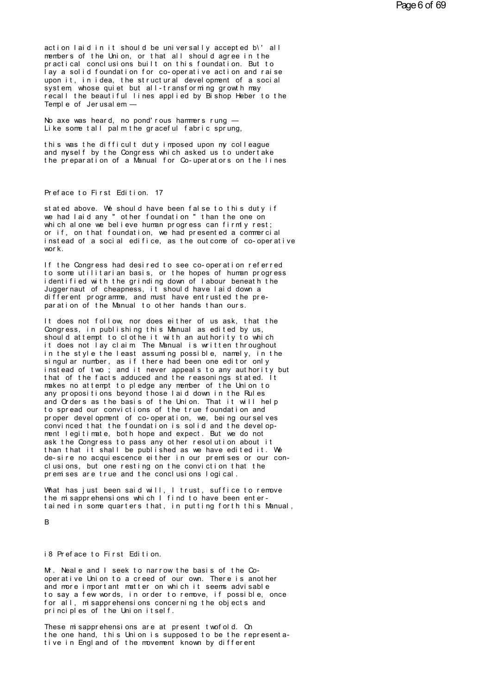action laid in it should be universally accepted b\' all members of the Union, or that all should agree in the practical conclusions built on this foundation. But to lay a solid foundation for co-operative action and raise upon it, in idea, the structural development of a social system whose quiet but all-transforming growth may recall the beautiful lines applied by Bishop Heber to the Temple of Jerusalem -

No axe was heard, no pond'rous hammers rung -Like some tall palm the graceful fabric sprung,

this was the difficult duty imposed upon my colleague and myself by the Congress which asked us to undertake the preparation of a Manual for Co-uperators on the lines

## Preface to First Edition. 17

stated above. We should have been false to this duty if we had laid any " other foundation " than the one on which alone we believe human progress can firmly rest; or if, on that foundation, we had presented a commercial instead of a social edifice, as the outcome of co-operative  $w$ nr  $k$ 

If the Congress had desired to see co-operation referred to some utilitarian basis, or the hopes of human progress identified with the grinding down of labour beneath the Juggernaut of cheapness, it should have laid down a different programme, and must have entrusted the preparation of the Manual to other hands than ours.

It does not follow, nor does either of us ask, that the Congress, in publishing this Manual as edited by us, should attempt to clothe it with an authority to which it does not lay claim The Manual is written throughout in the style the least assuming possible, namely, in the singular number, as if there had been one editor only<br>instead of two; and it never appeals to any authority but that of the facts adduced and the reasonings stated. It makes no attempt to pledge any member of the Union to any propositions beyond those laid down in the Rules and Orders as the basis of the Union. That it will help to spread our convictions of the true foundation and proper devel opment of co-operation, we, being oursel ves convinced that the foundation is solid and the development legitimate, both hope and expect. But we do not ask the Congress to pass any other resolution about it than that it shall be published as we have edited it. We de-sire no acquiescence either in our premises or our conclusions, but one resting on the conviction that the premises are true and the conclusions logical.

What has just been said will, I trust, suffice to remove the misapprehensions which I find to have been entertained in some quarters that, in putting forth this Manual,

# $\mathsf{R}$

# i8 Preface to First Edition.

M. Neal e and I seek to narrow the basis of the Cooperative Union to a creed of our own. There is another and more important matter on which it seems advisable to say a few words, in order to remove, if possible, once for all, misapprehensions concerning the objects and principles of the Union itself.

These misapprehensions are at present twofold. On the one hand, this Union is supposed to be the representative in England of the movement known by different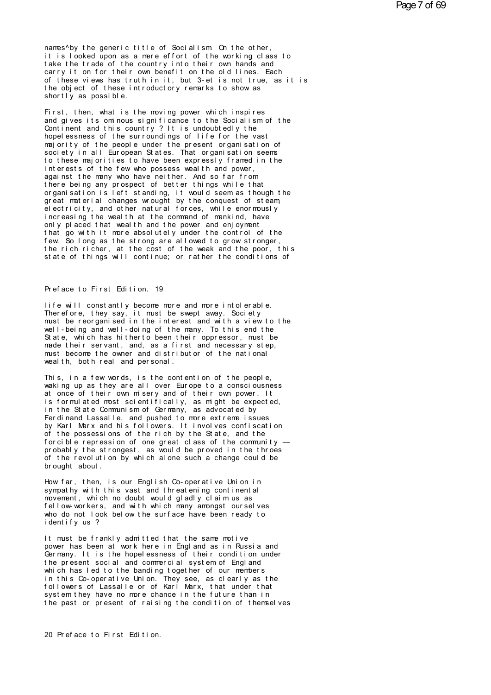names by the generic title of Socialism On the other, it is looked upon as a mere effort of the working class to take the trade of the country into their own hands and carry it on for their own benefit on the old lines. Each<br>of these views has truth in it, but 3-et is not true, as it is the object of these introductory remarks to show as shortly as possible.

First, then, what is the moving power which inspires and gives its omnous significance to the Socialism of the Continent and this country? It is undoubtedly the hopel essness of the surroundings of life for the vast majority of the people under the present organisation of soci et y in all European States. That organisation seems to these majorities to have been expressly framed in the interests of the few who possess wealth and power, against the many who have neither. And so far from<br>there being any prospect of better things while that organisation is left standing, it would seem as though the great material changes wrought by the conquest of steam electricity, and other natural forces, while enormously<br>increasing the wealth at the command of mankind, have only placed that wealth and the power and enjoyment that go with it more absolutely under the control of the few. So long as the strong are allowed to grow stronger, the rich richer, at the cost of the weak and the poor, this state of things will continue; or rather the conditions of

## Preface to First Edition. 19

life will constantly become more and more intolerable. Therefore, they say, it must be swept away. Society must be reorganised in the interest and with a view to the well-being and well-doing of the many. To this end the State, which has hitherto been their oppressor, must be made their servant, and, as a first and necessary step, must become the owner and distributor of the national wealth, both real and personal.

This, in a few words, is the contention of the people, waking up as they are all over Europe to a consciousness at once of their own misery and of their own power. It is formulated most scientifically, as might be expected, in the State Communism of Germany, as advocated by Ferdinand Lassalle, and pushed to more extreme issues by Karl Marx and his followers. It involves confiscation of the possessions of the rich by the State, and the for cible repression of one great class of the community  $$ probably the strongest, as would be proved in the throes of the revolution by which alone such a change could be brought about.

How far, then, is our English Co-operative Union in sympathy with this vast and threatening continental movement, which no doubt would gladly claim us as fellow-workers, and with which many amongst ourselves who do not look below the surface have been ready to identify us ?

It must be frankly admitted that the same motive power has been at work here in England as in Russia and Germany. It is the hopel essness of their condition under the present social and commercial system of England which has led to the banding together of our members in this Co-operative Union. They see, as clearly as the<br>followers of Lassalle or of Karl Marx, that under that system they have no more chance in the future than in the past or present of raising the condition of themselves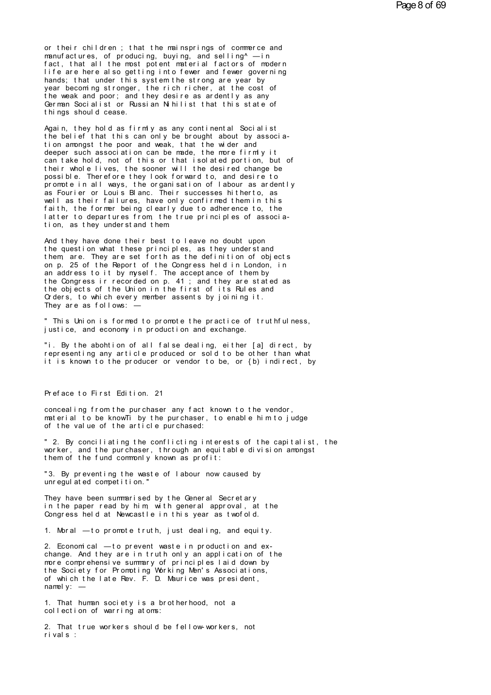or their children; that the mainsprings of commerce and manufactures, of producing, buying, and selling<sup>A</sup> — in fact, that all the most potent material factors of modern or their children ; that the mainsprings of commerce and<br>manufactures, of producing, buying, and selling^ —in<br>fact, that all the most potent material factors of modern<br>life are here also getting into fewer and fewer govern or their children; that the mainsprings of commerce and<br>manufactures, of producing, buying, and selling^ — in<br>fact, that all the most potent material factors of modern<br>life are here also getting into fewer and fewer govern or their children; that the mainsprings of commerce and<br>manufactures, of producing, buying, and selling^ — in<br>fact, that all the most potent material factors of modern<br>life are here also getting into fewer and fewer govern or their children; that the mainsprings of commerce and<br>manufactures, of producing, buying, and selling^ — in<br>fact, that all the most potent material factors of modern<br>life are here also getting into fewer and fewer govern manufactures, of producing, buying, and selling^ —in<br>fact, that all the most potent material factors of modern<br>life are here also getting into fewer and fewer governing<br>hands; that under this system the strong are year by<br> fact, that all the most potent material factors of modern<br>life are here also getting into fewer and fewer governing<br>hands; that under this system the strong are year by<br>year becoming stronger, the rich richer, at the cost life are here also getting<br>hands; that under this sys<br>year becoming stronger, th<br>the weak and poor; and the<br>German Socialist or Russia<br>things should cease.<br>Again, they hold as firmly year becoming stronger, the rich richer, at the cost of<br>the weak and poor; and they desire as ardently as any<br>German Socialist or Russian Nihilist that this state of<br>things should cease.<br>Again, they hold as firmly as any c

the weak and poor; and they desire as ardently as any<br>German Socialist or Russian Nihilist that this state of<br>things should cease.<br>Again, they hold as firmly as any continental Socialist<br>the belief that this can only be br German Socialist or Russian Nihilist that this state of<br>things should cease.<br>Again, they hold as firmly as any continental Socialist<br>the belief that this can only be brought about by associa-<br>tion amongst the poor and weak things should cease.<br>Again, they hold as firmly as any continental Socialist<br>the belief that this can only be brought about by associa-<br>tion amongst the poor and weak, that the wider and<br>deeper such association can be made Again, they hold as firmly as any continental Socialist<br>the belief that this can only be brought about by associa-<br>tion amongst the poor and weak, that the wider and<br>deeper such association can be made, the more firmly it<br> Again, they hold as firmly as any continental Socialist<br>the belief that this can only be brought about by associa-<br>tion amongst the poor and weak, that the wider and<br>deeper such association can be made, the more firmly it<br> the belief that this can only be brought about by association amongst the poor and weak, that the wider and<br>deeper such association can be made, the more firmly it<br>can take hold, not of this or that isolated portion, but o tion amongst the poor and weak, that the wider and<br>deeper such association can be made, the more firmly it<br>can take hold, not of this or that isolated portion, but of<br>their whole lives, the sooner will the desired change b deeper such association can be made, the more firmly it<br>can take hold, not of this or that isolated portion, but of<br>their whole lives, the sooner will the desired change be<br>possible. Therefore they look forward to, and des can take hold, not of this or that isolated portion, but of<br>their whole lives, the sooner will the desired change be<br>possible. Therefore they look forward to, and desire to<br>promote in all ways, the organisation of labour a their whole lives, the sooner will the desired change be<br>possible. Therefore they look forward to, and desire to<br>promote in all ways, the organisation of labour as ardently<br>as Fourier or Louis Blanc. Their successes hither promote in all ways, the organisation of labour as ardently as Fourier or Louis Blanc. Their successes hit herto, as well as their failures, have only confirmed them in this faith, the former being clearly due to adherence well as their failures, have only confirmed them in this<br>faith, the former being clearly due to adherence to, the<br>latter to departures from, the true principles of associ<br>tion, as they understand them<br>And they have done th faith, the former being clearly due to adherence to, the latter to departures from the true principles of association, as they understand them<br>And they have done their best to leave no doubt upon the question what these pr

them are. They are set forth as the definition of objects latter to departures from, the true principles of association, as they understand them.<br>And they have done their best to leave no doubt upon<br>the question what these principles, as they understand<br>them, are. They are set fo tion, as they understand them<br>And they have done their best to leave no doubt upon<br>the question what these principles, as they understand<br>them, are. They are set forth as the definition of objects<br>on p. 25 of the Report of And they have done their best to leave no doubt upon<br>the question what these principles, as they understand<br>them are. They are set forth as the definition of objects<br>on p. 25 of the Report of the Congress held in London, i And they have done their best to leave no doubt upon<br>the question what these principles, as they understand<br>them, are. They are set forth as the definition of objects<br>on p. 25 of the Report of the Congress held in London, the question what these principles, as they understand<br>them, are. They are set forth as the definition of objects<br>on p. 25 of the Report of the Congress held in London, in<br>an address to it by myself. The acceptance of them them, are. They are set forth as the definition of objects<br>on p. 25 of the Report of the Congress held in London, in<br>an address to it by myself. The acceptance of them by<br>the Congress ir recorded on p. 41 ; and they are st on p. 25 of the Report of the Congran address to it by myself. The acc<br>the Congress ir recorded on p. 41;<br>the objects of the Union in the fir<br>Croders, to which every member assen<br>They are as follows: —<br>"This Union is forme the Congress ir recorded on p. 41 ; and they are stated as<br>the objects of the Union in the first of its Rules and<br>Orders, to which every member assents by joining it.<br>They are as follows: —<br>"This Union is formed to promote the objects of the Union in the first of its Rules<br>Orders, to which every member assents by joining it<br>They are as follows: —<br>"This Union is formed to promote the practice of t<br>justice, and economy in production and exchan

They are as follows: —<br>" This Union is formed to promote the practice of truthfulness,<br>justice, and economy in production and exchange.<br>"i. By the abohtion of all false dealing, either [a] direct, by<br>representing any artic " This Union is formed to promote the practice of truthfulness,<br>justice, and economy in production and exchange.<br>"i. By the abohtion of all false dealing, either [a] direct, by<br>representing any article produced or sold to " This Union is formed to promote the practice of truthfulness,<br>justice, and economy in production and exchange.<br>"i. By the abohtion of all false dealing, either [a] direct, by<br>representing any article produced or sold to representing any article produced or so<br>it is known to the producer or vendor t<br>Preface to First Edition. 21<br>concealing from the purchaser any fact

Preface to First Edition. 21<br>concealing from the purchaser any fact known to the vendor,<br>material to be knowTi by the purchaser, to enable him to judge<br>of the value of the article purchased: Preface to First Edition. 21<br>concealing from the purchaser any fact known to the vendor,<br>material to be knowTi by the purchaser, to enable him to judge<br>of the value of the article purchased: Preface to First Edition. 21<br>concealing from the purchaser any fact known<br>material to be known by the purchaser, to en<br>of the value of the article purchased:<br>"2. By conciliating the conflicting interest concealing from the purchaser any fact known to the vendor,<br>material to be knowTi by the purchaser, to enable him to judge<br>of the value of the article purchased:<br>"2. By conciliating the conflicting interests of the capital

concealing from the purchaser any fact known to the vendor,<br>material to be know Tiby the purchaser, to enable him to judge<br>of the value of the article purchased:<br>"2. By conciliating the conflicting interests of the capital material to be know Tiby the purchaser, to enable him to fthe value of the article purchased:<br>"2. By conciliating the conflicting interests of the commonlered worker, and the purchaser, through an equitable division<br>them o " 2. By conciliating the conflicting interests of the cap worker, and the purchaser, through an equitable division them of the fund commonly known as profit:<br>"3. By preventing the waste of labour now caused by unregulated " 2. By conciliating the conflicting invorker, and the purchaser, through an them of the fund commonly known as promon<br>"3. By preventing the waste of labour<br>"3. By preventing the waste of labour<br>unregulated competition."

them of the fund commonly known as profit:<br>"3. By preventing the waste of labour now caused by<br>unregulated competition."<br>They have been summarised by the General Secretary<br>in the paper read by him, with general approval, a "3. By preventing the waste of labour now caused by<br>unregulated competition."<br>They have been summarised by the General Secretary<br>in the paper read by him, with general approval, at the<br>Congress held at Newcastle in this ye "3. By preventing the waste of labour now caused by<br>unregulated competition."<br>They have been summarised by the General Secretary<br>in the paper read by him, with general approval, at the<br>Congress held at Newcastle in this ye They have been summarised by the General Secretary<br>in the paper read by him, with general approval, at the<br>Congress held at Newcastle in this year as twofold.<br>1. Moral — to promote truth, just dealing, and equity.<br>2. Econo

in the paper read by him, with general approval, at the<br>Congress held at Newcastle in this year as twofold.<br>1. Moral — to promote truth, just dealing, and equity.<br>2. Economical — to prevent waste in production and ex-<br>chan 1. Moral — to promote truth, just dealing, and equity.<br>2. Economical — to prevent waste in production and ex-<br>change. And they are in truth only an application of the<br>more comprehensive summary of principles laid down by<br>t 1. Moral — to promote truth, just dealing, and equity.<br>2. Economical — to prevent waste in production and ex-<br>change. And they are in truth only an application of the<br>more comprehensive summary of principles laid down by<br>t 2. Economical — to prevent waste in production and exchange. And they are in truth only an application of the more comprehensive summary of principles laid down by the Society for Promoting Working Men's Associations, of w 2. Economical — to prechange. And they are in<br>more comprehensive sum<br>the Society for Promot<br>of which the late Rev.<br>namely: —<br>1. That human society more comprehensive summary of principles laid down by<br>the Society for Promoting Working Men's Associations,<br>of which the late Rev. F. D. Maurice was president,<br>namely: —<br>1. That human society is a brotherhood, not a<br>collec the Society for Promoting Working Men'<br>of which the late Rev. F. D. Maurice w<br>namely: —<br>1. That human society is a brotherhood<br>collection of warring atoms:<br>2. That true workers should be fellows

2. That human society is a brotherhood, not a<br>collection of warring atoms:<br>2. That true workers should be fellow-workers, not<br>rivals: 1. That human society is a brotherhood, not a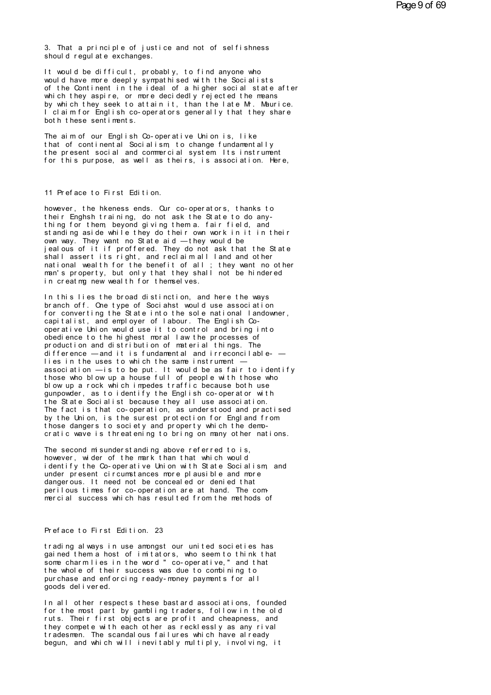3. That a principle of justice and not of selfishness<br>should regulate exchanges. should regulate exchanges.<br>Should regulate exchanges.<br>It would be difficult probab

3. That a principle of justice and not of selfishness<br>should regulate exchanges.<br>It would be difficult, probably, to find anyone who<br>would have more deeply sympathised with the Socialists<br>of the Continent in the ideal of a 3. That a principle of justice and not of selfishness<br>should regulate exchanges.<br>It would be difficult, probably, to find anyone who<br>would have more deeply sympathised with the Socialists<br>of the Continent in the ideal of a 3. That a principle of justice and not of selfishness<br>should regulate exchanges.<br>It would be difficult, probably, to find anyone who<br>would have more deeply sympathised with the Socialists<br>of the Continent in the ideal of a should regulate exchanges.<br>It would be difficult, probably, to find anyone who<br>would have more deeply sympathised with the Socialists<br>of the Continent in the ideal of a higher social state after<br>which they aspire, or more It would be difficult, probably, to find anyone who<br>would have more deeply sympathised with the Socialists<br>of the Continent in the ideal of a higher social state after<br>which they aspire, or more decidedly rejected the mean It would be difficult, probably, to find anyone who<br>would have more deeply sympathised with the Socialists<br>of the Continent in the ideal of a higher social state after<br>which they aspire, or more decidedly rejected the mean would have more deeply sympathised<br>of the Continent in the ideal of a<br>which they aspire, or more decided<br>by which they seek to attain it, t<br>I claim for English co-operators g<br>both these sentiments.<br>The aim of our English C which they aspire, or more decidedly rejected the means<br>by which they seek to attain it, than the late Mr. Maurice.<br>I claim for English co-operators generally that they share<br>both these sentiments.<br>The aim of our English C

by which they seek to attain it, than the late Mr. Maurice.<br>I claim for English co-operators generally that they share<br>both these sentiments.<br>The aim of our English Co-operative Union is, like<br>that of continental Socialism I claim for English co-operators generally that they share<br>both these sentiments.<br>The aim of our English Co-operative Union is, like<br>that of continental Socialism, to change fundamentally<br>the present social and commercial both these sentiments.<br>The aim of our English Co-operative Union is, like<br>that of continental Socialism, to change fundamentally<br>the present social and commercial system. Its instrument<br>for this purpose, as well as theirs, the present social and commercial system Its instrument<br>for this purpose, as well as theirs, is association. Here,<br>11 Preface to First Edition.<br>however, the hkeness ends. Our co-operators, thanks to

11 Preface to First Edition.<br>however, the hkeness ends. Our co-operators, thanks to<br>their Enghsh training, do not ask the State to do any-<br>thing for them beyond giving them a fair field, and the face to First Edition.<br>The research of the head of the state of the State to do any -<br>thing for them, beyond giving them a. fair field, and<br>standing aside while they do their awn work in it in their 11 Preface to First Edition.<br>however, the hkeness ends. Our co-operators, thanks to<br>their Enghsh training, do not ask the State to do any-<br>thing for them, beyond giving them a. fair field, and<br>standing aside while they do 11 Preface to First Edition.<br>however, the hkeness ends. Our co-operators, thanks to<br>their Enghsh training, do not ask the State to do any-<br>thing for them, beyond giving them a. fair field, and<br>standing aside while they do however, the hkeness ends. Our co-operators, thanks to<br>their Enghsh training, do not ask the State to do any-<br>thing for them beyond giving them a. fair field, and<br>standing aside while they do their own work in it in their<br> however, the hkeness ends. Our co-operators, thanks to<br>their Enghsh training, do not ask the State to do any-<br>thing for them, beyond giving them a. fair field, and<br>standing aside while they do their own work in it in their their Enghsh training, do not ask the State to do any-<br>thing for them beyond giving them a. fair field, and<br>standing aside while they do their own work in it in their<br>own way. They want no State aid — they would be<br>jealous thing for them, beyond giving them a. fair field, and<br>standing aside while they do their own work in it in their<br>own way. They want no State aid — they would be<br>jealous of it if proffered. They do not ask that the State<br>sh standing aside while they do their own work in it in their<br>own way. They want no State aid — they would be<br>jealous of it if proffered. They do not ask that the State<br>shall assert its right, and reclaim all land and other<br>m own way. They want no State aid — they would be<br>jealous of it if proffered. They do not ask that<br>shall assert its right, and reclaim all land an<br>national wealth for the benefit of all; they wo<br>man's property, but only that I shall assert its right, and reclaim all land and other national wealth for the benefit of all; they want no other man's property, but only that they shall not be hindered in creatmy new wealth for themselves.<br>In this lie

br anch of f. One type of Soci ahst would use associ at i on frame in the Shall not be hindered<br>in creating new wealth for themselves.<br>In this lies the broad distinction, and here the ways<br>branch off. One type of Sociahst would use association<br>for converting the State into the sole in creating new wealth for themselves.<br>In this lies the broad distinction, and here the ways<br>branch off. One type of Sociahst would use association<br>for converting the State into the sole national landowner,<br>capitalist, and In this lies the broad distinction, and here the ways<br>branch off. One type of Sociahst would use association<br>for converting the State into the sole national landown<br>capitalist, and employer of labour. The English Co-<br>opera branch off. One type of Sociahst would use association<br>for converting the State into the sole national landowner,<br>capitalist, and employer of labour. The English Co-<br>operative Union would use it to control and bring into<br>o for converting the State into the sole national landowner,<br>capitalist, and employer of labour. The English Co-<br>operative Union would use it to control and bring into<br>obedience to the highest moral law the processes of<br>prod capitalist, and employer of labour. The English Co-<br>operative Union would use it to control and bring into<br>obedience to the highest moral law the processes of<br>production and distribution of material things. The<br>difference operative Union would use it to control and bring into<br>obedience to the highest moral law the processes of<br>production and distribution of material things. The<br>difference — and it is fundamental and irreconcilable-<br>—<br>ties i obedience to the highest moral law the processes of<br>production and distribution of material things. The<br>difference — and it is fundamental and irreconcilable-<br>—<br>lies in the uses to which the same instrument —<br>association production and distribution of material things. The<br>difference — and it is fundamental and irreconcilable —<br>lies in the uses to which the same instrument —<br>association — is to be put. It would be as fair to identify<br>those difference — and it is fundamental and irreconcilable —<br>lies in the uses to which the same instrument —<br>association — is to be put. It would be as fair to identify<br>those who blow up a house full of people with those who<br>bl lies in the uses to which the same instrument —<br>association — is to be put. It would be as fair to identify<br>those who blow up a house full of people with those who<br>blow up a rock which impedes traffic because both use<br>gunp association — is to be put. It would be as fair to identify<br>those who blow up a house full of people with those who<br>blow up a rock which impedes traffic because both use<br>gunpowder, as to identify the English co-operator wi those who blow up a house full of people with those who<br>blow up a rock which impedes traffic because both use<br>gunpowder, as to identify the English co-operator with<br>the State Socialist because they all use association.<br>The blow up a rock which impedes traffic because both use<br>gunpowder, as to identify the English co-operator with<br>the State Socialist because they all use association.<br>The fact is that co-operation, as understood and practised<br> The fact is that co-operation, as understood and practised<br>by the Union, is the surest protection for England from<br>those dangers to society and property which the demo-<br>cratic wave is threatening to bring on many other nat

by the Union, is the surest protection for England from<br>those dangers to society and property which the demo-<br>cratic wave is threatening to bring on many other nations.<br>The second misunderstanding above referred to is,<br>how it hose dangers to society and property which the demo-<br>cratic wave is threatening to bring on many other nations.<br>The second misunderstanding above referred to is,<br>however, wider of the mark than that which would<br>identify identify the Co-operative Union with State Socialism and under present circumstances more plausible and more dangerous. It need not be concealed or denied that The second misunderstanding above referred to is,<br>however, wider of the mark than that which would<br>identify the Co-operative Union with State Socialism, and<br>under present circumstances more plausible and more<br>dangerous. It The second misunderstanding above referred to is,<br>however, wider of the mark than that which would<br>identify the Co-operative Union with State Socialism, and<br>under present circumstances more plausible and more<br>dangerous. It mercial success which has resulted from the methods of<br>Preface to First Edition. 23<br>trading always in use amongst our united societies has

Preface to First Edition. 23<br>trading always in use amongst our united societies has<br>gained them a host of imitators, who seem to think that<br>some charmlies in the word "co-operative "and that Preface to First Edition. 23<br>trading always in use amongst our united societies has<br>some charmlies in the word "co-operative," and that<br>the whole of their success was due to combining to Preface to First Edition. 23<br>trading always in use amongst our united societies has<br>gained them a host of imitators, who seem to think that<br>some charmlies in the word " co-operative," and that<br>the whole of their success wa Preface to First Edition. 23<br>trading always in use amongst our united societies has<br>gained them a host of imitators, who seem to think that<br>some charm lies in the word "co-operative," and that<br>the whole of their success wa trading always in use amongst our united societies has gained them a host of imitators, who seem to think that some charm lies in the word "co-operative," and that the whole of their success was due to combining to purchas trading always in use among<br>gained them a host of imita<br>some charmlies in the word<br>the whole of their success<br>purchase and enforcing read<br>goods delivered.<br>In all other respects these I some charm lies in the word "co-operative," and that<br>
the whole of their success was due to combining to<br>
purchase and enforcing ready-money payments for all<br>
goods delivered.<br>
In all other respects these bast ard associ

fhe whole of their success was due to combining to<br>purchase and enforcing ready-money payments for all<br>goods delivered.<br>In all other respects these bastard associations, founded<br>for the most part by gambling traders, follo purchase and enforcing ready-money payments for all<br>goods delivered.<br>In all other respects these bastard associations, founded<br>for the most part by gambling traders, follow in the old<br>ruts. Their first objects are profit a goods delivered.<br>In all other respects these bastard associations, founded<br>for the most part by gambling traders, follow in the old<br>ruts. Their first objects are profit and cheapness, and<br>they compete with each other as re In all other respects these bastard associations, founded<br>for the most part by gambling traders, follow in the old<br>ruts. Their first objects are profit and cheapness, and<br>they compete with each other as recklessly as any r In all other respects these bastard associations, founded<br>for the most part by gambling traders, follow in the old<br>ruts. Their first objects are profit and cheapness, and<br>they compete with each other as recklessly as any r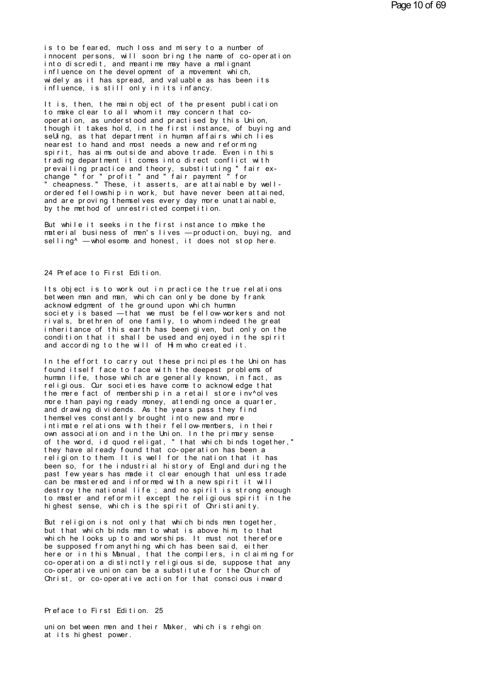is to be feared, much loss and misery to a number of innocent persons, will soon bring the name of co-operation into discredit, and meantime may have a malignant influence on the development of a movement which, widely as it has spread, and valuable as has been its influence, is still only in its infancy.

It is, then, the main object of the present publication to make clear to all whom it may concern that cooperation, as understood and practised by this Union, though it takes hold, in the first instance, of buying and seUing, as that department in human affairs which lies nearest to hand and most needs a new and reforming spirit, has aims outside and above trade. Even in this trading department it comes into direct conflict with prevailing practice and theory, substituting "fair ex-<br>change " for " profit " and " fair payment " for " cheapness." These, it asserts, are attainable by wellordered fellowship in work, but have never been attained, and are proving themselves every day more unattainable. by the method of unrestricted competition.

But while it seeks in the first instance to make the material business of men's lives - production, buying, and selling<sup>^</sup> - wholesome and honest, it does not stop here.

#### 24 Preface to First Edition.

Its object is to work out in practice the true relations bet ween man and man, which can only be done by frank acknowledgment of the ground upon which human society is based  $-$ that we must be fellow-workers and not rivals, brethren of one family, to whom indeed the great inheritance of this earth has been given, but only on the condition that it shall be used and enjoyed in the spirit and according to the will of Him who created it.

In the effort to carry out these principles the Union has found itself face to face with the deepest problems of human life, those which are generally known, in fact, as religious. Our societies have come to acknowledge that the mere fact of membership in a retail store inv<sup>^o</sup>lves more than paying ready money, attending once a quarter, and drawing dividends. As the years pass they find themselves constantly brought into new and more intimate relations with their fellow-members, in their own association and in the Union. In the primary sense of the word, id quod religat, "that which binds together,"<br>they have already found that co-operation has been a<br>religion to them It is well for the nation that it has been so, for the industrial history of England during the past few years has made it clear enough that unless trade can be mastered and informed with a new spirit it will destroy the national life; and no spirit is strong enough to master and reform it except the religious spirit in the highest sense, which is the spirit of Christianity.

But religion is not only that which binds men together, but that which binds man to what is above him to that which he looks up to and worships. It must not therefore be supposed from anything which has been said, either here or in this Manual, that the compilers, in claiming for co-operation a distinctly religious side, suppose that any co-operative union can be a substitute for the Church of Christ, or co-operative action for that conscious inward

# Preface to First Edition. 25

union between men and their Maker, which is rehgion at its highest power.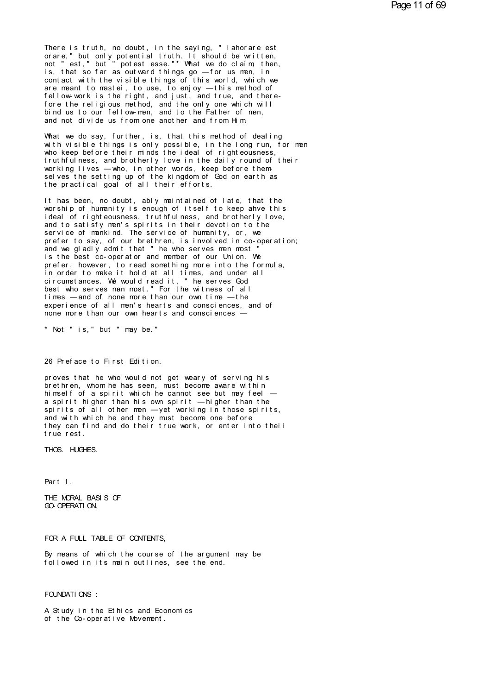There is truth, no doubt, in the saying, "lahorare est<br>orare," but only potential truth. It should be written,<br>not "est" but "potest esse"\* What we do claim then There is truth, no doubt, in the saying, "lahorare est<br>orare," but only potential truth. It should be written,<br>not "est," but "potest esse..." What we do claim, then,<br>is that so far as outward things go forus man in There is truth, no doubt, in the saying, "lahorare est<br>orare," but only potential truth. It should be written,<br>not "est," but "potest esse."\* What we do claim, then,<br>is, that so far as outward things go —for us men, in<br>con There is truth, no doubt, in the saying, "lahorare est<br>orare," but only potential truth. It should be written,<br>not "est," but "potest esse."\* What we do claim, then,<br>is, that so far as outward things go — for us men, in<br>co There is truth, no doubt, in the saying, "lahorare est<br>orare," but only potential truth. It should be written,<br>not "est," but "potest esse."\* What we do claim, then,<br>is, that so far as outward things go — for us men, in<br>co There is truth, no doubt, in the saying, "lahorare est<br>orare," but only potential truth. It should be written,<br>not "est," but "potest esse."\* What we do claim, then,<br>is, that so far as outward things go — for us men, in<br>co orare," but only potential truth. It should be written,<br>not "est," but "potest esse."\* What we do claim, then,<br>is, that so far as outward things go — for us men, in<br>contact with the visible things of this world, which we<br>a not "est," but "potest esse."\* What we do claim, then,<br>is, that so far as outward things go — for us men, in<br>contact with the visible things of this world, which we<br>are meant to mastei, to use, to enjoy — this method of<br>fe is, that so far as outward things go — for us men, in<br>contact with the visible things of this world, which we<br>are meant to mastei, to use, to enjoy — this method of<br>fellow-work is the right, and just, and true, and thereare meant to mastei, to use, to enjoy — this method of fellow-work is the right, and just, and true, and there-<br>fore the religious method, and the only one which will<br>bind us to our fellow-men, and to the Father of men,<br>an fellow-work is the right, and just, and true, and there-<br>fore the religious method, and the only one which will<br>bind us to our fellow-men, and to the Father of men,<br>and not divide us from one another and from Him<br>What we d

fore the religious method, and the only one which will<br>bind us to our fellow-men, and to the Father of men,<br>and not divide us from one another and from Him.<br>What we do say, further, is, that this method of dealing<br>with vis bind us to our fellow-men, and to the Father of men,<br>and not divide us from one another and from Him.<br>What we do say, further, is, that this method of dealing<br>with visible things is only possible, in the long run, for m<br>wh and not divide us from one another and from Him<br>What we do say, further, is, that this method of dealing<br>with visible things is only possible, in the long run, for men<br>who keep before their minds the ideal of righteousness What we do say, further, is, that this method of dealing<br>with visible things is only possible, in the long run, for men<br>who keep before their minds the ideal of righteousness,<br>truthfulness, and brotherly love in the daily with visible things is only possible, in the long ru<br>who keep before their minds the ideal of righteousne<br>truthfulness, and brotherly love in the daily round<br>working lives — who, in other words, keep before the<br>selves the truthfulness, and brotherly love in the daily round of their<br>working lives — who, in other words, keep before them-<br>selves the setting up of the kingdom of God on earth as<br>the practical goal of all their efforts.<br>It has be

working lives — who, in other words, keep before themselves the setting up of the kingdom of God on earth as<br>the practical goal of all their efforts.<br>It has been, no doubt, ably maintained of late, that the<br>worship of huma selves the setting up of the kingdom of God on earth as<br>the practical goal of all their efforts.<br>It has been, no doubt, ably maintained of late, that the<br>worship of humanity is enough of itself to keep ahve this<br>ideal of r the practical goal of all their efforts.<br>It has been, no doubt, ably maintained of late, that the<br>worship of humanity is enough of itself to keep ahve this<br>ideal of righteousness, truthfulness, and brotherly love,<br>and to s It has been, no doubt, ably maintained of late, that the worship of humanity is enough of itself to keep ahve this<br>ideal of righteousness, truthfulness, and brotherly love,<br>and to satisfy men's spirits in their devotion to It has been, no doubt, ably maintained of late, that the<br>worship of humanity is enough of itself to keep ahve this<br>ideal of righteousness, truthfulness, and brotherly love,<br>and to satisfy men's spirits in their devotion to worship of humanity is enough of itself to keep ahve this<br>ideal of righteousness, truthfulness, and brotherly love,<br>and to satisfy men's spirits in their devotion to the<br>service of mankind. The service of humanity, or, we<br> ideal of righteousness, truthfulness, and brotherly love,<br>and to satisfy men's spirits in their devotion to the<br>service of mankind. The service of humanity, or, we<br>prefer to say, of our brethren, is involved in co-operatio and to satisfy men's spirits in their devotion to the<br>service of mankind. The service of humanity, or, we<br>prefer to say, of our brethren, is involved in co-operation;<br>and we gladly admit that "he who serves men most "<br>is t service of mankind. The service of humanity, or, we<br>prefer to say, of our brethren, is involved in co-operation;<br>and we gladly admit that "he who serves men most"<br>is the best co-operator and member of our Union. We<br>prefer, prefer to say, of our brethren, is involved in co-opera<br>and we gladly admit that "he who serves men most"<br>is the best co-operator and member of our Union. We<br>prefer, however, to read something more into the formul<br>in order and we gladly admit that "he who serves men most"<br>is the best co-operator and member of our Union. We<br>prefer, however, to read something more into the formula,<br>in order to make it hold at all times, and under all<br>circumsta is the best co-operator and member of our Union. We<br>prefer, however, to read something more into the formula,<br>in order to make it hold at all times, and under all<br>circumstances. We would read it, "he serves God<br>best who se prefer, however, to read something more into the formula,<br>in order to make it hold at all times, and under all<br>circumstances. We would read it, "he serves God<br>best who serves man most." For the witness of all<br>times — and o in order to make it hold at all times, and under all circumstances. We would read it, "he serves God<br>best who serves man most." For the witness of all<br>times — and of none more than our own time — the<br>experience of all men' best who serves man most." For the witness of all times —and of none more than our own time —the experience of all men's hearts and consciences, and of none more than our own hearts and consciences —<br>\* Not " is, " but " m

A Not "is," but "may be."<br>26 Preface to First Edition.<br>Proves that be who would not get weary.

26 Preface to First Edition.<br>proves that he who would not get weary of serving his<br>brethren, whom he has seen, must become aware within<br>himself of a spirit which he cannot see but may feel — 26 Preface to First Edition.<br>proves that he who would not get weary of serving his<br>brethren, whom he has seen, must become aware within<br>himself of a spirit which he cannot see but may feel —<br>a spirit higher than his own sp 26 Preface to First Edition.<br>proves that he who would not get weary of serving his<br>brethren, whom he has seen, must become aware within<br>himself of a spirit which he cannot see but may feel —<br>spirit higher than his own spir 2.6 Preface to First Edition.<br>proves that he who would not get weary of serving his<br>brethren, whom he has seen, must become aware within<br>himself of a spirit which he cannot see but may feel —<br>a spirit higher than his own s proves that he who would not get weary of serving his<br>brethren, whom he has seen, must become aware within<br>himself of a spirit which he cannot see but may feel —<br>a spirit higher than his own spirit — higher than the<br>spirit proves that he who would not get weary of serving his<br>brethren, whom he has seen, must become aware within<br>himself of a spirit which he cannot see but may feel —<br>a spirit higher than his own spirit — higher than the<br>spirit brethren, whom he has seen, must become aware within<br>himself of a spirit which he cannot see but may feel —<br>a spirit higher than his own spirit — higher than the<br>spirits of all other men — yet working in those spirits,<br>and himself of a spirit whi<br>a spirit higher than hi<br>spirits of all other me<br>and with which he and t<br>they can find and do th<br>true rest.<br>THOS HIGHES spirits of all othe<br>and with which he a<br>they can find and d<br>true rest.<br>THOS. HUGHES.

THOS. HUGHES.<br>Part I.<br>THE MORAL BASIS OF

Part I.<br>THE MORAL BASIS OF<br>GO-OPERATION. Part I.<br>THE MORAL BASIS OF<br>GO- OPERATION.

FOR A FULL TABLE OF CONTENTS,

FOR A FULL TABLE OF CONTENTS,<br>By means of which the course of the argument may be<br>followed in its main outlines, see the end. FOR A FULL TABLE OF CONTENTS,<br>By means of which the course of the argument may b<br>followed in its main outlines, see the end. followed in its main outlines, see the end.<br>FOUNDATIONS :<br>A Study in the Ethics and Economics

FOUNDATIONS :<br>A Study in the Ethics and Economics<br>of the Co-operative Movement. FOUNDATIONS :<br>A Study in the Ethics and Economics<br>of the Co-operative Movement.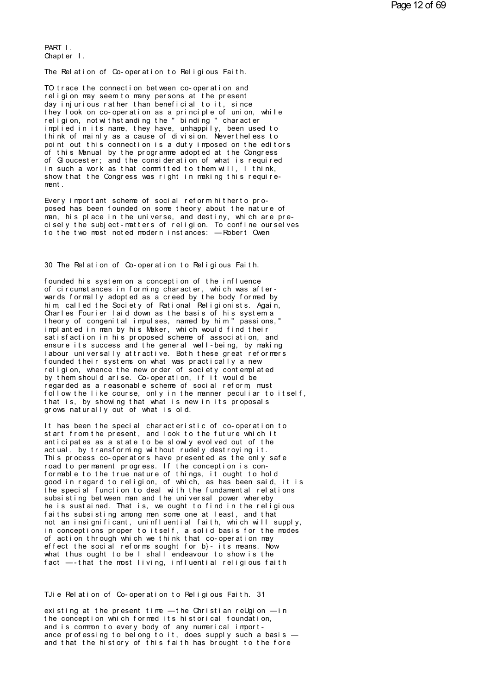PART I Chapter  $\vert$ .

The Relation of Co-operation to Religious Faith.

TO trace the connection between co-operation and religion may seem to many persons at the present day injurious rather than beneficial to it, since they look on co-operation as a principle of union, while<br>religion, not with standing the "binding" character<br>implied in its name, they have, unhappily, been used to think of mainly as a cause of division. Nevertheless to point out this connection is a duty imposed on the editors<br>of this Manual by the programme adopted at the Congress of Gloucester; and the consideration of what is required in such a work as that committed to them will, I think, show that the Congress was right in making this requirement.

Every important scheme of social reform hitherto proposed has been founded on some theory about the nature of man, his place in the universe, and destiny, which are precisely the subject-matters of religion. To confine ourselves to the two most noted modern instances: - Robert Owen

30 The Relation of Co-operation to Religious Faith.

founded his system on a conception of the influence of circumstances in forming character, which was afterwards formally adopted as a creed by the body formed by him, called the Society of Rational Religionists. Again, Charles Fourier laid down as the basis of his system a theory of congenital impulses, named by him "passions,"<br>implanted in man by his Maker, which would find their satisfaction in his proposed scheme of association, and ensure its success and the general well-being, by making labour universally attractive. Both these great reformers founded their systems on what was practically a new<br>religion, whence the new order of society contemplated by them should arise. Co-operation, if it would be regarded as a reasonable scheme of social reform must follow the like course, only in the manner peculiar to itself, that is, by showing that what is new in its proposals grows naturally out of what is old.

It has been the special characteristic of co-operation to start from the present, and look to the future which it anticipates as a state to be slowly evolved out of the actual, by transforming without rudely destroying it. This process co-operators have presented as the only safe road to permanent progress. If the conception is conformable to the true nature of things, it ought to hold good in regard to religion, of which, as has been said, it is<br>the special function to deal with the fundamental relations subsisting between man and the universal power whereby he is sustained. That is, we ought to find in the religious faiths subsisting among men some one at least, and that not an insignificant, uninfluential faith, which will supply, in conceptions proper to itself, a solid basis for the modes of action through which we think that co-operation may effect the social reforms sought for b}- its means. Now what thus ought to be I shall endeavour to show is the fact -- that the most living, influential religious faith

TJie Relation of Co-operation to Religious Faith. 31

existing at the present time - the Christian reUgion - in the conception which formed its historical foundation, and is common to every body of any numerical importance professing to belong to it, does supply such a basis and that the history of this faith has brought to the fore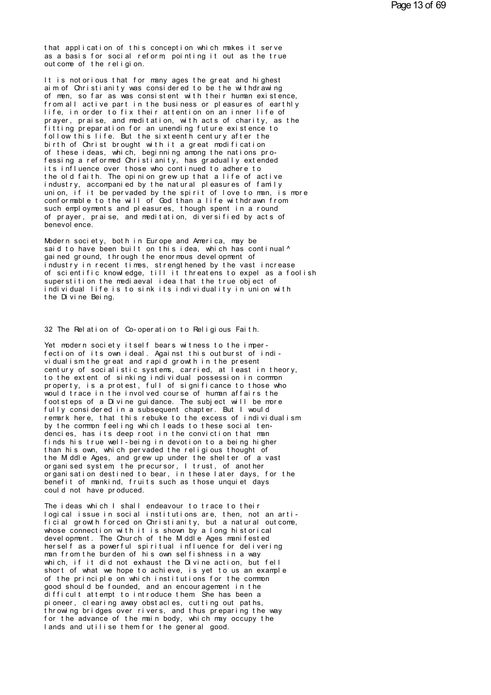that application of this conception which makes it serve as a basis for social reform pointing it out as the true out come of the religion.

It is notorious that for many ages the great and highest aim of Christianity was considered to be the withdrawing of men, so far as was consistent with their human existence. from all active part in the business or pleasures of earthly life, in order to fix their attention on an inner life of prayer, praise, and meditation, with acts of charity, as the fitting preparation for an unending future existence to follow this life. But the sixteenth century after the birth of Christ brought with it a great modification of these ideas, which, beginning among the nations professing a reformed Christianity, has gradually extended its influence over those who continued to adhere to the old faith. The opinion grew up that a life of active<br>industry, accompanied by the natural pleasures of family union, if it be pervaded by the spirit of love to man, is more conformable to the will of God than a life withdrawn from such employments and pleasures, though spent in a round of prayer, praise, and meditation, diversified by acts of benevol ence.

Modern society, both in Europe and America, may be said to have been built on this idea, which has continual<sup>^</sup> gained ground, through the enormous devel opment of industry in recent times, strengthened by the vast increase<br>of scientific knowledge, till it threatens to expel as a foolish superstition the mediaeval idea that the true object of individual life is to sink its individuality in union with the Divine Being.

32 The Relation of Co-operation to Religious Faith.

Yet modern society itself bears witness to the imperfection of its own ideal. Against this outburst of individual ism the great and rapid growth in the present century of socialistic systems, carried, at least in theory, to the extent of sinking individual possession in common property, is a protest, full of significance to those who would trace in the involved course of human affairs the foot steps of a Divine guidance. The subject will be more fully considered in a subsequent chapter. But I would remark here, that this rebuke to the excess of individualism by the common feeling which leads to these social tendencies, has its deep root in the conviction that man finds his true well-being in devotion to a being higher than his own, which pervaded the religious thought of the M ddl e Ages, and grew up under the shelter of a vast organised system the precursor. I trust, of another organisation destined to bear, in these later days, for the benefit of mankind, fruits such as those unquiet days could not have produced.

The ideas which I shall endeavour to trace to their logical issue in social institutions are, then, not an arti-<br>ficial growth forced on Christianity, but a natural outcome, whose connection with it is shown by a long historical devel opment. The Church of the M ddl e Ages manifested herself as a powerful spiritual influence for delivering man from the burden of his own selfishness in a way which, if it did not exhaust the Divine action, but fell short of what we hope to achieve, is yet to us an example of the principle on which institutions for the common good should be founded, and an encouragement in the difficult attempt to introduce them She has been a pioneer, clearing away obstacles, cutting out paths, throwing bridges over rivers, and thus preparing the way for the advance of the main body, which may occupy the lands and utilise them for the general good.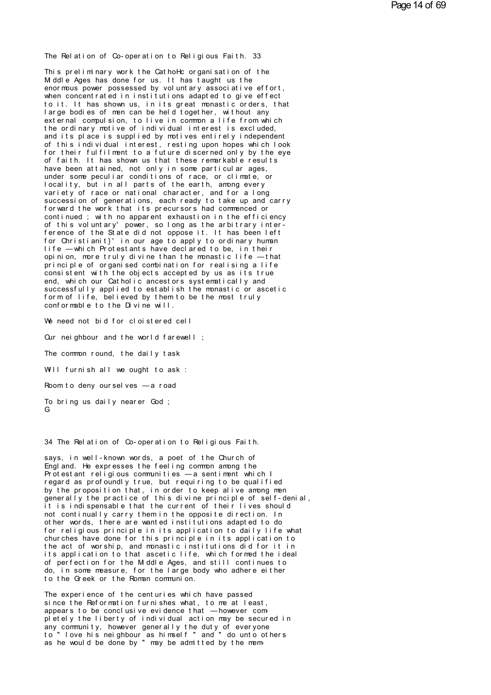The Relation of Co-operation to Religious Faith. 33

This preliminary work the CathoHc organisation of the M ddl e Ages has done for us. It has taught us the enormous power possessed by voluntary associative effort. when concentrated in institutions adapted to give effect to it. It has shown us, in its great monastic orders, that large bodies of men can be held together, without any external compulsion, to live in common a life from which the ordinary motive of individual interest is excluded, and its place is supplied by motives entirely independent of this individual interest, resting upon hopes which look for their fulfilment to a future discerned only by the eye of faith. It has shown us that these remarkable results have been attained, not only in some particular ages, under some peculiar conditions of race, or climate, or<br>locality, but in all parts of the earth, among every variety of race or national character, and for a long succession of generations, each ready to take up and carry forward the work that its precursors had commenced or continued; with no apparent exhaustion in the efficiency of this voluntary' power, so long as the arbitrary interference of the State did not oppose it. It has been left for Christianit}' in our age to apply to ordinary human life - which Protestants have declared to be, in their opinion, more truly divine than the monastic life - that principle of organised combination for realising a life consistent with the objects accepted by us as its true end. which our Catholic ancestors systematically and successfully applied to establish the monastic or ascetic form of life, believed by them to be the most truly conformable to the Divine will.

We need not bid for cloistered cell

Our neighbour and the world farewell;

The common round, the daily task

Will furnish all we ought to ask :

Room to deny ourselves - a road

To bring us daily nearer God; G

34 The Relation of Co-operation to Religious Faith.

says, in well-known words, a poet of the Church of Enal and. He expresses the feeling common among the Protestant religious communities - a sentiment which I regard as profoundly true, but requiring to be qualified by the proposition that, in order to keep alive among men generally the practice of this divine principle of self-denial, it is indispensable that the current of their lives should not continually carry them in the opposite direction. In other words, there are wanted institutions adapted to do for religious principle in its application to daily life what churches have done for this principle in its application to the act of worship, and monastic institutions did for it in its application to that ascetic life, which formed the ideal of perfection for the M ddle Ages, and still continues to do, in some measure, for the large body who adhere either to the Greek or the Roman communion.

The experience of the centuries which have passed since the Reformation furnishes what, to me at least, appears to be conclusive evidence that -however completely the liberty of individual action may be secured in any community, however generally the duty of everyone to "love his neighbour as himself" and " do unto others as he would be done by " may be admitted by the mem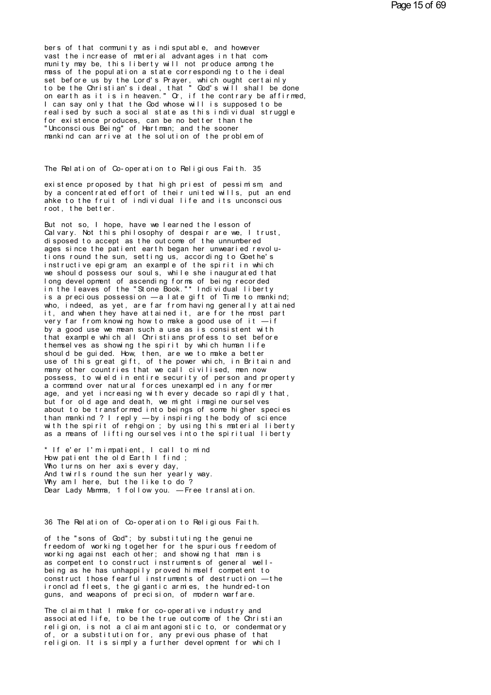bers of that community as indisputable, and however<br>vast the increase of material advantages in that com-<br>munity may be, this liberty will not produce among the bers of that community as indisputable, and however<br>vast the increase of material advantages in that com-<br>munity may be, this liberty will not produce among the<br>mass of the population a state corresponding to the ideal<br>set bers of that community as indisputable, and however<br>vast the increase of material advantages in that com-<br>munity may be, this liberty will not produce among the<br>mass of the population a state corresponding to the ideal<br>set bers of that community as indisputable, and however<br>vast the increase of material advantages in that com-<br>munity may be, this liberty will not produce among the<br>mass of the population a state corresponding to the ideal<br>set bers of that community as indisputable, and however<br>vast the increase of material advantages in that community may be, this liberty will not produce among the<br>mass of the population a state corresponding to the ideal<br>set b vast the increase of material advantages in that community may be, this liberty will not produce among the mass of the population a state corresponding to the ideal set before us by the Lord's Prayer, which ought certainly munity may be, this liberty will not produce among the<br>mass of the population a state corresponding to the ideal<br>set before us by the Lord's Prayer, which ought certainly<br>to be the Christian's ideal, that "God's will shall r east of the population a state corresponding to the ideal<br>set before us by the Lord's Prayer, which ought certainly<br>to be the Christian's ideal, that "God's will shall be done<br>on earth as it is in heaven." Or, if the con set before us by the Lord's Prayer, which ought certainly<br>to be the Christian's ideal, that "God's will shall be done<br>on earth as it is in heaven." Or, if the contrary be affirmed<br>I can say only that the God whose will is to be the Christian's ideal, that "God's will shalon earth as it is in heaven." Or, if the contrary b<br>I can say only that the God whose will is supposed<br>realised by such a social state as this individual<br>for existence prod on earth as it is in heaven." Or, if the contrary be affirmed<br>I can say only that the God whose will is supposed to be<br>realised by such a social state as this individual struggle<br>for existence produces, can be no better th mankind can arrive at the solution of the problem of<br>The Relation of Co-operation to Religious Faith. 35

The Relation of Co-operation to Religious Faith. 35<br>existence proposed by that high priest of pessimism, and<br>by a concentrated effort of their united wills, put an end<br>abke to the fruit of individual life and its unconscio The Relation of Co-operation to Religious Faith. 35<br>existence proposed by that high priest of pessimism, and<br>by a concentrated effort of their united wills, put an end<br>anke to the fruit of individual life and its unconscio The Relation of Co-operation to Religious Faith. 35<br>existence proposed by that high priest of pessimism, and<br>by a concentrated effort of their united wills, put an end<br>ahke to the fruit of individual life and its unconscio existence proposed by that high priest of pessimism and<br>by a concentrated effort of their united wills, put an eakke to the fruit of individual life and its unconscious<br>root, the better.<br>But not so. I hope, have we learned existence proposed by that high priest of pessimism, and<br>by a concentrated effort of their united wills, put an<br>ahke to the fruit of individual life and its unconsciou<br>root, the better.<br>But not so, I hope, have we learned

Cal vary. Not this philosophy of despair are we, I trust, disposed to accept as the outcome of the unnumbered anke to the fruit of individual life and its unconscious<br>root, the better.<br>But not so, I hope, have we learned the lesson of<br>Calvary. Not this philosophy of despair are we, I trust,<br>aisposed to accept as the outcome of the root, the better.<br>But not so, I hope, have we learned the lesson of<br>Calvary. Not this philosophy of despair are we, I trust,<br>disposed to accept as the outcome of the unnumbered<br>ages since the patient earth began her unwear But not so, I hope, have we learned the lesson of<br>Calvary. Not this philosophy of despair are we, I trust,<br>disposed to accept as the outcome of the unnumbered<br>ages since the patient earth began her unwearied revolu-<br>tions But not so, I hope, have we learned the lesson of<br>Calvary. Not this philosophy of despair are we, I trust,<br>disposed to accept as the outcome of the unnumbered<br>ages since the patient earth began her unwearied revolu-<br>tions Calvary. Not this philosophy of despair are we, I trust,<br>disposed to accept as the outcome of the unnumbered<br>ages since the patient earth began her unwearied revolu-<br>tions round the sun, setting us, according to Goethe's<br>i disposed to accept as the outcome of the unnumbered<br>ages since the patient earth began her unwearied revolu-<br>tions round the sun, setting us, according to Goethe's<br>instructive epigram, an example of the spirit in which<br>we ages since the patient earth began her unwearied revolutions round the sun, setting us, according to Goethe's<br>instructive epigram, an example of the spirit in which<br>we should possess our souls, while she inaugurated that<br>l tions round the sun, setting us, according to Goethe's<br>instructive epigram, an example of the spirit in which<br>we should possess our souls, while she inaugurated that<br>long development of ascending forms of being recorded<br>in instructive epigram, an example of the spirit in which<br>we should possess our souls, while she inaugurated that<br>long development of ascending forms of being recorded<br>in the leaves of the "Stone Book."\* Individual liberty<br>is we should possess our souls, while she inaugurated that<br>long development of ascending forms of being recorded<br>in the leaves of the "Stone Book."\* Individual liberty<br>is a precious possession —a late gift of Time to mankind; long development of ascending forms of being recorded<br>in the leaves of the "Stone Book."\* Individual liberty<br>is a precious possession — a late gift of Time to mankind;<br>who, indeed, as yet, are far from having generally att is a precious possession — a late gift of Time to mankind;<br>who, indeed, as yet, are far from having generally attaine<br>it, and when they have attained it, are for the most part<br>very far from knowing how to make a good use who, indeed, as yet, are far from having generally attained it, and when they have attained it, are for the most part very far from knowing how to make a good use of it —if by a good use we mean such a use as is consisten that example which all Christians profess to set before it, and when they have attained it, are for the most part<br>very far from knowing how to make a good use of it —if<br>by a good use we mean such a use as is consistent with<br>that example which all Christians profess to set befor very far from knowing how to make a good use of it —if<br>by a good use we mean such a use as is consistent with<br>that example which all Christians profess to set before<br>themselves as showing the spirit by which human life<br>sho by a good use we mean such a use as is consistent with<br>that example which all Christians profess to set before<br>themselves as showing the spirit by which human life<br>should be guided. How, then, are we to make a better<br>use o that example which all Christians profess to set before<br>themselves as showing the spirit by which human life<br>should be guided. How, then, are we to make a better<br>use of this great gift, of the power which, in Britain and<br>m themselves as showing the spirit by which human life<br>should be guided. How, then, are we to make a better<br>use of this great gift, of the power which, in Britain and<br>many other countries that we call civilised, men now<br>poss should be guided. How, then, are we to make a better<br>use of this great gift, of the power which, in Britain and<br>many other countries that we call civilised, men now<br>possess, to wield in entire security of person and proper use of this great gift, of the power which, in Britain and<br>many other countries that we call civilised, men now<br>possess, to wield in entire security of person and property<br>a command over natural forces unexampled in any fo many other countries that we call civilised, men now<br>possess, to wield in entire security of person and property<br>a command over natural forces unexampled in any former<br>age, and yet increasing with every decade so rapidly t possess, to wield in entire security of person and property<br>a command over natural forces unexampled in any former<br>age, and yet increasing with every decade so rapidly that,<br>but for old age and death, we might imagine ours a command over natural forces unexampled in any former<br>age, and yet increasing with every decade so rapidly that,<br>but for old age and death, we might imagine ourselves<br>about to be transformed into beings of some higher spe age, and yet increasing with every decade so rapidly that,<br>but for old age and death, we might imagine ourselves<br>about to be transformed into beings of some higher species<br>than mankind ? I reply — by inspiring the body of about to be transformed into beings of some higher<br>than mankind? I reply —by inspiring the body of s<br>with the spirit of rehgion ; by using this material<br>as a means of lifting ourselves into the spiritual<br>\* If e'er l'mrimpa

than mankind ? I reply — by inspiring the bowith the spirit of rehgion ; by using this m<br>as a means of lifting ourselves into the spi<br>\* If e'er l'mimpatient, I call to mind<br>How patient the old Earth I find ;<br>Who turns on h with the spirit of rehgion ; by using the<br>as a means of lifting ourselves into the<br>\* If e'er l'mimpatient, I call to mind<br>How patient the old Earth I find ;<br>Amod twirls round the sun her yearly way.<br>Amod this could be sun as a means of lifting ourselves into the spiritu<br>\* If e'er l'mimpatient, I call to mind<br>How patient the old Earth I find ;<br>Who turns on her axis every day,<br>Why am I here, but the like to do ?<br>Dear lady Mamma 1 follow you — \* If e'er l'mimpatient, I call to mind<br>How patient the old Earth I find;<br>Who turns on her axis every day,<br>And twirls round the sun her yearly way.<br>Why am I here, but the like to do? Dear Lady Mamma, 1 follow you. - Free translation.

36 The Relation of Co-operation to Religious Faith.<br>of the "sons of God"; by substituting the genuine

freedom of working together for the spurious freedom of 36 The Relation of Co-operation to Religious Faith.<br>of the "sons of God"; by substituting the genuine<br>freedom of working together for the spurious freedom of<br>working against each other; and shown ing that manis<br>as commeten 36 The Relation of Co-operation to Religious Faith.<br>of the "sons of God"; by substituting the genuine<br>freedom of working together for the spurious freedom of<br>working against each other; and showing that man is<br>as competent 36 The Relation of Co-operation to Religious Faith.<br>of the "sons of God"; by substituting the genuine<br>freedom of working together for the spurious freedom of<br>working against each other; and showing that man is<br>as competent of the "sons of God"; by substituting the genuine<br>freedom of working together for the spurious freedom of<br>working against each other; and showing that man is<br>as competent to construct instruments of general well-<br>being as freedom of working together for the spurious freedom of<br>working against each other; and showing that man is<br>as competent to construct instruments of general well-<br>being as he has unhappily proved himself competent to<br>const working against each other; and showing that man is<br>as competent to construct instruments of general well-<br>being as he has unhappily proved himself competent to<br>construct those fearful instruments of destruction — the<br>iron being as he has unhappily proved himself competent to<br>construct those fearful instruments of destruction — the<br>ironclad fleets, the gigantic armies, the hundred-ton<br>guns, and weapons of precision, of modern warfare.<br>The cl

construct those fearful instruments of destruction — the<br>ironclad fleets, the gigantic armies, the hundred-ton<br>guns, and weapons of precision, of modern warfare.<br>The claim that I make for co-operative industry and<br>associat ir onclad fleets, the gigantic armies, the hundred-ton<br>guns, and weapons of precision, of modern warfare.<br>The claim that I make for co-operative industry and<br>associated life, to be the true outcome of the Christian<br>religio guns, and weapons of precision, of modern warfare.<br>The claim that I make for co-operative industry and<br>associated life, to be the true outcome of the Christian<br>religion, is not a claim antagonistic to, or condermatory<br>of, The claim that I make for co-operative industry and<br>associated life, to be the true outcome of the Christian<br>religion, is not a claim antagonistic to, or condermatory<br>of, or a substitution for, any previous phase of that<br>r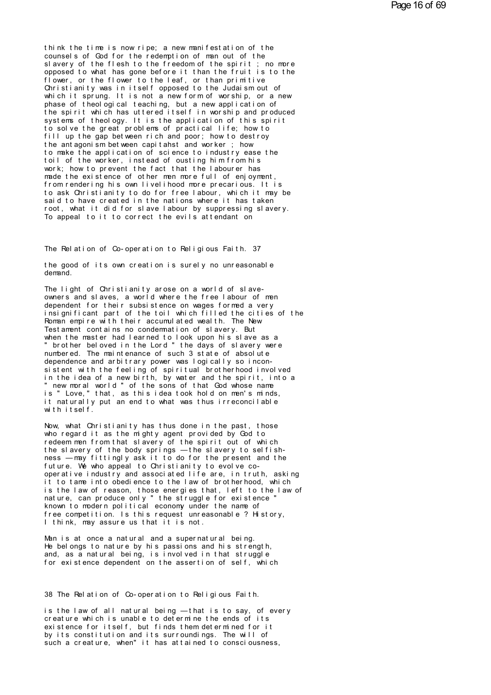think the time is now ripe; a new manifestation of the counsels of God for the redemption of man out of the slavery of the flesh to the freedom of the spirit; no more opposed to what has gone before it than the fruit is to the flower, or the flower to the leaf, or than primitive Christianity was in itself opposed to the Judaism out of which it sprung. It is not a new form of worship, or a new phase of theological teaching, but a new application of the spirit which has uttered itself in worship and produced systems of theology. It is the application of this spirit to solve the great problems of practical life; how to fill up the gap between rich and poor; how to destroy the ant agonism bet ween capit ahst and worker; how to make the application of science to industry ease the toil of the worker, instead of ousting him from his work; how to prevent the fact that the labourer has made the existence of other men more full of enjoyment, from rendering his own livelihood more precarious. It is to ask Christianity to do for free labour, which it may be said to have created in the nations where it has taken root, what it did for slave labour by suppressing slavery. To appeal to it to correct the evils attendant on

The Relation of Co-operation to Religious Faith. 37

the good of its own creation is surely no unreasonable demand.

The light of Christianity arose on a world of slaveowners and slaves, a world where the free labour of men dependent for their subsistence on wages formed a very insignificant part of the toil which filled the cities of the Roman empire with their accumulated wealth. The New Test ament contains no condemnation of slavery. But when the master had learned to look upon his slave as a " brother beloved in the Lord " the days of slavery were numbered. The maintenance of such 3 state of absolute dependence and arbitrary power was logically so inconsistent with the feeling of spiritual brotherhood involved in the idea of a new birth, by water and the spirit, into a " new moral world" of the sons of that God whose name<br>is " Love," that, as this idea took hold on men's minds, it naturally put an end to what was thus irreconcilable with itself.

Now, what Christianity has thus done in the past, those who regard it as the mighty agent provided by God to redeem men from that slavery of the spirit out of which the slavery of the body springs - the slavery to selfishness - may fittingly ask it to do for the present and the future. We who appeal to Christianity to evolve cooperative industry and associated life are, in truth, asking it to tame into obedience to the law of brotherhood, which is the law of reason, those energies that, left to the law of nature, can produce only " the struggle for existence ' known to modern political economy under the name of free competition. Is this request unreasonable ? History, I think, may assure us that it is not.

Man is at once a natural and a supernatural being. He belongs to nature by his passions and his strength, and, as a natural being, is involved in that struggle for existence dependent on the assertion of self, which

38 The Relation of Co-operation to Religious Faith.

is the law of all natural being - that is to say, of every creature which is unable to determine the ends of its existence for itself, but finds them determined for it by its constitution and its surroundings. The will of such a creature, when" it has attained to consciousness,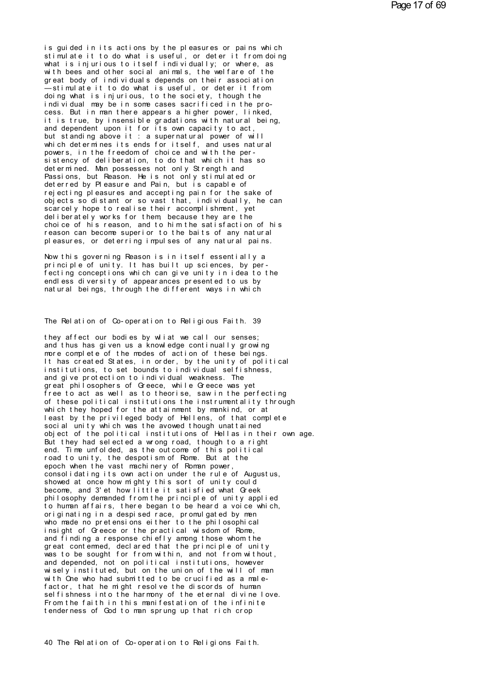is guided in its actions by the pleasures or pains which stimulate it to do what is useful, or deter it from doing<br>what is injurious to itself individually; or where, as with bees and other social animals, the welfare of the great body of individuals depends on their association -stimulate it to do what is useful, or deter it from<br>doing what is injurious, to the society, though the individual may be in some cases sacrificed in the process. But in man there appears a higher power, linked, it is true, by insensible gradations with natural being, and dependent upon it for its own capacity to act, but standing above it: a supernatural power of will which determines its ends for itself, and uses natural powers, in the freedom of choice and with the persistency of deliberation, to do that which it has so determined. Man possesses not only Strength and Passions, but Reason. He is not only stimulated or deterred by Pleasure and Pain, but is capable of rejecting pleasures and accepting pain for the sake of objects so distant or so vast that, individually, he can scarcely hope to realise their accomplishment, yet deliberately works for them because they are the choice of his reason, and to him the satisfaction of his reason can become superior to the baits of any natural pleasures, or deterring impulses of any natural pains.

Now this governing Reason is in itself essentially a principle of unity. It has built up sciences, by perfecting conceptions which can give unity in idea to the endl ess diversity of appearances presented to us by natural beings, through the different ways in which

The Relation of Co-operation to Religious Faith. 39

they affect our bodies by wliat we call our senses; and thus has given us a knowledge continually growing more complete of the modes of action of these beings. It has created States, in order, by the unity of political institutions, to set bounds to individual selfishness, and give protection to individual weakness. The great philosophers of Greece, while Greece was yet free to act as well as to theorise, saw in the perfecting of these political institutions the instrumentality through which they hoped for the attainment by mankind, or at least by the privileged body of Hellens, of that complete social unity which was the avowed though unattained object of the political institutions of Hellas in their own age. But they had selected a wrong road, though to a right end. Time unfolded, as the outcome of this political road to unity, the despotism of Rome. But at the epoch when the vast machinery of Roman power, consolidating its own action under the rule of Augustus, showed at once how mighty this sort of unity could become, and 3'et how little it satisfied what Greek philosophy demanded from the principle of unity applied to human affairs, there began to be heard a voice which, originating in a despised race, promulgated by men<br>who made no pretensions either to the philosophical insight of Greece or the practical wisdom of Rome. and finding a response chiefly among those whom the great contermed, declared that the principle of unity was to be sought for from within, and not from without, and depended, not on political institutions, however wisely instituted, but on the union of the will of man with One who had submitted to be crucified as a malefactor, that he might resolve the discords of human selfishness into the harmony of the eternal divine love. From the faith in this manifestation of the infinite tenderness of God to man sprung up that rich crop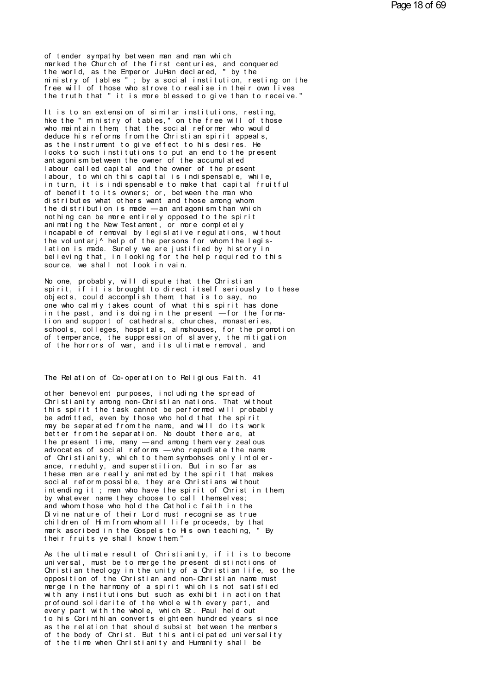of tender sympathy between man and man which marked the Church of the first centuries, and conquered the world, as the Emperor JuHan declared, " by the ministry of tables "; by a social institution, resting on the free will of those who strove to realise in their own lives the truth that " it is more blessed to give than to receive."

It is to an extension of similar institutions, resting,<br>hke the "ministry of tables," on the free will of those who maintain them that the social reformer who would deduce his reforms from the Christian spirit appeals, as the instrument to give effect to his desires. He looks to such institutions to put an end to the present ant agonism bet ween the owner of the accumul at ed labour called capital and the owner of the present labour, to which this capital is indispensable, while, in turn, it is indispensable to make that capital fruitful of benefit to its owners; or, between the man who distributes what others want and those among whom the distribution is made - an antagonism than which nothing can be more entirely opposed to the spirit animating the New Testament. or more completely incapable of removal by legislative regulations, without the voluntari<sup>^</sup> help of the persons for whom the legislation is made. Surely we are justified by history in believing that, in looking for the help required to this source, we shall not look in vain.

No one, probably, will dispute that the Christian spirit, if it is brought to direct itself seriously to these objects, could accomplish them that is to say, no one who calmly takes count of what this spirit has done in the past, and is doing in the present -for the formation and support of cathedrals, churches, monasteries, schools, colleges, hospitals, almshouses, for the promotion of temperance, the suppression of slavery, the mitigation of the horrors of war, and its ultimate removal, and

The Relation of Co-operation to Religious Faith. 41

other benevolent purposes, including the spread of Christianity among non-Christian nations. That without this spirit the task cannot be performed will probably be admitted, even by those who hold that the spirit may be separated from the name, and will do its work better from the separation. No doubt there are, at the present time, many -and among them very zealous advocates of social reforms - who repudiate the name of Christianity, which to them symbohses only intolerance, rreduhty, and superstition. But in so far as these men are really animated by the spirit that makes social reform possible, they are Christians without<br>intending it; men who have the spirit of Christian them by what ever name they choose to call themselves; and whom those who hold the Catholic faith in the Divine nature of their Lord must recognise as true children of Him from whom all life proceeds, by that mark ascribed in the Gospels to His own teaching. " By their fruits ye shall know them"

As the ultimate result of Christianity, if it is to become universal, must be to merge the present distinctions of Christian theology in the unity of a Christian life, so the opposition of the Christian and non-Christian name must merge in the harmony of a spirit which is not satisfied with any institutions but such as exhibit in action that profound solidarite of the whole with every part, and every part with the whole, which St. Paul held out to his Corinthian converts eighteen hundred years since as the relation that should subsist between the members of the body of Christ. But this anticipated universality of the time when Christianity and Humanity shall be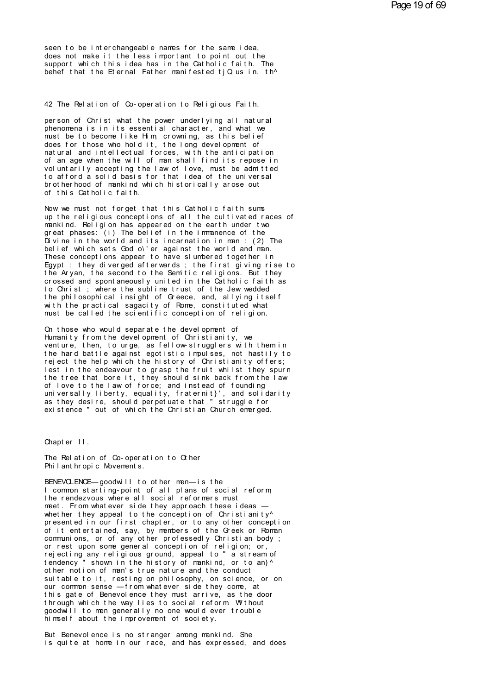seen to be interchangeable names for the same idea,<br>does not make it the less important to point out the<br>support which this idea has in the Catholic faith. The seen to be interchangeable names for the same idea,<br>does not make it the less important to point out the<br>support which this idea has in the Catholic faith. The<br>behef that the Fiernal Father manifested tiOus in th^ seen to be interchangeable names for the same idea,<br>does not make it the less important to point out the<br>support which this idea has in the Catholic faith. The<br>behef that the Eternal Father manifested tjQus in. th^ seen to be interchangeable names for the same idea,<br>does not make it the Iess important to point out the<br>support which this idea has in the Catholic faith. The<br>behef that the Eternal Father manifested tjQ us in. th^ support which this idea has in the Catholic faith. The<br>behef that the Eternal Father manifested tjQ us in. th^<br>42 The Relation of Co-operation to Religious Faith.<br>person of Christ what the power underlying all patural

42 The Relation of Co-operation to Religious Faith.<br>person of Christ what the power underlying all natural<br>phenomena is in its essential character, and what we<br>must be to become like Him crowning as this belief 42 The Relation of Co-operation to Religious Faith.<br>person of Christ what the power underlying all natural<br>phenomena is in its essential character, and what we<br>must be to become like Him, crowning, as this belief<br>does for 42 The Relation of Co-operation to Religious Faith.<br>person of Christ what the power underlying all natural<br>phenomena is in its essential character, and what we<br>must be to become like Him, crowning, as this belief<br>does for 42 The Relation of Co-operation to Religious Faith.<br>person of Christ what the power underlying all natural<br>phenomena is in its essential character, and what we<br>must be to become like Him, crowning, as this belief<br>does for person of Christ what the power underlying all natural<br>phenomena is in its essential character, and what we<br>must be to become like Him, crowning, as this belief<br>does for those who hold it, the long development of<br>antural a person of Christ what the power underlying all natural<br>phenomena is in its essential character, and what we<br>must be to become like Him, crowning, as this belief<br>does for those who hold it, the long development of<br>natural a phenomena is in its essential character, and what we<br>must be to become like Him, crowning, as this belief<br>does for those who hold it, the long development of<br>natural and intellectual forces, with the anticipation<br>of an age must be to become like Him, crowning, as this belief<br>does for those who hold it, the long development of<br>natural and intellectual forces, with the anticipation<br>of an age when the will of man shall find its repose in<br>volunt natural and intellectual forces, with the anticipation<br>of an age when the will of man shall find its repose in<br>voluntarily accepting the law of love, must be admitted<br>to afford a solid basis for that idea of the universal<br> brotherhood of mankind which historically arose out<br>of this Catholic faith.<br>Now we must not forget that this Catholic faith sums voluntarily accepting the law of love, must be admitted<br>to afford a solid basis for that idea of the universal<br>brotherhood of mankind which historically arose out<br>of this Catholic faith.<br>Now we must not forget that this Ca

to afford a solid basis for that idea of the universal<br>brotherhood of mankind which historically arose out<br>of this Catholic faith.<br>Now we must not forget that this Catholic faith sums<br>up the religious conceptions of all th brotherhood of mankind which historically arose out<br>of this Catholic faith.<br>Now we must not forget that this Catholic faith sums<br>up the religious conceptions of all the cultivated races of<br>mankind. Religion has appeared on of this Catholic faith.<br>Now we must not forget that this Catholic faith sums<br>up the religious conceptions of all the cultivated races of<br>mankind. Religion has appeared on the earth under two<br>great phases: (i) The belief in Now we must not forget that this Catholic faith sums<br>up the religious conceptions of all the cultivated races of<br>mankind. Religion has appeared on the earth under two<br>great phases: (i) The belief in the immanence of the<br>Di Now we must not forget that this Catholic faith sums<br>up the religious conceptions of all the cultivated races o<br>mankind. Religion has appeared on the earth under two<br>great phases: (i) The belief in the immanence of the<br>Div up the religious conceptions of all the cultivated races of<br>mankind. Religion has appeared on the earth under two<br>great phases: (i) The belief in the immanence of the<br>Divine in the world and its incarnation in man : (2) Th mankind. Religion has appeared on the earth under two<br>great phases: (i) The belief in the immanence of the<br>Divine in the world and its incarnation in man : (2) The<br>belief which sets Godo\'er against the world and man.<br>Thes great phases: (i) The belief in the immanence of the<br>Divine in the world and its incarnation in man : (2) The<br>belief which sets God o\'er against the world and man.<br>These conceptions appear to have slumbered together in<br>Eg Divine in the world and its incarnation in man : (2) The<br>belief which sets Godo \'er against the world and man.<br>These conceptions appear to have slumbered together in<br>Egypt ; they diverged afterwards ; the first giving ris belief which sets God o\'er against the world and man.<br>These conceptions appear to have slumbered together in<br>Egypt ; they diverged afterwards ; the first giving rise to<br>the Aryan, the second to the Semitic religions. But These conceptions appear to have slumbered together in<br>Egypt ; they diverged afterwards ; the first giving rise to<br>the Aryan, the second to the Semitic religions. But they<br>crossed and spontaneously united in the Catholic f Egypt ; they diverged afterwards ; the first giving rise to the Aryan, the second to the Semitic religions. But they crossed and spontaneously united in the Catholic faith as to Christ ; where the sublime trust of the Jew the Aryan, the second to the Semitic religions. But they<br>crossed and spontaneously united in the Catholic faith as<br>to Christ; where the sublime trust of the Jew wedded<br>the philosophical insight of Greece, and, allying itse to Christ; where the sublime trust of the Jew wedded<br>the philosophical insight of Greece, and, allying itself<br>with the practical sagacity of Rome, constituted what<br>must be called the scientific conception of religion.<br>On t

the philosophical insight of Greece, and, allying itself<br>with the practical sagacity of Rome, constituted what<br>must be called the scientific conception of religion.<br>On those who would separate the development of<br>Humanity f with the practical sagacity of Rome, constituted what<br>must be called the scientific conception of religion.<br>Cn those who would separate the development of<br>Humanity from the development of Christianity, we<br>venture, then, to must be called the scientific conception of religion.<br>Cn those who would separate the development of<br>Humanity from the development of Christianity, we<br>venture, then, to urge, as fellow-strugglers with them in<br>the hard batt Charmon the development of Christianity, we<br>tend the hard to the held property of Christianity, we<br>venture, then, to urge, as fellow-strugglers with them in<br>the hard battle against egotistic impulses, not hastily to<br>reject Chi those who would separate the development of<br>Humanity from the development of Christianity, we<br>venture, then, to urge, as fellow-strugglers with them in<br>the hard battle against egotistic impulses, not hastily to<br>reject Humanity from the development of Christianity, we<br>venture, then, to urge, as fellow-strugglers with them in<br>the hard battle against egotistic impulses, not hastily to<br>reject the help which the history of Christianity offer venture, then, to urge, as fellow-strugglers with them in<br>the hard battle against egotistic impulses, not hastily to<br>reject the help which the history of Christianity offers;<br>lest in the endeavour to grasp the fruit whilst the hard battle against egotistic impulses, not hastily to<br>reject the help which the history of Christianity offers;<br>lest in the endeavour to grasp the fruit whilst they spurn<br>the tree that bore it, they should sink back f reject the help which the history of Christianity offers;<br>lest in the endeavour to grasp the fruit whilst they spurn<br>the tree that bore it, they should sink back from the law<br>of love to the law of force; and instead of fou lest in the endeavour to grasp the fruit whilst they spurn<br>the tree that bore it, they should sink back from the law<br>of love to the law of force; and instead of founding<br>universally liberty, equality, fraternit}', and soli existence " out of which the Christian Church emerged.<br>Chapter II.

Chapter II.<br>The Relation of Co-operation to Other<br>Philanthropic Movements. The Relation of Co-operation to Other<br>Philanthropic Movements.<br>BENEVOLENCE—goodwill to other men—is the

Chapter II.<br>The Relation of Co-operation to Other<br>Philanthropic Movements.<br>BENEVOLENCE— goodwill to other men— is the<br>I common starting-point of all plans of social reform,<br>the rendezyous where all social reformers must The Relation of Co-operation to Other<br>Philanthropic Movements.<br>BENEVOLENCE—goodwill to other men—is the<br>I common starting-point of all plans of social reform,<br>the rendezyous where all social reformers must<br>meet From whatev The Relation of Co-operation to Other<br>Thilanthropic Movements.<br>The removement of all plans of social reform<br>I common starting-point of all plans of social reform<br>the rendezvous where all social reformers must<br>meet. From wh the rendezvous where all social reformers must<br>meet. From what ever side they approach these ideas —<br>whether they appeal to the conception of Christianity<sup>A</sup> BENEVOLENCE—goodwill to other men—is the<br>I common starting-point of all plans of social reform,<br>the rendezvous where all social reformers must<br>meet. From whatever side they approach these ideas —<br>whether they appeal to the BENEVOLENCE—goodwill to other men—is the<br>I common starting-point of all plans of social reform,<br>the rendezvous where all social reformers must<br>meet. From whatever side they approach these ideas —<br>whether they appeal to the I common starting-point of all plans of social reform,<br>the rendezvous where all social reformers must<br>meet. From whatever side they approach these ideas —<br>whether they appeal to the conception of Christianity^<br>presented in the rendezvous where all social reformers must<br>meet. From whatever side they approach these ideas —<br>whether they appeal to the conception of Christianity^<br>presented in our first chapter, or to any other conception<br>of it en meet. From whatever side they approach these ideas —<br>whether they appeal to the conception of Christianity^<br>presented in our first chapter, or to any other conception<br>of it entertained, say, by members of the Greek or Roma whether they appeal to the conception of Christianity^<br>presented in our first chapter, or to any other conception<br>of it entertained, say, by members of the Greek or Roman<br>communions, or of any other professedly Christian b presented in our first chapter, or to any other conception<br>of it entertained, say, by members of the Greek or Roman<br>communions, or of any other professedly Christian body ;<br>or rest upon some general conception of religion; of it entertained, say, by members of the Greek or Roommunions, or of any other professedly Christian bodor rest upon some general conception of religion; or, rejecting any religious ground, appeal to "a stream tendency" s communions, or of any other professedly Christian body;<br>or rest upon some general conception of religion; or,<br>rejecting any religious ground, appeal to "a stream of<br>tendency" shown in the history of mankind, or to an}^<br>oth or rest upon some general conception of religion; or,<br>rejecting any religious ground, appeal to "a stream of<br>tendency" shown in the history of mankind, or to an}^<br>other notion of man's true nature and the conduct<br>suitable rejecting any religious ground, appeal to "a stream of<br>tendency" shown in the history of mankind, or to an}^<br>other notion of man's true nature and the conduct<br>suitable to it, resting on philosophy, on science, or on<br>our co tendency "shown in the history of mankind, or to any'<br>other notion of man's true nature and the conduct<br>suitable to it, resting on philosophy, on science, or on<br>our common sense — from whatever side they come, at<br>this gate other notion of man's true nature and the conduct<br>suitable to it, resting on philosophy, on science, or on<br>our common sense — from whatever side they come, at<br>this gate of Benevolence they must arrive, as the door<br>through suitable to it, resting on philosophy, on science, or<br>our common sense — from whatever side they come, at<br>this gate of Benevolence they must arrive, as the doo<br>through which the way lies to social reform Without<br>goodwill t this gate of Benevolence they must arrive, as the door through which the way lies to social reform Without goodwill to men generally no one would ever trouble himself about the improvement of society.<br>But Benevolence is no

But Benevol ence is no stranger among mankind. She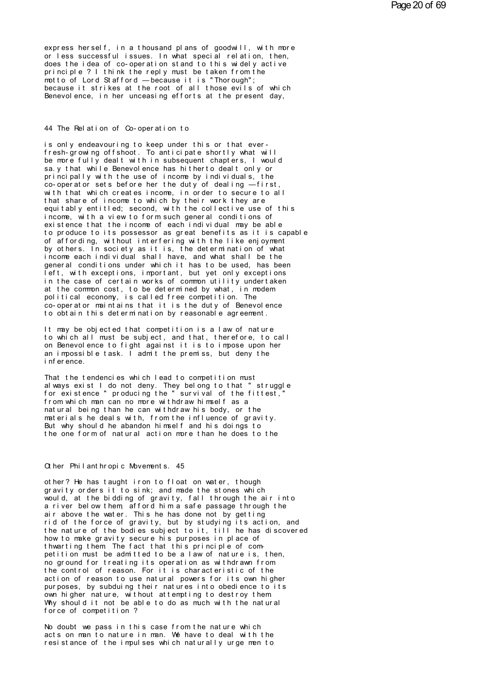express herself, in a thousand plans of goodwill, with more or less successful issues. In what special relation, then, does the idea of co-operation stand to this widely active principle ? I think the reply must be taken from the motto of Lord Stafford - because it is "Thorough"; because it strikes at the root of all those evils of which Benevol ence, in her unceasing efforts at the present day,

## 44 The Relation of Co-operation to

is only endeavouring to keep under this or that everfresh-growing offshoot. To anticipate shortly what will be more fully dealt with in subsequent chapters. I would sa. y that while Benevolence has hitherto dealt only or principally with the use of income by individuals, the<br>co-operator sets before her the duty of dealing —first, with that which creates income. in order to secure to all that share of income to which by their work they are equitably entitled; second, with the collective use of this income, with a view to form such general conditions of existence that the income of each individual may be able to produce to its possessor as great benefits as it is capable of affording, without interfering with the like enjoyment by others. In society as it is, the determination of what income each individual shall have, and what shall be the general conditions under which it has to be used, has been left, with exceptions, important, but yet only exceptions in the case of certain works of common utility undertaken at the common cost, to be determined by what, in modem political economy, is called free competition. The co-operator maintains that it is the duty of Benevol ence to obtain this determination by reasonable agreement.

It may be objected that competition is a law of nature to which all must be subject, and that, therefore, to call on Benevol ence to fight against it is to impose upon her an impossible task. I admit the premiss, but deny the i nf er ence

That the tendencies which lead to competition must always exist I do not deny. They belong to that "struggle for existence" producing the "survival of the fittest," from which man can no more withdraw himself as a natural being than he can withdraw his body, or the materials he deals with, from the influence of gravity. But why should he abandon himself and his doings to the one form of natural action more than he does to the

## Other Philanthropic Movements. 45

other? He has taught iron to float on water, though gravity orders it to sink; and made the stones which would, at the bidding of gravity, fall through the air into a river below them afford him a safe passage through the air above the water. This he has done not by getting<br>rid of the force of gravity, but by studying its action, and the nature of the bodies subject to it, till he has discovered how to make gravity secure his purposes in place of thwarting them The fact that this principle of competition must be admitted to be a law of nature is, then, no ground for treating its operation as withdrawn from the control of reason. For it is characteristic of the action of reason to use natural powers for its own higher purposes, by subduing their natures into obedience to its own higher nature, without attempting to destroy them<br>Why should it not be able to do as much with the natural force of competition?

No doubt we pass in this case from the nature which acts on man to nature in man. We have to deal with the resistance of the impulses which naturally urgemento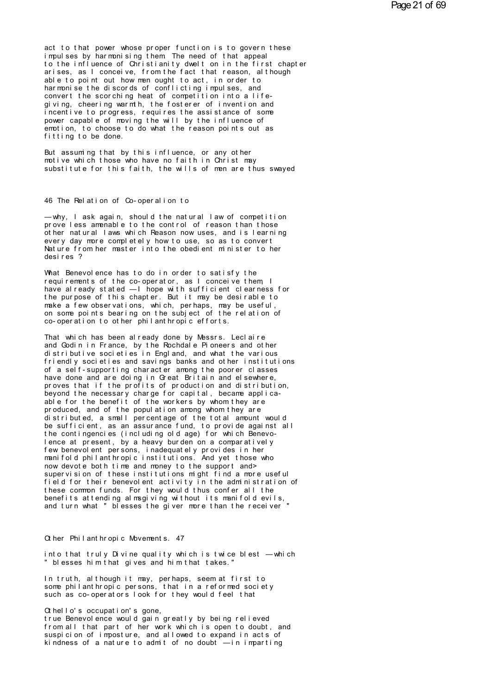act to that power whose proper function is to govern these impulses by harmonising them The need of that appeal to the influence of Christianity dwelt on in the first chapter arises, as I conceive, from the fact that reason, although able to point out how men ought to act, in order to harmonise the discords of conflicting impulses, and<br>convert the scorching heat of competition into a lifegiving, cheering warmth, the fosterer of invention and incentive to progress, requires the assistance of some power capable of moving the will by the influence of emotion, to choose to do what the reason points out as fitting to be done.

But assuming that by this influence, or any other motive which those who have no faith in Christ may substitute for this faith. the wills of men are thus swaved

46 The Relation of Co-operalion to

-why, I ask again, should the natural law of competition prove less amenable to the control of reason than those other natural laws which Reason now uses, and is learning every day more completely how to use, so as to convert Nature from her master into the obedient minister to her desires ?

What Benevol ence has to do in order to satisfy the requirements of the co-operator, as I conceive them I have already stated - I hope with sufficient clearness for the purpose of this chapter. But it may be desirable to make a few observations, which, perhaps, may be useful,<br>on some points bearing on the subject of the relation of co-operation to other philanthropic efforts.

That which has been already done by Messrs. Leclaire and Godin in France, by the Rochdale Pioneers and other distributive societies in England, and what the various friendly societies and savings banks and other institutions of a self-supporting character among the poorer classes have done and are doing in Great Britain and el sewhere. proves that if the profits of production and distribution, beyond the necessary charge for capital, became applicaable for the benefit of the workers by whom they are produced, and of the population among whom they are distributed, a small percentage of the total amount would be sufficient, as an assurance fund, to provide against all the contingencies (including old age) for which Benevolence at present, by a heavy burden on a comparatively few benevol ent persons, inadequately provides in her manifold philanthropic institutions. And yet those who now devote both time and money to the support and> supervision of these institutions might find a more useful field for their benevolent activity in the administration of these common funds. For they would thus confer all the benefits attending almsgiving without its manifold evils, and turn what " blesses the giver more than the receiver "

Other Philanthropic Movements. 47

into that truly Divine quality which is twice blest - which " blesses him that gives and him that takes.

In truth, although it may, perhaps, seem at first to some philant hropic persons, that in a reformed society such as co-operators look for they would feel that

 $\alpha$  hello's occupation's gone,

true Benevol ence would gain greatly by being relieved from all that part of her work which is open to doubt, and suspicion of imposture, and allowed to expand in acts of kindness of a nature to admit of no doubt  $-$ in imparting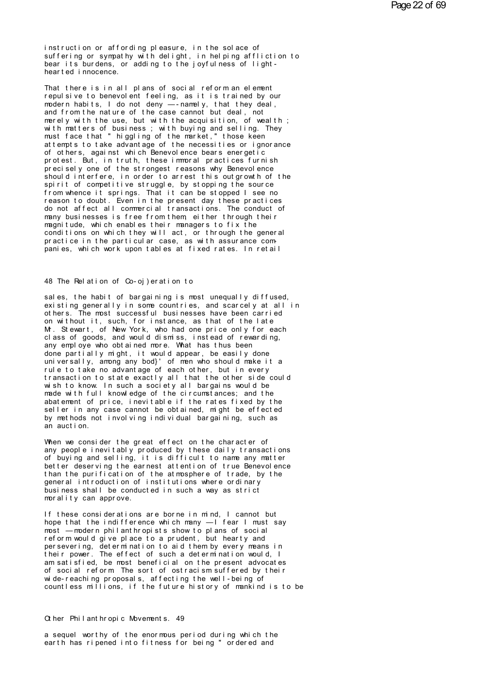instruction or affording pleasure, in the solace of suffering or sympathy with delight, in helping affliction to<br>bear its burdens, or adding to the joyfulness of lighthearted innocence.

That there is in all plans of social reform an element repulsive to benevolent feeling, as it is trained by our modern habits, I do not deny —- namely, that they deal,<br>and from the nature of the case cannot but deal, not merely with the use, but with the acquisition, of wealth; with matters of business; with buying and selling. They must face that " higgling of the market," those keen at tempts to take advantage of the necessities or ignorance of others, against which Benevolence bears energetic protest. But, in truth, these immoral practices furnish precisely one of the strongest reasons why Benevolence should interfere, in order to arrest this outgrowth of the spirit of competitive struggle, by stopping the source from whence it springs. That it can be stopped I see no reason to doubt. Even in the present day these practices do not affect all commercial transactions. The conduct of many businesses is free from them either through their magnitude, which enables their managers to fix the conditions on which they will act, or through the general practice in the particular case, as with assurance companies, which work upon tables at fixed rates. In retail

## 48 The Relation of Co-oi) eration to

sales, the habit of bargaining is most unequally diffused, existing generally in some countries, and scarcely at all in others. The most successful businesses have been carried on without it, such, for instance, as that of the late M. Stewart, of New York, who had one price only for each class of goods, and would dismiss, instead of rewarding, any employe who obtained more. What has thus been done partially might, it would appear, be easily done universally, among any bod}' of men who should make it a<br>rule to take no advantage of each other, but in every transaction to state exactly all that the other side could wish to know. In such a society all bargains would be made with full knowledge of the circumstances; and the abatement of price, inevitable if the rates fixed by the seller in any case cannot be obtained, might be effected by methods not involving individual bargaining, such as an auction.

When we consider the great effect on the character of any people inevitably produced by these daily transactions of buying and selling, it is difficult to name any matter better deserving the earnest attention of true Benevol ence than the purification of the atmosphere of trade, by the general introduction of institutions where ordinary business shall be conducted in such a way as strict morality can approve.

If these considerations are borne in mind, I cannot but<br>hope that the indifference which many —I fear I must say most - modern philant hropists show to plans of social reform would give place to a prudent, but hearty and per severing, determination to aid them by every means in<br>their power. The effect of such a determination would, I am satisfied, be most beneficial on the present advocates of social reform The sort of ostracism suffered by their wide-reaching proposals, affecting the well-being of countless milions, if the future history of mankind is to be

## Other Philanthropic Movements. 49

a sequel worthy of the enormous period during which the earth has ripened into fitness for being " ordered and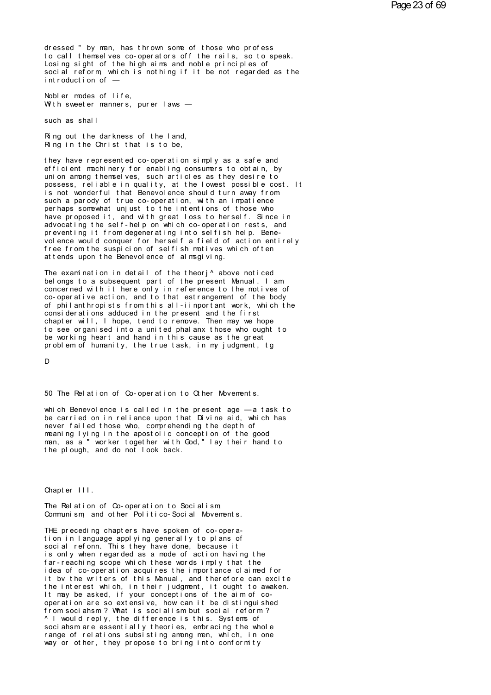dressed " by man, has thrown some of those who profess to call themselves co-operators off the rails, so to speak. Losing sight of the high aims and noble principles of social reform, which is nothing if it be not regarded as the introduction of -

Nobler modes of life. With sweeter manners, purer laws -

such as shall

Ring out the darkness of the land, Ring in the Christ that is to be,

they have represented co-operation simply as a safe and efficient machinery for enabling consumers to obtain, by union among themselves, such articles as they desire to possess, reliable in quality, at the lowest possible cost. It is not wonderful that Benevolence should turn away from such a parody of true co-operation, with an impatience per haps somewhat unjust to the intentions of those who have proposed it, and with great loss to herself. Since in advocating the self-help on which co-operation rests, and preventing it from degenerating into selfish help. Benevolence would conquer for herself a field of action entirely free from the suspicion of selfish motives which often at tends upon the Benevol ence of almsgiving.

The examination in detail of the theori<sup>^</sup> above noticed belongs to a subsequent part of the present Manual. I am concerned with it here only in reference to the motives of co-operative action, and to that estrangement of the body of philant hropists from this all-iinportant work, which the considerations adduced in the present and the first chapter will, I hope, tend to remove. Then may we hope to see organised into a united phalanx those who ought to be working heart and hand in this cause as the great problem of humanity, the true task, in my judgment, tg

D

50 The Relation of Co-operation to Other Movements.

which Benevolence is called in the present age - a task to be carried on in reliance upon that Divine aid, which has never failed those who, comprehending the depth of meaning lying in the apostolic conception of the good man, as a'" worker together with God," lay their hand to<br>the plough, and do not look back.

Chapter III.

The Relation of Co-operation to Socialism Communism and other Politico-Social Movements.

THE preceding chapters have spoken of co-operation in language applying generally to plans of social refonn. This they have done, because it is only when regarded as a mode of action having the far-reaching scope which these words imply that the idea of co-operation acquires the importance claimed for it by the writers of this Manual, and therefore can excite the interest which, in their judgment, it ought to awaken. It may be asked, if your conceptions of the aim of cooper ation are so extensive, how can it be distinguished from sociahsm? What is socialism but social reform? ^ I would reply, the difference is this. Systems of sociahsmare essentially theories, embracing the whole range of relations subsisting among men, which, in one way or other, they propose to bring into conformity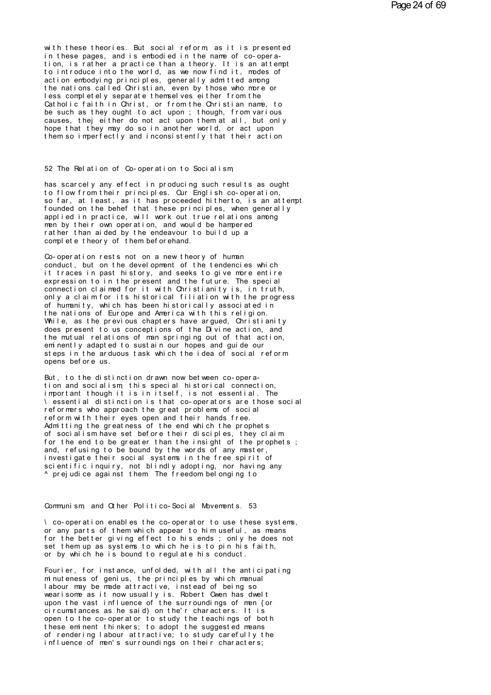with these theories. But social reform as it is presented in these pages, and is embodied in the name of co-operation, is rather a practice than a theory. It is an attempt to introduce into the world, as we now find it, modes of action embodying principles, generally admitted among<br>the nations called Christian, even by those who more or less completely separate themselves either from the Catholic faith in Christ, or from the Christian name, to be such as they ought to act upon; though, from various causes, thei either do not act upon them at all, but only hope that they may do so in another world, or act upon them so imperfectly and inconsistently that their action

## 52 The Relation of Co-operation to Socialism

has scarcely any effect in producing such results as ought to flow from their principles. Our English co-operation. so far, at least, as it has proceeded hitherto, is an attempt founded on the behef that these principles, when generally<br>applied in practice, will work out true relations among men by their own operation, and would be hampered rather than aided by the endeavour to build up a complete theory of them beforehand.

Co-operation rests not on a new theory of human conduct, but on the devel opment of the tendencies which it traces in past history, and seeks to give more entire expression to in the present and the future. The special connection claimed for it with Christianity is, in truth, only a claim for its historical filiation with the progress of humanity, which has been historically associated in the nations of Europe and America with this religion. While, as the previous chapters have argued, Christianity does present to us conceptions of the Divine action, and the mutual relations of man springing out of that action, em nently adapted to sustain our hopes and quide our steps in the arduous task which the idea of social reform opens before us.

But, to the distinction drawn now between co-operation and socialism this special historical connection, important though it is in itself, is not essential. The \ essential distinction is that co-operators are those social reformers who approach the great problems of social reform with their eyes open and their hands free. Admitting the greatness of the end which the prophets of socialism have set before their disciples, they claim for the end to be greater than the insight of the prophets; and, refusing to be bound by the words of any master, investigate their social systems in the free spirit of scientific inquiry, not blindly adopting, nor having any ^ prejudice against them The freedom belonging to

## Communism, and Other Politico-Social Movements. 53

\ co-operation enables the co-operator to use these systems, or any parts of them which appear to him useful, as means for the better giving effect to his ends; only he does not set them up as systems to which he is to pin his faith, or by which he is bound to regulate his conduct.

Fourier, for instance, unfolded, with all the anticipating<br>minuteness of genius, the principles by which manual labour may be made attractive, instead of being so wearisome as it now usually is. Robert Owen has dwelt upon the vast influence of the surroundings of men {or circumstances as he said) on the'r characters. It is open to the co-operator to study the teachings of both these eminent thinkers; to adopt the suggested means of rendering labour attractive; to study carefully the influence of men's surroundings on their characters;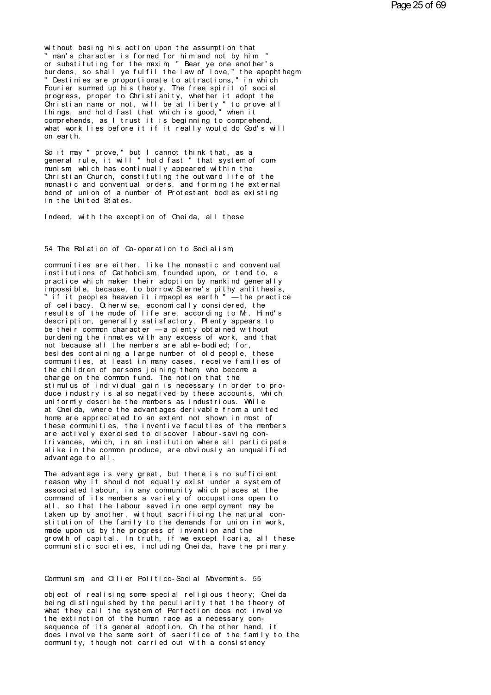without basing his action upon the assumption that man's character is formed for him and not by him or substituting for the maxim " Bear ye one another's burdens, so shall ye fulfil the law of love," the apophthegm<br>" Destinies are proportionate to attractions," in which Fourier summed up his theory. The free spirit of social progress, proper to Christianity, whether it adopt the Christian name or not, will be at liberty "to prove all<br>things, and hold fast that which is good," when it comprehends, as I trust it is beginning to comprehend, what work lies before it if it really would do God's will on earth.

So it may " prove," but I cannot think that, as a general rule, it will " hold fast " that system of communism which has continually appeared within the Christian Church, constituting the outward life of the monastic and conventual orders, and forming the external bond of union of a number of Protestant bodies existing in the United States.

Indeed, with the exception of Oneida, all these

54 The Relation of Co-operation to Socialism

communities are either, like the monastic and conventual institutions of Cathohcism founded upon, or tend to, a practice which maker their adoption by mankind generally impossible, because, to borrow Sterne's pithy antithesis, " if it peoples heaven it impeoples earth " — the practice of celibacy. Otherwise, economically considered, the results of the mode of life are, according to M. Hind's description, generally satisfactory. Plenty appears to be their common character  $-a$  plenty obtained without burdening the inmates with any excess of work, and that not because all the members are able-bodied; for, besides containing a large number of old people, these communities, at least in many cases, receive families of the children of persons joining them who become a charge on the common fund. The notion that the stimulus of individual gain is necessary in order to produce industry  $i s$  also negatived by these accounts, which uniformly describe the members as industrious. While at Oneida, where the advantages derivable from a united home are appreciated to an extent not shown in most of these communities, the inventive faculties of the members are actively exercised to discover labour-saving contrivances, which, in an institution where all participate alike in the common produce, are obviously an unqualified advantage to all.

The advantage is very great, but there is no sufficient reason why it should not equally exist under a system of associated labour, in any community which places at the command of its members a variety of occupations open to all, so that the labour saved in one employment may be taken up by another, without sacrificing the natural constitution of the family to the demands for union in work, made upon us by the progress of invention and the growth of capital. In truth, if we except Icaria, all these communistic societies, including Oneida, have the primary

Communism, and Oilier Politico-Social Movements. 55

object of realising some special religious theory; Oneida being distinguished by the peculiarity that the theory of what they call the system of Perfection does not involve the extinction of the human race as a necessary consequence of its general adoption. On the other hand, it does involve the same sort of sacrifice of the family to the community, though not carried out with a consistency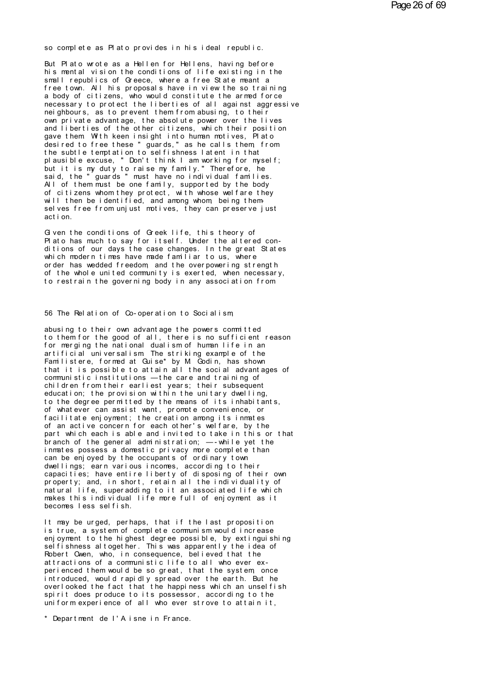so complete as Plato provides in his ideal republic.

But Plato wrote as a Hellen for Hellens, having before his mental vision the conditions of life existing in the small republics of Greece, where a free State meant a free town. All his proposals have in view the so training a body of citizens. who would constitute the armed force necessary to protect the liberties of all against aggressive nei ahbours, as to prevent them from abusing, to their own private advantage, the absolute power over the lives and liberties of the other citizens, which their position gave them With keen insight into human motives, Plato desired to free these " guards," as he calls them from the subtle temptation to selfishness latent in that plausible excuse, " Don't think I am working for myself: but it is my duty to raise my family." Therefore, he said, the "guards" must have no individual families.<br>All of them must be one family, supported by the body of citizens whom they protect, with whose welfare they will then be identified, and among whom, being themselves free from unjust motives, they can preserve just act i on

Given the conditions of Greek life, this theory of Plato has much to say for itself. Under the altered conditions of our days the case changes. In the great States which modern times have made familiar to us, where order has wedded freedom, and the overpowering strength of the whole united community is exerted, when necessary, to restrain the governing body in any association from

## 56 The Relation of Co-operation to Socialism

abusing to their own advantage the powers committed to them for the good of all, there is no sufficient reason for merging the national dualism of human life in an artificial universalism The striking example of the<br>Familistere, formed at Quise\* by M Godin, has shown<br>that it is possible to attain all the social advantages of communistic institutions - the care and training of children from their earliest years; their subsequent education; the provision within the unitary dwelling, to the degree permitted by the means of its inhabitants, of what ever can assist want, promote convenience, or facilitate enjoyment; the creation among its inmates<br>of an active concern for each other's welfare, by the part which each is able and invited to take in this or that branch of the general administration;  $-$ -while yet the in mates possess a domestic privacy more complete than<br>can be enjoyed by the occupants of ordinary town dwellings; earn various incomes, according to their capacities; have entire liberty of disposing of their own property; and, in short, retain all the individuality of natural life, superadding to it an associated life which makes this individual life more full of enjoyment as it becomes less selfish.

It may be urged, perhaps, that if the last proposition is true, a system of complete communism would increase enjoyment to the highest degree possible, by extinguishing sel fishness altogether. This was apparently the idea of Robert Owen, who, in consequence, believed that the attractions of a communistic life to all who ever experienced them would be so great, that the system once<br>introduced, would rapidly spread over the earth. But he overlooked the fact that the happiness which an unselfish spirit does produce to its possessor, according to the uniform experience of all who ever strove to attain it.

\* Department de l'Aisne in France.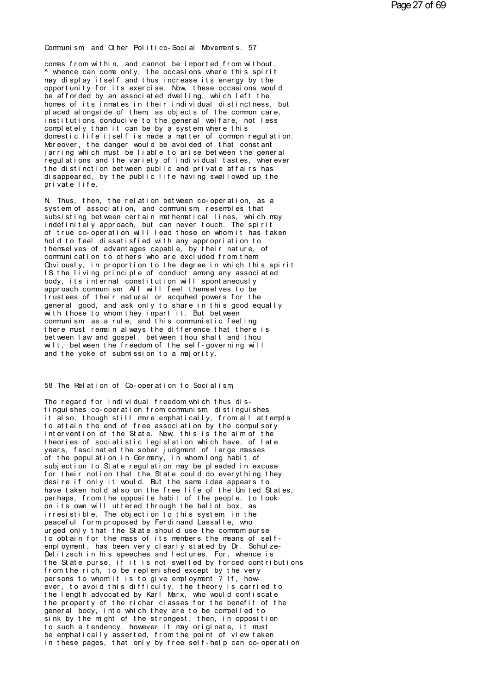Communism, and Other Politico-Social Movements. 57<br>comes from within, and cannot be imported from without,

Communism, and Other Politico-Social Movements. 57<br>comes from within, and cannot be imported from without,<br>^ whence can come only, the occasions where this spirit<br>may display itself and thus increase its energy by the Communism, and Other Politico-Social Movements. 57<br>comes from within, and cannot be imported from without,<br>^ whence can come only, the occasions where this spirit<br>may display itself and thus increase its energy by the<br>oppo Communism, and Other Politico-Social Movements. 57<br>comes from within, and cannot be imported from without,<br>^ whence can come only, the occasions where this spirit<br>may display itself and thus increase its energy by the<br>oppo Communism, and Chher Politico-Social Movements. 57<br>comes from within, and cannot be imported from without,<br>^ whence can come only, the occasions where this spirit<br>may display itself and thus increase its energy by the<br>oppo comes from within, and cannot be imported from without,<br>
^ whence can come only, the occasions where this spirit<br>
may display itself and thus increase its energy by the<br>
opportunity for its exercise. Now, these occasions w comes from within, and cannot be imported from without,<br>^ whence can come only, the occasions where this spirit<br>may display itself and thus increase its energy by the<br>opportunity for its exercise. Now, these occasions woul A whence can come only, the occasions where this spirit may display itself and thus increase its energy by the<br>opportunity for its exercise. Now, these occasions would<br>be afforded by an associated dwelling, which left the<br> may display itself and thus increase its energy by the<br>opportunity for its exercise. Now, these occasions would<br>be afforded by an associated dwelling, which left the<br>homes of its inmates in their individual distinctness, b opportunity for its exercise. Now, these occasions would<br>be afforded by an associated dwelling, which left the<br>homes of its inmates in their individual distinctness, but<br>placed alongside of them as objects of the common ca be afforded by an associated dwelling, which left the<br>homes of its inmates in their individual distinctness, but<br>placed alongside of them, as objects of the common care,<br>institutions conducive to the general welfare, not l homes of its inmates in their individual distinctness, but<br>placed alongside of them, as objects of the common care,<br>institutions conducive to the general welfare, not less<br>completely than it can be by a system where this<br>d placed alongside of them, as objects of the common care,<br>institutions conducive to the general welfare, not less<br>completely than it can be by a system where this<br>domestic life itself is made a matter of common regulation.<br> institutions conducive to the general welfare, not less<br>completely than it can be by a system where this<br>domestic life itself is made a matter of common regulation.<br>Moreover, the danger would be avoided of that constant<br>ja completely than it can be by a system where this<br>domestic life itself is made a matter of common regulation.<br>Moreover, the danger would be avoided of that constant<br>jarring which must be liable to arise between the general<br> domestic life itself is made a matter of common regulation.<br>Moreover, the danger would be avoided of that constant<br>jarring which must be liable to arise between the general<br>regulations and the variety of individual tastes, Moreover, the danger would be avoided of that constant<br>jarring which must be liable to arise between the general<br>regulations and the variety of individual tastes, wherever<br>the distinction between public and private affairs regulations and the variety of individual tastes, wherever<br>the distinction between public and private affairs has<br>disappeared, by the public life having swallowed up the<br>private life.<br>N. Thus, then, the relation between co

the distinction between public and private affairs has<br>disappeared, by the public life having swallowed up the<br>private life.<br>N. Thus, then, the relation between co-operation, as a<br>system of association, and communism, rese system of association, and communism, resembles that subsisting between certain mathematical lines, which may indefinitely approach, but can never touch. The spirit private life.<br>N. Thus, then, the relation between co-operation, as a<br>system of association, and communism resembles that<br>subsisting between certain mathematical lines, which may<br>indefinitely approach, but can never touch. N. Thus, then, the relation between co-operation, as a<br>system of association, and communism, resembles that<br>subsisting between certain mathematical lines, which may<br>indefinitely approach, but can never touch. The spirit<br>of N. Thus, then, the relation between co-operation, as a<br>system of association, and communism, resembles that<br>subsisting between certain mathematical lines, which may<br>indefinitely approach, but can never touch. The spirit<br>of system of association, and communism, resembles that<br>subsisting between certain mathematical lines, which may<br>indefinitely approach, but can never touch. The spirit<br>of true co-operation will lead those on who mit has taken subsisting between certain mathematical lines, which may<br>indefinitely approach, but can never touch. The spirit<br>of true co-operation will lead those on whom it has taken<br>hold to feel dissatisfied with any appropriation to<br> indefinitely approach, but can never touch. The spirit<br>of true co-operation will lead those on whom it has taken<br>hold to feel dissatisfied with any appropriation to<br>themselves of advantages capable, by their nature, of<br>com of true co-operation will lead those on whom it has taken<br>hold to feel dissatisfied with any appropriation to<br>themselves of advantages capable, by their nature, of<br>communication to others who are excluded from them<br>Covious hold to feel dissatisfied with any appropriation to<br>themselves of advantages capable, by their nature, of<br>communication to others who are excluded from them<br>Coviously, in proportion to the degree in which this spirit<br>IS th themselves of advantages capable, by their nature, of<br>communication to others who are excluded from them<br>Coviously, in proportion to the degree in which this spirit<br>IS the living principle of conduct among any associated<br>b communication to others who are excluded from them<br>Coviously, in proportion to the degree in which this spirit<br>IS the living principle of conduct among any associated<br>body, its internal constitution will spontaneously<br>appr Choviously, in proportion to the degree in which this spirit<br>IS the living principle of conduct among any associated<br>body, its internal constitution will spontaneously<br>approach communism All will feel themselves to be<br>trus IS the living principle of conduct among any associated<br>body, its internal constitution will spontaneously<br>approach communism All will feel themselves to be<br>trustees of their natural or acquhed powers for the<br>general good, body, its internal constitution will spontaneously<br>approach communism. All will feel themselves to be<br>trustees of their natural or acquhed powers for the<br>general good, and ask only to share in this good equally<br>with those approach communism All will feel themselves to be<br>trustees of their natural or acquhed powers for the<br>general good, and ask only to share in this good equally<br>with those to whom they impart it. But between<br>communism, as a trustees of their natural or acquined powers for the<br>general good, and ask only to share in this good equally<br>with those to whom they impart it. But between<br>communism, as a rule, and this communistic feeling<br>there must rem general good, and ask only to share in this good equally<br>with those to whom they impart it. But between<br>communism, as a rule, and this communistic feeling<br>there must remain always the difference that there is<br>between law a with those to whom they impart it. But between<br>communism, as a rule, and this communistic feeling<br>there must remain always the difference that there is<br>between law and gospel, between thou shalt and thou<br>wilt, between the wilt, between the freedom of the self-governing will<br>and the yoke of submission to a majority.<br>58 The Relation of Co-operation to Socialism,<br>The regard for individual freedom which thus dis-

tinguishes co-operation from communism distinguishes 58 The Relation of Co-operation to Socialism,<br>The regard for individual freedom which thus dis-<br>tinguishes co-operation from communism, distinguishes<br>to attain the end of free association, from all attempts<br>to attain the e 58 The Relation of Co-operation to Socialism<br>The regard for individual freedom which thus dis-<br>tinguishes co-operation from communism, distinguishes<br>it also, though still more emphatically, from all attempts<br>intervention o 58 The Relation of Co-operation to Socialism,<br>The regard for individual freedom which thus dis-<br>tinguishes co-operation from communism, distinguishes<br>it also, though still more emphatically, from all attempts<br>to attain the The regard for individual freedom which thus dis-<br>tinguishes co-operation from communism, distinguishes<br>it also, though still more emphatically, from all attempts<br>to attain the end of free association by the compulsory<br>int The regard for individual freedom which thus dis-<br>tinguishes co-operation from communism, distinguishes<br>it also, though still more emphatically, from all attempts<br>to attain the end of free association by the compulsory<br>int tinguishes co-operation from communism, distinguishes<br>it also, though still more emphatically, from all attempts<br>to attain the end of free association by the compulsory<br>intervention of the State. Now, this is the aim of th it also, though still more emphatically, from all attempts<br>to attain the end of free association by the compulsory<br>intervention of the State. Now, this is the aim of the<br>theories of socialistic legislation which have, of l to attain the end of free association by the compulsory<br>intervention of the State. Now, this is the aim of the<br>theories of socialistic legislation which have, of late<br>years, fascinated the sober judgment of large masses<br>of intervention of the State. Now, this is the aim of the<br>theories of socialistic legislation which have, of late<br>years, fascinated the sober judgment of large masses<br>of the population in Germany, in whom long habit of<br>subjec theories of socialistic legislation which have, of late<br>years, fascinated the sober judgment of large masses<br>of the population in Germany, in whom long habit of<br>subjection to State regulation may be pleaded in excuse<br>for t years, fascinated the sober judgment of large masses<br>of the population in Germany, in whom long habit of<br>subjection to State regulation may be pleaded in excuse<br>for their notion that the State could do every thing they<br>des of the population in Germany, in whom long habit of<br>subjection to State regulation may be pleaded in excuse<br>for their notion that the State could do everything they<br>desire if only it would. But the same idea appears to<br>hav subjection to State regulation may be pleaded in excuse<br>for their notion that the State could do every thing they<br>desire if only it would. But the same idea appears to<br>have taken hold also on the free life of the United St for their notion that the State could do everything they<br>desire if only it would. But the same idea appears to<br>have taken hold also on the free life of the United States,<br>perhaps, from the opposite habit of the people, to desire if only it would. But the same idea appears to<br>have taken hold also on the free life of the United States,<br>perhaps, from the opposite habit of the people, to look<br>on its own will uttered through the ballot box, as<br>i have taken hold also on the free life of the United States,<br>perhaps, from the opposite habit of the people, to look<br>on its own will uttered through the ballot box, as<br>irresistible. The objection to this system in the<br>peace perhaps, from the opposite habit of the people, to look<br>on its own will uttered through the ballot box, as<br>irresistible. The objection to this system, in the<br>peaceful form proposed by Ferdinand Lassalle, who<br>urged only tha peaceful form proposed by Ferdinand Lassalle, who<br>urged only that the State should use the common purse<br>to obtain for the mass of its members the means of self-<br>employment, has been very clearly stated by Dr. Schulze-<br>Deli urged only that the State should use the common purse<br>to obtain for the mass of its members the means of self-<br>employment, has been very clearly stated by Dr. Schulze-<br>Delitzsch in his speeches and lectures. For, whence is to obtain for the mass of its members the means of self-<br>employment, has been very clearly stated by Dr. Schulze-<br>Delitzsch in his speeches and lectures. For, whence is<br>the State purse, if it is not swelled by forced contr Delitzsch in his speeches and lectures. For, whence is<br>the State purse, if it is not swelled by forced contributions<br>from the rich, to be replenished except by the very<br>persons to whom it is to give employment ? If, how-<br>e the State purse, if it is not swelled by forced contributions<br>from the rich, to be replenished except by the very<br>persons to whom it is to give employment ? If, how-<br>ever, to avoid this difficulty, the theory is carried to from the rich, to be replenished except by the very<br>persons to whom it is to give employment ? If, how-<br>ever, to avoid this difficulty, the theory is carried to<br>the length advocated by Karl Marx, who would confiscate<br>the p ever, to avoid this difficulty, the theory is carried to the length advocated by Karl Marx, who would confiscate the property of the richer classes for the benefit of the general body, into which they are to be compelled t ever, to avoid this difficulty, the theory is carried to<br>the length advocated by Karl Marx, who would confiscate<br>the property of the richer classes for the benefit of the<br>general body, into which they are to be compelled t the length advocated by Karl Marx, who would confiscate<br>the property of the richer classes for the benefit of the<br>general body, into which they are to be compelled to<br>sink by the might of the strongest, then, in opposition the property of the richer classes for the benefit of the general body, into which they are to be compelled to sink by the might of the strongest, then, in opposition to such a tendency, however it may originate, it must b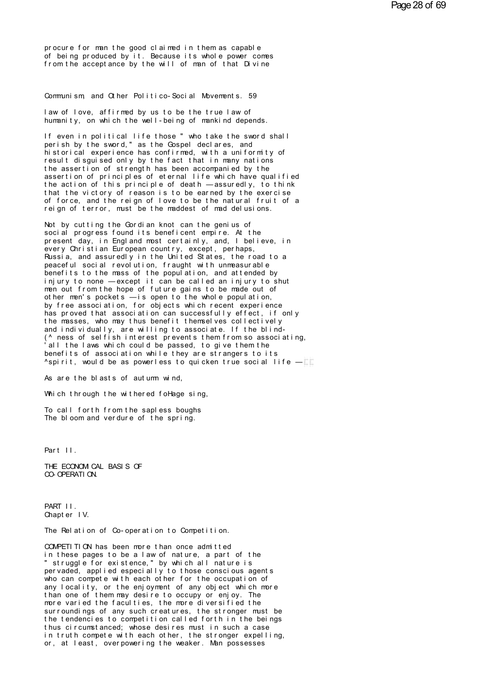procure for man the good claimed in them as capable of being produced by it. Because its whole power comes from the acceptance by the will of man of that Divine

Communism and Other Politico-Social Movements. 59

law of love, affirmed by us to be the true law of humanity, on which the well-being of mankind depends.

If even in political life those " who take the sword shall perish by the sword," as the Gospel declares, and historical experience has confirmed, with a uniformity of result disquised only by the fact that in many nations the assertion of strength has been accompanied by the assertion of principles of eternal life which have qualified<br>the action of this principle of death —assuredly, to think that the victory of reason is to be earned by the exercise of force, and the reign of love to be the natural fruit of a reign of terror, must be the maddest of mad delusions.

Not by cutting the Gordian knot can the genius of social progress found its beneficent empire. At the present day, in England most certainly, and, I believe, in every Christian European country, except, perhaps, Russia, and assuredly in the United States, the road to a peaceful social revolution, fraught with unmeasurable benefits to the mass of the population, and attended by injury to none - except it can be called an injury to shut men out from the hope of future gains to be made out of other men's pockets — is open to the whole population,<br>by free association, for objects which recent experience has proved that association can successfully effect, if only the masses, who may thus benefit themselves collectively and individually, are willing to associate. If the blind-(^ ness of selfish interest prevents them from so associating,<br>'all the laws which could be passed, to give them the benefits of association while they are strangers to its  $\gamma$ spirit, would be as powerless to quicken true social life  $-\square$ 

As are the blasts of autumn wind,

Which through the withered follage sing,

To call forth from the sapless boughs The bloom and verdure of the spring.

Part II.

THE ECONOM CAL BASIS OF CO-OPERATION.

PART II. Chapter IV.

The Relation of Co-operation to Competition.

COMPETI TI ON has been more than once admitted in these pages to be a law of nature, a part of the " struggle for existence," by which all nature is per vaded, applied especially to those conscious agents who can compete with each other for the occupation of any locality, or the enjoyment of any object which more<br>than one of them may desire to occupy or enjoy. The more varied the faculties, the more diversified the surroundings of any such creatures, the stronger must be the tendencies to competition called forth in the beings thus circumstanced; whose desires must in such a case in truth compete with each other, the stronger expelling, or, at least, overpowering the weaker. Man possesses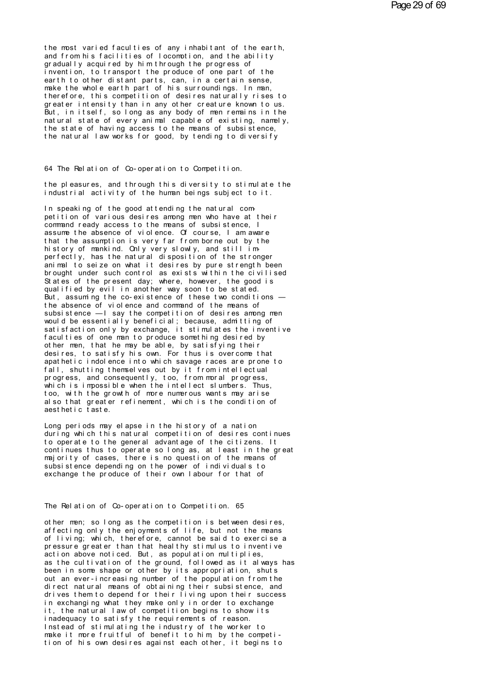the most varied faculties of any inhabitant of the earth, and from his facilities of locomotion, and the ability gradually acquired by him through the progress of invention, to transport the produce of one part of the earth to other distant parts, can, in a certain sense, make the whole earth part of his surroundings. In man, therefore, this competition of desires naturally rises to greater intensity than in any other creature known to us. But, in itself, so long as any body of men remains in the natural state of every animal capable of existing, namely, the state of having access to the means of subsistence. the natural law works for good, by tending to diversify

64 The Relation of Co-operation to Competition.

the pleasures, and through this diversity to stimulate the industrial activity of the human beings subject to it.

In speaking of the good attending the natural competition of various desires among men who have at their command ready access to the means of subsistence. I assume the absence of violence. Of course, I am aware<br>that the assumption is very far from borne out by the history of mankind. Only very slowly, and still imperfectly, has the natural disposition of the stronger animal to seize on what it desires by pure strength been brought under such control as exists within the civilised States of the present day; where, however, the good is qualified by evil in another way soon to be stated. But, assuming the co-existence of these two conditions the absence of violence and command of the means of subsistence - I say the competition of desires among men would be essentially beneficial; because, admitting of satisfaction only by exchange, it stimulates the inventive faculties of one man to produce something desired by other men, that he may be able, by satisfying their desires, to satisfy his own. For thus is overcome that apathetic indolence into which savage races are prone to fall, shutting themselves out by it from intellectual progress, and consequently, too, from moral progress, which is impossible when the intellect slumbers. Thus, too, with the growth of more numerous wants may arise al so that greater refinement, which is the condition of aest het i c t ast e.

Long periods may elapse in the history of a nation during which this natural competition of desires continues to operate to the general advantage of the citizens. It continues thus to operate so long as, at least in the great majority of cases, there is no question of the means of subsistence depending on the power of individuals to exchange the produce of their own labour for that of

The Relation of Co-operation to Competition. 65

other men; so long as the competition is between desires, affecting only the enjoyments of life, but not the means of living; which, therefore, cannot be said to exercise a pressure greater than that healthy stimulus to inventive action above noticed. But, as population multiplies, as the cultivation of the ground, followed as it always has been in some shape or other by its appropriation, shuts out an ever-increasing number of the population from the direct natural means of obtaining their subsistence, and drives them to depend for their living upon their success in exchanging what they make only in order to exchange it, the natural law of competition begins to show its inadequacy to satisfy the requirements of reason. Instead of stimulating the industry of the worker to make it more fruitful of benefit to him, by the competi-<br>tion of his own desires against each other, it begins to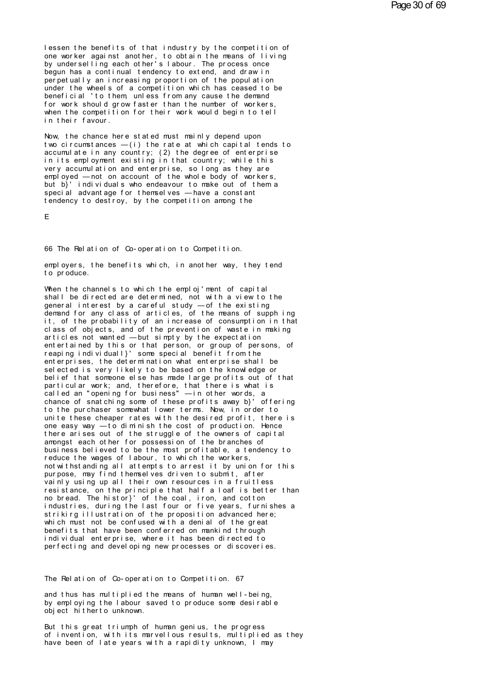lessen the benefits of that industry by the competition of one worker against another, to obtain the means of living<br>by underselling each other's labour. The process once begun has a continual tendency to extend, and draw in perpetually an increasing proportion of the population under the wheels of a competition which has ceased to be beneficial 'to them unless from any cause the demand for work should grow faster than the number of workers, when the competition for their work would begin to tell in their favour.

Now, the chance here stated must mainly depend upon two circumstances  $-(i)$  the rate at which capital tends to accumulate in any country; (2) the degree of enterprise in its employment existing in that country; while this very accumulation and enterprise, so long as they are employed - not on account of the whole body of workers, but b}' individuals who endeavour to make out of them a special advantage for themselves - have a constant tendency to destroy, by the competition among the

 $\mathbf{r}$ 

66 The Relation of Co-operation to Competition.

employers, the benefits which, in another way, they tend to produce.

When the channels to which the emploj'ment of capital shall be directed are determined, not with a view to the general interest by a careful study - of the existing demand for any class of articles, of the means of supph ing it, of the probability of an increase of consumption in that class of objects, and of the prevention of waste in making articles not wanted - but simpty by the expectation entertained by this or that person, or group of persons, of<br>reaping individuall}' some special benefit from the enterprises, the determination what enterprise shall be selected is very likely to be based on the knowledge or belief that someone else has made large profits out of that particular work; and, therefore, that there is what is<br>called an "opening for business" — in other words, a<br>chance of snatching some of these profits away b}' offering to the purchaser somewhat lower terms. Now, in order to unite these cheaper rates with the desired profit, there is one easy way -to diminish the cost of production. Hence there arises out of the struggle of the owners of capital amongst each other for possession of the branches of business believed to be the most profitable, a tendency to reduce the wages of labour, to which the workers, not withstanding all attempts to arrest it by union for this purpose, may find themselves driven to submit, after vainly using up all their own resources in a fruitless resistance, on the principle that half a loaf is better than no bread. The histor}' of the coal, iron, and cotton industries, during the last four or five years, furnishes a striking illustration of the proposition advanced here; which must not be confused with a denial of the great benefits that have been conferred on mankind through individual enterprise, where it has been directed to perfecting and developing new processes or discoveries.

The Relation of Co-operation to Competition. 67

and thus has multiplied the means of human well-being, by employing the labour saved to produce some desirable object hitherto unknown.

But this great triumph of human genius, the progress of invention, with its marvellous results, multiplied as they have been of late years with a rapidity unknown, I may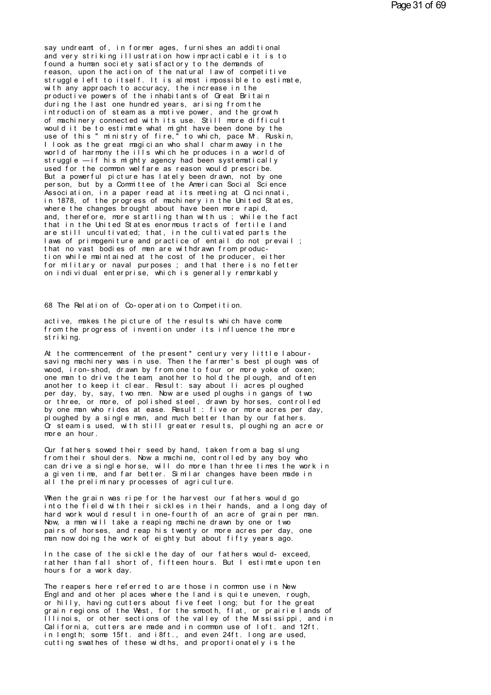say undreamt of, in former ages, furnishes an additional<br>and very striking illustration how impracticable it is to<br>found a human society satisfactory to the demands of say undreamt of, in former ages, furnishes an additional<br>and very striking illustration how impracticable it is to<br>found a human society satisfactory to the demands of<br>reason upon the action of the natural law of commetiti f ound a human society striking into the same and the same distribution and very striking illustration how impracticable it is<br>found a human society satisfactory to the demands of<br>reason, upon the action of the natural law say undreamt of, in former ages, furnishes an additional<br>and very striking illustration how impracticable it is to<br>found a human society satisfactory to the demands of<br>reason, upon the action of the natural law of competit say undreamt of, in former ages, furnishes an additional<br>and very striking illustration how impracticable it is to<br>found a human society satisfactory to the demands of<br>reason, upon the action of the natural law of competit say undreamt of, in former ages, furnishes an additional<br>and very striking illustration how impracticable it is to<br>found a human society satisfactory to the demands of<br>reason, upon the action of the natural law of competit and very striking illustration how impracticable it is to<br>found a human society satisfactory to the demands of<br>reason, upon the action of the natural law of competitive<br>struggle left to itself. It is almost impossible to e found a human society satisfactory to the demands of<br>reason, upon the action of the natural law of competitive<br>struggle left to itself. It is almost impossible to estimate,<br>with any approach to accuracy, the increase in th reason, upon the action of the natural law of competitive<br>struggle left to itself. It is almost impossible to estimate,<br>with any approach to accuracy, the increase in the<br>productive powers of the inhabitants of Great Brita struggle left to itself. It is almost impossible to estimate,<br>with any approach to accuracy, the increase in the<br>productive powers of the inhabitants of Great Britain<br>during the last one hundred years, arising from the<br>int with any approach to accuracy, the increase in the<br>productive powers of the inhabitants of Great Britain<br>during the last one hundred years, arising from the<br>introduction of steam as a motive power, and the growth<br>of machin productive powers of the inhabitants of Great Britain<br>during the last one hundred years, arising from the<br>introduction of steam as a motive power, and the growth<br>of machinery connected with its use. Still more difficult<br>wo during the last one hundred years, arising from the<br>introduction of steam as a motive power, and the growth<br>of machinery connected with its use. Still more difficult<br>would it be to estimate what might have been done by the introduction of steam as a motive power, and the growth<br>of machinery connected with its use. Still more difficult<br>would it be to estimate what might have been done by the<br>use of this "ministry of fire," to which, pace Mr. of machinery connected with its use. Still more difficult<br>would it be to estimate what might have been done by the<br>use of this "ministry of fire," to which, pace Mr. Ruskin,<br>I look as the great magician who shall charm awa would it be to estimate what might have been done by the<br>use of this "ministry of fire," to which, pace Mr. Ruskin,<br>I look as the great magician who shall charm away in the<br>world of harmony the ills which he produces in a use of this "ministry of fire," to which, pace Mr. Ruskin,<br>I look as the great magician who shall charm away in the<br>world of harmony the ills which he produces in a world of<br>struggle — if his mighty agency had been systema I look as the great magician who shall charm away in the<br>world of harmony the ills which he produces in a world of<br>struggle —if his mighty agency had been systematically<br>used for the common welfare as reason would prescrib world of harmony the ills which he produces in a world of<br>struggle — if his mighty agency had been systematically<br>used for the common welfare as reason would prescribe.<br>But a powerful picture has lately been drawn, not by struggle — if his mighty agency had been systematically<br>used for the common welfare as reason would prescribe.<br>But a powerful picture has lately been drawn, not by one<br>person, but by a Committee of the American Social Scie used for the common welfare as reason would prescribe.<br>But a powerful picture has lately been drawn, not by one<br>person, but by a Committee of the American Social Science<br>Association, in a paper read at its meeting at Cinci But a powerful picture has lately been drawn, not by one<br>person, but by a Committee of the American Social Science<br>Association, in a paper read at its meeting at Cincinnati,<br>in 1878, of the progress of machinery in the Uni person, but by a Committee of the American Social Science<br>Association, in a paper read at its meeting at Cincinnati,<br>in 1878, of the progress of machinery in the United States,<br>where the changes brought about have been mor Association, in a paper read at its meeting at Cincinnati,<br>in 1878, of the progress of machinery in the United States,<br>where the changes brought about have been more rapid,<br>and, therefore, more startling than with us ; whi in 1878, of the progress of machinery in the United States,<br>where the changes brought about have been more rapid,<br>and, therefore, more startling than with us ; while the fact<br>that in the United States enormous tracts of fe where the changes brought about have been more rapid,<br>and, therefore, more startling than with us ; while the fact<br>that in the United States enormous tracts of fertile land<br>are still uncultivated; that, in the cultivated p and, therefore, more startling than with us ; while the fact<br>that in the United States enormous tracts of fertile land<br>are still uncultivated; that, in the cultivated parts the<br>laws of primogeniture and practice of entail that in the United States enormous tracts of fertile land<br>are still uncultivated; that, in the cultivated parts the<br>laws of primogeniture and practice of entail do not prevail ;<br>that no vast bodies of men are withdrawn fro are still uncultivated; that, in the cultivated parts the<br>laws of primogeniture and practice of entail do not prevail;<br>that no vast bodies of men are withdrawn from produc-<br>tion while maintained at the cost of the producer on individual enterprise, which is generally remarkably<br>68 The Relation of Co-operation to Competition.

68 The Relation of Co-operation to Competition.<br>active, makes the picture of the results which have come<br>from the progress of invention under its influence the more f for the Relation of Co-operation to Competition.<br>active, makes the picture of the results which have come<br>from the progress of invention under its influence the more<br>striking. active, makes the picture of the results which have come from the progress of invention under its influence the more striking.<br>At the commencement of the present\* century very little labour-

active, makes the picture of the results which have come<br>from the progress of invention under its influence the more<br>striking.<br>At the commencement of the present\*century very little labour-<br>saving machinery was in use. The from the progress of invention under its influence the more<br>striking.<br>At the commencement of the present\*century very little labour-<br>saving machinery was in use. Then the farmer's best plough was of<br>wood, iron-shod, drawn striking.<br>At the commencement of the present\*century very little labour-<br>saving machinery was in use. Then the farmer's best plough was of<br>wood, iron-shod, drawn by from one to four or more yoke of oxen;<br>another to hed the At the commencement of the present\* century very little labour-<br>saving machinery was in use. Then the farmer's best plough was of<br>wood, iron-shod, drawn by from one to four or more yoke of oxen;<br>one man to drive the team, At the commencement of the present\*century very little labour-<br>saving machinery was in use. Then the farmer's best plough was of<br>wood, iron-shod, drawn by from one to four or more yoke of oxen;<br>one man to drive the team, a saving machinery was in use. Then the farmer's best plough was of<br>wood, iron-shod, drawn by from one to four or more yoke of oxen;<br>one man to drive the team, another to hold the plough, and often<br>another to keep it clear. wood, iron-shod, drawn by from one to four or more yoke of oxen;<br>one man to drive the team, another to hold the plough, and often<br>another to keep it clear. Result: say about li acres ploughed<br>per day, by, say, two men. Now one man to drive the team, another to hold the plough, and often<br>another to keep it clear. Result: say about li acres ploughed<br>per day, by, say, two men. Now are used ploughs in gangs of two<br>or three, or more, of polished another to keep it clear. Result: say about li acres ploughed<br>per day, by, say, two men. Now are used ploughs in gangs of two<br>or three, or more, of polished steel, drawn by horses, controlled<br>by one man who rides at ease. per day, by, say, two men.<br>or three, or more, of poli<br>by one man who rides at ea<br>ploughed by a single man,<br>Or steam is used, with sti<br>more an hour.<br>Our fathers sowed their se by one man who rides at ease. Result : five or more acres per day, ploughed by a single man, and much better than by our fathers.<br>Or steam is used, with still greater results, ploughing an acre or more an hour.<br>Our fathers

ploughed by a single man, and much better than by our fathers.<br>Cristeam is used, with still greater results, ploughing an acre or<br>more an hour.<br>Cur fathers sowed their seed by hand, taken from a bag slung<br>from their should Cristeam is used, with still greater results, ploughing an acre or<br>more an hour.<br>Cur fathers sowed their seed by hand, taken from a bag slung<br>from their shoulders. Now a machine, controlled by any boy who<br>can drive a singl more an hour.<br>Cur fathers sowed their seed by hand, taken from a bag slung<br>from their shoulders. Now a machine, controlled by any boy who<br>can drive a single horse, will do more than three times the work in<br>a given time, an Qur fathers sowed their seed by hand, taken from a bag slung<br>from their shoulders. Now a machine, controlled by any boy who<br>can drive a single horse, will do more than three times the worla<br>given time, and far better. Simi from their shoulders. Now a machine, controlled by any boy who<br>can drive a single horse, will do more than three times the work in<br>a given time, and far better. Similar changes have been made in<br>all the preliminary process

can drive a single horse, will do more than three times the work in<br>a given time, and far better. Similar changes have been made in<br>all the preliminary processes of agriculture.<br>When the grain was ripe for the harvest our a given time, and far better. Similar changes have been made in<br>all the preliminary processes of agriculture.<br>When the grain was ripe for the harvest our fathers would go<br>into the field with their sickles in their hands, a all the preliminary processes of agriculture.<br>When the grain was ripe for the harvest our fathers would go<br>into the field with their sickles in their hands, and a long day of<br>hard work would result in one-fourth of an acre When the grain was ripe for the harvest our fathers would go into the field with their sickles in their hands, and a long day of hard work would result in one-fourth of an acre of grain per man.<br>Now, a man will take a reap When the grain was ripe for the harvest our fathers would go into the field with their sickles in their hands, and a long day of hard work would result in one-fourth of an acre of grain per man. Now, a man will take a reap hard work would result in one-fourth of an acre of grain per man.<br>Now, a man will take a reaping machine drawn by one or two<br>pairs of horses, and reap his twenty or more acres per day, one<br>man now doing the work of eighty Now, a man will take a reaping machine drawn by one or two<br>pairs of horses, and reap his twenty or more acres per day, one<br>man now doing the work of eighty but about fifty years ago.<br>In the case of the sickle the day of ou

pairs of horses, and reaphisman now doing the work of eight<br>In the case of the sickle the<br>rather than fall short of, fi<br>hours for a work day.<br>The reapers here referred to In the case of the sickle the day of our fathers would-exceed,<br>rather than fall short of, fifteen hours. But I estimate upon ten<br>hours for a work day.<br>The reapers here referred to are those in common use in New<br>England and

In the case of the sickle the day of our fathers would-exceed,<br>rather than fall short of, fifteen hours. But I estimate upon ten<br>hours for a work day.<br>The reapers here referred to are those in common use in New<br>England and rather than fall short of, fifteen hours. But I estimate upon ten<br>hours for a work day.<br>The reapers here referred to are those in common use in New<br>England and other places where the land is quite uneven, rough,<br>or hilly, hours for a work day.<br>The reapers here referred to are those in common use in New<br>England and other places where the land is quite uneven, rough,<br>or hilly, having cutters about five feet long; but for the great<br>grain regio The reapers here referred to are those in common use in New<br>England and other places where the land is quite uneven, rough,<br>or hilly, having cutters about five feet long; but for the great<br>grain regions of the West, for th The reapers here referred to are those in common use in New<br>England and other places where the land is quite uneven, rough,<br>or hilly, having cutters about five feet long; but for the great<br>grain regions of the West, for th England and other places where the land is quite uneven, rough, or hilly, having cutters about five feet long; but for the great grain regions of the West, for the smooth, flat, or prairie lands of Illinois, or other secti Illinois, or other sections of the valley of the Mississippi, and in<br>California, cutters are made and in common use of loft, and 12ft.<br>in length; some 15ft, and i8ft, and even 24ft. long are used,<br>cutting swathes of these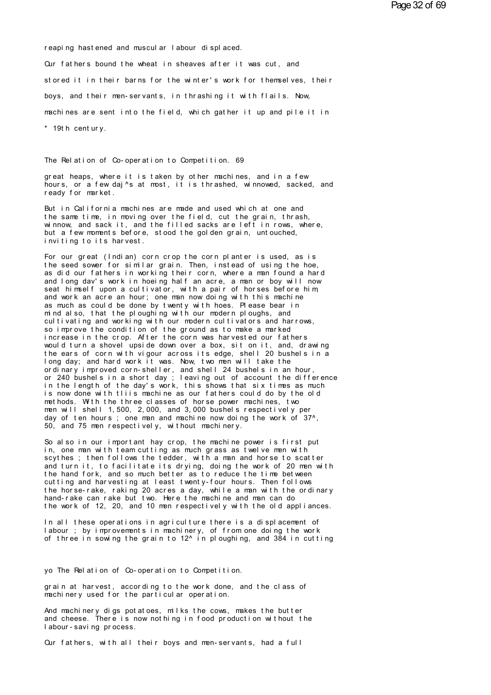r eapi ng hast ened and muscul ar l abour di spl aced.

Our fathers bound the wheat in sheaves after it was cut, and st or eaping hastened and muscular labour displaced.<br>Our fathers bound the wheat in sheaves after it was cut, and<br>stored it in their barns for the winter's work for themselves, their<br>boys, and their man-servants, in thrash Our fathers bound the wheat in sheaves after it was cut, and<br>stored it in their barns for the winter's work for themselves, their<br>boys, and their men-servants, in thrashing it with flails. Now,<br>mechines are sent into the f stored it in their barns for the winter's work for themselves, their<br>boys, and their men-servants, in thrashing it with flails. Now,<br>machines are sent into the field, which gather it up and pile it in<br>\* 19th century. boys, and their men-servant<br>machines are sent into the<br>\* 19th century. \* 19th century.<br>The Relation of Co-operation to Competition. 69<br>great beans, where it is taken by other machines, and in a

The Relation of Co-operation to Competition. 69<br>great heaps, where it is taken by other machines, and in a few<br>hours, or a few daj^s at most, it is thrashed, winnowed, sacked, and<br>ready for market The Relation of Co-operation to Competition. 69<br>great heaps, where it is taken by other machines, and in a few<br>hours, or a few daj^s at most, it is thrashed, winnowed, sacked, and<br>ready for market. The Relation of Co-operation t<br>great heaps, where it is taken<br>hours, or a few daj^s at most,<br>ready for market.<br>But in California machines are great heaps, where it is taken by other machines, and in a few<br>hours, or a few daj^s at most, it is thrashed, winnowed, sacked, and<br>ready for market.<br>But in California machines are made and used which at one and<br>the same t

great heaps, where it is taken by other machines, and in a few<br>hours, or a few daj^s at most, it is thrashed, winnowed, sacked, and<br>ready for market.<br>But in California machines are made and used which at one and<br>the same t hours, or a few daj^s at most, it is thrashed, winnowed, sacked, and<br>ready for market.<br>But in California machines are made and used which at one and<br>the same time, in moving over the field, cut the grain, thrash,<br>winnow, a ready for market.<br>But in California machines are made and used which at one and<br>the same time, in moving over the field, cut the grain, thrash,<br>winnow, and sack it, and the filled sacks are left in rows, where,<br>but a few m But in California machines are made a<br>the same time, in moving over the field<br>winnow, and sack it, and the filled s<br>but a few moments before, stood the g<br>inviting to its harvest.<br>For our great (Indian) corn crop the the same time, in moving over the field, cut the grain, thrash,<br>winnow, and sack it, and the filled sacks are left in rows, where,<br>but a few moments before, stood the golden grain, untouched,<br>inviting to its harvest.<br>For o

winnow, and sack it, and the filled sacks are left in rows, where,<br>but a few moments before, stood the golden grain, untouched,<br>inviting to its harvest.<br>For our great (Indian) corn crop the corn planter is used, as is<br>the but a few moments before, stood the golden grain, untouched,<br>inviting to its harvest.<br>For our great (Indian) corn crop the corn planter is used, as is<br>the seed sower for similar grain. Then, instead of using the hoe,<br>as di inviting to its harvest.<br>For our great (Indian) corn crop the corn planter is used, as is<br>the seed sower for similar grain. Then, instead of using the hoe,<br>as did our fathers in working their corn, where a man found a hard For our great (Indian) corn crop the corn planter is used, as is<br>the seed sower for similar grain. Then, instead of using the hoe,<br>as did our fathers in working their corn, where a man found a hard<br>and long dav's work in h For our great (Indian) corn crop the corn planter is used, as is<br>the seed sower for similar grain. Then, instead of using the hoe,<br>as did our fathers in working their corn, where a man found a hard<br>and long dav's work in h the seed sower for similar grain. Then, instead of using the hoe,<br>as did our fathers in working their corn, where a man found a hard<br>and long dav's work in hoeing half an acre, a man or boy will now<br>seat himself upon a cul as did our fathers in working their corn, where a man found a hard<br>and long dav's work in hoeing half an acre, a man or boy will now<br>seat himself upon a cultivator, with a pair of horses before him,<br>and work an acre an hou and long dav's work in hoeing half an acre, a man or boy will now seat himself upon a cultivator, with a pair of horses before him, and work an acre an hour; one man now doing with this machine as much as could be done by seat himself upon a cultivator, with a pair of horses before him,<br>and work an acre an hour; one man now doing with this machine<br>as much as could be done by twenty with hoes. Please bear in<br>mind also, that the ploughing wit and work an acre an hour; one man now doing with this machine<br>as much as could be done by twenty with hoes. Please bear in<br>mind also, that the ploughing with our modern ploughs, and<br>cultivating and working with our modern mind also, that the ploughing with our modern ploughs, and<br>cultivating and working with our modern cultivators and harrows,<br>so improve the condition of the ground as to make a marked<br>increase in the crop. After the corn wa mind also, that the ploughing with our modern ploughs, and<br>cultivating and working with our modern cultivators and harrows,<br>so improve the condition of the ground as to make a marked<br>increase in the crop. After the corn wa cultivating and working with our modern cultivators and harrows,<br>so improve the condition of the ground as to make a marked<br>increase in the crop. After the corn was harvested our fathers<br>would turn a shovel upside down ove so improve the condition of the ground as to make a marked<br>increase in the crop. After the corn was harvested our fathers<br>would turn a shovel upside down over a box, sit on it, and, drawing<br>the ears of corn with vigour acr in the crop. After the corn was harvested our fathers<br>would turn a shovel upside down over a box, sit on it, and, drawing<br>the ears of corn with vigour across its edge, shell 20 bushels in a<br>long day; and hard work it was. would turn a shovel upside down over a box, sit on it, and, drawing<br>the ears of corn with vigour across its edge, shell 20 bushels in a<br>long day; and hard work it was. Now, two men will take the<br>ordinary improved corn-shel the ears of corn with vigour across its edge, shell 20 bushels in a<br>long day; and hard work it was. Now, two men will take the<br>ordinary improved corn-sheller, and shell 24 bushels in an hour,<br>or 240 bushels in a short day; long day; and hard work it was. Now, two men will take the<br>ordinary improved corn-sheller, and shell 24 bushels in an hour,<br>or 240 bushels in a short day; leaving out of account the difference<br>in the length of the day's wo ordinary improved corn-sheller, and shell 24 bushels in an hour,<br>or 240 bushels in a short day; leaving out of account the difference<br>in the length of the day's work, this shows that six times as much<br>is now done with tlii or 240 bushels in a short day; leaving out of account the difference<br>in the length of the day's work, this shows that six times as much<br>is now done with tliis machine as our fathers could do by the old<br>methods. With the th is now done with this machine as our fathers could do by the old methods. With the three classes of horse power machines, two men will shell 1,500, 2,000, and 3,000 bushels respectively per day of ten hours; one man and ma methods. With the three classes of horse power machines, two<br>men will shell 1,500, 2,000, and 3,000 bushels respectively per<br>day of ten hours ; one man and machine now doing the work of 37^,<br>50, and 75 men respectively, wi

men will shell 1,500, 2,000, and 3,000 bushels respectively per<br>day of ten hours ; one man and machine now doing the work of 37^,<br>50, and 75 men respectively, without machinery.<br>So also in our important hay crop, the machi day of ten hours; one man and machine now doing the work of 37^,<br>50, and 75 men respectively, without machinery.<br>So also in our important hay crop, the machine power is first put<br>in, one man with team cutting as much grass 50, and 75 men respectively, without machinery.<br>So also in our important hay crop, the machine power is first put<br>in, one man with team cutting as much grass as twelve men with<br>scythes ; then follows the tedder, with a man So also in our important hay crop, the machine power is first put<br>in, one man with team cutting as much grass as twelve men with<br>scythes; then follows the tedder, with a man and horse to scatter<br>and turn it, to facilitate So also in our important hay crop, the machine power is first put<br>in, one man with team cutting as much grass as twelve men with<br>scythes ; then follows the tedder, with a man and horse to scatter<br>and turn it, to facilitate in, one man with team cutting as much grass as twelve men with<br>scythes; then follows the tedder, with a man and horse to scatter<br>and turn it, to facilitate its drying, doing the work of 20 men with<br>the hand fork, and so mu scythes; then follows the tedder, with a man and horse to scatter<br>and turn it, to facilitate its drying, doing the work of 20 men wi<br>the hand fork, and so much better as to reduce the time between<br>cutting and harvesting at and turn it, to facilitate its drying, doing the work of 20 men with<br>the hand fork, and so much better as to reduce the time between<br>cutting and harvesting at least twenty-four hours. Then follows<br>the horse-rake, raking 20 cutting and harvesting at least twenty-four hours. Then follows<br>the horse-rake, raking 20 acres a day, while a man with the ordinary<br>hand-rake can rake but two. Here the machine and man can do<br>the work of 12, 20, and 10 me

the horse-rake, raking 20 acres a day, while a man with the ordinary<br>hand-rake can rake but two. Here the machine and man can do<br>the work of 12, 20, and 10 men respectively with the old appliances.<br>In all these operations hand-rake can rake but two. Here the machine and man can do<br>the work of 12, 20, and 10 men respectively with the old appliances.<br>In all these operations in agriculture there is a displacement of<br>labour ; by improvements in labour ; by improvements in machinery, of from one doing to three in sowing the grain to 12^ in ploughing, and 384<br>yo The Relation of Co-operation to Competition.<br>grain at baryest, according to the work done, and the clas

yo The Relation of Co-operation to Competition.<br>grain at harvest, according to the work done, and the class of<br>machinery used for the particular operation. yo The Relation of Co-operation to Competition.<br>grain at harvest, according to the work done, and the comachinery used for the particular operation.<br>And mechinery digs potatoes milks the cows makes the

yo. The Relation of Co-operation to Competition.<br>grain at harvest, according to the work done, and the class of<br>machinery used for the particular operation.<br>And machinery digs potatoes, milks the cows, makes the butter<br>and grain at harvest, according to the work done, and the class of machinery used for the particular operation.<br>And machinery digs potatoes, milks the cows, makes the butter<br>and cheese. There is now nothing in food production grain at harvest, according to<br>machinery used for the particu<br>And machinery digs potatoes, m<br>and cheese. There is now nothi<br>labour-saving process.<br>Our fathers with all their bo And machinery digs potatoes, milks the cows, makes the butter<br>and cheese. There is now nothing in food production without the<br>labour-saving process.<br>Our fathers, with all their boys and men-servants, had a full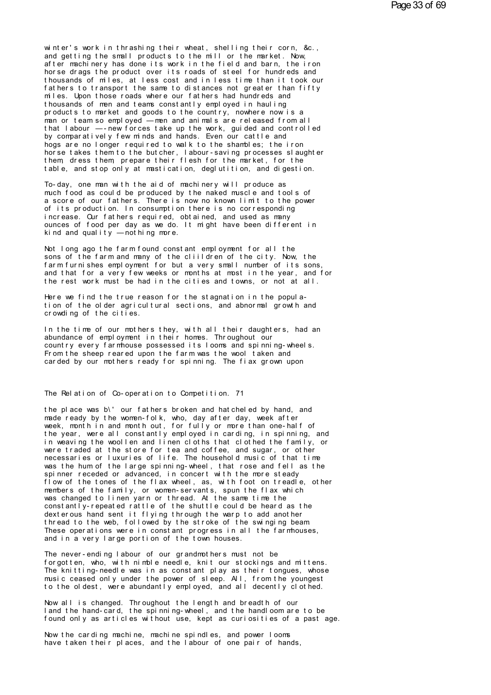winter's work in thrashing their wheat, shelling their corn, &c., and getting the small products to the mill or the market. Now. after machinery has done its work in the field and barn, the iron horse drags the product over its roads of steel for hundreds and thousands of miles, at less cost and in less time than it took our fathers to transport the same to distances not greater than fifty miles. Upon those roads where our fathers had hundreds and thousands of men and teams constantly employed in hauling products to market and goods to the country, nowhere now is a man or team so employed — men and animals are released from all that labour -- new forces take up the work, guided and controlled by comparatively few minds and hands. Even our cattle and hogs are no longer required to walk to the shambles; the iron horse takes them to the butcher, I abour-saving processes slaughter<br>them dress them prepare their flesh for the market, for the table, and stop only at mastication, deglutition, and digestion.

To-day, one man with the aid of machinery will produce as much food as could be produced by the naked muscle and tools of a score of our fathers. There is now no known limit to the power of its production. In consumption there is no corresponding increase. Our fathers required, obtained, and used as many ounces of food per day as we do. It might have been different in kind and quality  $-$  not hing more.

Not long ago the farm found constant employment for all the sons of the farm and many of the cliildren of the city. Now, the farm furnishes employment for but a very small number of its sons, and that for a very few weeks or months at most in the year, and for the rest work must be had in the cities and towns, or not at all.

Here we find the true reason for the stagnation in the population of the older agricultural sections, and abnormal growth and crowding of the cities.

In the time of our mothers they, with all their daughters, had an abundance of employment in their homes. Throughout our country every farmhouse possessed its looms and spinning-wheels. From the sheep reared upon the farm was the wool taken and carded by our mothers ready for spinning. The fiax grown upon

The Relation of Co-operation to Competition. 71

the place was b\' our fathers broken and hat cheled by hand, and made ready by the women-folk, who, day after day, week after<br>week, month in and month out, for fully or more than one-half of the year, were all constantly employed in carding, in spinning, and in weaving the woollen and linen cloths that clothed the family, or were traded at the store for tea and coffee, and sugar, or other necessaries or luxuries of life. The household music of that time was the hum of the large spinning-wheel, that rose and fell as the spinner receded or advanced, in concert with the more steady flow of the tones of the flax wheel, as, with foot on treadle, other members of the family, or women-servants, spun the flax which was changed to linen yarn or thread. At the same time the constantly-repeated rattle of the shuttle could be heard as the dexterous hand sent it flying through the warp to add another thread to the web, followed by the stroke of the swinging beam These operations were in constant progress in all the farmhouses. and in a very large portion of the town houses.

The never-ending I abour of our grandmothers must not be for gotten, who, with nimble needle, knit our stockings and mittens. The knitting-needle was in as constant play as their tongues, whose music ceased only under the power of sleep. All, from the youngest to the oldest, were abundantly employed, and all decently clothed.

Now all is changed. Throughout the length and breadth of our land the hand-card, the spinning-wheel, and the handloom are to be found only as articles without use, kept as curiosities of a past age.

Now the carding machine, machine spindles, and power looms<br>have taken their places, and the labour of one pair of hands,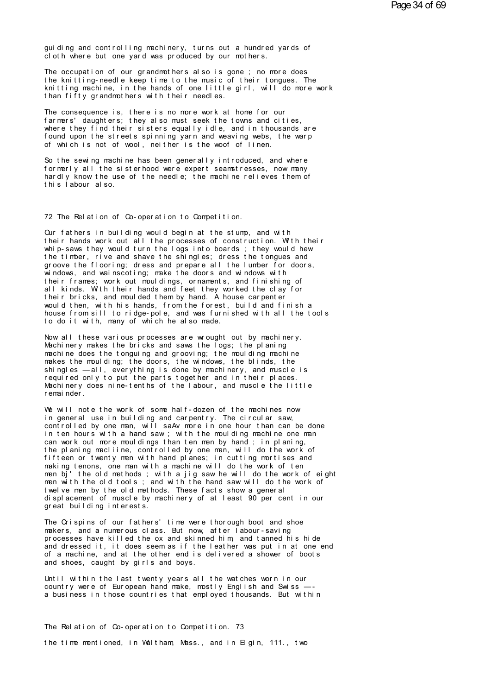guiding and controlling machinery, turns out a hundred yards of cl ot h where but one vard was produced by our mothers.

The occupation of our grandmothers also is gone; no more does the knitting-needle keep time to the music of their tongues. The knitting machine, in the hands of one little girl, will do more work than fifty grand mothers with their needles.

The consequence is, there is no more work at home for our farmers' daughters; they also must seek the towns and cities, where they find their sisters equally idle, and in thousands are found upon the streets spinning yarn and weaving webs, the warp<br>of which is not of wool, neither is the woof of linen.

So the sewing machine has been generally introduced, and where formerly all the sisterhood were expert seamstresses, now many hardly know the use of the needle; the machine relieves them of this labour also.

72 The Relation of Co-operation to Competition.

Our fathers in building would begin at the stump, and with their hands work out all the processes of construction. With their whip-saws they would turn the logs into boards; they would hew the timber, rive and shave the shingles; dress the tongues and groove the flooring; dress and prepare all the lumber for doors, windows, and wainscoting; make the doors and windows with their frames; work out mouldings, ornaments, and finishing of all kinds. With their hands and feet they worked the clay for their bricks, and moul ded them by hand. A house carpenter would then, with his hands, from the forest, build and finish a house from sill to ridge-pole, and was furnished with all the tools to do it with, many of which he also made.

Now all these various processes are wrought out by machinery. Machinery makes the bricks and saws the logs; the planing machine does the tonguing and grooving; the moul ding machine makes the moulding; the doors, the windows, the blinds, the<br>shingles —all, everything is done by machinery, and muscle is required only to put the parts together and in their places. Machinery does nine-tenths of the labour, and muscle the little r emai nder.

We will note the work of some half-dozen of the machines now in general use in building and carpentry. The circular saw, controlled by one man, will saAv more in one hour than can be done in ten hours with a hand saw; with the moulding machine one man can work out more mouldings than ten men by hand; in planing,<br>the planing macliine, controlled by one man, will do the work of fifteen or twenty men with hand planes; in cutting mortises and making tenons, one man with a machine will do the work of ten men bj' the old methods; with a jig saw he will do the work of eight men with the old tools; and with the hand saw will do the work of<br>twelve men by the old methods. These facts show a general displacement of muscle by machinery of at least 90 per cent in our great building interests.

The Crispins of our fathers' time were thorough boot and shoe makers, and a numerous class. But now, after labour-saving processes have killed the ox and skinned him, and tanned his hide and dressed it, it does seem as if the leather was put in at one end of a machine, and at the other end is delivered a shower of boots and shoes, caught by girls and boys.

Until within the last twenty years all the watches worn in our country were of European hand make, mostly English and Swiss a business in those countries that employed thousands. But within

The Relation of Co-operation to Competition. 73 the time mentioned, in Waltham, Mass., and in Elgin, 111., two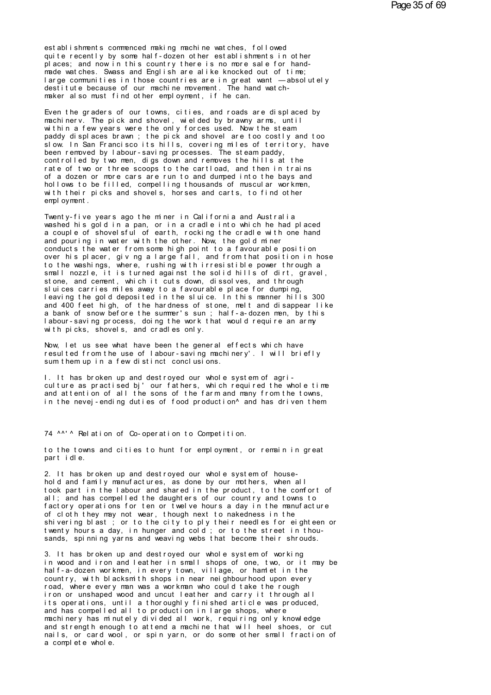est ablishments commenced making machine wat ches, followed<br>quite recently by some half-dozen other establishments in other<br>places: and now in this country there is no more sale for handest ablishments commenced making machine wat ches, followed<br>quite recently by some half-dozen other establishments in other<br>praces; and now in this country there is no more sale for hand-<br>made wetches. Spass and English ar plus and is the memodel and in this commenced making mathine wat ches, followed<br>quite recently by some half-dozen other establishments in other<br>places; and now in this country there is no more sale for hand-<br>large communit establishments commenced making machine watches, followed<br>quite recently by some half-dozen other establishments in other<br>places; and now in this country there is no more sale for hand-<br>made watches. Swass and English are est ablishments commenced making machine watches, followed<br>quite recently by some half-dozen other establishments in other<br>places; and now in this country there is no more sale for hand-<br>made watches. Swass and English are made watches. Swass and English are alike knocked out of time;<br>large communities in those countries are in great want — absolutely<br>destitute because of our machine movement. The hand watch-<br>maker also must find other emplo

large communities in those countries are in great want — absolutely<br>destitute because of our machine movement. The hand watch-<br>maker also must find other employment, if he can.<br>Even the graders of our towns, cities, and ro destitute because of our machine movement. The hand watch-<br>maker also must find other employment, if he can.<br>Even the graders of our towns, cities, and roads are displaced by<br>machinerv. The pick and shovel, wielded by braw maker also must find other employment, if he can.<br>Even the graders of our towns, cities, and roads are displaced by<br>machinery. The pick and shovel, wielded by brawny arms, until<br>within a few years were the only forces used Even the graders of our towns, cities, and roads are displaced by<br>machinerv. The pick and shovel, wielded by brawny arms, until<br>within a few years were the only forces used. Now the steam<br>paddy displaces brawn ; the pick a Even the graders of our towns, cities, and roads are displace<br>machinerv. The pick and shovel, wielded by brawny arms, until<br>within a few years were the only forces used. Now the steam<br>paddy displaces brawn ; the pick and s machinerv. The pick and shovel, wielded by brawny arms, until<br>within a few years were the only forces used. Now the steam<br>paddy displaces brawn; the pick and shovel are too costly and too<br>slow. In San Francisco its hills, within a few years were the only forces used. Now the steam<br>paddy displaces brawn ; the pick and shovel are too costly and too<br>slow. In San Francisco its hills, covering miles of territory, have<br>been removed by labour-savi paddy displaces brawn; the pick and shovel are too costly and too<br>slow. In San Francisco its hills, covering miles of territory, have<br>been removed by labour-saving processes. The steam paddy,<br>controlled by two men, digs do slow. In San Francisco its hills, covering miles of territory, have<br>been removed by labour-saving processes. The steam paddy,<br>controlled by two men, digs down and removes the hills at the<br>rate of two or three scoops to the been removed by labour-saving processes. The steam paddy,<br>controlled by two men, digs down and removes the hills at the<br>rate of two or three scoops to the cartload, and then in trains<br>of a dozen or more cars are run to and rate of two or three scoops to the cartload, and then in trains<br>of a dozen or more cars are run to and dumped into the bays and<br>hollows to be filled, compelling thousands of muscular workmen,<br>with their picks and shovels, of a dozen or more cars are run to and dumped into the bays and<br>hollows to be filled, compelling thousands of muscular workmen,<br>with their picks and shovels, horses and carts, to find other<br>employment.<br>Twenty-five years ag

hollows to be filled, compelling thousands of muscular workmen,<br>with their picks and shovels, horses and carts, to find other<br>employment.<br>Twenty-five years ago the miner in California and Australia<br>vashed his gold in a pan with their picks and shovels, horses and carts, to find other<br>employment.<br>Twenty-five years ago the miner in California and Australia<br>washed his gold in a pan, or in a cradle into which he had placed<br>a couple of shovelsful employment.<br>Twenty-five years ago the miner in California and Australia<br>washed his gold in a pan, or in a cradle into which he had placed<br>a couple of shovelsful of earth, rocking the cradle with one hand<br>and pouring in wat a couple of shovelsful of earth, rocking the cradle with one hand<br>and pouring in water with the other. Now, the gold miner<br>conducts the water from some high point to a favourable position<br>over his placer, giving a large fa Twenty-five years ago the miner in California and Australia<br>washed his gold in a pan, or in a cradle into which he had placed<br>a couple of shovelsful of earth, rocking the cradle with one hand<br>and pouring in water with the washed his gold in a pan, or in a cradle into which he had placed<br>a couple of shovelsful of earth, rocking the cradle with one hand<br>and pouring in water with the other. Now, the gold miner<br>conducts the water from some high a couple of shovelsful of earth, rocking the cradle with one hand<br>and pouring in water with the other. Now, the gold miner<br>conducts the water from some high point to a favourable position<br>over his placer, giv ng a large fa and pouring in water with the other. Now, the gold miner<br>conducts the water from some high point to a favourable position<br>over his placer, giving a large fall, and from that position in hose<br>to the washings, where, rushing conducts the water from some high point to a favourable position<br>over his placer, giv ng a large fall, and from that position in hose<br>to the washings, where, rushing with irresistible power through a<br>small nozzle, it is tu over his placer, giving a large fall, and from that position in hose<br>to the washings, where, rushing with irresistible power through a<br>small nozzle, it is turned against the solid hills of dirt, gravel,<br>stone, and cement, to the washings, where, rushing with irresistible power through a<br>small nozzle, it is turned against the solid hills of dirt, gravel,<br>stone, and cement, which it cuts down, dissolves, and through<br>sluices carries miles away small nozzle, it is turned against the solid hills of dirt, gravel,<br>stone, and cement, which it cuts down, dissolves, and through<br>sluices carries miles away to a favourable place for dumping,<br>leaving the gold deposited in stone, and cement, which it cuts down, dissolves, and through<br>sluices carries miles away to a favourable place for dumping,<br>leaving the gold deposited in the sluice. In this manner hills 300<br>and 400 feet high, of the hardn sluices carries miles away to a favourable place fleaving the gold deposited in the sluice. In this<br>and 400 feet high, of the hardness of stone, melt<br>a bank of snow before the summer's sun ; half-a-do<br>labour-saving process and 400 feet high, of the hardness of stone, melt and disappear like<br>a bank of snow before the summer's sun; half-a-dozen men, by this<br>labour-saving process, doing the work that would require an army<br>with picks, shovels, a I abour-saving process, doing the work that would require an army

resulted from the use of labour-saving machinery'. I will briefly sum them up in a few distinct conclusions.<br>I. It has broken up and destroved our whole system of agri-

culture as practised bj' our fathers, which required the whole time and attention of all the sons of the farm and many from the towns. resulted from the use of labour-saving machinery'. I will briefly<br>sum them up in a few distinct conclusions.<br>I. It has broken up and destroyed our whole system of agri-<br>culture as practised bj'our fathers, which required t sum them up in a few distinct conclusions.<br>I. It has broken up and destroyed our whole system of agri-<br>culture as practised bj'our fathers, which required the whole time<br>and attention of all the sons of the farm and many f and attention of all the sons of the farm and many from the<br>in the nevej-ending duties of food production^ and has driv<br>74 ^^' ^ Relation of Co-operation to Competition.<br>to the towns and cities to bunt for employment, or r

to the towns and cities to hunt for employment, or remain in great part idle. 74 ^^' ^ Relation of Co-operation to Competition.<br>to the towns and cities to hunt for employment, or remain in<br>part idle.<br>2. It has broken up and destroyed our whole system of house-

hold and family manufactures, as done by our mothers, when all<br>took part in the labour and shared in the product, to the comfort of to the towns and cities to hunt for employment, or remain in great<br>part idle.<br>2. It has broken up and destroyed our whole system of house-<br>hold and family manufactures, as done by our mothers, when all<br>took part in the lab part idle.<br>2. It has broken up and destroyed our whole system of house-<br>hold and family manufactures, as done by our mothers, when all<br>took part in the labour and shared in the product, to the comfort of<br>all; and has compe 2. It has broken up and destroyed our whole system of house-<br>hold and family manufactures, as done by our mothers, when all<br>took part in the labour and shared in the product, to the comfort of<br>all; and has compelled the da 2. It has broken up and destroyed our whole system of house-<br>hold and family manufactures, as done by our mothers, when all<br>took part in the labour and shared in the product, to the confort of<br>all; and has compelled the da hold and family manufactures, as done by our mothers, when all<br>took part in the labour and shared in the product, to the confort of<br>all; and has compelled the daughters of our country and towns to<br>factory operations for te took part in the labour and shared in the product, to the confort of<br>all; and has compelled the daughters of our country and towns to<br>factory operations for ten or twelve hours a day in the manufacture<br>of cloth they may no of cloth they may not wear, though next to nakedness in the<br>shivering blast ; or to the city to ply their needles for eighteen or<br>twenty hours a day, in hunger and cold ; or to the street in thou-<br>sands, spinning yarns and

in the state of the city to ply their needles for eighteen or twenty hours a day, in hunger and cold; or to the street in thousands, spinning yarns and weaving webs that become their shrouds.<br>3. It has broken up and destro hal f - a- dozen wor kmen, in every town, village, or half a summer that the street in thousands, spinning yarns and weaving webs that become their shrouds.<br>3. It has broken up and destroyed our whole system of working<br>in sands, spinning yarns and weaving webs that become their shrouds.<br>3. It has broken up and destroyed our whole system of working<br>in wood and iron and leather in small shops of one, two, or it may be<br>half-a-dozen workmen, in 3. It has broken up and destroyed our whole system of working<br>in wood and iron and leather in small shops of one, two, or it may be<br>half-a-dozen workmen, in every town, village, or hamlet in the<br>country, with blacksmith sh 3. It has broken up and destroyed our whole system of working<br>in wood and iron and leather in small shops of one, two, or it may be<br>half-a-dozen workmen, in every town, village, or hamlet in the<br>country, with blacksmith sh in wood and iron and leather in small shops of one, two, or it may be<br>half-a-dozen workmen, in every town, village, or hamlet in the<br>country, with blacksmith shops in near neighbourhood upon every<br>road, where every man was half-a-dozen workmen, in every town, village, or hamlet in the<br>country, with blacksmith shops in near neighbourhood upon every<br>road, where every man was a workman who could take the rough<br>iron or unshaped wood and uncut le country, with blacksmith shops in near neighbourhood upon every<br>road, where every man was a workman who could take the rough<br>iron or unshaped wood and uncut leather and carry it through all<br>its operations, until a thorough road, where every man was a workman who could take the rough<br>iron or unshaped wood and uncut leather and carry it through all<br>its operations, until a thoroughly finished article was produced,<br>and has compelled all to produ iron or unshaped wood and uncut leather and carry it through all<br>its operations, until a thoroughly finished article was produced,<br>and has compelled all to production in large shops, where<br>machinery has minutely divided al its operations, until a thoro<br>and has compelled all to prod<br>machinery has minutely divide<br>and strength enough to attend<br>nails, or card wool, or spin<br>a complete whole.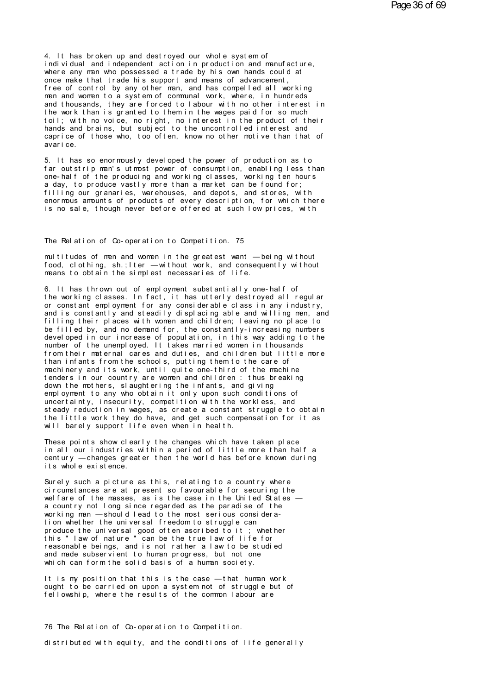4. It has broken up and destroyed our whole system of<br>individual and independent action in production and manufacture<br>where any man who possessed a trade by his own bands could at 4. It has broken up and destroyed our whole system of<br>individual and independent action in production and manufacture,<br>where any man who possessed a trade by his own hands could at<br>once make that trade bis support and manu 4. It has broken up and destroyed our whole system of<br>individual and independent action in production and manufacture,<br>where any man who possessed a trade by his own hands could at<br>once make that trade his support and mean 4. It has broken up and destroyed our whole system of<br>individual and independent action in production and manufacture,<br>where any man who possessed a trade by his own hands could at<br>once make that trade his support and mean 4. It has broken up and destroyed our whole system of<br>individual and independent action in production and manufacture,<br>where any man who possessed a trade by his own hands could at<br>once make that trade his support and mean 4. It has broken up and destroyed our whole system of<br>individual and independent action in production and manufacture,<br>where any man who possessed a trade by his own hands could at<br>once make that trade his support and mean individual and independent action in production and manufacture,<br>where any man who possessed a trade by his own hands could at<br>once make that trade his support and means of advancement,<br>free of control by any other man, an where any man who possessed a trade by his own hands could at<br>once make that trade his support and means of advancement,<br>free of control by any other man, and has compelled all working<br>men and women to a system of communal once make that trade his support and means of advancement,<br>free of control by any other man, and has compelled all working<br>men and women to a system of communal work, where, in hundreds<br>and thousands, they are forced to la free of control by any other man, and has compelled all working<br>men and women to a system of communal work, where, in hundreds<br>and thousands, they are forced to labour with no other interest in<br>the work than is granted to men and women to a system of communal work, where, in hundreds<br>and thousands, they are forced to labour with no other interest in<br>the work than is granted to them in the wages paid for so much<br>toil; with no voice, no right and thousands, they<br>the work than is gr<br>toil; with no voice<br>hands and brains, b<br>caprice of those wh<br>avarice.<br>5. It has so enorm toil; with no voice, no right, no interest in the product of their<br>hands and brains, but subject to the uncontrolled interest and<br>caprice of those who, too often, know no other motive than that of<br>avarice.<br>5. It has so eno

fands and brains, but subject to the uncontrolled interest and<br>caprice of those who, too often, know no other motive than that of<br>avarice.<br>5. It has so enormously developed the power of production as to<br>far outstrip man's caprice of those who, too often, know no other motive than that of<br>avarice.<br>5. It has so enormously developed the power of production as to<br>far outstrip man's utmost power of consumption, enabling less than<br>one-half of the a varice.<br>5. It has so enormously developed the power of production as to<br>far outstrip man's utmost power of consumption, enabling less than<br>one-half of the producing and working classes, working ten hours<br>a day, to produc 5. It has so enormously developed the power of production as to far outstrip man's utmost power of consumption, enabling less than one-half of the producing and working classes, working ten hours a day, to produce vastly m 5. It has so enormously developed the power of production as to<br>far outstrip man's utmost power of consumption, enabling less than<br>one-half of the producing and working classes, working ten hours<br>a day, to produce vastly m far outstrip man's utmost power of consumption, enabling less than<br>one-half of the producing and working classes, working ten hours<br>a day, to produce vastly more than a market can be found for;<br>filling our granaries, wareh enormous amounts of products of every description, for which there<br>is no sale, though never before offered at such low prices, with<br>The Relation of Co-operation to Competition. 75<br>multitudes of men and women in the greates

The Relation of Co-operation to Competition. 75<br>multitudes of men and women in the greatest want — being without<br>food, clothing, sh.;Iter — without work, and consequently without<br>means to obtain the simulest pecessaries of The Relation of Co-operation to Competition. 75<br>multitudes of men and women in the greatest want — being without<br>food, clothing, sh.;Iter — without work, and consequently without<br>means to obtain the simplest necessaries of The Relation of Co-operation to Competition. 75<br>multitudes of men and women in the greatest want — being with<br>food, clothing, sh.; Iter — without work, and consequently with<br>means to obtain the simplest necessaries of life multitudes of men and women in the greatest want — being without<br>food, clothing, sh.;Iter — without work, and consequently without<br>means to obtain the simplest necessaries of life.<br>6. It has thrown out of employment substa

multitudes of men and women in the greatest want — being without<br>food, clothing, sh.;Iter — without work, and consequently without<br>means to obtain the simplest necessaries of life.<br>6. It has thrown out of employment substa rood, clothing, sh.; Iter — without work, and consequently without<br>means to obtain the simplest necessaries of life.<br>6. It has thrown out of employment substantially one-half of<br>the working classes. In fact, it has utterly means to obtain the simplest necessaries of life.<br>6. It has thrown out of employment substantially one-half of<br>the working classes. In fact, it has utterly destroyed all regular<br>or constant employment for any considerable fit has thrown out of employment substantially one-half of<br>the working classes. In fact, it has utterly destroyed all regular<br>or constant employment for any considerable class in any industry,<br>and is constantly and steadil 6. It has thrown out of employment substantially one-half of<br>the working classes. In fact, it has utterly destroyed all regular<br>or constant employment for any considerable class in any industry,<br>and is constantly and stead the working classes. In fact, it has utterly destroyed all regular<br>or constant employment for any considerable class in any industry,<br>and is constantly and steadily displacing able and willing men, and<br>filling their places or constant employment for any considerable class in any industry,<br>and is constantly and steadily displacing able and willing men, and<br>filling their places with women and children; leaving no place to<br>be filled by, and no and is constantly and steadily displacing able and willing men, and<br>filling their places with women and children; leaving no place to<br>be filled by, and no demand for, the constantly-increasing numbers<br>developed in our incr tilling their places with women and children; leaving no place to<br>be filled by, and no demand for, the constantly-increasing numbers<br>developed in our increase of population, in this way adding to the<br>number of the unemploy be filled by, and no demand for, the constantly-increasing numbers<br>developed in our increase of population, in this way adding to the<br>number of the unemployed. It takes married women in thousands<br>from their maternal cares developed in our increase of population, in this way adding to the<br>number of the unemployed. It takes married women in thousands<br>from their maternal cares and duties, and children but little more<br>than infants from the scho number of the unemployed. It takes married women in thousands<br>from their maternal cares and duties, and children but little more<br>than infants from the schools, putting them to the care of<br>machinery and its work, until quit from their maternal cares and duties, and children but little more<br>than infants from the schools, putting them to the care of<br>machinery and its work, until quite one-third of the machine<br>tenders in our country are women an than infants from the schools, putting them to the care of<br>machinery and its work, until quite one-third of the machine<br>tenders in our country are women and children : thus breaking<br>down the mothers, slaughtering the infan machinery and its work, until quite one-third of the machine<br>tenders in our country are women and children : thus breaking<br>down the mothers, slaughtering the infants, and giving<br>employment to any who obtain it only upon su tenders in our country are women and children : thus breaking<br>down the mothers, slaughtering the infants, and giving<br>employment to any who obtain it only upon such conditions of<br>uncertainty, insecurity, competition with th down the mothers, slaughtering the infants, and giving<br>employment to any who obtain it only upon such conditions<br>uncertainty, insecurity, competition with the workless, a<br>steady reduction in wages, as create a constant str uncertainty, insecurity, competition with the workless, and<br>steady reduction in wages, as create a constant struggle to obtain<br>the little work they do have, and get such compensation for it as<br>will barely support life even

steady reduction in wages, as create a constant struggle to obtain<br>the little work they do have, and get such compensation for it as<br>will barely support life even when in health.<br>These points show clearly the changes which the little work they do have, and get such compensation for it as<br>will barely support life even when in health.<br>These points show clearly the changes which have taken place<br>in all our industries within a period of little m will barely support life even<br>These points show clearly the<br>in all our industries within<br>century — changes greater the<br>its whole existence.<br>Surely such a picture as this These points show clearly the changes which have taken place<br>in all our industries within a period of little more than half a<br>century — changes greater then the world has before known during<br>its whole existence.<br>Surely suc

in all our industries within a period of little more than half a<br>century — changes greater then the world has before known during<br>its whole existence.<br>Surely such a picture as this, relating to a country where<br>circumstance century — changes greater then the world has before known during<br>its whole existence.<br>Surely such a picture as this, relating to a country where<br>circumstances are at present so favourable for securing the<br>welfare of the ma its whole existence.<br>Surely such a picture as this, relating to a country where<br>circumstances are at present so favourable for securing the<br>welfare of the masses, as is the case in the United States —<br>a country not long si Surely such a picture as this, relating to a country where circumstances are at present so favourable for securing the welfare of the masses, as is the case in the United States — a country not long since regarded as the p Surely such a picture as this, relating to a country where<br>circumstances are at present so favourable for securing the<br>welfare of the masses, as is the case in the United States<br>a country not long since regarded as the par circumstances are at present so favourable for securing the<br>welfare of the masses, as is the case in the United States —<br>a country not long since regarded as the paradise of the<br>working man — should lead to the most seriou welfare of the masses, as is the case in the United States —<br>a country not long since regarded as the paradise of the<br>working man — should lead to the most serious considera-<br>tion whether the universal freedom to struggle a country not long since regarded as the paradise of the<br>working man — should lead to the most serious considera-<br>tion whether the universal freedom to struggle can<br>produce the universal good often ascribed to it; whether<br> working man — should lead to the most serious consideration whether the universal freedom to struggle can produce the universal good often ascribed to it; whether this "law of nature " can be the true law of life for reaso tion whether the universal freedom to struggle can<br>produce the universal good often ascribed to it; whether<br>this "law of nature "can be the true law of life for<br>reasonable beings, and is not rather a law to be studied<br>and this "law of nature" can be the true law of life for<br>reasonable beings, and is not rather a law to be studied<br>and made subservient to human progress, but not one<br>which can form the solid basis of a human society.<br>It is my reasonable beings, and is not rather a law to be studied<br>and made subservient to human progress, but not one<br>which can form the solid basis of a human society.<br>It is my position that this is the case — that human work<br>ough

and made subservient to human progress, but not one<br>which can form the solid basis of a human society.<br>It is my position that this is the case — that human work<br>ought to be carried on upon a system not of struggle but of<br>f Fellowship, where the results of the common labour are<br>76 The Relation of Co-operation to Competition.

distributed with equity, and the conditions of life generally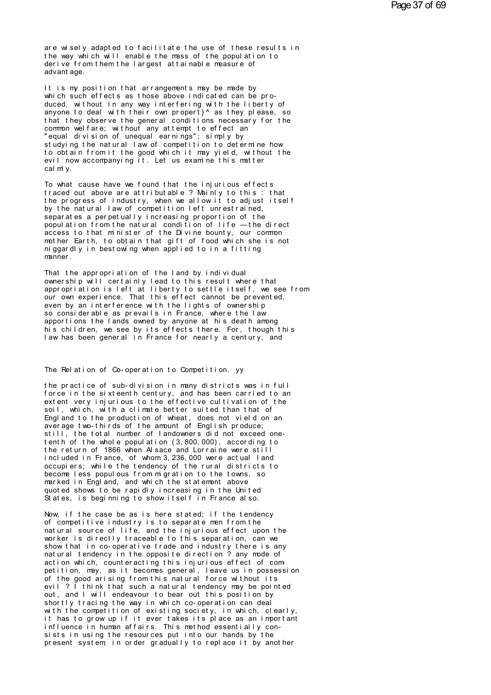are wisely adapted to facilitate the use of these results in<br>the way which will enable the mass of the population to<br>derive from them the largest attainable massure of are wisely adapted to facilitate the use of these results in<br>the way which will enable the mass of the population to<br>derive from them the largest attainable measure of are wisely adapted to facilitate the use of these results in<br>the way which will enable the mass of the population to<br>derive from them the largest attainable measure of<br>advantage. are wisely adapted the way which will experience it and the advantage.<br>advantage.<br>It is my position the I the way which will enable the mass of the population to<br>derive from them the largest attainable measure of<br>advantage.<br>It is my position that arrangements may be made by<br>which such effects as those above indicated can be

the way which will enable the mass of the population to<br>derive from them the largest attainable measure of<br>advantage.<br>It is my position that arrangements may be made by<br>which such effects as those above indicated can be pr advantage.<br>It is my position that arrangements may be made by<br>which such effects as those above indicated can be pro-<br>duced, without in any way interfering with the liberty of<br>anyone to deal with their own propert}^ as the It is my position that arrangements may be made by<br>which such effects as those above indicated can be pro-<br>duced, without in any way interfering with the liberty of<br>anyone to deal with their own propert}^ as they please, s It is my position that arrangements may be made by<br>which such effects as those above indicated can be pro-<br>duced, without in any way interfering with the liberty of<br>anyone to deal with their own propert}^ as they please, s which such effects as those above indicated can be produced, without in any way interfering with the liberty of anyone to deal with their own propert}^ as they please, s<br>that they observe the general conditions necessary f duced, without in any way interfering with the liberty of<br>anyone to deal with their own propert}^ as they please, so<br>that they observe the general conditions necessary for the<br>common welfare; without any attempt to effect anyone to deal with their own propert}^ as they please, so<br>that they observe the general conditions necessary for the<br>common welfare; without any attempt to effect an<br>"equal division of unequal earnings"; simply by<br>studyin that they observe the general conditions necessary for the<br>common welfare; without any attempt to effect an<br>"equal division of unequal earnings"; simply by<br>studying the natural law of competition to determine how<br>to obtain "equal division of unequal earnings"; simply by<br>studying the natural law of competition to determine how<br>to obtain from it the good which it may yield, without the<br>evil now accompanying it. Let us examine this matter<br>calml studying the natural law of competition to determine how<br>to obtain from it the good which it may yield, without the<br>evil now accompanying it. Let us examine this matter<br>calmly.<br>To what cause have we found that the injuriou

to obtain from it the good which it may yield, without the<br>evil now accompanying it. Let us examine this matter<br>calmly.<br>To what cause have we found that the injurious effects<br>traced out above are attributable ? Mainly to t evil now accompanying it. Let us examine this matter<br>realmly.<br>To what cause have we found that the injurious effects<br>traced out above are attributable ? Mainly to this : that<br>the progress of industry, when we allow it to a calmiy.<br>To what cause have we found that the injurious effects<br>traced out above are attributable ? Mainly to this : that<br>the progress of industry, when we allow it to adjust itself<br>by the natural law of competition left un To what cause have we found that the injurious effects<br>traced out above are attributable ? Mainly to this : that<br>the progress of industry, when we allow it to adjust itself<br>by the natural law of competition left unrestrain To what cause have we found that the injurious effects<br>traced out above are attributable ? Mainly to this : that<br>the progress of industry, when we allow it to adjust itself<br>by the natural law of competition left unrestrain traced out above are attributable ? Mainly to this : that<br>the progress of industry, when we allow it to adjust itself<br>by the natural law of competition left unrestrained,<br>separates a perpetually increasing proportion of th the progress of industry, when we allow it to adjust itself<br>by the natural law of competition left unrestrained,<br>separates a perpetually increasing proportion of the<br>population from the natural condition of life — the dire by the natural law of competition left unrestrained,<br>separates a perpetually increasing proportion of the<br>population from the natural condition of life — the direct<br>access to that minister of the Divine bounty, our common<br> separates a perpetua<br>population from the<br>access to that minis<br>mother Earth, to obt<br>niggardly in bestowi<br>manner.<br>That the appropriati mother Earth, to obtain that gift of food which she is not niggardly in bestowing when applied to in a fitting<br>manner.<br>That the appropriation of the land by individual<br>ownership will certainly lead to this result where tha

mother Earth, to obtain that gift of food which she is not<br>niggardly in bestowing when applied to in a fitting<br>manner.<br>That the appropriation of the land by individual<br>commership will certainly lead to this result where th miggardly in bestowing when applied to in a fitting<br>manner.<br>That the appropriation of the land by individual<br>ownership will certainly lead to this result where that<br>appropriation is left at liberty to settle itself, we see manner.<br>That the appropriation of the land by individual<br>ownership will certainly lead to this result where that<br>appropriation is left at liberty to settle itself, we see from<br>our own experience. That this effect cannot be That the appropriation of the land by individual<br>ownership will certainly lead to this result where that<br>appropriation is left at liberty to settle itself, we see from<br>our own experience. That this effect cannot be prevent That the appropriation of the land by individual<br>ownership will certainly lead to this result where that<br>appropriation is left at liberty to settle itself, we see from<br>our own experience. That this effect cannot be prevent owner ship will certainly lead to this result where that<br>appropriation is left at liberty to settle itself, we see from<br>our own experience. That this effect cannot be prevented,<br>even by an interference with the lights of o appropriation is left at liberty to settle itself, we see from<br>our own experience. That this effect cannot be prevented,<br>even by an interference with the lights of ownership<br>so considerable as prevails in France, where the our own experience. That this effect cannot be prevented,<br>even by an interference with the lights of ownership<br>so considerable as prevails in France, where the law<br>apportions the lands owned by anyone at his death among<br>hi I aw has been general in France for nearly a century, and<br>The Relation of Co-operation to Competition. yy

the practice of sub-division in many districts was in full force in the sixteenth century, and has been carried to an The Relation of Co-operation to Competition. yy<br>the practice of sub-division in many districts was in full<br>force in the sixteenth century, and has been carried to an<br>extent very injurious to the effective cultivation of th The Relation of Co-operation to Competition. yy<br>the practice of sub-division in many districts was in full<br>force in the sixteenth century, and has been carried to an<br>extent very injurious to the effective cultivation of th The Relation of Co-operation to Competition. yy<br>the practice of sub-division in many districts was in full<br>force in the sixteenth century, and has been carried to an<br>extent very injurious to the effective cultivation of th the practice of sub-division in many districts was in full<br>force in the sixteenth century, and has been carried to an<br>extent very injurious to the effective cultivation of the<br>soil, which, with a climate better suited than the practice of sub-division in many districts was in full<br>force in the sixteenth century, and has been carried to an<br>extent very injurious to the effective cultivation of the<br>soil, which, with a climate better suited than force in the sixteenth century, and has been carried to an extent very injurious to the effective cultivation of the soil, which, with a climate better suited than that of England to the production of wheat, does not vield extent very injurious to the effective cultivation of the<br>soil, which, with a climate better suited than that of<br>England to the production of wheat, does not vield on an<br>average two-thirds of the amount of English produce; soil, which, with a climate better suited than that of<br>England to the production of wheat, does not vield on an<br>average two-thirds of the amount of English produce;<br>still, the total number of landowners did not exceed one-England to the production of wheat, does not vield on an<br>average two-thirds of the amount of English produce;<br>still, the total number of landowners did not exceed one-<br>tenth of the whole population (3,800,000), according t still, the total number of landowners did not exceed one-<br>tenth of the whole population (3,800,000), according to<br>the return of 1866 when Alsace and Lorraine were still<br>included in France, of whom 3,236,000 were actual lan still, the total number of landowners did not exceed one-<br>tenth of the whole population (3,800,000), according to<br>the return of 1866 when Alsace and Lorraine were still<br>included in France, of whom 3,236,000 were actual lan tenth of the whole population (3,800,000), according to<br>the return of 1866 when Alsace and Lorraine were still<br>included in France, of whom 3,236,000 were actual land<br>occupiers; while the tendency of the rural districts to<br> the return of 1866 when Alsace and Lorraine were still<br>included in France, of whom 3,236,000 were actual land<br>occupiers; while the tendency of the rural districts to<br>become less populous from migration to the towns, so<br>mar included in France, of whom 3,236,000 were actual land<br>occupiers; while the tendency of the rural districts to<br>become less populous from migration to the towns, so.<br>marked in England, and which the statement above<br>quoted s marked in England, and which the statement above<br>quoted shows to be rapidly increasing in the United<br>States, is beginning to show itself in France also.<br>Now, if the case be as is here stated; if the tendency<br>of competitive

marked in England, and which the statement above<br>quoted shows to be rapidly increasing in the United<br>States, is beginning to show itself in France also.<br>Now, if the case be as is here stated; if the tendency<br>of competitive quoted shows to be rapidly increasing in the United<br>States, is beginning to show itself in France also.<br>Now, if the case be as is here stated; if the tendency<br>of competitive industry is to separate men from the<br>natural sou States, is beginning to show itself in France also.<br>Now, if the case be as is here stated; if the tendency<br>of competitive industry is to separate men from the<br>natural source of life, and the injurious effect upon the<br>worke Now, if the case be as is here stated; if the tendency<br>of competitive industry is to separate men from the<br>natural source of life, and the injurious effect upon the<br>worker is directly traceable to this separation, can we<br>s Now, if the case be as is here stated; if the tendency<br>of competitive industry is to separate men from the<br>natural source of life, and the injurious effect upon the<br>worker is directly traceable to this separation, can we<br>s of competitive industry is to separate men from the<br>natural source of life, and the injurious effect upon the<br>worker is directly traceable to this separation, can we<br>show that in co-operative trade and industry there is an worker is directly traceable to this separation, can we<br>show that in co-operative trade and industry there is any<br>natural tendency in the opposite direction ? any mode of<br>action which, counteracting this injurious effect o show that in co-operative trade and industry there is any<br>natural tendency in the opposite direction ? any mode of<br>action which, counteracting this injurious effect of com-<br>petition, may, as it becomes general, leave us in natural tendency in the opposite direction ? any mode of<br>action which, counteracting this injurious effect of com-<br>petition, may, as it becomes general, leave us in possession<br>of the good arising from this natural force wi action which, counteracting this injurious effect of com-<br>petition, may, as it becomes general, leave us in possess<br>of the good arising from this natural force without its<br>evil ? I think that such a natural tendency may be petition, may, as it becomes general, leave us in possession<br>of the good arising from this natural force without its<br>evil ? I think that such a natural tendency may be pointed<br>out, and I will endeavour to bear out this pos of the good arising from this natural force without its<br>evil ? I think that such a natural tendency may be pointed<br>out, and I will endeavour to bear out this position by<br>shortly tracing the way in which co-operation can de evil ? I think that such a natural tendency may be pointed<br>out, and I will endeavour to bear out this position by<br>shortly tracing the way in which co-operation can deal<br>with the competition of existing society, in which, c shortly tracing the way in which co-operation can deal<br>with the competition of existing society, in which, clearly,<br>it has to grow up if it ever takes its place as an important<br>influence in human affairs. This method essen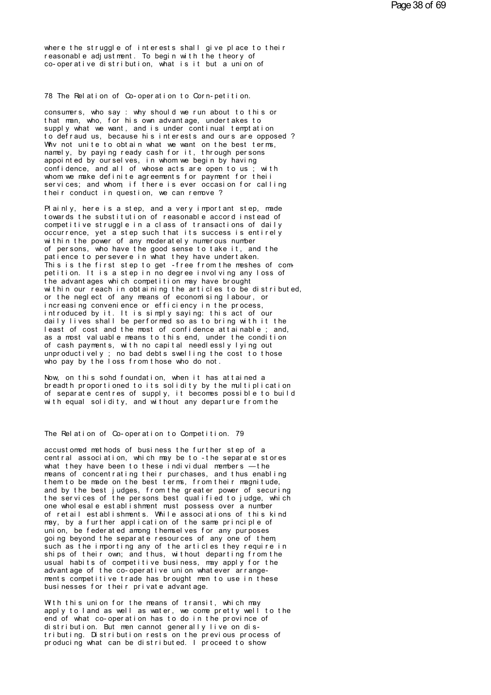where the struggle of interests shall give place to their<br>reasonable adjustment. To begin with the theory of<br>co-operative distribution, what is it but a union of where the struggle of interests shall give place to their<br>reasonable adjustment. To begin with the theory of<br>co-operative distribution, what is it but a union of where the struggle of interests shall give place to their<br>reasonable adjustment. To begin with the theory of<br>co-operative distribution, what is it but a union of reasonable adjustment. To begin with the theory of<br>co-operative distribution, what is it but a union of<br>78 The Relation of Co-operation to Corn-petition.

The Relation of Co-operation to Corn-petition.<br>consumers, who say : why should we run about to this or<br>that man, who, for his own advantage, undertakes to<br>sunnly what we went and is under continual terminion The Relation of Co-operation to Corn-petition.<br>consumers, who say : why should we run about to this or<br>that man, who, for his own advantage, undertakes to<br>supply what we want, and is under continual temptation<br>to defraud u 78 The Relation of Co-operation to Corn-petition.<br>consumers, who say : why should we run about to this or<br>that man, who, for his own advantage, undertakes to<br>supply what we want, and is under continual temptation<br>why not u The Relation of Co-operation to Corn-petition.<br>
consumers, who say : why should we run about to this or<br>
that man, who, for his own advantage, undertakes to<br>
supply what we want, and is under continual temptation<br>
to defra consumers, who say : why should we run about to this or<br>that man, who, for his own advantage, undertakes to<br>supply what we want, and is under continual temptation<br>to defraud us, because his interests and ours are opposed ? consumers, who say: why should we run about to this or<br>that man, who, for his own advantage, undertakes to<br>supply what we want, and is under continual temptation<br>to defraud us, because his interests and ours are opposed?<br>W that man, who, for his own advantage, undertakes to<br>supply what we want, and is under continual temptation<br>to defraud us, because his interests and ours are opposed?<br>Why not unite to obtain what we want on the best terms,<br> supply what we want, and is under continual temptation<br>to defraud us, because his interests and ours are opposed?<br>Why not unite to obtain what we want on the best terms,<br>namely, by paying ready cash for it, through persons to defraud us, because his interests and ours are opposed?<br>Why not unite to obtain what we want on the best terms,<br>namely, by paying ready cash for it, through persons<br>appointed by ourselves, in whom we begin by having<br>con Why not unite to obtain what we want on the best terms,<br>namely, by paying ready cash for it, through persons<br>appointed by ourselves, in whom we begin by having<br>confidence, and all of whose acts are open to us; with<br>whom we namely, by paying ready cash for it, through perseppointed by ourselves, in whom we begin by having confidence, and all of whose acts are open to us whom we make definite agreements for payment for services; and whom, if t confidence, and all of whose acts are open to us; with<br>whom we make definite agreements for payment for theii<br>services; and whom, if there is ever occasion for calling<br>their conduct in question, we can remove?<br>Plainly, her

whom we make definite agreements for payment for their<br>services; and whom, if there is ever occasion for calling<br>their conduct in question, we can remove ?<br>Plainly, here is a step, and a very important step, made<br>towards t services; and whom, if there is ever occasion for calling<br>their conduct in question, we can remove?<br>Plainly, here is a step, and a very important step, made<br>towards the substitution of reasonable accord instead of<br>competit their conduct in question, we can remove?<br>Plainly, here is a step, and a very important step, made<br>towards the substitution of reasonable accord instead of<br>competitive struggle in a class of transactions of daily<br>occurrenc Plainly, here is a step, and a very important step, matowards the substitution of reasonable accord instead<br>competitive struggle in a class of transactions of dai<br>occurrence, yet a step such that its success is entire<br>with Plainly, here is a step, and a very important step, made<br>towards the substitution of reasonable accord instead of<br>competitive struggle in a class of transactions of daily<br>occurrence, yet a step such that its success is ent towards the substitution of reasonable accord instead of<br>competitive struggle in a class of transactions of daily<br>occurrence, yet a step such that its success is entirely<br>within the power of any moderately numerous number<br> competitive struggle in a class of transactions of daily<br>occurrence, yet a step such that its success is entirely<br>within the power of any moderately numerous number<br>of persons, who have the good sense to take it, and the<br>p within the power of any moderately numerous number<br>of persons, who have the good sense to take it, and the<br>patience to persevere in what they have undertaken.<br>This is the first step to get -free from the meshes of com<br>peti of persons, who have the good sense to take it, and the<br>patience to persevere in what they have undertaken.<br>This is the first step to get - free from the meshes of com-<br>petition. It is a step in no degree involving any los patience to persevere in what they have undertaken.<br>This is the first step to get -free from the meshes of com-<br>petition. It is a step in no degree involving any loss of<br>the advantages which competition may have brought<br>wi This is the first step to get - free from the meshes of competition. It is a step in no degree involving any loss of<br>the advantages which competition may have brought<br>within our reach in obtaining the articles to be distri petition. It is a step in no degree involving any loss of<br>the advantages which competition may have brought<br>within our reach in obtaining the articles to be distributed,<br>or the neglect of any means of economising labour, o the advantages which competition may have brought<br>within our reach in obtaining the articles to be distributed,<br>or the neglect of any means of economising labour, or<br>increasing convenience or efficiency in the process,<br>int within our reach in obtaining the articles to be distributed,<br>or the neglect of any means of economising labour, or<br>increasing convenience or efficiency in the process,<br>introduced by it. It is simply saying: this act of ou or the neglect of any means of economising labour, or<br>increasing convenience or efficiency in the process,<br>introduced by it. It is simply saying: this act of our<br>daily lives shall be performed so as to bring with it the<br>le increasing convenience or efficiency in the process,<br>introduced by it. It is simply saying: this act of our<br>daily lives shall be performed so as to bring with it the<br>least of cost and the most of confidence attainable ; an introduced by it. It is simply saying: this act of our daily lives shall be performed so as to bring with it the least of cost and the most of confidence attainable ; and, as a most valuable means to this end, under the co daily lives shall be performed so as to bring with it t<br>least of cost and the most of confidence attainable ; a<br>as a most valuable means to this end, under the conditi<br>of cash payments, with no capital needlessly lying out as a most valuable means to this end, under the condition<br>of cash payments, with no capital needlessly lying out<br>unproductively ; no bad debts swelling the cost to those<br>who pay by the loss from those who do not.<br>Now, on t

of cash payments, with no capital needlessly lying out<br>unproductively ; no bad debts swelling the cost to those<br>who pay by the loss from those who do not.<br>Now, on this sold foundation, when it has attained a<br>of separate ce unproductively; no bad debts swelling the cost to those<br>who pay by the loss from those who do not.<br>Now, on this sohd foundation, when it has attained a<br>breadth proportioned to its solidity by the multiplication<br>of separate who pay by the loss from those who do not.<br>Now, on this sold foundation, when it has attained a<br>breadth proportioned to its solidity by the multiplication<br>of separate centres of supply, it becomes possible to build<br>with eq of separate centres of supply, it becomes possible to buil<br>with equal solidity, and without any departure from the<br>The Relation of Co-operation to Competition. 79<br>accustomed methods of business the further step of a

The Relation of Co-operation to Competition. 79<br>accustomed methods of business the further step of a<br>central association, which may be to -the separate stores<br>what they have been to these individual members — the The Relation of Co-operation to Competition. 79<br>accustomed methods of business the further step of a<br>central association, which may be to - the separate stores<br>what they have been to these individual members — the<br>manus of The Relation of Co-operation to Competition. 79<br>accustomed methods of business the further step of a<br>central association, which may be to -the separate stores<br>what they have been to these individual members — the<br>memans of The Relation of Co-operation to Competition. 79<br>accustomed methods of business the further step of a<br>central association, which may be to -the separate stores<br>what they have been to these individual members — the<br>means of accustomed methods of business the further step of a<br>central association, which may be to -the separate stores<br>what they have been to these individual members —the<br>means of concentrating their purchases, and thus enabling<br> accustomed methods of business the further step of a<br>central association, which may be to -the separate stores<br>what they have been to these individual members —the<br>means of concentrating their purchases, and thus enabling<br> central association, which may be to -the separate stores<br>what they have been to these individual members —the<br>means of concentrating their purchases, and thus enabling<br>them to be made on the best terms, from their magnitu what they have been to these individual members — the<br>means of concentrating their purchases, and thus enabling<br>them to be made on the best terms, from their magnitude,<br>and by the best judges, from the greater power of sec means of concentrating their purchases, and thus enabling<br>them to be made on the best terms, from their magnitude,<br>and by the best judges, from the greater power of securing<br>the services of the persons best qualified to ju them to be made on the best terms, from their magnitude,<br>and by the best judges, from the greater power of securing<br>the services of the persons best qualified to judge, which<br>one wholesale establishment must possess over a the services of the persons best qualified to judge, which<br>one wholesale establishment must possess over a number<br>of retail establishments. While associations of this kind<br>may, by a further application of the same principl may, by a further application of the same principle of one wholesale establishment must possess over a number<br>of retail establishments. While associations of this kind<br>may, by a further application of the same principle of<br>union, be federated among themselves for any purposes<br> of retail establishments. While associations of this kind<br>may, by a further application of the same principle of<br>union, be federated among themselves for any purposes<br>going beyond the separate resources of any one of them<br> may, by a further application of the same principle of<br>union, be federated among themselves for any purposes<br>going beyond the separate resources of any one of them<br>such as the importing any of the articles they require in<br> union, be federated among themselves for any purposes<br>going beyond the separate resources of any one of them,<br>such as the importing any of the articles they require in<br>ships of their own; and thus, without departing from t such as the importing any of the articles they reships of their own; and thus, without departing fusual habits of competitive business, may apply fadvant age of the co-operative union whatever arraments competitive trade h usual habits of competitive business, may apply for the<br>advantage of the co-operative union whatever arrange-<br>ments competitive trade has brought men to use in these<br>businesses for their private advantage.<br>With this union

advantage of the co-operative union whatever arrangements competitive trade has brought men to use in these<br>businesses for their private advantage.<br>With this union for the means of transit, which may<br>apply to land as well ments competitive trade has brought men to use in these<br>businesses for their private advantage.<br>With this union for the means of transit, which may<br>apply to land as well as water, we come pretty well to the<br>end of what cobusinesses for their private advantage.<br>With this union for the means of transit, which may<br>apply to land as well as water, we come pretty well to the<br>end of what co-operation has to do in the province of<br>distribution. But With this union for the means of transit, which may apply to land as well as water, we come pretty well to the end of what co-operation has to do in the province of distribution. But men cannot generally live on distributi With this union for the means of transit, which may<br>apply to land as well as water, we come pretty well to the<br>end of what co-operation has to do in the province of<br>distribution. But men cannot generally live on dis-<br>tribu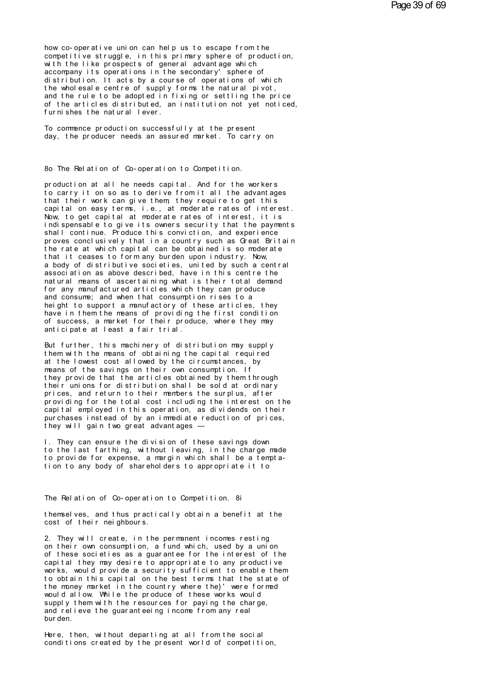how co- operative union can help us to escape from the<br>competitive struggle, in this primary sphere of production,<br>with the like prospects of general advantage which how co-operative union can help us to escape from the<br>competitive struggle, in this primary sphere of production,<br>with the like prospects of general advantage which<br>accompany its operations in the secondary' sphere of how co-operative union can help us to escape from the<br>competitive struggle, in this primary sphere of production,<br>accompany its operations in the secondary' sphere of<br>distribution, It acts by a course of operations of whic how co-operative union can help us to escape from the competitive struggle, in this primary sphere of production,<br>with the like prospects of general advantage which<br>accompany its operations in the secondary' sphere of<br>dist how co-operative union can help us to escape from the<br>competitive struggle, in this primary sphere of production,<br>with the like prospects of general advantage which<br>accompany its operations in the secondary' sphere of<br>dist how co-operative union can help us to escape from the<br>competitive struggle, in this primary sphere of production,<br>with the like prospects of general advantage which<br>accompany its operations in the secondary' sphere of<br>dist competitive struggle, in this primary sphere of production,<br>with the like prospects of general advantage which<br>accompany its operations in the secondary' sphere of<br>distribution. It acts by a course of operations of which<br>t with the like prospects of general advantage which<br>accompany its operations in the secondary' sphere of<br>distribution. It acts by a course of operations of which<br>the wholesale centre of supply forms the natural pivot,<br>and t accompany its operations in the secondary<br>distribution. It acts by a course of oper<br>the wholesale centre of supply forms the<br>and the rule to be adopted in fixing or s<br>of the articles distributed, an instituti<br>furnishes the the wholesale centre of supply forms the natural pivot,<br>and the rule to be adopted in fixing or settling the price<br>of the articles distributed, an institution not yet noticed<br>furnishes the natural lever.<br>To commence produc and the rule to be adopted in fixing or settling the price<br>of the articles distributed, an institution not yet noticed,<br>furnishes the natural lever.<br>To commence production successfully at the present<br>day, the producer need

To commence production successfully at the present day, the producer needs an assured market. To carry on<br>8o The Relation of Co-operation to Competition.

8o The Relation of Co-operation to Competition.<br>production at all he needs capital. And for the workers<br>to carry it on so as to derive from it all the advantages<br>that their work cap give them, they require to get this Sto The Relation of Co-operation to Competition.<br>production at all he needs capital. And for the workers<br>to carry it on so as to derive from it all the advantages<br>that their work can give them, they require to get this<br>cap Sto The Relation of Co-operation to Competition.<br>production at all he needs capital. And for the workers<br>to carry it on so as to derive from it all the advantages<br>that their work can give them, they require to get this<br>cap 8o The Relation of Co-operation to Competition.<br>production at all he needs capital. And for the workers<br>to carry it on so as to derive from it all the advantages<br>that their work can give them, they require to get this<br>capi production at all he needs capital. And for the workers<br>to carry it on so as to derive from it all the advantages<br>that their work can give them they require to get this<br>capital on easy terms, i.e., at moderate rates of int production at all he needs capital. And for the workers<br>to carry it on so as to derive from it all the advantages<br>that their work can give them, they require to get this<br>capital on easy terms, i.e., at moderate rates of in that their work can give them, they require to get this capital on easy terms, i.e., at moderate rates of interest.<br>Now, to get capital at moderate rates of interest, it is indispensable to give its owners security that th that their work can give them, they require to get this<br>capital on easy terms, i.e., at moderate rates of interest.<br>Now, to get capital at moderate rates of interest, it is<br>indispensable to give its owners security that th capital on easy terms, i.e., at moderate rates of interest.<br>Now, to get capital at moderate rates of interest, it is<br>indispensable to give its owners security that the payments<br>shall continue. Produce this conviction, and indispensable to give its owners security that the payments<br>shall continue. Produce this conviction, and experience<br>proves conclusively that in a country such as Great Britain<br>the rate at which capital can be obtained is s a body of distributive societies, united by such a central shall continue. Produce this conviction, and experience<br>proves conclusively that in a country such as Great Britain<br>the rate at which capital can be obtained is so moderate<br>that it ceases to form any burden upon industry. proves conclusively that in a country such as Great Britain<br>the rate at which capital can be obtained is so moderate<br>that it ceases to form any burden upon industry. Now,<br>a body of distributive societies, united by such a fhe rate at which capital can be obtained is so moderate<br>that it ceases to form any burden upon industry. Now,<br>a body of distributive societies, united by such a central<br>association as above described, have in this centre that it ceases to form any burden upon industry. Now,<br>a body of distributive societies, united by such a central<br>association as above described, have in this centre the<br>natural means of ascertaining what is their total dem a body of distributive societies, united by such a central<br>association as above described, have in this centre the<br>natural means of ascertaining what is their total demand<br>for any manufactured articles which they can produ association as above described, have in this centre the<br>natural means of ascertaining what is their total demand<br>for any manufactured articles which they can produce<br>and consume; and when that consumption rises to a<br>height natural means of ascertaining what is their total demand<br>for any manufactured articles which they can produce<br>and consume; and when that consumption rises to a<br>height to support a manufactory of these articles, they<br>have i for any manufactured articles which they can pand consume; and when that consumption rises theight to support a manufactory of these artic have in them the means of providing the first of success, a market for their produc height to support a manufactory of these articles, they<br>have in them the means of providing the first condition<br>of success, a market for their produce, where they may<br>anticipate at least a fair trial.<br>But further, this mac

have in them the means of providing the first condition<br>of success, a market for their produce, where they may<br>anticipate at least a fair trial.<br>But further, this machinery of distribution may supply<br>them with the means of of success, a market for their produce, where they may<br>anticipate at least a fair trial.<br>But further, this machinery of distribution may supply<br>them with the means of obtaining the capital required<br>at the lowest cost allow anticipate at least a fair trial.<br>But further, this machinery of distribution may supply<br>them with the means of obtaining the capital required<br>at the lowest cost allowed by the circumstances, by<br>means of the savings on the But further, this machinery of distribution may supply<br>them with the means of obtaining the capital required<br>at the lowest cost allowed by the circumstances, by<br>means of the savings on their own consumption. If<br>they provid But further, this machinery of distribution may supply<br>them with the means of obtaining the capital required<br>at the lowest cost allowed by the circumstances, by<br>means of the savings on their own consumption. If<br>they provid them with the means of obtaining the capital required<br>at the lowest cost allowed by the circumstances, by<br>means of the savings on their own consumption. If<br>they provide that the articles obtained by them through<br>their unio at the lowest cost allowed by the circumstances, by<br>means of the savings on their own consumption. If<br>they provide that the articles obtained by them through<br>their unions for distribution shall be sold at ordinary<br>prices, means of the savings on their own consumption. If<br>they provide that the articles obtained by them through<br>their unions for distribution shall be sold at ordinary<br>prices, and return to their members the surplus, after<br>provi they provide that the articles obtained by them through<br>their unions for distribution shall be sold at ordinary<br>prices, and return to their members the surplus, after<br>providing for the total cost including the interest on their unions for distribution shall be sold at ord<br>prices, and return to their members the surplus, a<br>providing for the total cost including the interes<br>capital employed in this operation, as dividends o<br>purchases instead providing for the total cost including the interest on the<br>capital employed in this operation, as dividends on their<br>purchases instead of by an immediate reduction of prices,<br>they will gain two great advantages —<br>I. They c

capital employed in this operation, as dividends on their<br>purchases instead of by an immediate reduction of prices,<br>they will gain two great advantages —<br>1. They can ensure the division of these savings down<br>to the last fa purchases instead of by an immediate reduction of prices,<br>they will gain two great advantages —<br>I. They can ensure the division of these savings down<br>to the last farthing, without leaving, in the charge made<br>to provide for they will gain two great advantages —<br>I. They can ensure the division of these savings down<br>to the last farthing, without leaving, in the charge made<br>to provide for expense, a margin which shall be a tempta-<br>tion to any bo to provide for expense, a margin which shall be a temptation to any body of shareholders to appropriate it to.<br>The Relation of Co-operation to Competition. 8i<br>themselves, and thus practically obtain a benefit at the

The Relation of Co-operation to Competition. 8i<br>themselves, and thus practically obtain a benefit at the<br>cost of their neighbours. The Relation of Co-operation to Competition. 8<br>themselves, and thus practically obtain a benef<br>cost of their neighbours.

The Relation of Co-operation to Competition. 8i<br>themselves, and thus practically obtain a benefit at the<br>cost of their neighbours.<br>2. They will create, in the permanent incomes resting<br>on their own consumption, a fund whic themselves, and thus practically obtain a benefit at the<br>cost of their neighbours.<br>2. They will create, in the permanent incomes resting<br>on their own consumption, a fund which, used by a union<br>of these societies as a guara themselves, and thus practically obtain a benefit at the<br>cost of their neighbours.<br>2. They will create, in the permanent incomes resting<br>on their own consumption, a fund which, used by a union<br>of these societies as a guara cost of their neighbours.<br>2. They will create, in the permanent incomes resting<br>on their own consumption, a fund which, used by a union<br>of these societies as a guarantee for the interest of the<br>capital they may desire to a 2. They will create, in the permanent incomes resting<br>on their own consumption, a fund which, used by a union<br>of these societies as a guarantee for the interest of the<br>capital they may desire to appropriate to any producti 2. They will create, in the permanent incomes resting<br>on their own consumption, a fund which, used by a union<br>of these societies as a guarantee for the interest of the<br>capital they may desire to appropriate to any producti on their own consumption, a fund which, used by a union<br>of these societies as a guarantee for the interest of the<br>capital they may desire to appropriate to any productive<br>works, would provide a security sufficient to enabl of these societies as a guarantee for the interest of the<br>capital they may desire to appropriate to any productive<br>works, would provide a security sufficient to enable them<br>to obtain this capital on the best terms that the capital they may desire to appropriate to any productive<br>works, would provide a security sufficient to enable them<br>to obtain this capital on the best terms that the state of<br>the money market in the country where the}' were works, would provide a security sufficient to enable them<br>to obtain this capital on the best terms that the state of<br>the money market in the country where the}' were formed<br>would allow. While the produce of these works wou to obtain this can<br>the money market<br>would allow. Whil<br>supply them with<br>and relieve the g<br>burden.<br>Here then with would allow. While the produce of these works would<br>supply them with the resources for paying the charge,<br>and relieve the guaranteeing income from any real<br>burden.<br>Here, then, without departing at all from the social<br>condi and relieve the guaranteeing income from any real<br>burden.<br>Here, then, without departing at all from the social<br>conditions created by the present world of competition,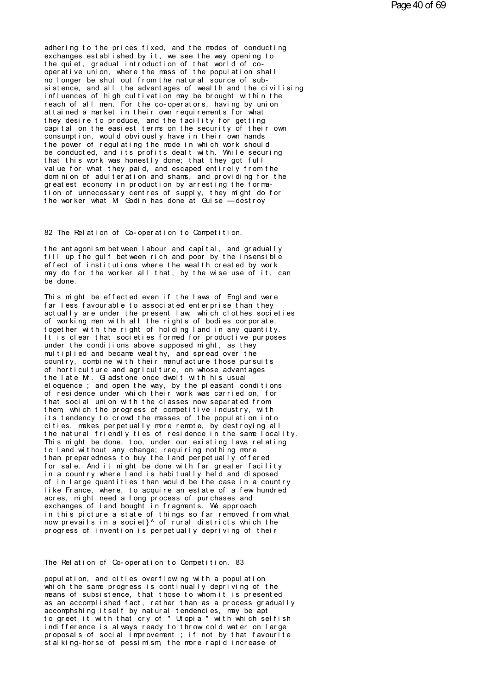adhering to the prices fixed, and the modes of conducting<br>exchanges established by it, we see the way opening to the quiet, gradual introduction of that world of cooperative union, where the mass of the population shall no longer be shut out from the natural source of subsistence, and all the advantages of wealth and the civilising influences of high cultivation may be brought within the reach of all men. For the co-operators, having by union attained a market in their own requirements for what they desire to produce, and the facility for getting capital on the easiest terms on the security of their own consumption, would obviously have in their own hands the power of regulating the mode in which work should be conducted, and its profits dealt with. While securing that this work was honestly done; that they got full value for what they paid, and escaped entirely from the dominion of adulteration and shams, and providing for the greatest economy in production by arresting the formation of unnecessary centres of supply, they might do for<br>the worker what M Godin has done at Guise —destroy

82 The Relation of Co-operation to Competition.

the antagonism between I abour and capital, and gradually fill up the gulf between rich and poor by the insensible effect of institutions where the wealth created by work may do for the worker all that, by the wise use of it, can  $he'$  done.

This might be effected even if the laws of England were far less favourable to associated enterprise than they actually are under the present law, which clothes societies of working men with all the rights of bodies corporate, together with the right of holding land in any quantity. It is clear that societies formed for productive purposes under the conditions above supposed might, as they multiplied and became wealthy, and spread over the country, combine with their manufacture those pursuits of horticulture and agriculture, on whose advantages the late M. G adstone once dwelt with his usual el oquence; and open the way, by the pleasant conditions of residence under which their work was carried on, for that social union with the classes now separated from them, which the progress of competitive industry, with its tendency to crowd the masses of the population into cities, makes perpetually more remote, by destroying all the natural friendly ties of residence in the same locality. This might be done, too, under our existing laws relating to I and without any change; requiring nothing more than preparedness to buy the land perpetually offered for sale. And it might be done with far greater facility in a country where land is habitually held and disposed of in large quantities than would be the case in a country like France, where, to acquire an estate of a few hundred acres, might need a long process of purchases and exchanges of land bought in fragments. We approach in this picture a state of things so far removed from what now prevails in a societ}^ of rural districts which the progress of invention is perpetually depriving of their

The Relation of Co-operation to Competition. 83

population, and cities overflowing with a population which the same progress is continually depriving of the means of subsistence, that those to whom it is presented as an accomplished fact, rather than as a process gradually accomphshing itself by natural tendencies, may be apt<br>to greet it with that cry of "Utopia " with which selfish indifference is always ready to throw cold water on large proposals of social improvement ; if not by that favourite stal king-horse of pessimism, the more rapid increase of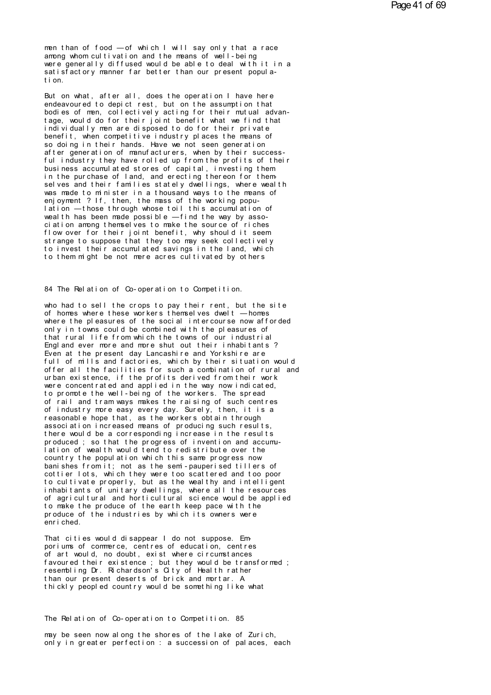men than of food — of which I will say only that a race<br>among whom cultivation and the means of well-being<br>were generally diffused would be able to deal with it in a men than of food — of which I will say only that a race<br>among whom cultivation and the means of well-being<br>were generally diffused would be able to deal with it in a<br>satisfactory manner far better than our present popula. men than of food — of which I will say only that a race<br>among whom cultivation and the means of well-being<br>were generally diffused would be able to deal with it in a<br>satisfactory manner far better than our present populamen than of food — of which I will say only that a race<br>among whom cultivation and the means of well-being<br>were generally diffused would be able to deal with it in a<br>satisfactory manner far better than our present popula-<br> men than of food<br>among whom cultivere generally dividend<br>satisfactory man<br>tion.<br>But on what aft among whom cultivation and the means of well-being<br>were generally diffused would be able to deal with it in a<br>satisfactory manner far better than our present popula-<br>tion.<br>But on what, after all, does the operation I have

were generally diffused would be able to deal with it in a<br>satisfactory manner far better than our present popula-<br>tion.<br>But on what, after all, does the operation I have here<br>endeavoured to depict rest, but on the assumpt satisfactory manner far better than our present population.<br>But on what, after all, does the operation I have here<br>endeavoured to depict rest, but on the assumption that<br>bodies of men, collectively acting for their mutual tion.<br>But on what, after all, does the operation I have here<br>endeavoured to depict rest, but on the assumption that<br>bodies of men, collectively acting for their mutual advan-<br>tage, would do for their joint benefit what we But on what, after all, does the operation I have here endeavoured to depict rest, but on the assumption that bodies of men, collectively acting for their mutual advantage, would do for their joint benefit what we find tha But on what, after all, does the operation I have here endeavoured to depict rest, but on the assumption that bodies of men, collectively acting for their mutual advantage, would do for their joint benefit what we find tha endeavoured to depict rest, but on the assumption that<br>bodies of men, collectively acting for their mutual advan-<br>tage, would do for their joint benefit what we find that<br>individually men are disposed to do for their priva boodies of men, collectively acting for their mutual advantage, would do for their joint benefit what we find that<br>individually men are disposed to do for their private<br>benefit, when competitive industry places the means o fage, would do for their joint benefit what we find that<br>individually men are disposed to do for their private<br>benefit, when competitive industry places the means of<br>so doing in their hands. Have we not seen generation<br>aft individually men are disposed to do for their private<br>benefit, when competitive industry places the means of<br>so doing in their hands. Have we not seen generation<br>after generation of manufacturers, when by their success-<br>fu benefit, when competitive industry places the means of<br>so doing in their hands. Have we not seen generation<br>after generation of manufacturers, when by their success-<br>ful industry they have rolled up from the profits of the after generation of manufacturers, when by their success-<br>ful industry they have rolled up from the profits of their<br>business accumulated stores of capital, investing them<br>in the purchase of land, and erecting thereon for ful industry they have rolled up from the profits of theidosiness accumulated stores of capital, investing them<br>in the purchase of land, and erecting thereon for them-<br>selves and their families stately dwellings, where wea business accumulated stores of capital, investing them<br>in the purchase of land, and erecting thereon for them-<br>selves and their families stately dwellings, where wealth<br>was made to minister in a thousand ways to the means in the purchase of land, and erecting thereon for themselves and their families stately dwellings, where wealth was made to minister in a thousand ways to the means of enjoyment ? If, then, the mass of the working populati was made to minister in a thousand ways to the means of<br>enjoyment ? If, then, the mass of the working popu-<br>lation — those through whose toil this accumulation of<br>wealth has been made possible — find the way by asso-<br>ciati enjoyment ? If, then, the mass of the working population — those through whose toil this accumulation of wealth has been made possible — find the way by association among themselves to make the source of riches flow over f lation — those through whose toil this accumulation of<br>wealth has been made possible — find the way by asso-<br>ciation among themselves to make the source of riches<br>flow over for their joint benefit, why should it seem<br>stran wealth has been made possible — find the way by association among themselves to make the source of riches flow over for their joint benefit, why should it seem strange to suppose that they too may seek collectively to inve to them might be not mere acres cultivated by others<br>84 The Relation of Co-operation to Competition.

84 The Relation of Co-operation to Competition.<br>who had to sell the crops to pay their rent, but the site<br>of homes where these workers themselves dwelt — homes<br>where the pleasures of the social intercourse now afforded 84 The Relation of Co-operation to Competition.<br>who had to sell the crops to pay their rent, but the site<br>of homes where these workers themselves dwelt — homes<br>where the pleasures of the social intercourse now afforded<br>onl 84 The Relation of Co-operation to Competition.<br>who had to sell the crops to pay their rent, but the site<br>of homes where these workers themselves dwelt — homes<br>where the pleasures of the social intercourse now afforded<br>onl 84 The Relation of Co-operation to Competition.<br>who had to sell the crops to pay their rent, but the site<br>of homes where these workers themselves dwelt — homes<br>where the pleasures of the social intercourse now afforded<br>onl who had to sell the crops to pay their rent, but the site<br>of homes where these workers themselves dwelt — homes<br>where the pleasures of the social intercourse now afforded<br>only in towns could be combined with the pleasures of homes where these workers themselves dwelt — homes<br>where the pleasures of the social intercourse now afforded<br>only in towns could be combined with the pleasures of<br>that rural life from which the towns of our industrial<br> of homes where these workers themselves dwelt — homes<br>where the pleasures of the social intercourse now afforded<br>only in towns could be combined with the pleasures of<br>that rural life from which the towns of our industrial<br> where the pleasures of the social intercourse now afforded<br>only in towns could be combined with the pleasures of<br>that rural life from which the towns of our industrial<br>England ever more and more shut out their inhabitants? only in towns could be combined with the pleasures of<br>that rural life from which the towns of our industrial<br>England ever more and more shut out their inhabitants?<br>Even at the present day Lancashire and Yorkshire are<br>full that rural life from which the towns of our industrial<br>England ever more and more shut out their inhabitants?<br>Even at the present day Lancashire and Yorkshire are<br>full of mills and factories, which by their situation would England ever more and more shut out their inhabitants?<br>Even at the present day Lancashire and Yorkshire are<br>full of mills and factories, which by their situation would<br>offer all the facilities for such a combination of rur Even at the present day Lancashire and Yorkshire are<br>full of mills and factories, which by their situation would<br>offer all the facilities for such a combination of rural and<br>urban existence, if the profits derived from the full of mills and factories, which by their situation would<br>offer all the facilities for such a combination of rural and<br>urban existence, if the profits derived from their work<br>were concentrated and applied in the way now offer all the facilities for such a combination of rural and<br>urban existence, if the profits derived from their work<br>were concentrated and applied in the way now indicated,<br>to promote the well-being of the workers. The spr urban existence, it the profits derived from their work<br>were concentrated and applied in the way now indicated,<br>to promote the well-being of the workers. The spread<br>of rail and tram ways makes the raising of such centres<br>o were concentrated and applied in the way now indicated,<br>to promote the well-being of the workers. The spread<br>of rail and tram ways makes the raising of such centres<br>of industry more easy every day. Surely, then, it is a<br>re to promote the well-being of the workers. The spread<br>of rail and tram ways makes the raising of such centres<br>of industry more easy every day. Surely, then, it is a<br>reasonable hope that, as the workers obtain through<br>associ of rail and tram ways makes the raising of such centres<br>of industry more easy every day. Surely, then, it is a<br>reasonable hope that, as the workers obtain through<br>association increased means of producing such results,<br>ther of industry more easy every day. Surely, then, it is a<br>reasonable hope that, as the workers obtain through<br>association increased means of producing such results,<br>there would be a corresponding increase in the results<br>produ reasonable hope that, as the workers obtain through<br>association increased means of producing such results,<br>there would be a corresponding increase in the results<br>produced ; so that the progress of invention and accumu-<br>lat association increased means of producing such results,<br>there would be a corresponding increase in the results<br>produced ; so that the progress of invention and accumu-<br>lation of wealth would tend to redistribute over the<br>co there would be a corresponding increase in the results<br>produced; so that the progress of invention and accumu-<br>lation of wealth would tend to redistribute over the<br>country the population which this same progress now<br>banish produced ; so that the progress of invention and accumulation of wealth would tend to redistribute over the country the population which this same progress now banishes from it; not as the semi-pauperised tillers of cottie lation of wealth would tend to redistribute over the<br>country the population which this same progress now<br>banishes from it; not as the semi-pauperised tillers of<br>cottier lots, which they were too scattered and too poor<br>to c country the population which this same progress now<br>banishes from it; not as the semi-pauperised tillers of<br>cottier lots, which they were too scattered and too poor<br>to cultivate properly, but as the wealthy and intelligent banishes from it; not as the semi-pauperised tillers of<br>cottier lots, which they were too scattered and too poor<br>to cultivate properly, but as the wealthy and intelligent<br>inhabitants of unitary dwellings, where all the res cottier lots, which they were too scattered and too poor<br>to cultivate properly, but as the wealthy and intelligent<br>inhabitants of unitary dwellings, where all the resources<br>of agricultural and horticultural science would b inhabitants of unitary dwellings, where all the resources<br>of agricultural and horticultural science would be applied<br>to make the produce of the earth keep pace with the<br>produce of the industries by which its owners were<br>en That ci t ies would disappear I do not suppose. Em-<br>por iums of commerce, centres of education, cent res<br>of art would, no doubt, exist where circumstances

produce of the industries by which its owners were<br>enriched.<br>That cities would disappear I do not suppose. Em-<br>poriums of commerce, centres of education, centres<br>of art would, no doubt, exist where circumstances<br>favoured t enriched.<br>That cities would disappear I do not suppose. Emporiums of commerce, centres of education, centres<br>of art would, no doubt, exist where circumstances<br>favoured their existence ; but they would be transformed ;<br>rese That cities would disappear I do not suppose. Emporiums of commerce, centres of education, centres<br>of art would, no doubt, exist where circumstances<br>favoured their existence ; but they would be transformed ;<br>resembling Dr. That cities would disappear I do not suppose. Emporiums of commerce, centres of education, centres<br>of art would, no doubt, exist where circumstances<br>favoured their existence ; but they would be transformed ;<br>resembling Dr. poriums of commerce, centres of education, centres<br>of art would, no doubt, exist where circumstances<br>favoured their existence ; but they would be transformed ;<br>resembling Dr. Richardson's City of Health rather<br>than our pre than our present deserts of brick and mortar. A<br>thickly peopled country would be something like what<br>The Relation of Co-operation to Competition. 85

The Relation of Co-operation to Competition. 85<br>may be seen now along the shores of the lake of Zurich,<br>only in greater perfection : a succession of palaces, each The Relation of Co-operation to Competition. 85<br>may be seen now along the shores of the lake of Zurich,<br>only in greater perfection : a succession of palaces, each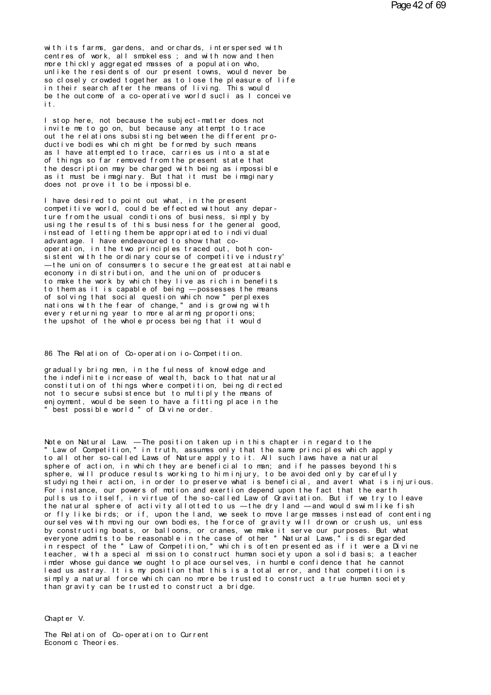with its farms, gardens, and orchards, interspersed with centres of work, all smokeless; and with now and then more thickly aggregated masses of a population who, unlike the residents of our present towns, would never be<br>so closely crowded together as to lose the pleasure of life in their search after the means of living. This would be the outcome of a co-operative world sucli as I conceive it.

I stop here, not because the subject-matter does not invite me to go on, but because any attempt to trace out the relations subsisting between the different product i ve bodies which might be formed by such means as I have attempted to trace, carries us into a state of things so far removed from the present state that the description may be charged with being as impossible as it must be imaginary. But that it must be imaginary does not prove it to be impossible.

I have desired to point out what, in the present competitive world, could be effected without any departure from the usual conditions of business, simply by using the results of this business for the general good. instead of letting them be appropriated to individual advant age. I have endeavoured to show that cooperation, in the two principles traced out, both consistent with the ordinary course of competitive industry' -the union of consumers to secure the greatest attainable economy in distribution, and the union of producers to make the work by which they live as rich in benefits to them as it is capable of being - possesses the means of solving that social question which now " perplexes nations with the fear of change," and is growing with every returning year to more alarming proportions; the upshot of the whole process being that it would

86 The Relation of Co-operation io-Competition.

gradually bring men, in the fulness of knowledge and the indefinite increase of wealth, back to that natural constitution of things where competition, being directed not to secure subsistence but to multiply the means of enjoyment, would be seen to have a fitting place in the " best possible world " of Divine order.

Note on Natural Law. — The position taken up in this chapter in regard to the<br>"Law of Competition," in truth, assumes only that the same principles which apply to all other so-called Laws of Nature apply to it. All such laws have a natural sphere of action, in which they are beneficial to man; and if he passes beyond this sphere, will produce results working to himinjury, to be avoided only by carefully studying their action, in order to preserve what is beneficial, and avert what is injurious. For instance, our powers of motion and exertion depend upon the fact that the earth pulls us to itself, in virtue of the so-called Law of Gravitation. But if we try to leave the natural sphere of activity allotted to us - the dry land - and would swim like fish or fly like birds; or if, upon the land, we seek to move large masses instead of contenting<br>ourselves with moving our own bodies, the force of gravity will drown or crush us, unless by constructing boats, or balloons, or cranes, we make it serve our purposes. But what everyone admits to be reasonable in the case of other "Natural Laws," is disregarded<br>in respect of the "Law of Competition," which is often presented as if it were a Divine<br>teacher, with a special mission to construct huma imder whose guidance we ought to place ourselves, in humble confidence that he cannot lead us astray. It is my position that this is a total error, and that competition is simply a natural force which can no more be trusted to construct a true human society than gravity can be trusted to construct a bridge.

Chapt er V.

The Relation of Co-operation to Current Economic Theories.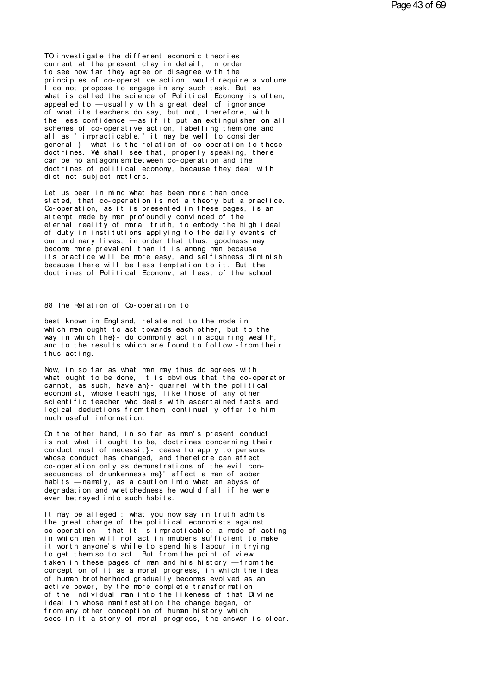TO investigate the different economic theories current at the present clay in detail, in order to see how far they agree or disagree with the principles of co-operative action, would require a volume. I do not propose to engage in any such task. But as what is called the science of Political Economy is often. appeal ed to  $-$ usually with a great deal of ignorance of what its teachers do say, but not, therefore, with<br>the less confidence —as if it put an extinguisher on all<br>schemes of co-operative action, labelling them one and all as " impracticable," it may be well to consider generall}- what is the relation of co-operation to these<br>doctrines. We shall see that, properly speaking, there can be no ant agoni sm bet ween co-oper at i on and the doctrines of political economy, because they deal with distinct subject-matters.

Let us bear in mind what has been more than once stated, that co-operation is not a theory but a practice. Co-operation, as it is presented in these pages, is an at tempt made by men profoundly convinced of the eternal reality of moral truth, to embody the high ideal of duty in institutions applying to the daily events of our ordinary lives, in order that thus, goodness may become more preval ent than it is among men because its practice will be more easy, and selfishness diminish because there will be less temptation to it. But the doctrines of Political Economy, at least of the school

88 The Relation of Co-operation to

best known in England, relate not to the mode in which men ought to act towards each other, but to the way in which the}- do commonly act in acquiring wealth, and to the results which are found to follow-from their thus acting.

Now, in so far as what man may thus do agrees with what ought to be done, it is obvious that the co-operator cannot, as such, have an}- quarrel with the political<br>economist, whose teachings, like those of any other scientific teacher who deals with ascertained facts and logical deductions from them continually offer to him much useful information.

On the other hand, in so far as men's present conduct is not what it ought to be, doctrines concerning their conduct must of necessit}- cease to apply to persons<br>whose conduct has changed, and therefore can affect co-operation only as demonstrations of the evil consequences of drunkenness ma}' affect a man of sober habits - namely, as a caution into what an abyss of degradation and wretchedness he would fall if he were ever betrayed into such habits.

It may be alleged : what you now say in truth admits<br>the great charge of the political economists against  $\overline{c}$  operation  $\overline{-}$  that it is impracticable; a mode of acting in which men will not act in mubers sufficient to make it worth anyone's while to spend his labour in trying to get them so to act. But from the point of view taken in these pages of man and his history -from the conception of it as a moral progress, in which the idea of human brotherhood gradually becomes evolved as an active power, by the more complete transformation of the individual man into the likeness of that Divine ideal in whose manifestation the change began, or from any other conception of human history which sees in it a story of moral progress, the answer is clear.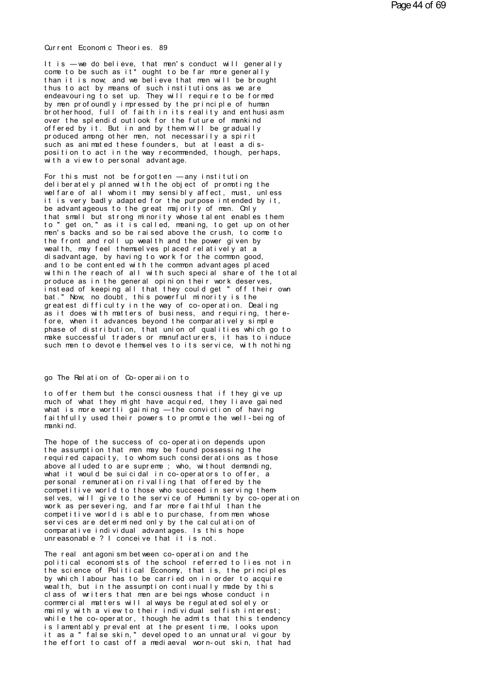Current Economic Theories. 89

It is -we do believe, that men's conduct will generally come to be such as it\* ought to be far more generally than it is now, and we believe that men will be brought thus to act by means of such institutions as we are<br>endeavouring to set up. They will require to be formed by men profoundly impressed by the principle of human<br>brotherhood, full of faith in its reality and enthusiasm over the splendid outlook for the future of mankind offered by it. But in and by them will be gradually produced among other men, not necessarily a spirit such as animated these founders, but at least a disposition to act in the way recommended, though, perhaps, with a view to personal advantage.

For this must not be forgotten  $-\text{any}$  institution<br>deliberately planned with the object of promoting the welfare of all whom it may sensibly affect, must, unless it is very badly adapted for the purpose intended by it, be advantageous to the great majority of men. Only that small but strong m nority whose talent enables them to " get on, " as it is called, meaning, to get up on other men's backs and so be raised above the crush, to come to the front and roll up wealth and the power given by weal th, may feel themselves placed relatively at a di sadvant age, by having to work for the common good, and to be contented with the common advantages placed within the reach of all with such special share of the total produce as in the general opinion their work deserves, instead of keeping all that they could get " off their own bat." Now, no doubt, this powerful minority is the greatest difficulty in the way of co-operation. Dealing as it does with matters of business, and requiring, therefore, when it advances beyond the comparatively simple phase of distribution, that union of qualities which go to make successful traders or manufacturers, it has to induce such men to devote themselves to its service, with nothing

#### go The Relation of Co-operaiion to

to offer them but the consciousness that if they give up much of what they might have acquired, they liave gained what is more wortli gaining -the conviction of having faithfully used their powers to promote the well-being of manki nd.

The hope of the success of co-operation depends upon the assumption that men may be found possessing the required capacity, to whom such considerations as those above alluded to are supreme ; who, without demanding, what it would be suicidal in co-operators to offer, a personal remuneration rivalling that offered by the competitive world to those who succeed in serving themselves, will give to the service of Humanity by co-operation work as persevering, and far more faithful than the competitive world is able to purchase, from men whose services are determined only by the calculation of comparative individual advantages. Is this hope unreasonable ? I conceive that it is not.

The real antagonism between co-operation and the political economists of the school referred to lies not in the science of Political Economy, that is, the principles by which I abour has to be carried on in order to acquire wealth, but in the assumption continually made by this class of writers that men are beings whose conduct in commercial matters will always be regulated solely or mainly with a view to their individual selfish interest; while the co-operator, though he admits that this tendency is lamentably prevalent at the present time, looks upon it as a " false skin," developed to an unnatural vigour by<br>the effort to cast off a mediaeval worn-out skin, that had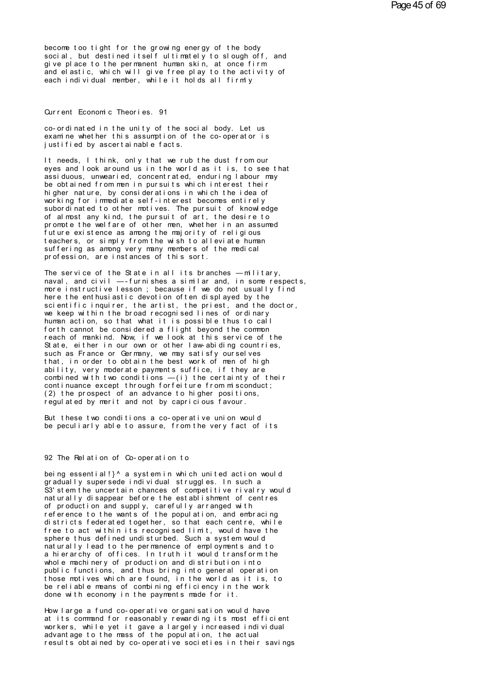become too tight for the growing energy of the body social, but destined itself ultimately to slough off, and give place to the permanent human skin, at once firm and elastic, which will give free play to the activity of each individual member, while it holds all firmly

Current Economic Theories. 91

co-ordinated in the unity of the social body. Let us exam ne whether this assumption of the co-operator is justified by ascertainable facts.

It needs, I think, only that we rub the dust from our eves and look around us in the world as it is, to see that assiduous, unwearied, concentrated, enduring labour may be obtained from men in pursuits which interest their higher nature, by considerations in which the idea of working for immediate self-interest becomes entirely subordinated to other motives. The pursuit of knowledge of almost any kind, the pursuit of art, the desire to prompte the welfare of other men, whether in an assumed future existence as among the majority of religious teachers, or simply from the wish to alleviate human suffering as among very many members of the medical profession, are instances of this sort.

The service of the State in all its branches  $-m$  litary, naval, and  $\text{ci}$  vil  $-$ -furnishes a similar and, in some respects. more instructive lesson; because if we do not usually find here the enthusiastic devotion often displayed by the scientific inquirer, the artist, the priest, and the doctor,<br>we keep within the broad recognised lines of ordinary human action, so that what it is possible thus to call forth cannot be considered a flight beyond the common reach of mankind. Now, if we look at this service of the State, either in our own or other law-abiding countries, such as France or Germany, we may satisfy ourselves that, in order to obtain the best work of men of high ability, very moderate payments suffice, if they are combined with two conditions  $-(i)$  the certainty of their continuance except through forfeiture from misconduct; (2) the prospect of an advance to higher positions. regulated by merit and not by capricious favour.

But these two conditions a co-operative union would be peculiarly able to assure, from the very fact of its

## 92 The Relation of Co-operation to

being essential!}^ a system in which united action would gradually supersede individual struggles. In such a S3' stem the uncertain chances of competitive rivalry would naturally disappear before the establishment of centres of production and supply, carefully arranged with<br>reference to the wants of the population, and embracing districts federated together, so that each centre, while free to act within its recognised limit, would have the sphere thus defined undisturbed. Such a system would naturally lead to the permanence of employments and to a hierarchy of offices. In truth it would transform the whole machinery of production and distribution into public functions, and thus bring into general operation those motives which are found, in the world as it is, to be reliable means of combining efficiency in the work done with economy in the payments made for it.

How large a fund co-operative organisation would have at its command for reasonably rewarding its most efficient workers, while yet it gave a largely increased individual advantage to the mass of the population, the actual results obtained by co-operative societies in their savings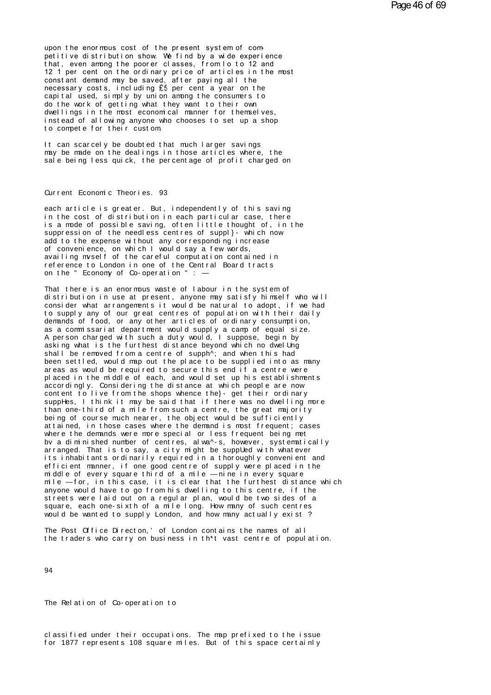upon the enormous cost of the present system of com-<br>petitive distribution show. We find by a wide experience<br>that, even among the poorer classes, from loto 12 and<br>12 1 per cent on the ordinary price of articles in the mes upon the enormous cost of the present system of competitive distribution show. We find by a wide experience<br>that, even among the poorer classes, from lo to 12 and<br>12 1 per cent on the ordinary price of articles in the most upon the enormous cost of the present system of competitive distribution show. We find by a wide experience<br>that, even among the poorer classes, from lo to 12 and<br>12 1 per cent on the ordinary price of articles in the most upon the enormous cost of the present system of competitive distribution show. We find by a wide experience that, even among the poorer classes, from lo to 12 and 12 1 per cent on the ordinary price of articles in the most upon the enormous cost of the present system of com-<br>petitive distribution show. We find by a wide experience<br>that, even among the poorer classes, from lo to 12 and<br>12 1 per cent on the ordinary price of articles in the mo petitive distribution show. We find by a wide experience<br>that, even among the poorer classes, from lo to 12 and<br>12 1 per cent on the ordinary price of articles in the most<br>constant demand may be saved, after paying all the that, even among the poorer classes, from loto 12 and<br>12 1 per cent on the ordinary price of articles in the moconstant demand may be saved, after paying all the<br>necessary costs, including **E5** per cent a year on the<br>capit 12 1 per cent on the ordinary price of articles in the mos<br>constant demand may be saved, after paying all the<br>necessary costs, including ELS per cent a year on the<br>capital used, simply by union among the consumers to<br>do th constant demand may be saved, after paying all the necessary costs, including  $E5$  per cent a year on the capital used, simply by union among the consumers to do the work of getting what they want to their own dwellings in capital used, simply by union among the consumers to<br>do the work of getting what they want to their own<br>dwellings in the most economical manner for themselves,<br>instead of allowing anyone who chooses to set up a shop<br>to com dwellings in the most economical manner for themselves,<br>instead of allowing anyone who chooses to set up a shop<br>to compete for their custom<br>It can scarcely be doubted that much larger savings<br>may be made on the dealings in

dwellings in the most economical manner for themselves,<br>instead of allowing anyone who chooses to set up a shop<br>to compete for their custom<br>It can scarcely be doubted that much larger savings<br>may be made on the dealings in instead of allowing anyone who chooses to set up a shop<br>to compete for their custom<br>It can scarcely be doubted that much larger savings<br>may be made on the dealings in those articles where, the<br>sale being less quick, the pe may be made on the dealings in those<br>sale being less quick, the percentag<br>Current Economic Theories. 93<br>each article is greater. But indepe

Current Economic Theories. 93<br>each article is greater. But, independently of this saving<br>in the cost of distribution in each particular case, there<br>is a mode of possible saving often little thought of in the Current Economic Theories. 93<br>each article is greater. But, independently of this saving<br>in the cost of distribution in each particular case, there<br>is a mode of possible saving, often little thought of, in the<br>suppression Current Economic Theories. 93<br>each article is greater. But, independently of this saving<br>in the cost of distribution in each particular case, there<br>is a mode of possible saving, often little thought of, in the<br>suppression Current Economic Theories. 93<br>each article is greater. But, independently of this saving<br>in the cost of distribution in each particular case, there<br>is a mode of possible saving, often little thought of, in the<br>suppression each article is greater. But, independently of this saving<br>in the cost of distribution in each particular case, there<br>is a mode of possible saving, often little thought of, in th<br>suppression of the needless centres of supp in the cost of distribution in each particular case, there<br>is a mode of possible saving, often little thought of, in the<br>suppression of the needless centres of suppl}- which now<br>add to the expense without any corresponding in the cost of distribution in each particular case, there<br>is a mode of possible saving, often little thought of, in the<br>suppression of the needless centres of suppl}- which now<br>add to the expense without any corresponding is a mode of possible saving, often little thought of, in the suppression of the needless centres of suppl}- which now add to the expense without any corresponding increase of convenience, on which I would say a few words, of convenience, on which I would say a few words,<br>availing myself of the careful computation contained in<br>reference to London in one of the Central Board tracts<br>on the " Economy of Co-operation " : —<br>That there is an enor of convenience, on which I would say a few words,<br>availing myself of the careful computation contained in<br>reference to London in one of the Central Board tracts<br>on the "Economy of Co-operation": —<br>That there is an enormous

distribution in use at present, anyone may satisfy himself who will consider what arrangements it would be natural to adopt, if we had reference to London in one of the Central Board tracts<br>on the "Economy of Co-operation": —<br>That there is an enormous waste of labour in the system of<br>distribution in use at present, anyone may satisfy himself who will<br>cons on the "Economy of Co-operation": —<br>That there is an enormous waste of labour in the system of<br>distribution in use at present, anyone may satisfy himself who will<br>consider what arrangements it would be natural to adopt, if That there is an enormous waste of labour in the system of<br>distribution in use at present, anyone may satisfy himself who will<br>consider what arrangements it would be natural to adopt, if we had<br>to supply any of our great c That there is an enormous waste of labour in the system of<br>distribution in use at present, anyone may satisfy himself who wil<br>consider what arrangements it would be natural to adopt, if we had<br>to supply any of our great ce distribution in use at present, anyone may satisfy himself who will<br>consider what arrangements it would be natural to adopt, if we had<br>to supply any of our great centres of population with their daily<br>demands of food, or a consider what arrangements it would be natural to adopt, if we had<br>to supply any of our great centres of population with their daily<br>demands of food, or any other articles of ordinary consumption,<br>as a commissariat departm to supply any of our great centres of population with their daily demands of food, or any other articles of ordinary consumption, as a commissariat department would supply a camp of equal size. A person charged with such a demands of food, or any other articles of ordinary consumption,<br>as a commissariat department would supply a camp of equal size.<br>A person charged with such a duty would, I suppose, begin by<br>asking what is the furthest dista A person charged with such a duty would, I suppose, begin by asking what is the furthest distance beyond which no dwell mg shall be removed from a centre of supph<sup>A</sup>; and when this had been settled, would map out the plac A person charged with such a duty would, I suppose, begin by<br>asking what is the furthest distance beyond which no dwelling<br>shall be removed from a centre of supph^; and when this had<br>been settled, would map out the place t asking what is the furthest distance beyond which no dwelUng<br>shall be removed from a centre of supph^; and when this had<br>been settled, would map out the place to be supplied into as many<br>areas as would be required to secur shall be removed from a centre of supph^; and when this had<br>been settled, would map out the place to be supplied into as many<br>areas as would be required to secure this end if a centre were<br>placed in the middle of each, and been settled, would map out the place to be supplied into as many<br>areas as would be required to secure this end if a centre were<br>placed in the middle of each, and would set up his establishments<br>accordingly. Considering th areas as would be required to secure this end if a centre were<br>placed in the middle of each, and would set up his establishments<br>accordingly. Considering the distance at which people are now<br>content to live from the shops placed in the middle of each, and would set up his establishments<br>accordingly. Considering the distance at which people are now<br>content to live from the shops whence the}- get their ordinary<br>suppHes, I think it may be said accordingly. Considering the distance at which people are now<br>content to live from the shops whence the}- get their ordinary<br>suppHes, I think it may be said that if there was no dwelling more<br>than one-third of a mile from content to live from the shops whence the}- get their ordinary<br>suppHes, I think it may be said that if there was no dwelling mor<br>than one-third of a mile from such a centre, the great majority<br>being of course much nearer, suppHes, I think it may be said that if there was no dwelling more<br>than one-third of a mile from such a centre, the great majority<br>being of course much nearer, the object would be sufficiently<br>attained, in those cases wher than one-third of a mile from such a centre, the great majority<br>being of course much nearer, the object would be sufficiently<br>attained, in those cases where the demand is most frequent; cases<br>where the demands were more sp being of course much nearer, the object would be sufficiently<br>attained, in those cases where the demand is most frequent; cases<br>where the demands were more special or less frequent being met<br>by a diminished number of centr attained, in those cases where the demand is most frequent; cases<br>where the demands were more special or less frequent being met<br>by a diminished number of centres, alwa^-s, however, systematically<br>arranged. That is to say, where the demands were more special or less frequent being met<br>by a diminished number of centres, alwa^-s, however, systematically<br>arranged. That is to say, a city might be suppled with whatever<br>its inhabitants ordinarily by a diminished number of centres, alwa^-s, however, systematically<br>arranged. That is to say, a city might be supplled with whatever<br>its inhabitants ordinarily required in a thoroughly convenient and<br>efficient manner, if o anyone would be suppled with whatever<br>arranged. That is to say, a city might be suppled with whatever<br>and the efficient manner, if one good centre of supply were placed in the<br>middle of every square third of a mile —nine i its inhabitants ordinarily required in a thoroughly convenient and<br>efficient manner, if one good centre of supply were placed in the<br>middle of every square third of a mile —nine in every square<br>mile —for, in this case, it efficient manner, if one- good centre of supply were placed in the<br>middle of every square third of a mile — nine in every square<br>mile — for, in this case, it is clear that the furthest distance whic<br>anyone would have to go middle of every square third of a mile — nine in every square<br>mile — for, in this case, it is clear that the furthest distance which<br>anyone would have to go from his dwelling to this centre, if the<br>streets were laid out on anyone would have to go from his dwelling to this centre, if the streets were laid out on a regular plan, would be two sides of a square, each one-sixth of a mile long. How many of such centres would be wanted to supply Lo would be wanted to supply London, and how many actually exist?

94

The Rel ation of Co-operation to

The Relation of Co-operation to<br>classified under their occupations. The map prefixed to the issue<br>for 1877 represents 108 square miles. But of this space certainly The Relation of Co-operation to<br>classified under their occupations. The map prefixed to the issue<br>for 1877 represents 108 square miles. But of this space certainly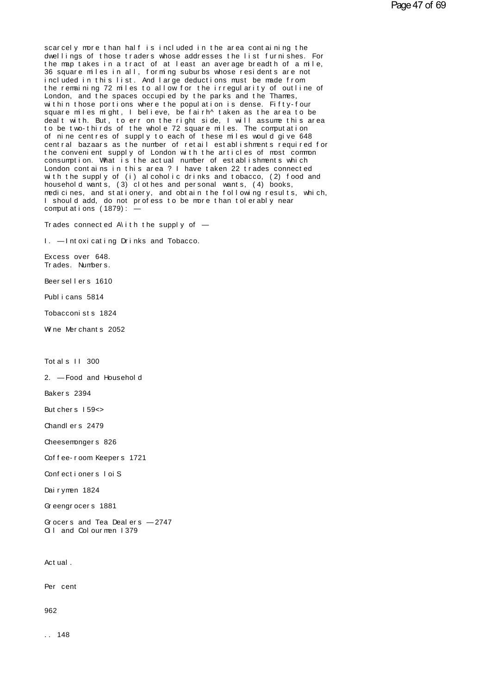scar cel y more than half is included in the area containing the<br>dwellings of those traders whose addresses the list furnishes. For<br>the montakes in a tract of at least an average breadth of a mile scarcely more than half is included in the area containing the<br>dwellings of those traders whose addresses the list furnishes. For<br>the map takes in a tract of at least an average breadth of a mile,<br>36 square miles in all fo scarcely more than half is included in the area containing the<br>dwellings of those traders whose addresses the list furnishes. For<br>the map takes in a tract of at least an average breadth of a mile,<br>a square miles in all, fo scarcely more than half is included in the area containing the<br>dwellings of those traders whose addresses the list furnishes. For<br>the map takes in a tract of at least an average breadth of a mile,<br>jocluded in this list. An is carcely more than half is included in the area containing the dwellings of those traders whose addresses the list furnishes. For the map takes in a tract of at least an average breadth of a mile, 36 square miles in all, scarcely more than half is included in the area containing the<br>dwellings of those traders whose addresses the list furnishes. For<br>the map takes in a tract of at least an average breadth of a mile,<br>36 square miles in all, f dwellings of those traders whose addresses the list furnishes.<br>The map takes in a tract of at least an average breadth of a mi<br>36 square miles in all, forming suburbs whose residents are not<br>included in this list. And larg the map takes in a tract of at least an average breadth of a mile,<br>36 square miles in all, forming suburbs whose residents are not<br>included in this list. And large deductions must be made from<br>the remaining 72 miles to all 36 square miles in all, forming suburbs whose residents are not<br>included in this list. And large deductions must be made from<br>the remaining 72 miles to allow for the irregularity of outline of<br>London, and the spaces occupi included in this list. And large deductions must be made from<br>the remaining 72 miles to allow for the irregularity of outline of<br>London, and the spaces occupied by the parks and the Thames,<br>within those portions where the the remaining 72 miles to allow for the irregularity of outline of<br>London, and the spaces occupied by the parks and the Thames,<br>within those portions where the population is dense. Fifty-four<br>square miles might, I believe, London, and the spaces occupied by the parks and the Thames,<br>within those portions where the population is dense. Fifty-four<br>square miles might, I believe, be fairh^t aken as the area to be<br>dealt with. But, to err on the r within those portions where the population is dense. Fifty-four<br>square miles might, I believe, be fairh^taken as the area to be<br>dealt with. But, to err on the right side, I will assume this area<br>to be two-thirds of the who square miles might, I believe, be fairh^taken as the area to be<br>dealt with. But, to err on the right side, I will assume this area<br>to be two-thirds of the whole 72 square miles. The computation<br>of nine centres of supply to dealt with. But, to err on the right side, I will assume this area<br>to be two-thirds of the whole 72 square miles. The computation<br>of nine centres of supply to each of these miles would give 648<br>central bazaars as the numbe to be two-thirds of the whole 72 square miles. The computation<br>of nine centres of supply to each of these miles would give 648<br>central bazaars as the number of retail establishments required for<br>the convenient supply of Lo of nine centres of supply to each of these miles would give 648<br>central bazaars as the number of retail establishments required for<br>the convenient supply of London with the articles of most common<br>consumption. What is the central bazaars as the number of retail establishments require<br>the convenient supply of London with the articles of most comm<br>consumption. What is the actual number of establishments which<br>London contains in this area? I h the convenient supply of London with the articles of most common<br>consumption. What is the actual number of establishments which<br>London contains in this area? I have taken 22 trades connected<br>with the supply of (i) alcoholi consumption. What is the actual number of establishments which<br>London contains in this area ? I have taken 22 trades connected<br>with the supply of (i) alcoholic drinks and tobacco, (2) food a<br>household wants, (3) clothes an London contains in this area ? I haw th the supply of (i) alcoholic dr<br>household wants, (3) clothes and pe<br>medicines, and stationery, and obta<br>I should add, do not profess to be<br>computations (1879): —<br>Trades connected Alit medicines, and stationery, and obtain the following results, which,<br>I should add, do not profess to be more than tolerably near<br>computations (1879):  $-$ I should add, do not profess to be more<br>computations (1879): —<br>Trades connected A\ith the supply of —<br>I. — Intoxicating Drinks and Tobacco.<br>Excess over 648

1. — Intoxicating Drinks and Tobacco.<br>Excess over 648.<br>Trades. Numbers.<br>Beersellers 1610

Trades connected A\<br>I. —Intoxicating D<br>Excess over 648.<br>Trades. Numbers. I. — Intoxicating Drink<br>Excess over 648.<br>Trades. Numbers.<br>Beersellers 1610<br>Publicans 5814. Excess over 648.<br>Trades. Numbers.<br>Beersellers 1610<br>Publicans 5814<br>Tobacconists 1824

Beersellers 1610<br>Publicans 5814<br>Tobacconists 1824<br>Wine Merchants 2052

Publicans 5814<br>Tobacconists 1824<br>Wine Merchants 2052 Wine Merchants 2052<br>Totals II 300<br>2 — Food and Househ

Totals II 300<br>2. — Food and Household<br>Bakers 2394 Totals II 300<br>2. — Food and Hous<br>Bakers 2394<br>Butchers 15965 2. — Food and Househo<br>Bakers 2394<br>Butchers I 59<><br>Chandlers 2479

Bakers 2394<br>Butchers 159<><br>Chandlers 2479<br>Cheesempgers 826

Butchers 159<><br>Chandlers 2479<br>Cheesemongers 826<br>Coffee-room Keepers 1721

Chandlers 2479<br>Cheesemongers 826<br>Coffee-room Keepers 1721<br>Confectioners Loi S Cheesemongers 826<br>Coffee-room Keepers 1721<br>Confectioners loi S<br>Dairymen 1824 Coffee-room Keepers<br>Confectioners IoiS<br>Dairymen 1824<br>Greengrocers 1881

Confectioners loiS<br>Dairymen 1824<br>Greengrocers 1881<br>Greens and Tea Dealers

Dairymen 1824<br>Greengrocers 1881<br>Grocers and Tea Dealers — 2747<br>Cill and Colourmen 1379 Dairymen 1824<br>Greengrocers 1881<br>Grocers and Tea Dealers — 274<br>Oil and Colourmen I379 Q I and Colourmen 1379<br>Act ual .

Act ual .<br>Per cent

962

962<br>. . 148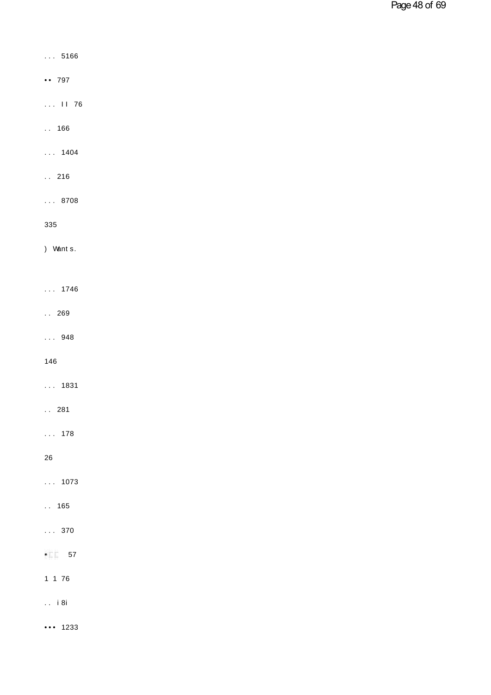- $\ldots 5166$
- $\cdots$  797
- $...$  11 76
- $. . . 166$
- $\ldots$  1404
- $\ldots$  216
- $\ldots$  8708
- 335
- ) Wants.
- $\ldots$  1746
- $. . . 269$
- $\ldots$  948

146

- $\ldots$  1831
- $. . . 281$
- $\ldots$  178
- 26
- $\ldots$  1073
- $. . 165$
- $\ldots$  370
- $\cdot \quad 57$
- $1 1 76$
- $\therefore$  i 8i
- $\cdots$  1233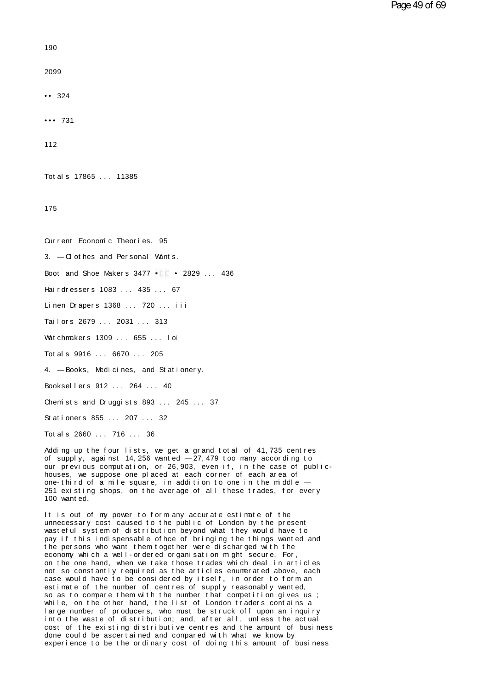$190$ 

2099

 $\cdots$  324

 $... 731$ 

112

Tot al s 17865 ... 11385

175

Qurrent Fconomic Theories, 95 3. - Cl ot hes and Personal Wants.

Boot and Shoe Makers 3477 . 2829 ... 436

Hairdressers 1083 ... 435 ... 67

Linen Drapers 1368 ... 720 ... iii

Tailors 2679 ... 2031 ... 313

Watchmakers 1309 ... 655 ... loi

Tot al s 9916 . . . 6670 . . . 205

4. - Books, Medicines, and Stationery.

Booksellers 912 ... 264 ... 40

Chemists and Druggists 893 ... 245 ... 37

Stationers 855 ... 207 ... 32

Tot al s 2660 ... 716 ... 36

Adding up the four lists, we get a grand total of 41, 735 centres of supply, against 14, 256 wanted  $-27$ , 479 too many according to our previous computation, or 26, 903, even if, in the case of publichouses, we suppose one placed at each corner of each area of one-third of a mile square, in addition to one in the middle -251 existing shops, on the average of all these trades, for every 100 want ed.

It is out of my power to form any accurate estimate of the unnecessary cost caused to the public of London by the present wasteful system of distribution beyond what they would have to pay if this indispensable of hce of bringing the things wanted and the persons who want them together were discharged with the economy which a well-ordered organisation might secure. For on the one hand, when we take those trades which deal in articles not so constantly required as the articles enumerated above, each case would have to be considered by itself, in order to form an<br>estimate of the number of centres of supply reasonably wanted, so as to compare them with the number that competition gives us ; while, on the other hand, the list of London traders contains a large number of producers, who must be struck off upon an inquiry into the waste of distribution; and, after all, unless the actual cost of the existing distributive centres and the amount of business done could be ascertained and compared with what we know by experience to be the ordinary cost of doing this amount of business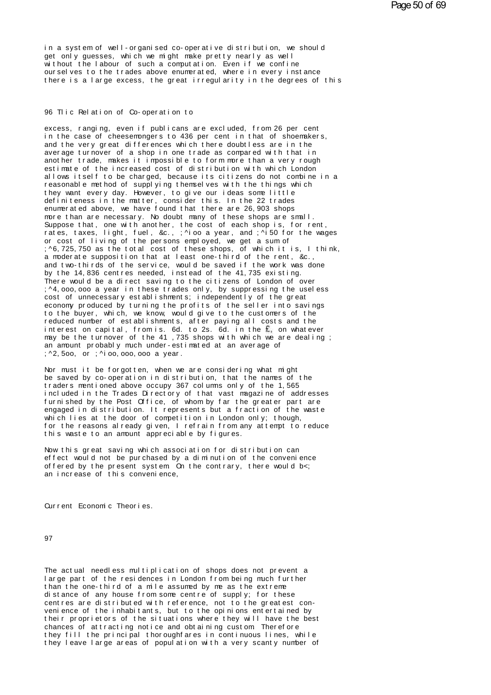in a system of well-organised co-operative distribution, we should<br>get only guesses, which we might make pretty nearly as well<br>without the labour of such a computation. Even if we confine get only guesses, which we might make pretty nearly as well in a system of well-organised co-operative distribution, we should<br>get only guesses, which we might make pretty nearly as well<br>without the labour of such a computation. Even if we confine<br>ourselves to the trades above enum in a system of well-organised co-operative distribution, we should<br>get only guesses, which we might make pretty nearly as well<br>without the labour of such a computation. Even if we confine<br>ourselves to the trades above enum in a system of well-organised co-operative distribution, we should<br>get only guesses, which we might make pretty nearly as well<br>without the labour of such a computation. Even if we confine<br>ourselves to the trades above enum there is a large excess, the great irregularity in the degrees of this<br>96 Tlic Relation of Co-operation to

excess, ranging, even if publicans are excluded, from 26 per cent<br>in the case of cheesemongers to 436 per cent in that of shoemakers, and the very great differences which there doubtless are in the 96 Tlic Relation of Co-operation to<br>excess, ranging, even if publicans are excluded, from 26 per cent<br>in the case of cheesemongers to 436 per cent in that of shoemakers,<br>and the very great differences which there doubtless 96 Tlic Relation of Co-operation to<br>excess, ranging, even if publicans are excluded, from 26 per cent<br>in the case of cheesemongers to 436 per cent in that of shoemakers,<br>and the very great differences which there doubtless excess, ranging, even if publicans are excluded, from 26 per cent<br>in the case of cheesemongers to 436 per cent in that of shoemakers,<br>and the very great differences which there doubtless are in the<br>average turnover of a sh excess, ranging, even if publicans are excluded, from 26 per cent<br>in the case of cheesemongers to 436 per cent in that of shoemakers,<br>and the very great differences which there doubtless are in the<br>average turnover of a sh in the case of cheesemongers to 436 per cent in that of shoemakers,<br>and the very great differences which there doubtless are in the<br>average turnover of a shop in one trade as compared with that in<br>another trade, makes it i and the very great differences which there doubtless are in the<br>average turnover of a shop in one trade as compared with that in<br>another trade, makes it impossible to form more than a very rough<br>estimate of the increased c average turnover of a shop in one trade as compared with that in<br>another trade, makes it impossible to form more than a very rough<br>estimate of the increased cost of distribution with which London<br>allows itself to be charge another trade, makes it impossible to form more than a very rough<br>estimate of the increased cost of distribution with which London<br>allows itself to be charged, because its citizens do not combine<br>reasonable method of suppl estimate of the increased cost of distribution with which London<br>allows itself to be charged, because its citizens do not combine<br>reasonable method of supplying themselves with the things which<br>they want every day. However reasonable method of supplying themselves with the things which<br>they want every day. However, to give our ideas some little<br>definiteness in the matter, consider this. In the 22 trades<br>enumerated above, we have found that t reasonable method of supplying themselves with the things which<br>they want every day. However, to give our ideas some little<br>definiteness in the matter, consider this. In the 22 trades<br>enumerated above, we have found that t rhey want every day. However, to give our ideas some little<br>definiteness in the matter, consider this. In the 22 trades<br>enumerated above, we have found that there are 26,903 shops<br>more than are necessary. No doubt many of definiteness in the matter, consider this. In the 22 trades<br>enumerated above, we have found that there are 26,903 shops<br>more than are necessary. No doubt many of these shops are sma<br>Suppose that, one with another, the cost enumerated above, we have found that there are 26,903 shops<br>more than are necessary. No doubt many of these shops are small.<br>Suppose that, one with another, the cost of each shop is, for rent,<br>rates, taxes, light, fuel, &c more than are necessary. No doubt many of these shops are small.<br>Suppose that, one with another, the cost of each shop is, for rent,<br>rates, taxes, light, fuel, &c., ;^ioo a year, and ;^i50 for the wag<br>or cost of living of Suppose that, one with another, the cost of each shop is, for rent,<br>rates, taxes, light, fuel, &c., ;^ioo a year, and ;^i50 for the wages<br>or cost of living of the persons employed, we get a sum of<br>;^6,725,750 as the total rates, taxes, light, fuel, &c., ;^ioo a year, and ;^i50 for the<br>or cost of living of the persons employed, we get a sum of<br>;^6,725,750 as the total cost of these shops, of which it is, l<br>a moderate supposition that at leas or cost of living of the persons employed, we get a sum of<br>;^6,725,750 as the total cost of these shops, of which it is, I thir<br>a moderate supposition that at least one-third of the rent, &c.,<br>and two-thirds of the service ; ^6, 725, 750 as the total cost of these shops, of which it is, I think,<br>a moderate supposition that at least one-third of the rent, & c.,<br>and two-thirds of the service, would be saved if the work was done<br>by the 14,836 c a moderate supposition that at least one-third of the rent, & c., and two-thirds of the service, would be saved if the work was don<br>by the 14,836 centres needed, instead of the 41,735 existing.<br>There would be a direct savi and two-thirds of the service, would be saved if the work was done<br>by the 14,836 centres needed, instead of the 41,735 existing.<br>There would be a direct saving to the citizens of London of over<br>;^4,000,000 a year in these There would be a direct saving to the citizens of London of over ; ^4,000,000 a year in these trades only, by suppressing the useless cost of unnecessary establishments; independently of the great economy produced by turni There would be a direct saving to the citizens of London of over<br>;^4,000,000 a year in these trades only, by suppressing the useless<br>cost of unnecessary establishments; independently of the great<br>economy produced by turnin ;^4,000,000 a year in these trades only, by suppressing the useless<br>cost of unnecessary establishments; independently of the great<br>economy produced by turning the profits of the seller into savings<br>to the buyer, which, we cost of unnecessary establishments; independently of the great<br>economy produced by turning the profits of the seller into savings<br>to the buyer, which, we know, would give to the customers of the<br>reduced number of establis economy produced by turning the profits of the seller into<br>to the buyer, which, we know, would give to the customers of<br>reduced number of establishments, after paying all costs an<br>interest on capital, from is. 6d. to 2s. 6 to the buyer, which, we know, would<br>reduced number of establishments, af<br>interest on capital, from is. 6d. to<br>may be the turnover of the 41,735 s<br>an amount probably much under-estima<br>;^2,5oo, or ;^ioo,ooo,ooo a year.<br>Nor m interest on capital, from is. 6d. to 2s. 6d. in the  $E_n$  on whate<br>may be the turnover of the 41,735 shops with which we are deal<br>an amount probably much under-estimated at an average of<br>;^2,500, or ;^i00,000,000 a year.<br>N

may be the turnover of the 41 ,735 shops with which we are dealing ;<br>an amount probably much under-estimated at an average of<br>;^2,5oo, or ;^ioo,ooo,ooo a year.<br>Nor must it be forgotten, when we are considering what might<br>b an amount probably much under-estimated at an average of<br>
;^2,5oo, or ;^ioo,ooo,ooo a year.<br>
Nor must it be forgotten, when we are considering what might<br>
be saved by co-operation in distribution, that the names of the<br>
tr ;^2,5oo, or ;^ioo,ooo,ooo a year.<br>Nor must it be forgotten, when we are considering what might<br>be saved by co-operation in distribution, that the names of the<br>traders mentioned above occupy 367 columns only of the 1,565<br>in Nor must it be forgotten, when we are considering what might<br>be saved by co-operation in distribution, that the names of the<br>traders mentioned above occupy 367 columns only of the 1,565<br>included in the Trades Directory of Nor must it be forgotten, when we are considering what might<br>be saved by co-operation in distribution, that the names of the<br>traders mentioned above occupy 367 colums only of the 1,565<br>included in the Trades Directory of t be saved by co-operation in distribution, that the names of the traders mentioned above occupy 367 columns only of the 1,565 included in the Trades Directory of that vast magazine of address furnished by the Post Office, o fraders mentioned above occupy 367 columns only of the 1,565<br>included in the Trades Directory of that vast magazine of addresses<br>furnished by the Post Office, of whom by far the greater part are<br>engaged in distribution. It included in the Trades Directory of that vast maga<br>furnished by the Post Office, of whom by far the g<br>engaged in distribution. It represents but a fract<br>which lies at the door of competition in London on<br>for the reasons al engaged in distribution. It represents but a fraction of the waste<br>which lies at the door of competition in London only; though,<br>for the reasons already given, I refrain from any attempt to reduce<br>this waste to an amount a

which lies at the door of competition in London only; though,<br>for the reasons already given, I refrain from any attempt to reduce<br>this waste to an amount appreciable by figures.<br>Now this great saving which association for for the reasons already given, I refrain from any attempt to reduct<br>this waste to an amount appreciable by figures.<br>Now this great saving which association for distribution can<br>effect would not be purchased by a diminutio Now this great saving which association for distribution can effect would not be purchased by a diminution of the convenience offered by the present system On the contrary, there would b<: an increase of this convenience,<br>Current Economic Theories.

97

The actual needless multiplication of shops does not prevent a<br>large part of the residences in London from being much further 97<br>The actual needless multiplication of shops does not prevent a<br>large part of the residences in London from being much further<br>than the one-third of a mile assumed by me as the extreme<br>distance of any bouse from some cen The actual needless multiplication of shops does not prevent a<br>large part of the residences in London from being much further<br>than the one-third of a mile assumed by me as the extreme<br>centres are distributed with reference The actual needless multiplication of shops does not prevent a<br>large part of the residences in London from being much further<br>than the one-third of a mile assumed by me as the extreme<br>distance of any house from some centre The actual needless multiplication of shops does not prevent a<br>large part of the residences in London from being much further<br>than the one-third of a mile assumed by me as the extreme<br>distance of any house from some centre large part of the residences in London from being much further<br>than the one-third of a mile assumed by me as the extreme<br>distance of any house from some centre of supply; for these<br>centres are distributed with reference, n than the one-third of a mile assumed by me as the extreme<br>distance of any house from some centre of supply; for these<br>centres are distributed with reference, not to the greatest con-<br>venience of the inhabitants, but to the distance of any house from some centre of supply; for these<br>centres are distributed with reference, not to the greatest con-<br>venience of the inhabitants, but to the opinions entertained by<br>their proprietors of the situatio centres are distributed with reference, not to the greatest convenience of the inhabitants, but to the opinions entertained by their proprietors of the situations where they will have the best chances of attracting notice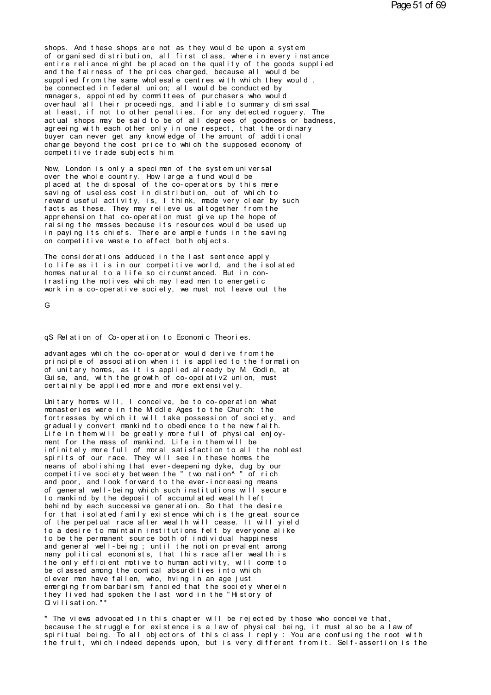shops. And these shops are not as they would be upon a system of organised distribution, all first class, where in every instance shops. And these shops are not as they would be upon a system<br>of organised distribution, all first class, where in every instance<br>entire reliance might be placed on the quality of the goods supplied<br>and the fairness of the shops. And these shops are not as they would be upon a system<br>of organised distribution, all first class, where in every instance<br>entire reliance might be placed on the quality of the goods supplied<br>and the fairness of the shops. And these shops are not as they would be upon a system<br>of organised distribution, all first class, where in every instance<br>entire reliance might be placed on the quality of the goods supplied<br>and the fairness of the shops. And these shops are not as they would be upon a system<br>of organised distribution, all first class, where in every instance<br>entire reliance might be placed on the quality of the goods supplied<br>and the fairness of the shops. And these shops are not as they would be upon a system<br>of organised distribution, all first class, where in every instan<br>entire reliance might be placed on the quality of the goods suppl<br>and the fairness of the pric of organised distribution, all first class, where in every instance<br>entire reliance might be placed on the quality of the goods supplied<br>and the fairness of the prices charged, because all would be<br>supplied from the same w entire reliance might be placed on the quality of the goods supplied<br>and the fairness of the prices charged, because all would be<br>supplied from the same wholesale centres with which they would.<br>be connected in federal unio and the fairness of the prices charged, because all would be<br>supplied from the same wholesale centres with which they would.<br>be connected in federal union; all would be conducted by<br>managers, appointed by committees of pur supplied from the same wholesale centres with which they would.<br>be connected in federal union; all would be conducted by<br>managers, appointed by committees of purchasers who would<br>overhaul all their proceedings, and liable be connected in federal union; all would be conducted by<br>managers, appointed by committees of purchasers who would<br>overhaul all their proceedings, and liable to summary dismissal<br>at least, if not to other penalties, for an managers, appointed by committees of purchasers who would<br>overhaul all their proceedings, and liable to summary dismissal<br>at least, if not to other penalties, for any detected roguery. The<br>actual shops may be said to be of overhaul all their proceedings, and liable to summary dismissal at least, if not to other penalties, for any detected roguery. The actual shops may be said to be of all degrees of goodness or bad agreeing with each other o actual shops may be said to be of all degrees of goodness or badness, agreeing with each other only in one respect, that the ordinary buyer can never get any knowledge of the amount of additional charge beyond the cost pri agreeing with each other only in one respect, that the ordinary<br>buyer can never get any knowledge of the amount of additional<br>charge beyond the cost price to which the supposed economy of<br>competitive trade subjects him<br>Now

buyer can never get any knowledge of the amount of addition<br>charge beyond the cost price to which the supposed economy<br>competitive trade subjects him<br>Now, London is only a specimen of the system universal<br>over the whole co charge beyond the cost price to which the supposed economy of<br>competitive trade subjects him<br>Now, London is only a specimen of the system universal<br>over the whole country. How large a fund would be<br>placed at the disposal o competitive trade subjects him<br>Now, London is only a specimen of the system universal<br>over the whole country. How large a fund would be<br>placed at the disposal of the co-operators by this mere<br>saving of useless cost in dist Now, London is only a specimen of the system universal<br>over the whole country. How large a fund would be<br>placed at the disposal of the co-operators by this mere<br>saving of useless cost in distribution, out of which to<br>rewar Now, London is only a specimen of the system universal<br>over the whole country. How large a fund would be<br>placed at the disposal of the co-operators by this mere<br>saving of useless cost in distribution, out of which to<br>rewar over the whole country. How large a fund would be<br>placed at the disposal of the co-operators by this mere<br>saving of useless cost in distribution, out of which to<br>reward useful activity, is, I think, made very clear by suc<br> placed at the disposal of the co-operators by this mere<br>saving of useless cost in distribution, out of which to<br>reward useful activity, is, I think, made very clear by such<br>facts as these. They may relieve us altogether fr saving of useless cost in distribution, out of which to<br>reward useful activity, is, I think, made very clear by such<br>facts as these. They may relieve us altogether from the<br>apprehension that co-operation must give up the h reward useful activity, is, I think, made very clear by facts as these. They may relieve us altogether from the apprehension that co-operation must give up the hope of raising the masses because its resources would be used apprehension that co-operation must give up the hope of<br>raising the masses because its resources would be used up<br>in paying its chiefs. There are ample funds in the saving<br>on competitive waste to effect both objects.<br>The c

raising the masses because its resources would be used up<br>in paying its chiefs. There are ample funds in the saving<br>on competitive waste to effect both objects.<br>The considerations adduced in the last sentence apply<br>to life in paying its chiefs. There are ample funds in the saving<br>on competitive waste to effect both objects.<br>The considerations adduced in the last sentence apply<br>to life as it is in our competitive world, and the isolated<br>homes on competitive waste to effect both objects.<br>The considerations adduced in the last sentence apply<br>to life as it is in our competitive world, and the isolated<br>homes natural to a life so circumstanced. But in con-<br>trasting The considerations adduced in the last sentence apply<br>to life as it is in our competitive world, and the isolated<br>homes natural to a life so circumstanced. But in con-<br>trasting the motives which may lead men to energetic<br>w

G<sub>a</sub>ng tinang manang sa pangang sa pangang sa pangang sa pangang sa pangang sa pangang sa pang sa pang sa pang sa pang sa pang sa pang sa pang sa pang sa pang sa pang sa pang sa pang sa pang sa pang sa pang sa pang sa pang

G<br>qS Relation of Co-operation to Economic Theories.<br>advantages which the co-operator would derive from the qS Relation of Co-operation to Economic Theories.<br>advantages which the co-operator would derive from the<br>principle of association when it is applied to the formation<br>of unitary homes as it is applied already by M Godin, at qS Relation of Co-operation to Economic Theories.<br>advantages which the co-operator would derive from the<br>principle of association when it is applied to the formation<br>of unitary homes, as it is applied already by M Godin, a qS Relation of Co-operation to Economic Theories.<br>advantages which the co-operator would derive from the<br>principle of association when it is applied to the formation<br>of unitary homes, as it is applied already by M. Godin, qS Relation of Co-operation to Economic Theories.<br>advantages which the co-operator would derive from the<br>principle of association when it is applied to the formation<br>of unitary homes, as it is applied already by M Godin, a advantages which the co-operator would derive from the principle of association when it is applied to the formation of unitary homes, as it is applied already by M Godin, at Guise, and, with the growth of co-opciativ2 unio of unitary homes, as it is applied already by M Godin, at Guise, and, with the growth of co-opciativ2 union, must<br>certainly be applied more and more extensively.<br>Unitary homes will, I conceive, be to co-operation what<br>mona

of unitary homes, as it is applied already by M Godin, at<br>Guise, and, with the growth of co-opciativ2 union, must<br>certainly be applied more and more extensively.<br>Unitary homes will, I conceive, be to co-operation what<br>mona Guise, and, with the growth of co-opciativ2 union, must<br>certainly be applied more and more extensively.<br>Unitary homes will, I conceive, be to co-operation what<br>monasteries were in the Middle Ages to the Church: the<br>gradual certainly be applied more and more extensively.<br>Unitary homes will, I conceive, be to co-operation what<br>monasteries were in the Middle Ages to the Church: the<br>fortresses by which it will take possession of society, and<br>gra Unitary homes will, I conceive, be to co-operation what<br>monasteries were in the Modle Ages to the Church: the<br>fortresses by which it will take possession of society, and<br>gradually convert mankind to obedience to the new fa monasteries were in the Modle Ages to the Church: the<br>fortresses by which it will take possession of society, and<br>gradually convert mankind to obedience to the new faith.<br>Life in them will be greatly more full of physical for tresses by which it will take possession of society, and<br>gradually convert mankind to obedience to the new faith.<br>Life in them will be greatly more full of physical enjoy-<br>ment for the mass of mankind. Life in them wil gradually convert mankind to obedience to the new faith.<br>Life in them will be greatly more full of physical enjoy-<br>ment for the mass of mankind. Life in them will be<br>infinitely more full of moral satisfaction to all the no Life in them will be greatly more full of physical enjoy-<br>ment for the mass of mankind. Life in them will be<br>infinitely more full of moral satisfaction to all the noblest<br>spirits of our race. They will see in these homes t ment for the mass of mankind. Life in them will be<br>infinitely more full of moral satisfaction to all the noblest<br>spirits of our race. They will see in these homes the<br>means of abolishing that ever-deepening dyke, dug by ou infinitely more full of moral satisfaction to all the noblest<br>spirits of our race. They will see in these homes the<br>means of abolishing that ever-deepening dyke, dug by our<br>competitive society between the "two nation^" of spirits of our race. They will see in these homes the<br>means of abolishing that ever-deepening dyke, dug by our<br>competitive society between the "two nation^" of rich<br>and poor, and look forward to the ever-increasing means<br>o means of abolishing that ever-deepening dyke, dug by our<br>competitive society between the "two nation^" of rich<br>and poor, and look forward to the ever-increasing means<br>of general well-being which such institutions will secu competitive society between the "two nation^" of rich<br>and poor, and look forward to the ever-increasing means<br>of general well-being which such institutions will secure<br>to mankind by the deposit of accumulated wealth left<br>b and poor, and look forward to the ever-increasing means<br>of general well-being which such institutions will secure<br>to mankind by the deposit of accumulated wealth left<br>behind by each successive generation. So that the desir of general well-being which such institutions will secure<br>to mankind by the deposit of accumulated wealth left<br>behind by each successive generation. So that the desire<br>for that isolated family existence which is the great to mankind by the deposit of accumulated wealth left<br>behind by each successive generation. So that the desire<br>for that isolated family existence which is the great source<br>of the perpetual race after wealth will cease. It w behind by each successive generation. So that the desire<br>for that isolated family existence which is the great source<br>of the perpetual race after wealth will cease. It will yield<br>to a desire to maintain institutions felt b for that isolated family existence which is the great source<br>of the perpetual race after wealth will cease. It will yield<br>to a desire to maintain institutions felt by everyone alike<br>to be the permanent source both of indiv of the perpetual race after wealth will cease. It will yield<br>to a desire to maintain institutions felt by everyone alike<br>to be the permanent source both of individual happiness<br>and general well-being; until the notion prev to a desire to maintain institutions felt by everyone alike<br>to be the permanent source both of individual happiness<br>and general well-being; until the notion prevalent among<br>many political economists, that this race after w to be the permanent source both of individual happiness<br>and general well-being; until the notion prevalent among<br>many political economists, that this race after wealth is<br>the only efficient motive to human activity, will c and general well-being; until the notion prevalent among<br>many political economists, that this race after wealth is<br>the only efficient motive to human activity, will come to<br>be classed among the comical absurdities into whi many political economists, that this race after wealth is<br>the only efficient motive to human activity, will come to<br>be classed among the comical absurdities into which<br>clever men have fallen, who, hving in an age just<br>emer the only efficient motive to<br>be classed among the comical<br>clever men have fallen, who,<br>emerging from barbarism, fan<br>they lived had spoken the la<br>Qivilisation."\*<br>\* The views advocated in thi clever men have fallen, who, hving in an age just<br>emerging from barbarism, fancied that the society wherein<br>they lived had spoken the last word in the "History of<br>Civilisation."\*<br>\* The views advocated in this chapter will

emerging from barbarism, fancied that the society wherein<br>they lived had spoken the last word in the "History of<br>Civilisation."\*<br>\* The views advocated in this chapter will be rejected by those who conceive that,<br>because th they lived had spoken the last word in the "History of<br>Civilisation."\*<br>\* The views advocated in this chapter will be rejected by those who conceive that,<br>because the struggle for existence is a law of physical being, it mu Givilisation."\*<br>\* The views advocated in this chapter will be rejected by those who conceive that,<br>because the struggle for existence is a law of physical being, it must also be a law of<br>spiritual being. To all objectors o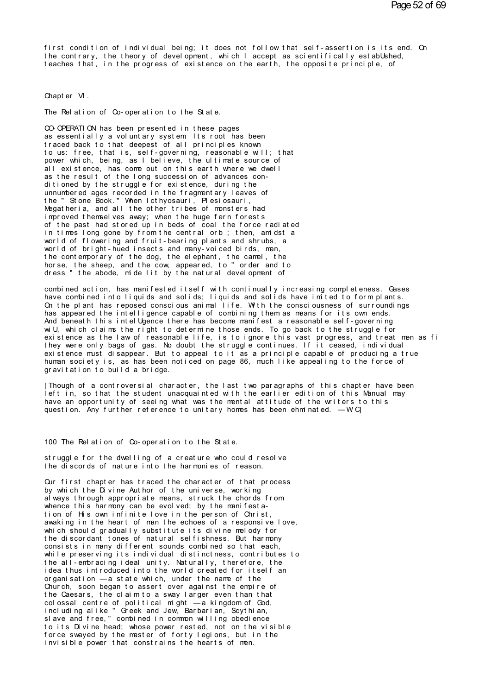first condition of individual being; it does not follow that self-assertion is its end. On the contrary, the theory of development, which I accept as scientifically established. teaches that, in the progress of existence on the earth, the opposite principle, of

Chapter VI.

The Relation of Co-operation to the State.

CO-OPERATION has been presented in these pages as essentially a voluntary system Its root has been traced back to that deepest of all principles known to us: free, that is, self-governing, reasonable will; that power which, being, as I believe, the ultimate source of all existence, has come out on this earth where we dwell as the result of the long succession of advances conditioned by the struggle for existence, during the unnumbered ages recorded in the fragment ary leaves of the "Stone Book." When I cthyosauri, Plesiosauri, Megatheria, and all the other tribes of monsters had improved themselves away; when the huge fern forests of the past had stored up in beds of coal the force radiated in times long gone by from the central orb; then, amidst a world of flowering and fruit-bearing plants and shrubs, a world of bright-hued insects and many-voiced birds, man, the contemporary of the dog, the elephant, the camel, the horse, the sheep, and the cow, appeared, to "order and to dress" the abode, mide lit by the natural development of

combined action, has manifested itself with continually increasing completeness. Gases have combined into liquids and solids; liquids and solids have imited to form plants. On the plant has reposed conscious animal life. With the consciousness of surroundings has appeared the intelligence capable of combining them as means for its own ends. And beneath this intel Ugence there has become manifest a reasonable self-governing wi U, which claims the right to determine those ends. To go back to the struggle for existence as the law of reasonable life, is to ignore this vast progress, and treat men as fi they were only bags of gas. No doubt the struggle continues. If it ceased, individual existence must disappear. But to appeal to it as a principle capable of producing a true human society is, as has been noticed on page 86, much like appealing to the force of gravitation to build a bridge.

[Though of a controversial character, the last two paragraphs of this chapter have been left in, so that the student unacquainted with the earlier edition of this Manual may have an opportunity of seeing what was the mental attitude of the writers to this question. Any further reference to unitary homes has been ehminated. - WCJ

100 The Relation of Co-operation to the State.

struggle for the dwelling of a creature who could resolve the discords of nature into the harmonies of reason.

Our first chapter has traced the character of that process by which the Divine Author of the universe, working al ways through appropriate means, struck the chords from whence this harmony can be evolved; by the manifestation of His own infinite love in the person of Christ. awaking in the heart of man the echoes of a responsive love, which should gradually substitute its divine melody for the discordant tones of natural selfishness. But harmony consists in many different sounds combined so that each, while preserving its individual distinctness, contributes to the all-embracing ideal unity. Naturally, therefore, the idea thus introduced into the world created for itself an organisation - a state which, under the name of the Church, soon began to assert over against the empire of the Caesars, the claim to a sway larger even than that colossal centre of political might  $\overline{-}$  a kingdom of God, including alike "Greek and Jew, Barbarian, Scythian,<br>slave and free," combined in common willing obedience to its Divine head; whose power rested, not on the visible force swayed by the master of forty legions, but in the<br>invisible power that constrains the hearts of men.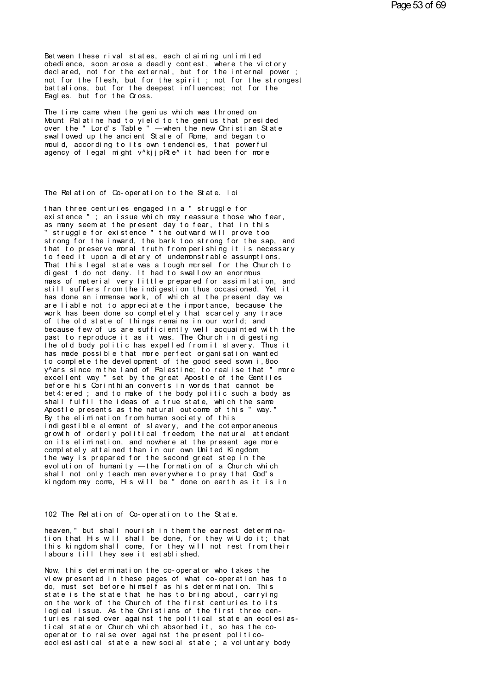Bet ween these rival states, each claiming unlimited obedience, soon arose a deadly contest, where the victory declared, not for the external, but for the internal power not for the flesh, but for the spirit; not for the strongest battalions, but for the deepest influences; not for the Eagles, but for the Cross.

The time came when the genius which was throned on Mount Pal at ine had to yield to the genius that presided over the "Lord's Table" — when the new Christian State swall owed up the ancient State of Rome, and began to mould, according to its own tendencies, that powerful agency of legal might v^kijpRte^ it had been for more

#### The Relation of Co-operation to the State. I oi

than three centuries engaged in a " struggle for existence"; an issue which may reassure those who fear, as many seem at the present day to fear, that in this struggle for existence " the outward will prove too strong for the inward, the bark too strong for the sap, and<br>that to preserve moral truth from perishing it is necessary to feed it upon a dietary of undemonstrable assumptions. That this legal state was a tough mersel for the Church to digest 1 do not deny. It had to swallow an enormous mass of material very little prepared for assimilation, and still suffers from the indigestion thus occasioned. Yet it has done an immense work, of which at the present day we are liable not to appreciate the importance, because the work has been done so completely that scarcely any trace of the old state of things remains in our world; and because few of us are sufficiently well acquainted with the past to reproduce it as it was. The Church in digesting the old body politic has expelled from it slavery. Thus it has made possible that more perfect organisation wanted<br>to complete the development of the good seed sown i,800 y^ars since mthe land of Palestine; to realise that " more excellent way " set by the great Apostle of the Gentiles before his Corinthian converts in words that cannot be bet 4: ered; and to make of the body politic such a body as shall fulfil the ideas of a true state, which the same Apostle presents as the natural outcome of this " way." By the elimination from human society of this indigestible element of slavery, and the cotemporaneous growth of orderly political freedom the natural attendant on its elimination, and nowhere at the present age more completely attained than in our own United Kingdom the way is prepared for the second great step in the evolution of humanity — the formation of a Church which shall not only teach men everywhere to pray that God's kingdom may come, His will be " done on earth as it is in

102 The Relation of Co-operation to the State.

heaven," but shall nourish in them the earnest determination that His will shall be done, for they will do it; that this kingdom shall come, for they will not rest from their<br>labours till they see it established.

Now, this determination the co-operator who takes the view presented in these pages of what co-operation has to do, must set before himself as his determination. This state is the state that he has to bring about, carrying on the work of the Church of the first centuries to its<br>logical issue. As the Christians of the first three centuries raised over against the political state an ecclesiastical state or Church which absorbed it, so has the cooperator to raise over against the present politicoecclesiastical state a new social state; a voluntary body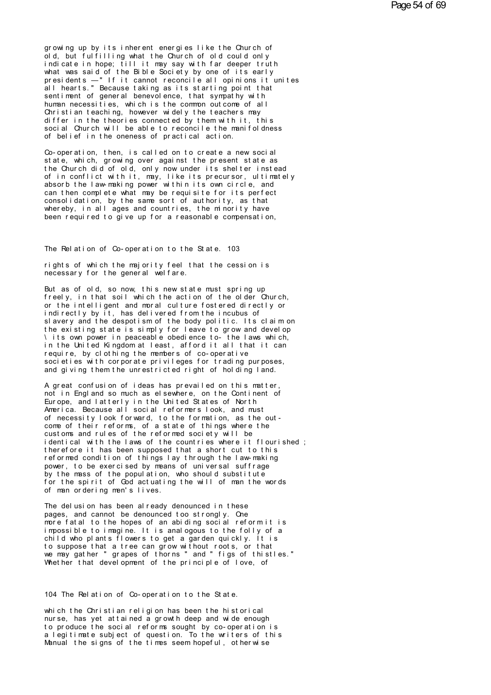growing up by its inherent energies like the Church of old, but fulfilling what the Church of old could only indicate in hope; till it may say with far deeper truth what was said of the Bible Society by one of its early<br>presidents —"If it cannot reconcile all opinions it unites<br>all hearts." Because taking as its starting point that sent i ment of general benevol ence, that sympathy with human necessities, which is the common outcome of all Christian teaching, however widely the teachers may differ in the theories connected by them with it, this social Church will be able to reconcile the manifoldness of belief in the oneness of practical action.

Co-operation, then, is called on to create a new social state, which, growing over against the present state as the Church did of old, only now under its shelter instead of in conflict with it, may, like its precursor, ultimately<br>absorb the law-making power within its own circle, and can then complete what may be requisite for its perfect consolidation, by the same sort of authority, as that whereby, in all ages and countries, the minority have been required to give up for a reasonable compensation,

The Relation of Co-operation to the State. 103

rights of which the majority feel that the cession is necessary for the general welfare.

But as of old, so now, this new state must spring up freely, in that soil which the action of the older Church, or the intelligent and moral culture fostered directly or indirectly by it, has delivered from the incubus of slavery and the despotism of the body politic. Its claim on the existing state is simply for leave to grow and develop \ its own power in peaceable obedience to- the laws which, in the United Kingdom at least, afford it all that it can require, by clothing the members of co-operative societies with corporate privileges for trading purposes, and giving them the unrestricted right of holding land.

A great confusion of ideas has prevailed on this matter, not in Engl and so much as el sewhere, on the Continent of Europe, and latterly in the United States of North America. Because all social reformers look, and must of necessity look forward, to the formation, as the out-<br>come of their reforms, of a state of things where the cust oms and rules of the reformed society will be identical with the laws of the countries where it flourished; therefore it has been supposed that a short cut to this reformed condition of things lay through the law-making power, to be exercised by means of universal suffrage by the mass of the population, who should substitute for the spirit of God actuating the will of man the words of man ordering men's lives.

The del usion has been already denounced in these pages, and cannot be denounced too strongly. One<br>more fatal to the hopes of an abiding social reformit is impossible to imagine. It is analogous to the folly of a child who plants flowers to get a garden quickly. It is to suppose that a tree can grow without roots, or that we may gather " grapes of thorns " and " figs of thistles." Whether that development of the principle of love, of

104 The Relation of Co-operation to the State.

which the Christian religion has been the historical nurse, has yet attained a growth deep and wide enough to produce the social reforms sought by co-operation is a legitimate subject of question. To the writers of this Manual the signs of the times seem hopeful, otherwise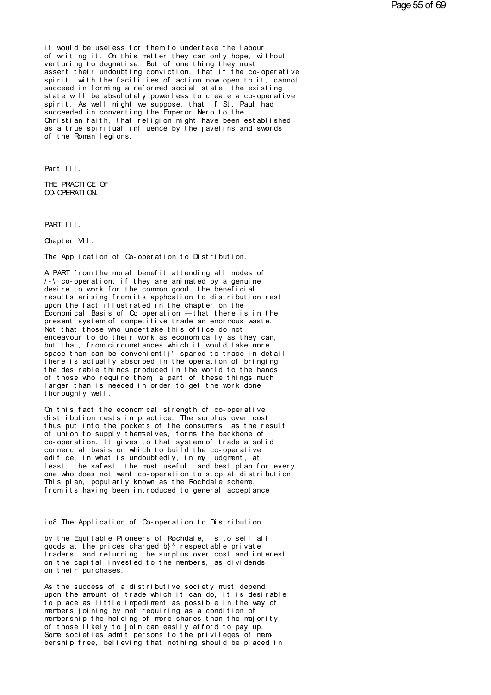it would be useless for them to undertake the labour of writing it. On this matter they can only hope, without<br>venturing to dogmatise. But of one thing they must assert their undoubting conviction, that if the co-operative spirit, with the facilities of action now open to it, cannot succeed in forming a reformed social state, the existing state will be absolutely powerless to create a co-operative spirit. As well might we suppose, that if St. Paul had succeeded in converting the Emperor Nero to the Christian faith, that religion might have been established as a true spiritual influence by the javelins and swords of the Roman legions.

Part III.

THE PRACTICE OF CO-OPERATION.

PART III.

Chapter VII.

The Application of Co-operation to Distribution.

A PART from the moral benefit attending all modes of  $/$ -\co-operation. if they are animated by a genuine desire to work for the common good, the beneficial results arising from its apphcation to distribution rest upon the fact illustrated in the chapter on the Economical Basis of  $\Omega$  operation — that there is in the present system of competitive trade an enormous waste. Not that those who undertake this office do not endeavour to do their work as economically as they can, but that, from circumstances which it would take more space than can be convenientlj' spared to trace in detail there is actually absorbed in the operation of bringing the desirable things produced in the world to the hands of those who require them a part of these things much larger than is needed in order to get the work done thor oughly well.

On this fact the economical strength of co-operative distribution rests in practice. The surplus over cost thus put into the pockets of the consumers, as the result of union to supply themselves, forms the backbone of co-operation. It gives to that system of trade a solid commercial basis on which to build the co-operative edifice, in what is undoubtedly, in my judgment, at least, the safest, the most useful, and best plan for every one who does not want co-operation to stop at distribution. This plan, popularly known as the Rochdale scheme, from its having been introduced to general acceptance

io8 The Application of Co-operation to Distribution.

by the Equitable Pioneers of Rochdale, is to sell all goods at the prices charged b}^ respectable private traders, and returning the surplus over cost and interest on the capital invested to the members, as dividends on their purchases.

As the success of a distributive society must depend upon the amount of trade which it can do, it is desirable to place as little impediment as possible in the way of members joining by not requiring as a condition of membership the holding of more shares than the majority of those likely to join can easily afford to pay up. Some societies admit persons to the privileges of membership free, believing that nothing should be placed in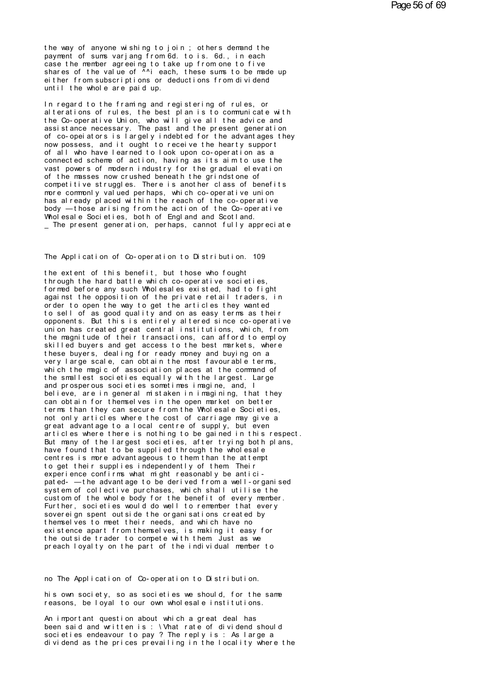the way of anyone wishing to join; others demand the payment of sums variang from 6d. to is. 6d., in each case the member agreeing to take up from one to five shares of the value of Ani each, these sums to be made up either from subscriptions or deductions from dividend until the whole are paid up.

In regard to the framing and registering of rules, or alterations of rules, the best plan is to communicate with the Co-operative Union, who will give all the advice and assistance necessary. The past and the present generation of co-opei at ors is largely indebted for the advantages they now possess, and it ought to receive the hearty support of all who have learned to look upon co-operation as a connected scheme of action, having as its aim to use the vast powers of modern industry for the gradual elevation of the masses now crushed beneath the grindstone of competitive struggles. There is another class of benefits more commonly valued perhaps, which co-operative union has already placed within the reach of the co-operative body — those arising from the action of the Co-operative<br>Wholesale Societies, both of England and Scotland. The present generation, perhaps, cannot fully appreciate

The Application of Co-operation to Distribution. 109

the extent of this benefit, but those who fought through the hard battle which co-operative societies. formed before any such Wholesales existed, had to fight against the opposition of the private retail traders, in order to open the way to get the articles they wanted to sell of as good quality and on as easy terms as their opponents. But this is entirely altered since co-operative<br>union has created great central institutions, which, from the magnitude of their transactions, can afford to employ skilled buyers and get access to the best markets, where these buyers, dealing for ready money and buying on a<br>very large scale, can obtain the most favourable terms,<br>which the magic of association places at the command of the smallest societies equally with the largest. Large and prosperous societies sometimes imagine, and, I believe, are in general mistaken in imagining, that they can obtain for themselves in the open market on better terms than they can secure from the Wholesale Societies, not only articles where the cost of carriage may give a great advantage to a local centre of supply, but even articles where there is nothing to be gained in this respect. But many of the largest societies, after trying both plans, have found that to be supplied through the wholesale centres is more advantageous to them than the attempt to get their supplies independently of them Their experience confirms what might reasonably be anticipated- - the advantage to be derived from a well-organised system of collective purchases, which shall utilise the cust om of the whole body for the benefit of every member. Further, societies would do well to remember that every sover ei qn spent out side the organisations created by themselves to meet their needs, and which have no existence apart from themselves, is making it easy for the outside trader to compete with them Just as we preach loyalty on the part of the individual member to

no The Application of Co-operation to Distribution.

his own society, so as societies we should, for the same reasons, be loyal to our own wholesale institutions.

An important question about which a great deal has been said and written is : \Vhat rate of dividend should societies endeavour to pay ? The reply is : As large a dividend as the prices prevailing in the locality where the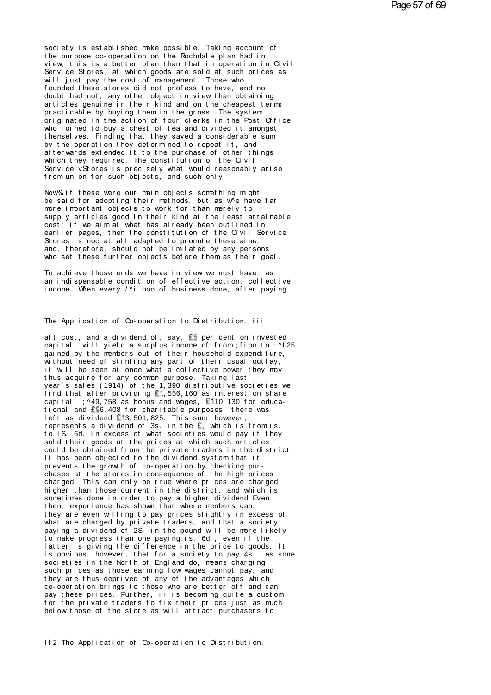soci et y is est ablished make possible. Taking account of the purpose co-operation on the Rochdale plan had in view, this is a better plan than that in operation in Civil Service Stores, at which goods are sold at such prices as will just pay the cost of management. Those who founded these stores did not profess to have, and no doubt had not, any other object in view than obtaining articles genuine in their kind and on the cheapest terms practicable by buying them in the gross. The system originated in the action of four clerks in the Post Office who i oi ned to buy a chest of tea and divided it amongst themselves. Finding that they saved a considerable sum by the operation they determined to repeat it, and afterwards extended it to the purchase of other things which they required. The constitution of the Civil Service vStores is precisely what would reasonably arise<br>from union for such objects, and such only.

Now% if these were our main objects something might be said for adopting their methods, but as we have far more important objects to work for than merely to supply articles good in their kind at the least attainable cost: if we aim at what has already been outlined in earlier pages, then the constitution of the Civil Service Stores is not at all adapted to promote these aims, and, therefore, should not be imitated by any persons who set these further objects before them as their goal.

To achieve those ends we have in view we must have, as an indispensable condition of effective action, collective income. When every / ^i. ooo of business done, after paying

## The Application of Co-operation to Distribution. iii

al) cost, and a dividend of, say, £5 per cent on invested capital, will yield a surplus income of from : fioo to : ^125 gained by the members out of their household expenditure, without need of stinting any part of their usual outlay,<br>it will be seen at once what a collective power they may thus acquire for any common purpose. Taking last year's sales (1914) of the 1,390 distributive societies we find that after providing £1,556,160 as interest on share capital, ; ^49, 758 as bonus and wages, £110, 130 for educational and £96,408 for charitable purposes, there was left as dividend £13,501,825. This sum however,<br>represents a dividend of 3s. in the £, which is from is.<br>to IS. 6d. in excess of what societies would pay if they sold their goods at the prices at which such articles could be obtained from the private traders in the district. It has been objected to the dividend system that it prevents the growth of co-operation by checking purchases at the stores in consequence of the high prices charged. This can only be true where prices are charged higher than those current in the district, and which is sometimes done in order to pay a higher dividend Even then, experience has shown that where members can, they are even willing to pay prices slightly in excess of what are charged by private traders, and that a society paying a dividend of 2S. in the pound will be more likely to make progress than one paying is. 6d., even if the latter is giving the difference in the price to goods. It is obvious, however, that for a society to pay 4s., as some societies in the North of England do, means charging such prices as those earning low wages cannot pay, and they are thus deprived of any of the advantages which co-operation brings to those who are better off and can pay these prices. Further, ii is becoming quite a custom for the private traders to fix their prices just as much below those of the store as will attract purchasers to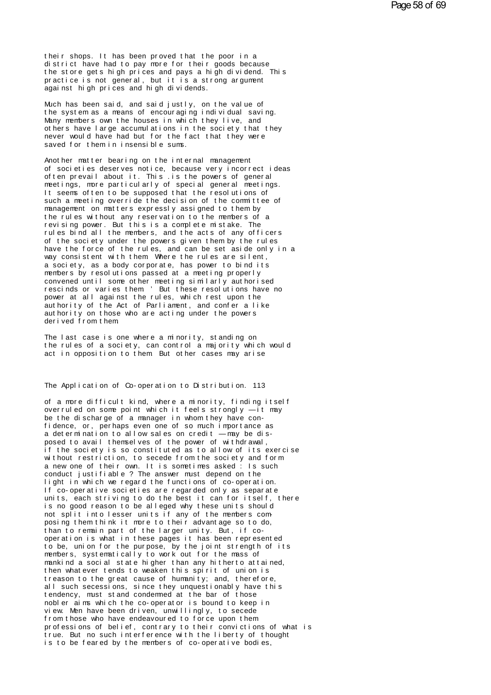their shops. It has been proved that the poor in a<br>district have had to pay more for their goods because<br>the store gets high prices and pays a high dividend. This their shops. It has been proved that the poor in a<br>district have had to pay more for their goods because<br>the store gets high prices and pays a high dividend. This<br>practice is not general but it is a strong arumpont their shops. It has been proved that the poor in a<br>district have had to pay more for their goods because<br>the store gets high prices and pays a high dividend. This<br>practice is not general, but it is a strong argument<br>agains their shops. It has been proved that the poor in a<br>district have had to pay more for their goods because<br>the store gets high prices and pays a high dividend. Th<br>practice is not general, but it is a strong argument<br>against their shops. It has been proved that the p<br>district have had to pay more for their go<br>the store gets high prices and pays a high<br>practice is not general, but it is a stron<br>against high prices and high dividends.<br>Much bas b district have had to pay more for their goods because<br>the store gets high prices and pays a high dividend. Th<br>practice is not general, but it is a strong argument<br>against high prices and high dividends.<br>Much has been said,

the store gets high prices and pays a high dividend. This<br>practice is not general, but it is a strong argument<br>against high prices and high dividends.<br>Much has been said, and said justly, on the value of<br>the system as a me practice is not general, but it is a strong argument<br>against high prices and high dividends.<br>Much has been said, and said justly, on the value of<br>the system as a means of encouraging individual saving.<br>Many members own the against high prices and high dividends.<br>Much has been said, and said justly, on the value of<br>the system as a means of encouraging individual saving.<br>Many members own the houses in which they live, and<br>others have large acc Much has been said, and said justly, on the value of<br>the system as a means of encouraging individual saving.<br>Many members own the houses in which they live, and<br>others have large accumulations in the society that they<br>neve Much has been said, and said justly,<br>the system as a means of encouraging<br>Many members own the houses in which<br>others have large accumulations in th<br>never would have had but for the fact<br>saved for them in insensible sums.<br> Many members own the houses in which they live, and<br>others have large accumulations in the society that<br>never would have had but for the fact that they were<br>saved for them in insensible sums.<br>Another matter bearing on the

of hers have large accumulations in the society that they<br>never would have had but for the fact that they were<br>saved for them in insensible sums.<br>Another matter bearing on the internal management<br>of societies deserves noti never would have had but for the fact that they were<br>saved for them in insensible sums.<br>Another matter bearing on the internal management<br>of societies deserves notice, because very incorrect ide<br>often prevail about it. Thi saved for them in insensible sums.<br>Another matter bearing on the internal management<br>of societies deserves notice, because very incorrect ideas<br>often prevail about it. This .is the powers of general<br>meetings, more particul Another matter bearing on the internal management<br>of societies deserves notice, because very incorrect ide<br>often prevail about it. This is the powers of general<br>meetings, more particularly of special general meetings.<br>It s Another matter bearing on the internal management<br>of societies deserves notice, because very incorrect ideas<br>often prevail about it. This is the powers of general<br>meetings, more particularly of special general meetings.<br>It of societies deserves notice, because very incorrect idea<br>often prevail about it. This is the powers of general<br>meetings, more particularly of special general meetings.<br>It seems often to be supposed that the resolutions of meetings, more particularly of special general meetings.<br>It seems often to be supposed that the resolutions of<br>such a meeting override the decision of the committee of<br>management on matters expressly assigned to them by<br>th revertings, more particularly of special general meetings.<br>It seems often to be supposed that the resolutions of<br>such a meeting override the decision of the committee of<br>management on matters expressly assigned to them by<br> It seems often to be supposed that the resolutions of<br>such a meeting override the decision of the committee of<br>management on matters expressly assigned to them by<br>the rules without any reservation to the members of a<br>revis such a meeting override the decision of the committee of<br>management on matters expressly assigned to them by<br>the rules without any reservation to the members of a<br>revising power. But this is a complete mistake. The<br>rules b management on matters expressly assigned to them by<br>the rules without any reservation to the members of a<br>revising power. But this is a complete mistake. The<br>rules bind all the members, and the acts of any officers<br>of the the rules without any reservation to the members of a<br>revising power. But this is a complete mistake. The<br>rules bind all the members, and the acts of any officers<br>of the society under the powers given them by the rules<br>hav revising power. But this is a complete mistake. The<br>rules bind all the members, and the acts of any officers<br>of the society under the powers given them by the rules<br>have the force of the rules, and can be set aside only in rules bind all the members, and the acts of any officers<br>of the society under the powers given them by the rules<br>have the force of the rules, and can be set aside only in<br>way consistent with them Where the rules are silent of the society under the powers given them by the rules<br>have the force of the rules, and can be set aside only in a<br>way consistent with them Where the rules are silent,<br>a society, as a body corporate, has power to bind its have the force of the rules, and can be set aside only in a<br>way consistent with them. Where the rules are silent,<br>a society, as a body corporate, has power to bind its<br>members by resolutions passed at a meeting properly<br>co way consistent with them Where the rules are silent,<br>a society, as a body corporate, has power to bind its<br>members by resolutions passed at a meeting properly<br>convened until some other meeting similarly authorised<br>rescinds a society, as a body corporate, has power to bind its<br>members by resolutions passed at a meeting properly<br>convened until some other meeting similarly authorised<br>rescinds or varies them 'But these resolutions have no<br>power members by resolutions passed at a meeting properly convened until some other meeting similarly authorised rescinds or varies them 'But these resolutions have no power at all against the rules, which rest upon the authorit rescinds or varies them. But these resolutions have no<br>power at all against the rules, which rest upon the<br>authority of the Act of Parliament, and confer a like<br>authority on those who are acting under the powers<br>derived fr authority of the Act of Parliament, and confer a like<br>authority on those who are acting under the powers<br>derived from them<br>The last case is one where a minority, standing on<br>the rules of a society, can control a majority w authority of the Act of Parliament, and confer a like<br>authority on those who are acting under the powers<br>derived from them<br>The last case is one where a minority, standing on<br>the rules of a society, can control a majority w

authority on those who are acting under the powers<br>derived from them.<br>The last case is one where a minority, standing on<br>the rules of a society, can control a majority which would<br>act in opposition to them. But other cases act in opposition to them But other cases may arise<br>The Application of Co-operation to Distribution. 113

of a more difficult kind, where a minority, finding itself<br>overruled on some point which it feels strongly —it may The Application of Co-operation to Distribution. 113<br>of a more difficult kind, where a minority, finding itself<br>overruled on some point which it feels strongly — it may<br>be the discharge of a manager in whom they have con-<br> The Application of Co-operation to Distribution. 113<br>of a more difficult kind, where a minority, finding<br>overruled on some point which it feels strongly —it<br>be the discharge of a manager in whom they have con-<br>fidence, or, The Application of Co-operation to Distribution. 113<br>of a more difficult kind, where a minority, finding itself<br>overruled on some point which it feels strongly — it may<br>be the discharge of a manager in whom they have con-<br> of a more difficult kind, where a minority, finding itself<br>overruled on some point which it feels strongly — it may<br>be the discharge of a manager in whom they have con-<br>fidence, or, perhaps even one of so much importance a overruled on some point which it feels strongly — it may<br>be the discharge of a manager in whom they have con-<br>fidence, or, perhaps even one of so much importance as<br>a determination to allow sales on credit — may be dis-<br>po be the discharge of a manager in whom they have con-<br>fidence, or, perhaps even one of so much importance as<br>a determination to allow sales on credit —may be dis-<br>posed to avail themselves of the power of withdrawal,<br>if the fidence, or, perhaps even one of so much importance as<br>a determination to allow sales on credit —may be dis-<br>posed to avail themselves of the power of withdrawal,<br>if the society is so constituted as to allow of its exercis a determination to allow sales on credit — may be dis-<br>posed to avail themselves of the power of withdrawal,<br>if the society is so constituted as to allow of its exerci<br>without restriction, to secede from the society and fo posed to avail themselves of the power of withdrawal,<br>if the society is so constituted as to allow of its exerci<br>without restriction, to secede from the society and form<br>a new one of their own. It is sometimes asked : Is s If the society is so constituted as to allow of its exercise<br>without restriction, to secede from the society and form<br>a new one of their own. It is sometimes asked : Is such<br>conduct justifiable ? The answer must depend on without restriction, to secede from the society and form<br>a new one of their own. It is sometimes asked : Is such<br>conduct justifiable ? The answer must depend on the<br>light in which we regard the functions of co-operation.<br>I a new one of their own. It is sometimes asked: Is such<br>conduct justifiable ? The answer must depend on the<br>light in which we regard the functions of co-operation.<br>If co-operative societies are regarded only as separate<br>uni conduct justifiable ? The answer must depend on the<br>light in which we regard the functions of co-operation.<br>If co-operative societies are regarded only as separate<br>units, each striving to do the best it can for itself, the If co-operative societies are regarded only as separate<br>units, each striving to do the best it can for itself, there<br>is no good reason to be alleged why these units should<br>not split into lesser units if any of the members is no good reason to be alleged why these units should<br>not split into lesser units if any of the members com-<br>posing them think it more to their advantage so to do,<br>than to remain part of the larger unity. But, if co-<br>oper mot split into lesser units if any of the members com-<br>posing them think it more to their advantage so to do,<br>than to remain part of the larger unity. But, if co-<br>operation is what in these pages it has been represent<br>to b posing them think it more to their advantage so to do,<br>than to remain part of the larger unity. But, if co-<br>operation is what in these pages it has been represented<br>to be, union for the purpose, by the joint strength of it than to remain part of the larger unity. But, if co-<br>operation is what in these pages it has been represented<br>to be, union for the purpose, by the joint strength of its<br>members, systematically to work out for the mass of<br>m operation is what in these pages it has been represented<br>to be, union for the purpose, by the joint strength of its<br>members, systematically to work out for the mass of<br>mankind a social state higher than any hitherto attain to be, union for the purpose, by the joint strength of its<br>members, systematically to work out for the mass of<br>mankind a social state higher than any hitherto attained,<br>then whatever tends to weaken this spirit of union is members, systematically to work out for the mass of<br>mankind a social state higher than any hitherto attained,<br>then whatever tends to weaken this spirit of union is<br>treason to the great cause of humanity; and, therefore,<br>al mankind a social state higher than any hitherto attained,<br>then whatever tends to weaken this spirit of union is<br>treason to the great cause of humanity; and, therefore,<br>all such secessions, since they unquestionably have th treason to the great cause of humanity; and, therefore, all such secessions, since they unquestionably have this tendency, must stand condermed at the bar of those nobler aims which the co-operator is bound to keep in view freason to the great cause of humanity; and, therefore,<br>all such secessions, since they unquestionably have this<br>tendency, must stand condermed at the bar of those<br>nobler aims which the co-operator is bound to keep in<br>view all such secessions, since they unquestionably have this<br>tendency, must stand condermed at the bar of those<br>nobler aims which the co-operator is bound to keep in<br>view. Men have been driven, unwillingly, to secede<br>from thos tendency, must stand condermed at the bar of those<br>nobler aims which the co-operator is bound to keep in<br>view. Men have been driven, unwillingly, to secede<br>from those who have endeavoured to force upon them<br>professions of nobler aims which the co-operator is bound to keep in<br>view. Men have been driven, unwillingly, to secede<br>from those who have endeavoured to force upon them<br>professions of belief, contrary to their convictions of w<br>true. Bu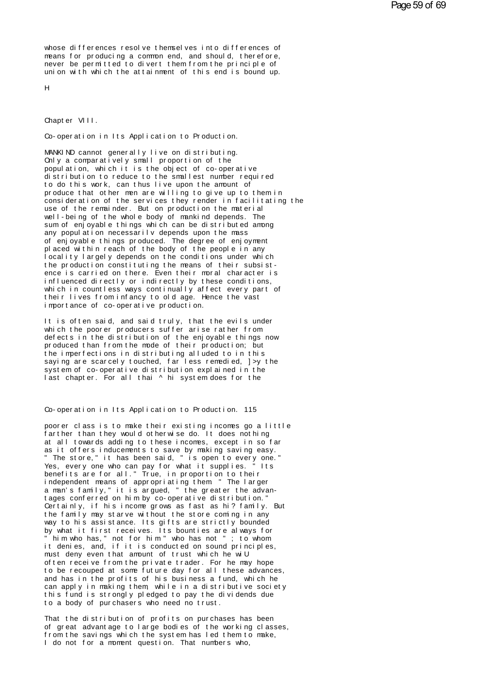whose differences resolve themselves into differences of means for producing a common end, and should, therefore, never be permitted to divert them from the principle of union with which the attainment of this end is bound up.

 $H$ 

Chapter VIII.

Co-operation in Its Application to Production.

MANKIND cannot generally live on distributing. Only a comparatively small proportion of the population, which it is the object of co-operative distribution to reduce to the smallest number required to do this work, can thus live upon the amount of produce that other men are willing to give up to them in consideration of the services they render in facilitating the use of the remainder. But on production the material well-being of the whole body of mankind depends. The sum of enjovable things which can be distributed among any population necessarily depends upon the mass<br>of enjoyable things produced. The degree of enjoyment<br>placed within reach of the body of the people in any locality largely depends on the conditions under which the production constituting the means of their subsistence is carried on there. Even their moral character is influenced directly or indirectly by these conditions, which in countless ways continually affect every part of their lives from infancy to old age. Hence the vast importance of co-operative production.

It is often said, and said truly, that the evils under which the poorer producers suffer arise rather from defects in the distribution of the enjoyable things now produced than from the mode of their production; but the imperfections in distributing alluded to in this saying are scarcely touched, far less remedied, ] >y the system of co-operative distribution explained in the last chapter. For all thai ^ hi system does for the

Co-operation in Its Application to Production. 115

poorer class is to make their existing incomes go a little farther than they would otherwise do. It does nothing at all towards adding to these incomes, except in so far as it offers inducements to save by making saving easy.<br>"The store," it has been said, " is open to every one."<br>Yes, every one who can pay for what it supplies." Its benefits are for all." True, in proportion to their independent means of appropriating them " The larger a man's family," it is argued, " the greater the advantages conferred on him by co-operative distribution." Certainly, if his income grows as fast as hi? family. But the family may starve without the store coming in any way to his assistance. Its gifts are strictly bounded by what it first receives. Its bounties are always for " him who has," not for him" who has not "; to whom<br>it denies, and, if it is conducted on sound principles, must deny even that amount of trust which he wiU often receive from the private trader. For he may hope to be recouped at some future day for all these advances, and has in the profits of his business a fund, which he can apply in making them while in a distributive society this fund is strongly pledged to pay the dividends due to a body of purchasers who need no trust.

That the distribution of profits on purchases has been of great advantage to large bodies of the working classes, from the savings which the system has led them to make, I do not for a moment question. That numbers who,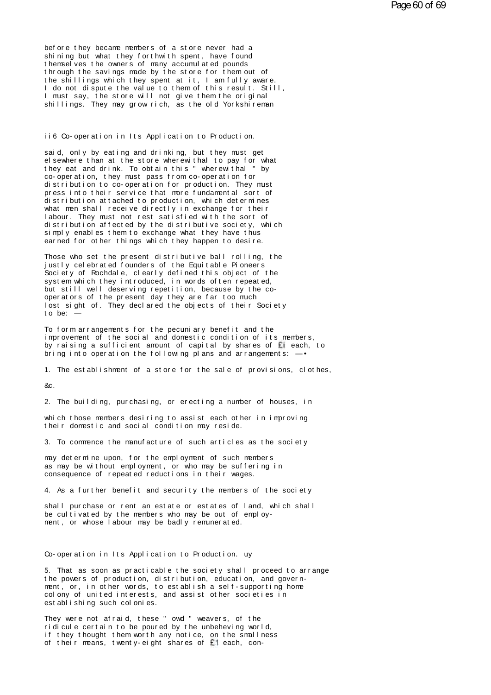before they became members of a store never had a<br>shining but what they forthwith spent, have found<br>themselves the owners of many accumulated pounds before they became members of a store never had a<br>shining but what they forthwith spent, have found<br>themselves the owners of many accumulated pounds<br>through the savings made by the store for them out of the fore they became members of a store never had a<br>shining but what they forthwith spent, have found<br>themselves the owners of many accumulated pounds<br>the shillings which they spent at it I am fully aware the sample of a store never had a<br>the shining but what they for thwith spent, have found<br>the savings made by the store for them out of<br>the shillings which they spent at it, I am fully aware.<br>I do not dispute the value to t before they became members of a store never had a<br>shining but what they forthwith spent, have found<br>themselves the owners of many accumulated pounds<br>through the savings made by the store for them out of<br>the shillings which before they became members of a store never had a<br>shining but what they forthwith spent, have found<br>themselves the owners of many accumulated pounds<br>through the savings made by the store for them out of<br>the shillings which shining but what they forthwith spent, have found<br>themselves the owners of many accumulated pounds<br>through the savings made by the store for them out of<br>the shillings which they spent at it, I am fully aware.<br>I do not disp themselves the owners of many accumulated pounds<br>through the savings made by the store for them out of<br>the shillings which they spent at it, I am fully aware.<br>I do not dispute the value to them of this result. Still,<br>I mus I must say, the store will not give them the original<br>shillings. They may grow rich, as the old Yorkshirema<br>i6 Co-operation in Its Application to Production.<br>said, only by eating and drinking, but they must get

ii6 Co-operation in Its Application to Production.<br>said, only by eating and drinking, but they must get<br>elsewhere than at the store wherewithal to pay for what ii6 Co-operation in Its Application to Production.<br>said, only by eating and drinking, but they must get<br>elsewhere than at the store wherewithal to pay for what<br>they eat and drink. To obtain this "wherewithal" by<br>co-operati ii6 Co-operation in Its Application to Production.<br>said, only by eating and drinking, but they must get<br>elsewhere than at the store wherewithal to pay for what<br>they eat and drink. To obtain this " wherewithal " by<br>co-opera if 6 Co- operation in Its Application to Production.<br>said, only by eating and drinking, but they must get<br>elsewhere than at the store wherewithal to pay for what<br>they eat and drink. To obtain this "wherewithal" by<br>co- oper said, only by eating and drinking, but they must get<br>elsewhere than at the store wherewithal to pay for what<br>they eat and drink. To obtain this "wherewithal" by<br>co-operation, they must pass from co-operation for<br>distributi said, only by eating and drinking, but they must get<br>elsewhere than at the store wherewithal to pay for what<br>they eat and drink. To obtain this "wherewithal" by<br>co-operation, they must pass from co-operation for<br>distributi elsewhere than at the store wherewithal to pay for what<br>they eat and drink. To obtain this "wherewithal" by<br>co-operation, they must pass from co-operation for<br>distribution to co-operation for production. They must<br>press in they eat and drink. To obtain this "wherewithal" by<br>co-operation, they must pass from co-operation for<br>distribution to co-operation for production. They must<br>press into their service that more fundamental sort of<br>distribut co-operation, they must pass from co-operation for<br>distribution to co-operation for production. They must<br>press into their service that more fundamental sort of<br>distribution attached to production, which determines<br>what me distribution to co-operation for production. They must<br>press into their service that more fundamental sort of<br>distribution attached to production, which determines<br>what men shall receive directly in exchange for their<br>labo press into their service that more fundamental sort of distribution attached to production, which determines what men shall receive directly in exchange for their labour. They must not rest satisfied with the sort of distr distribution attached to production, which determines<br>what men shall receive directly in exchange for their<br>labour. They must not rest satisfied with the sort of<br>distribution affected by the distributive society, whic<br>simp labour. They must not rest satisfied with the sort of<br>distribution affected by the distributive society, which<br>simply enables them to exchange what they have thus<br>earned for other things which they happen to desire.<br>Those

distribution affected by the distributive society, which<br>simply enables them to exchange what they have thus<br>earned for other things which they happen to desire.<br>Those who set the present distributive ball rolling, the<br>jus simply enables them to exchange what they have thus<br>earned for other things which they happen to desire.<br>Those who set the present distributive ball rolling, the<br>justly celebrated founders of the Equitable Pioneers<br>Society earned for other things which they happen to desire.<br>Those who set the present distributive ball rolling, the<br>justly celebrated founders of the Equitable Pioneers<br>Society of Rochdale, clearly defined this object of the<br>sys Those who set the present distributive ball rolling, the<br>justly celebrated founders of the Equitable Pioneers<br>Society of Rochdale, clearly defined this object of the<br>system which they introduced, in words often repeated,<br>b justly celebrated founders of the Equitable Pioneers<br>Society of Rochdale, clearly defined this object of the<br>system which they introduced, in words often repeated,<br>but still well deserving repetition, because by the co-<br>op Society of Rochdale,<br>system which they int<br>but still well deserv<br>operators of the pres<br>lost sight of They d<br>to be: —<br>To form arrangements but still well deserving repetition, because by the co-<br>operators of the present day they are far too much<br>lost sight of. They declared the objects of their Society<br>to be: —<br>To form arrangements for the pecuniary benefit a

operators of the present day they are far too much<br>lost sight of. They declared the objects of their Society<br>to be: —<br>To form arrangements for the pecuniary benefit and the<br>improvement of the social and domestic condition lost sight of. They declared the objects of their Society<br>to be: —<br>To form arrangements for the pecuniary benefit and the<br>improvement of the social and domestic condition of its members,<br>by raising a sufficient amount of c to be: —<br>To form arrangements for the pecuniary benefit and the<br>improvement of the social and domestic condition of its members,<br>by raising a sufficient arrount of capital by shares of  $\mathbf{E}^{\dagger}$  each, to<br>bring into ope

1. The establishment of a store for the sale of provisions, clothes,<br>& c.<br>2. The building, purchasing, or erecting a number of houses, in<br>which those members desiring to assist each other in improving

&c.

& c.<br>2. The building, purchasing, or erecting a number of houses, in<br>which those members desiring to assist each other in improving<br>their domestic and social condition may reside. & c.<br>2. The building, purchasing, or erecting a number<br>which those members desiring to assist each other<br>their domestic and social condition may reside.<br>3. To commence the manufacture of such articles as 3. To commence the manufacture of such articles as the society<br>3. To commence the manufacture of such articles as the society<br>may determine upon, for the employment of such members

which those members desiring to assist each other in improviteir domestic and social condition may reside.<br>3. To commence the manufacture of such articles as the socie<br>may determine upon, for the employment of such members their domestic and social condition may reside.<br>3. To commence the manufacture of such articles as the society<br>may determine upon, for the employment of such members<br>as may be without employment, or who may be suffering in 3. To commence the manufacture of such articles as the<br>may determine upon, for the employment of such member<br>as may be without employment, or who may be suffering<br>consequence of repeated reductions in their wages.<br>4. As a may determine upon, for the employment of such members<br>as may be without employment, or who may be suffering in<br>consequence of repeated reductions in their wages.<br>4. As a further benefit and security the members of the soc

shall pur chase or repeated reductions in their wages.<br>4. As a further benefit and security the members of the society<br>shall purchase or rent an estate or estates of land, which shall<br>be cultivated by the members who may b be consequence of repeated reductions in their wages.<br>4. As a further benefit and security the members of the sc<br>shall purchase or rent an estate or estates of land, which<br>be cultivated by the members who may be out of emp

Co-operation in Its Application to Production. uy<br>5. That as soon as practicable the society shall proceed to arrange Co-operation in Its Application to Production. uy<br>5. That as soon as practicable the society shall proceed to arrange<br>the powers of production, distribution, education, and govern-<br>ment or in other words to establish a sel Co-operation in Its Application to Production. uy<br>5. That as soon as practicable the society shall proceed to arrange<br>the powers of production, distribution, education, and govern-<br>ment, or, in other words, to establish a Co-operation in Its Application to Production. uy<br>5. That as soon as practicable the society shall proceed to arra<br>the powers of production, distribution, education, and govern-<br>ment, or, in other words, to establish a sel 5. That as soon as practicable<br>the powers of production, dist<br>ment, or, in other words, to e<br>colony of united interests, an<br>establishing such colonies.<br>They were not afraid these." the powers of production, distribution, education, and governent, or, in other words, to establish a self-supporting head only of united interests, and assist other societies in establishing such colonies.<br>They were not af

rement, or, in other words, to establish a self-supporting<br>colony of united interests, and assist other societies in<br>establishing such colonies.<br>They were not afraid, these "owd" weavers, of the<br>ridicule certain to be pour colony of united interests, and assist other societies in<br>establishing such colonies.<br>They were not afraid, these "owd" weavers, of the<br>ridicule certain to be poured by the unbeheving world,<br>if they thought them worth any establishing such colonies.<br>They were not afraid, these "owd" weavers, of the<br>ridicule certain to be poured by the unbeheving worl<br>if they thought them worth any notice, on the smallr<br>of their means, twenty-eight shares of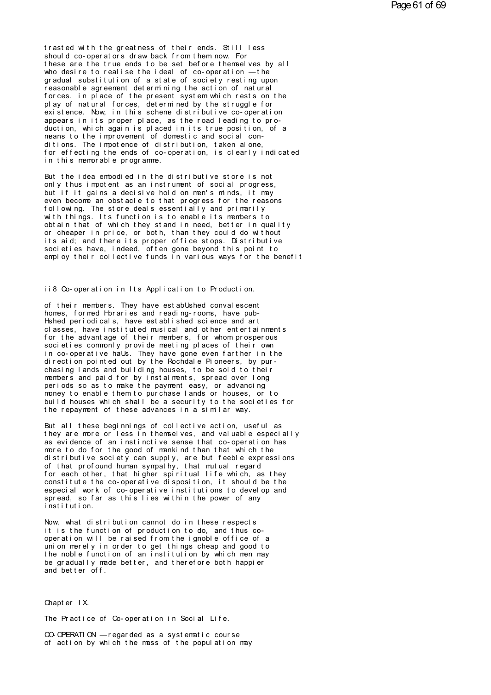trasted with the greatness of their ends. Still less should co-operators draw back from them now. For these are the true ends to be set before themselves by all who desire to realise the ideal of co-operation —the<br>gradual substitution of a state of society resting upon reasonable agreement determining the action of natural forces, in place of the present system which rests on the play of natural forces, determined by the struggle for existence. Now, in this scheme distributive co-operation appears in its proper place, as the road leading to production, which again is placed in its true position, of a means to the improvement of domestic and social conditions. The importance of distribution, taken alone,<br>for effecting the ends of co-operation, is clearly indicated in this memorable programme.

But the idea embodied in the distributive store is not only thus impotent as an instrument of social progress, but if it gains a decisive hold on men's minds. it may even become an obstacle to that progress for the reasons following. The store deals essentially and primarily with things. Its function is to enable its members to obtain that of which they stand in need, better in quality or cheaper in price, or both, than they could do without its aid; and there its proper office stops. Distributive<br>societies have, indeed, often gone beyond this point to employ their collective funds in various ways for the benefit

# ii8 Co-operation in Its Application to Production.

of their members. They have estabUshed conval escent homes, formed Hbraries and reading-rooms, have pub-Hshed periodicals, have established science and art classes, have instituted musical and other entertainments for the advantage of their members, for whom prosperous societies commonly provide meeting places of their own in co-operative hals. They have gone even farther in the direction pointed out by the Rochdale Pioneers, by purchasing lands and building houses, to be sold to their members and paid for by instalments, spread over long periods so as to make the payment easy, or advancing money to enable them to purchase lands or houses, or to build houses which shall be a security to the societies for the repayment of these advances in a similar way.

But all these beginnings of collective action, useful as they are more or less in themselves, and valuable especially as evidence of an instinctive sense that co-operation has more to do for the good of mankind than that which the distributive society can supply, are but feeble expressions<br>of that profound human sympathy, that mutual regard for each other, that higher spiritual life which, as they constitute the co-operative disposition, it should be the especial work of co-operative institutions to develop and spread, so far as this lies within the power of any institution.

Now, what distribution cannot do in these respects it is the function of production to do, and thus cooperation will be raised from the ignoble office of a union merely in order to get things cheap and good to the noble function of an institution by which men may be gradually made better, and therefore both happier and better off.

#### Chapter  $\vert$  X.

The Practice of Co-operation in Social Life.

CO-OPERATION - regarded as a systematic course of action by which the mass of the population may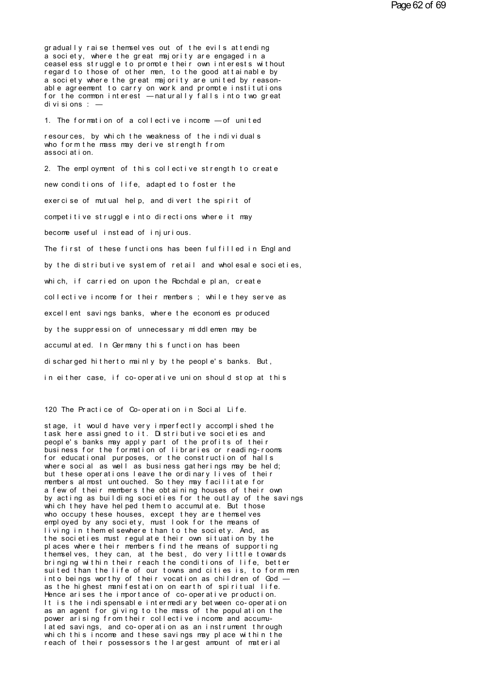gradually raise themselves out of the evils attending a society, where the great majority are engaged in a ceasel ess struggle to promote their own interests without regard to those of other men, to the good attainable by a society where the great majority are united by reasonable agreement to carry on work and promote institutions for the common interest - naturally falls into two great di vi si ons : -

1. The formation of a collective income - of united

resources, by which the weakness of the individuals who form the mass may derive strength from associ at i on.

2. The employment of this collective strength to create new conditions of life, adapted to foster the exercise of mutual help, and divert the spirit of competitive struggle into directions where it may become useful instead of iniurious. The first of these functions has been fulfilled in England by the distributive system of retail and wholesale societies, which, if carried on upon the Rochdale plan, create collective income for their members ; while they serve as excellent savings banks, where the economies produced by the suppression of unnecessary middlemen may be accumul at ed. In Germany this function has been discharged hitherto mainly by the people's banks. But, in either case, if co-operative union should stop at this

120 The Practice of Co-operation in Social Life.

stage, it would have very imperfectly accomplished the task here assigned to it. Distributive societies and people's banks may apply part of the profits of their business for the formation of libraries or reading-rooms for educational purposes, or the construction of halls where social as well as business gatherings may be held; but these operations leave the ordinary lives of their members almost untouched. So they may facilitate for a few of their members the obtaining houses of their own by acting as building societies for the outlay of the savings which they have helped them to accumulate. But those who occupy these houses, except they are themselves<br>employed by any society, must look for the means of living in them elsewhere than to the society. And, as the societies must regulate their own situation by the places where their members find the means of supporting themselves, they can, at the best, do very little towards bringing within their reach the conditions of life, better suited than the life of our towns and cities is, to form men into beings worthy of their vocation as children of God as the highest manifestation on earth of spiritual life. Hence arises the importance of co-operative production. It is the indispensable intermediary between co-operation as an agent for giving to the mass of the population the power arising from their collective income and accumulated savings, and co-operation as an instrument through which this income and these savings may place within the reach of their possessors the largest amount of material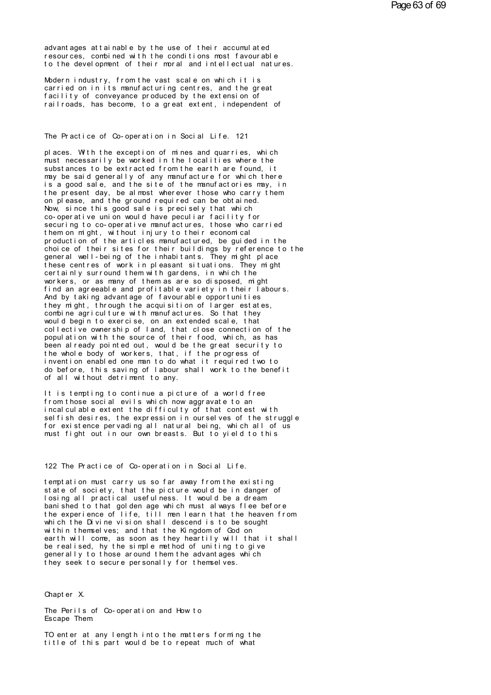advant ages at tainable by the use of their accumulated resources, combined with the conditions most favourable advantages attainable by the use of their accumulated<br>resources, combined with the conditions most favourable<br>to the development of their moral and intellectual natures. advantages attainable by the use of their accumulated<br>resources, combined with the conditions most favourable<br>to the development of their moral and intellectual natures.<br>Modern industry, from the yest scale on which it is advantages attainable by the use of their accumulated<br>resources, combined with the conditions most favourable<br>to the development of their moral and intellectual natures.<br>Modern industry, from the vast scale on which it is<br>

advantages attainable by the use of their accumulated<br>resources, combined with the conditions most favourable<br>to the development of their moral and intellectual natures.<br>Modern industry, from the vast scale on which it is<br> resources, combined with the conditions most favourable<br>to the development of their moral and intellectual natures.<br>Modern industry, from the vast scale on which it is<br>carried on in its manufacturing centres, and the great to the development of their moral and intellectual natures.<br>Modern industry, from the vast scale on which it is<br>carried on in its manufacturing centres, and the great<br>facility of conveyance produced by the extension of<br>rai Facility of conveyance produced by the extension of<br>railroads, has become, to a great extent, independent of<br>The Practice of Co-operation in Social Life. 121

The Practice of Co-operation in Social Life. 121<br>places. With the exception of mines and quarries, which<br>must necessarily be worked in the localities where the<br>substances to be extracted from the earth are found it The Practice of Co-operation in Social Life. 121<br>places. With the exception of mines and quarries, which<br>must necessarily be worked in the localities where the<br>substances to be extracted from the earth are found, it<br>movies must necessarily be worked in the localities where the substances to be extracted from the earth are found, it may be said generally of any manufacture for which there The Practice of Co-operation in Social Life. 121<br>places. With the exception of mines and quarries, which<br>must necessarily be worked in the localities where the<br>substances to be extracted from the earth are found, it<br>imay b places. With the exception of mines and quarries, which<br>must necessarily be worked in the localities where the<br>substances to be extracted from the earth are found, it<br>may be said generally of any manufacture for which ther places. With the exception of mines and quarries, which<br>must necessarily be worked in the localities where the<br>substances to be extracted from the earth are found, it<br>may be said generally of any manufacture for which ther must necessarily be worked in the localities where the substances to be extracted from the earth are found, it may be said generally of any manufacture for which there is a good sale, and the site of the manufactories may, substances to be extracted from the earth are found, it<br>may be said generally of any manufacture for which there<br>is a good sale, and the site of the manufactories may, in<br>the present day, be almost wherever those who carry may be said generally of any manufacture for which there<br>is a good sale, and the site of the manufactories may, in<br>the present day, be almost wherever those who carry them<br>on please, and the ground required can be obtained is a good sale, and the site of the manufactories may, in<br>the present day, be almost wherever those who carry them<br>on please, and the ground required can be obtained.<br>Now, since this good sale is precisely that which<br>co-op the present day, be almost wherever those who carry them<br>on please, and the ground required can be obtained.<br>Now, since this good sale is precisely that which<br>co-operative union would have peculiar facility for<br>securing to on please, and the ground required can be obtained.<br>Now, since this good sale is precisely that which<br>co-operative union would have peculiar facility for<br>securing to co-operative manufactures, those who carried<br>them on mig Now, since this good sale is precisely that which<br>co-operative union would have peculiar facility for<br>securing to co-operative manufactures, those who carried<br>them on might, without injury to their economical<br>production of co-operative union would have peculiar facility for<br>securing to co-operative manufactures, those who carried<br>them on might, without injury to their economical<br>production of the articles manufactured, be guided in the<br>choic securing to co-operative manufactures, those who carried<br>them on might, without injury to their economical<br>production of the articles manufactured, be guided in the<br>choice of their sites for their buildings by reference to them on might, without injury to their economical<br>production of the articles manufactured, be guided in the<br>choice of their sites for their buildings by reference to the<br>general well-being of the inhabitants. They might pl production of the articles manufactured, be guided in the<br>choice of their sites for their buildings by reference to the<br>general well-being of the inhabitants. They might place<br>these centres of work in pleasant situations. choice of their sites for their buildings by reference to the<br>general well-being of the inhabitants. They might place<br>these centres of work in pleasant situations. They might<br>certainly surround them with gardens, in which general well-being of the inhabitants. They might place<br>these centres of work in pleasant situations. They might<br>certainly surround them with gardens, in which the<br>workers, or as many of them as are so disposed, might<br>find these centres of work in pleasant situations. They might<br>certainly surround them with gardens, in which the<br>workers, or as many of them as are so disposed, might<br>find an agreeable and profitable variety in their labours.<br>A certainly surround them with gardens, in which the<br>workers, or as many of them as are so disposed, might<br>find an agreeable and profitable variety in their labours.<br>And by taking advantage of favourable opportunities<br>they m workers, or as many of them as are so disposed, might<br>find an agreeable and profitable variety in their labours.<br>And by taking advantage of favourable opportunities<br>they might, through the acquisition of larger estates,<br>co find an agreeable and profitable variety in their labours.<br>And by taking advantage of favourable opportunities<br>they might, through the acquisition of larger estates,<br>combine agriculture with manufactures. So that they<br>woul And by taking advantage of favourable opportunities<br>they might, through the acquisition of larger estates,<br>combine agriculture with manufactures. So that they<br>would begin to exercise, on an extended scale, that<br>collective they might, through the acquisition of larger estates,<br>combine agriculture with manufactures. So that they<br>would begin to exercise, on an extended scale, that<br>collective ownership of land, that close connection of the<br>popu combine agriculture with manufactures. So that they<br>would begin to exercise, on an extended scale, that<br>collective ownership of land, that close connection of the<br>population with the source of their food, which, as has<br>bee would begin to exercise, on an extended scale, that<br>collective ownership of land, that close connection of the<br>population with the source of their food, which, as has<br>been already pointed out, would be the great security t collective ownership of land, that close connection of the population with the source of their food, which, as has<br>been already pointed out, would be the great security to<br>the whole body of workers, that, if the progress o population with the source of their food<br>been already pointed out, would be the g<br>the whole body of workers, that, if the<br>invention enabled one man to do what it<br>do before, this saving of labour shall w<br>of all without detr the whole body of workers, that, if the progress of<br>invention enabled one man to do what it required two to<br>do before, this saving of labour shall work to the benefit<br>of all without detriment to any.<br>It is tempting to cont

for the saving of labour shall work to the benefit<br>of all without detriment to any.<br>It is tempting to continue a picture of a world free<br>from those social evils which now aggravate to an<br>incalculable extent the difficulty do before, this saving of labour shall work to the benefit<br>of all without detriment to any.<br>It is tempting to continue a picture of a world free<br>from those social evils which now aggravate to an<br>incalculable extent the dif of all without detriment to any.<br>It is tempting to continue a picture of a world free<br>from those social evils which now aggravate to an<br>incalculable extent the difficulty of that contest with<br>selfish desires, the expressio It is tempting to continue a picture of a world free<br>from those social evils which now aggravate to an<br>incalculable extent the difficulty of that contest with<br>selfish desires, the expression in ourselves of the struggle<br>fo It is tempting to continue a picture of a world free<br>from those social evils which now aggravate to an<br>incalculable extent the difficulty of that contest with<br>selfish desires, the expression in ourselves of the struggle<br>fo for existence pervading all natural being, which all of us<br>must fight out in our own breasts. But to yield to this<br>122 The Practice of Co-operation in Social Life.<br>temptation must carry us so far away from the existing

122 The Practice of Co-operation in Social Life.<br>temptation must carry us so far away from the existing<br>state of society, that the picture would be in danger of<br>losing all practical usefulness, It would be a dream 122 The Practice of Co-operation in Social Life.<br>temptation must carry us so far away from the existing<br>state of society, that the picture would be in danger of<br>losing all practical usefulness. It would be a dream<br>hanished 122 The Practice of Co-operation in Social Life.<br>temptation must carry us so far away from the existing<br>state of society, that the picture would be in danger of<br>losing all practical usefulness. It would be a dream<br>banished 122 The Practice of Co-operation in Social Life.<br>temptation must carry us so far away from the existing<br>state of society, that the picture would be in danger of<br>losing all practical usefulness. It would be a dream<br>the expe temptation must carry us so far away from the existing<br>state of society, that the picture would be in danger of<br>losing all practical usefulness. It would be a dream<br>banished to that golden age which must always flee before temptation must carry us so far away from the existing<br>state of society, that the picture would be in danger of<br>losing all practical usefulness. It would be a dream<br>banished to that golden age which must always flee befor<br> state of society, that the picture would be in danger of<br>losing all practical usefulness. It would be a dream<br>banished to that golden age which must always flee befor<br>the experience of life, till men learn that the heaven losing all practical usefulness. It would be a dream<br>banished to that golden age which must always flee before<br>the experience of life, till men learn that the heaven from<br>which the Divine vision shall descend is to be soug banished to that golden age which must always flee before<br>the experience of life, till men learn that the heaven from<br>which the Divine vision shall descend is to be sought<br>within themselves; and that the Kingdom of God on<br> the experience of life, till men learn that the heaven from<br>which the Divine vision shall descend is to be sought<br>within themselves; and that the Kingdom of God on<br>earth will come, as soon as they heartily will that it sha which the Divine vision shall descend is to be sought<br>within themselves; and that the Kingdom of God on<br>earth will come, as soon as they heartily will that it s<br>be realised, hy the simple method of uniting to give<br>generall generally to those around them the advantages which<br>they seek to secure personally for themselves.<br>Chapter X.<br>The Perils of Co-operation and How to

Chapter X.<br>The Perils of Co-operation and How to<br>Escape Them Escape Them.

Chapter X.<br>The Perils of Co-operation and How to<br>Escape Them<br>TO enter at any length into the matters forming the<br>title of this part would be to repeat much of what The Perils of Co-operation and How to<br>Escape Them<br>TO enter at any length into the matters forming the<br>title of this part would be to repeat much of what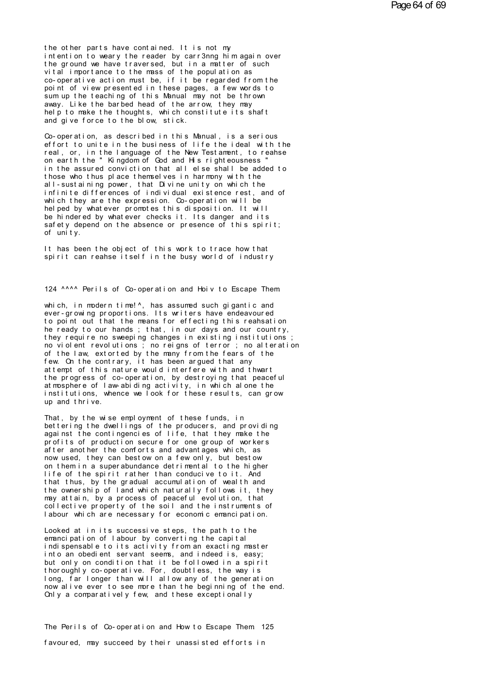the other parts have contained. It is not my intention to weary the reader by carr3nng him again over<br>the ground we have traversed, but in a matter of such vital importance to the mass of the population as co-operative action must be, if it be regarded from the point of view presented in these pages, a few words to sum up the teaching of this Manual may not be thrown away. Like the barbed head of the arrow, they may help to make the thoughts, which constitute its shaft and give force to the blow, stick.

Co-operation, as described in this Manual, is a serious effort to unite in the business of life the ideal with the real, or, in the language of the New Testament, to reahse on earth the "Kingdom of God and His right eousness " in the assured conviction that all else shall be added to those who thus place themselves in harmony with the all-sustaining power, that Divine unity on which the infinite differences of individual existence rest, and of which they are the expression. Co-operation will be helped by whatever promotes this disposition. It will be hindered by whatever checks it. Its danger and its safety depend on the absence or presence of this spirit:  $of$  unity

It has been the object of this work to trace how that spirit can reahse itself in the busy world of industry

124 ^^^^ Perils of Co-operation and Hoiv to Escape Them

which, in modern time!<sup>^</sup>, has assumed such gigantic and ever-growing proportions. Its writers have endeavoured to point out that the means for effecting this reahsation he ready to our hands; that, in our days and our country, they require no sweeping changes in existing institutions no violent revolutions; no reigns of terror; no alteration of the law, extorted by the many from the fears of the few. On the contrary, it has been argued that any attempt of this nature would interfere with and thwart the progress of co-operation, by destroying that peaceful at mosphere of law-abiding activity, in which alone the institutions, whence we look for these results, can grow up and thrive.

That, by the wise employment of these funds, in bettering the dwellings of the producers, and providing against the contingencies of life, that they make the profits of production secure for one group of workers after another the comforts and advantages which, as now used, they can bestow on a few only, but bestow on them in a superabundance detriment all to the higher life of the spirit rather than conducive to it. And that thus, by the gradual accumulation of wealth and the ownership of land which naturally follows it, they may attain, by a process of peaceful evolution, that collective property of the soil and the instruments of labour which are necessary for economic emancipation.

Looked at in its successive steps, the path to the emancipation of labour by converting the capital indispensable to its activity from an exacting master into an obedient servant seems, and indeed is, easy; but only on condition that it be followed in a spirit thoroughly co-operative. For, doubtless, the way is<br>long, far longer than will allow any of the generation now all ve ever to see more than the beginning of the end. Only a comparatively few, and these exceptionally

The Perils of Co-operation and How to Escape Them 125 favoured, may succeed by their unassisted efforts in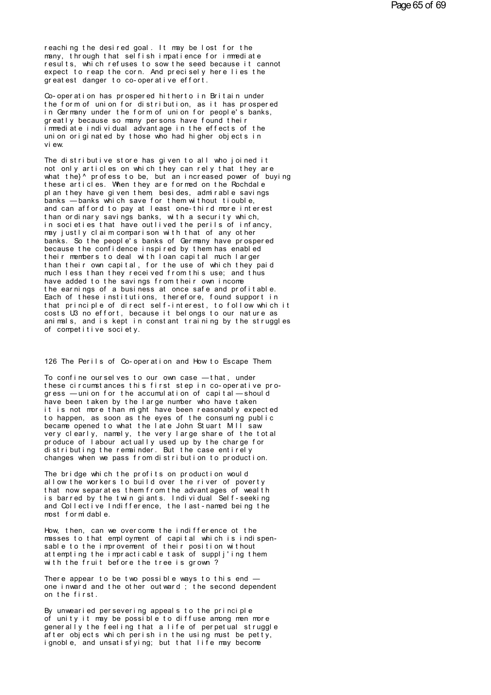reaching the desired goal. It may be lost for the many. through that selfish impatience for immediate results, which refuses to sow the seed because it cannot expect to reap the corn. And precisely here lies the greatest danger to co-operative effort.

Co-operation has prospered hitherto in Britain under the form of union for distribution, as it has prospered in Germany under the form of union for people's banks, greatly because so many persons have found their i mmediate individual advantage in the effects of the union originated by those who had higher objects in vi ew

The distributive store has given to all who joined it not only articles on which they can rely that they are what the <sup>1</sup> profess to be, but an increased power of buying these articles. When they are formed on the Rochdale pl an they have given them besides, admirable savings banks - banks which save for them without tiouble, and can afford to pay at least one-third more interest<br>than ordinary savings banks, with a security which, in societies that have outlived the perils of infancy. may justly claim comparison with that of any other banks. So the people's banks of Germany have prospered because the confidence inspired by them has enabled their members to deal with loan capital much larger than their own capital, for the use of which they paid much less than they received from this use; and thus have added to the savings from their own income the earnings of a business at once safe and profitable. Each of these institutions, therefore, found support in that principle of direct self-interest, to follow which it costs U3 no effort, because it belongs to our nature as animals, and is kept in constant training by the struggles of competitive society.

126 The Perils of Co-operation and How to Escape Them

To confine ourselves to our own case - that, under these circumstances this first step in co-operative progress - union for the accumulation of capital - should have been taken by the large number who have taken it is not more than might have been reasonably expected to happen, as soon as the eyes of the consuming public became opened to what the late John Stuart MII saw very clearly, namely, the very large share of the total produce of labour actually used up by the charge for distributing the remainder. But the case entirely changes when we pass from distribution to production.

The bridge which the profits on production would allow the workers to build over the river of poverty that now separates them from the advantages of wealth is barred by the twin giants. Individual Self-seeking and Collective Indifference, the last-named being the most formidable.

How, then, can we overcome the indifference ot the masses to that employment of capital which is indispensable to the improvement of their position without attempting the impracticable task of suppli'ing them with the fruit before the tree is grown?

There appear to be two possible ways to this end  $$ one inward and the other outward; the second dependent on the first

By unwearied persevering appeals to the principle of unity it may be possible to diffuse among men more generally the feeling that a life of perpetual struggle after objects which perish in the using must be petty, ignoble, and unsatistying; but that life may become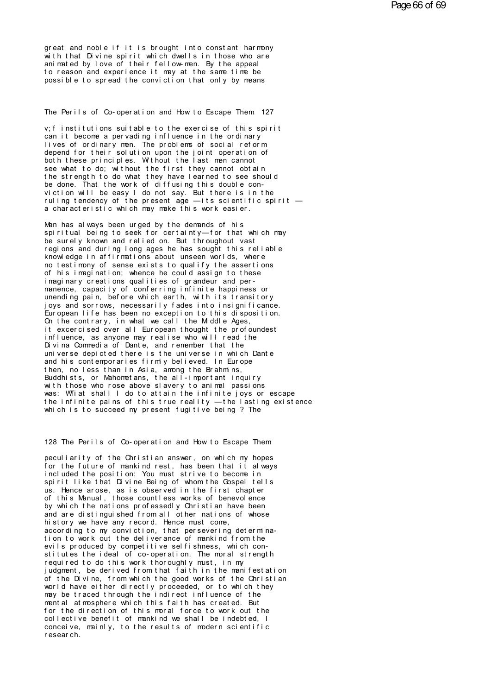great and noble if it is brought into constant harmony<br>with that Divine spirit which dwells in those who are<br>animated by love of their follow-man. By the anneal great and noble if it is brought into constant harmony<br>with that Divine spirit which dwells in those who are<br>animated by love of their fellow-men. By the appeal<br>to reason and experience it move the same time be great and noble if it is brought into constant harmony<br>with that Divine spirit which dwells in those who are<br>animated by love of their fellow- men. By the appeal<br>possible to spread the conviction that only by means great and noble if it is brought into constant harmony<br>with that Divine spirit which dwells in those who are<br>animated by love of their fellow-men. By the appeal<br>to reason and experience it may at the same time be<br>possible great and noble if it is brought into constant harmony<br>with that Divine spirit which dwells in those who are<br>animated by love of their fellow-men. By the appeal<br>to reason and experience it may at the same time be<br>possible to reason and experience it may at the same time be<br>possible to spread the conviction that only by means<br>The Perils of Co-operation and How to Escape Them. 127

The Perils of Co-operation and How to Escape Them 127<br>v; finstitutions suitable to the exercise of this spirit<br>can it become a pervading influence in the ordinary<br>lives of ordinary man. The problems of social reform The Perils of Co-operation and How to Escape Them 127<br>v;f institutions suitable to the exercise of this spirit<br>can it become a pervading influence in the ordinary<br>lives of ordinary men. The problems of social reform<br>denend The Perils of Co-operation and How to Escape Them 127<br>v; f institutions suitable to the exercise of this spirit<br>can it become a pervading influence in the ordinary<br>lives of ordinary men. The problems of social reform<br>depen The Perils of Co-operation and How to Escape Them 127<br>v;f institutions suitable to the exercise of this spirit<br>can it become a pervading influence in the ordinary<br>lives of ordinary men. The problems of social reform<br>depend both in the section of the section of this spice in the come in the come in the ordinary<br>bives of ordinary men. The problems of social reform<br>depend for their solution upon the joint operation of<br>both these principles. Wit v; f institutions suitable to the exercise of this spirit<br>can it become a pervading influence in the ordinary<br>lives of ordinary men. The problems of social reform<br>depend for their solution upon the joint operation of<br>both can it become a pervading influence in the ordinary<br>lives of ordinary men. The problems of social reform<br>depend for their solution upon the joint operation of<br>both these principles. Without the last men cannot<br>see what to lives of ordinary men. The problems of social reform<br>depend for their solution upon the joint operation of<br>both these principles. Without the last men cannot<br>see what to do; without the first they cannot obtain<br>the strengt both these principles. Without the last men cannot<br>see what to do; without the first they cannot obtain<br>the strength to do what they have learned to see should<br>be done. That the work of diffusing this double con-<br>viction w see what to do; without the first they cannot obtain<br>the strength to do what they have learned to see should<br>be done. That the work of diffusing this double con-<br>viction will be easy I do not say. But there is in the<br>rulin be done. That the work of diffusing this double conviction will be easy I do not say. But there is in the ruling tendency of the present age — its scientific spirit —<br>a characteristic which may make this work easier.<br>Man h

viction will be easy I do not say. But there is in the<br>ruling tendency of the present age — its scientific spirit —<br>a characteristic which may make this work easier.<br>Man has always been urged by the demands of his<br>spiritua ruling tendency of the present age — its scientific spirit<br>a characteristic which may make this work easier.<br>Man has always been urged by the demands of his<br>spiritual being to seek for certainty—for that which may<br>be surel a characteristic which may make this work easier.<br>Man has always been urged by the demands of his<br>spiritual being to seek for certainty—for that which may<br>be surely known and relied on. But throughout vast<br>regions and duri Man has always been urged by the demands of his<br>spiritual being to seek for certainty—for that which may<br>be surely known and relied on. But throughout vast<br>regions and during long ages he has sought this reliable<br>knowledge Man has always been urged by the demands of his<br>spiritual being to seek for certainty—for that which may<br>be surely known and relied on. But throughout vast<br>regions and during long ages he has sought this reliable<br>knowledge spiritual being to seek for certainty—for that which may<br>be surely known and relied on. But throughout vast<br>regions and during long ages he has sought this reliable<br>knowledge in affirmations about unseen worlds, where<br>no t be surely known and relied on. But throughout vast<br>regions and during long ages he has sought this reliable<br>knowledge in affirmations about unseen worlds, where<br>no testimony of sense exists to qualify the assertions<br>of his knowledge in affirmations about unseen worlds, where<br>notestimony of sense exists to qualify the assertions<br>of his imagination; whence he could assign to these<br>imaginary creations qualities of grandeur and per-<br>manence, cap no testimony of sense exists to qualify the assertions<br>of his imagination; whence he could assign to these<br>imaginary creations qualities of grandeur and per-<br>manence, capacity of conferring infinite happiness or<br>unending p of his imagination; whence he could assign to these<br>imaginary creations qualities of grandeur and per-<br>manence, capacity of conferring infinite happiness or<br>unending pain, before which earth, with its transitory<br>joys and s imaginary creations qualities of grandeur and per-<br>manence, capacity of conferring infinite happiness or<br>unending pain, before which earth, with its transitory<br>joys and sorrows, necessarily fades into insignificance.<br>Europ manence, capacity of conferring infinite happiness or<br>unending pain, before which earth, with its transitory<br>joys and sorrows, necessarily fades into insignificance.<br>European life has been no exception to this disposition. unending pain, before which earth, with its transitory<br>joys and sorrows, necessarily fades into insignificance.<br>European life has been no exception to this disposition.<br>On the contrary, in what we call the Middle Ages,<br>it joys and sorrows, necessarily fades into insignificance.<br>European life has been no exception to this disposition.<br>On the contrary, in what we call the Middle Ages,<br>it excercised over all European thought the profoundest<br>in European life has been no exception to this disposition.<br>Cn the contrary, in what we call the Middle Ages,<br>it excercised over all European thought the profoundest<br>influence, as anyone may realise who will read the<br>Divina C Christian Hi s contrary, in what we call the Middle Ages,<br>it excercised over all European thought the profoundest<br>influence, as anyone may realise who will read the<br>Divina Commedia of Dante, and remember that the<br>universe influence, as anyone may realise who will read the<br>Divina Commedia of Dante, and remember that the<br>universe depicted there is the universe in which Dante<br>and his contemporaries firmly believed. In Europe<br>then, no less than with those who rose above slavery to animal passions was: Williat shall I do to attain the infinite joys or escape universe depicted there is the universe in which Dante<br>and his contemporaries firmly believed. In Europe<br>then, no less than in Asia, among the Brahmins,<br>Buddhists, or Mahometans, the all-important inquiry<br>with those who ro and his contemporaries firmly believed. In Europe<br>then, no less than in Asia, among the Brahmins,<br>Buddhists, or Mahometans, the all-important inquiry<br>with those who rose above slavery to animal passions<br>was: WTiat shall I then, no less than in Asia, among the Brahmins,<br>Buddhists, or Mahometans, the all-important inquiry<br>with those who rose above slavery to animal passions<br>was: WTiat shall I do to attain the infinite joys or escap<br>the infini which is to succeed my present fugitive being ? The<br>128 The Perils of Co-operation and How to Escape Them.<br>peculiarity of the Christian answer, on which my hopes

128 The Perils of Co-operation and How to Escape Them<br>peculiarity of the Christian answer, on which my hopes<br>for the future of mankind rest, has been that it always<br>included the position: You must strive to become in f the Ferils of Co-operation and How to Escape Them<br>peculiarity of the Christian answer, on which my hopes<br>for the future of mankind rest, has been that it always<br>included the position: You must strive to become in<br>spirit 128 The Perils of Co-operation and How to Escape Them<br>peculiarity of the Christian answer, on which my hopes<br>for the future of mankind rest, has been that it always<br>included the position: You must strive to become in<br>spiri 128 The Perils of Co-operation and How to Escape Them<br>peculiarity of the Christian answer, on which my hopes<br>for the future of mankind rest, has been that it always<br>included the position: You must strive to become in<br>spiri peculiarity of the Christian answer, on which my hopes<br>for the future of mankind rest, has been that it always<br>included the position: You must strive to become in<br>spirit like that Divine Being of whom the Cospel tells<br>us. peculiarity of the Christian answer, on which my hopes<br>for the future of mankind rest, has been that it always<br>included the position: You must strive to become in<br>spirit like that Divine Being of whom the Gospel tells<br>us. for the future of mankind rest, has been that it always<br>included the position: You must strive to become in<br>spirit like that Divine Being of whom the Gospel tells<br>us. Hence arose, as is observed in the first chapter<br>of thi included the position: You must strive to become in<br>spirit like that Divine Being of whom the Gospel tells<br>us. Hence arose, as is observed in the first chapter<br>of this Manual, those countless works of benevolence<br>by which spirit like that Divine Being of whom the Gospel telus. Hence arose, as is observed in the first chapter<br>of this Manual, those countless works of benevolence<br>by which the nations professedly Christian have been<br>and are dis us. Hence arose, as is observed in the first chapter<br>of this Manual, those countless works of benevolence<br>by which the nations professedly Christian have been<br>and are distinguished from all other nations of whose<br>history w by which the nations professedly Christian have been<br>and are distinguished from all other nations of whose<br>history we have any record. Hence must come,<br>according to my conviction, that persevering determina-<br>tion to work o by which the nations professedly Christian have been<br>and are distinguished from all other nations of whose<br>history we have any record. Hence must come,<br>according to my conviction, that persevering determina-<br>tion to work o history we have any record. Hence must come,<br>according to my conviction, that persevering determina-<br>tion to work out the deliverance of mankind from the<br>evils produced by competitive selfishness, which con-<br>stitutes the i according to my conviction, that persevering determination to work out the deliverance of mankind from the<br>evils produced by competitive selfishness, which constitutes the ideal of co-operation. The moral strength<br>required tion to work out the deliverance of mankind from the<br>evils produced by competitive selfishness, which con-<br>stitutes the ideal of co-operation. The moral strength<br>required to do this work thoroughly must, in my<br>judgment, be evils produced by competitive selfishness, which constitutes the ideal of co-operation. The moral strength<br>required to do this work thoroughly must, in my<br>judgment, be derived from that faith in the manifestation<br>of the Di stitutes the ideal of co-operation. The moral strength<br>required to do this work thoroughly must, in my<br>judgment, be derived from that faith in the manifestation<br>of the Divine, from which the good works of the Christian<br>wor required to do this work thoroughly must, in my<br>judgment, be derived from that faith in the manifestation<br>of the Divine, from which the good works of the Christian<br>world have either directly proceeded, or to which they<br>may judgment, be derived from that faith in the manifestation<br>of the Divine, from which the good works of the Christian<br>world have either directly proceeded, or to which they<br>may be traced through the indirect influence of the of the Divine, from which the good works of the Christian<br>world have either directly proceeded, or to which they<br>may be traced through the indirect influence of the<br>mental atmosphere which this faith has created. But<br>for t world have either directly proceeded, or to which they may be traced through the indirect influence of the mental atmosphere which this faith has created. But for the direction of this moral force to work out the collectiv may be traced through<br>mental atmosphere which the direction of<br>collective benefit of<br>conceive, mainly, to<br>research.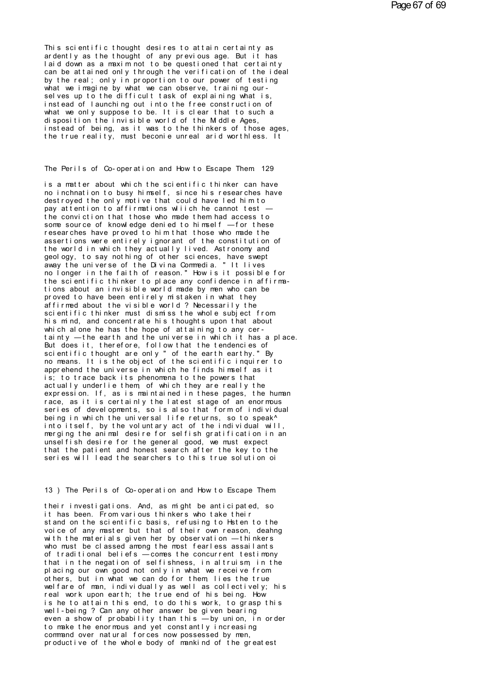This scientific thought desires to attain certainty as ardently as the thought of any previous age. But it has laid down as a maxim not to be questioned that certainty can be attained only through the verification of the ideal by the real; only in proportion to our power of testing what we imagine by what we can observe, training ourselves up to the difficult task of explaining what is. instead of launching out into the free construction of what we only suppose to be. It is clear that to such a disposition the invisible world of the Mddle Ages, instead of being, as it was to the thinkers of those ages. the true reality, must beconie unreal arid worthless. It

## The Perils of Co-operation and How to Escape Them 129

is a matter about which the scientific thinker can have no inchnation to busy himself, since his researches have destroyed the only motive that could have led him to pay attention to affirmations which he cannot test the conviction that those who made them had access to some source of knowledge denied to himself -for these researches have proved to him that those who made the assertions were entirely ignorant of the constitution of the world in which they actually lived. Astronomy and geology, to say nothing of other sciences, have swept<br>away the universe of the Divina Commedia. "It lives no longer in the faith of reason." How is it possible for the scientific thinker to place any confidence in affirmations about an invisible world made by men who can be proved to have been entirely mistaken in what they affirmed about the visible world? Necessarily the scientific thinker must dismiss the whole subject from his mind, and concentrate his thoughts upon that about which alone he has the hope of attaining to any certainty - the earth and the universe in which it has a place. But does it, therefore, follow that the tendencies of scientific thought are only " of the earth earthy." By no means. It is the object of the scientific inquirer to apprehend the universe in which he finds himself as it is: to trace back its phenomena to the powers that actually underlie them of which they are really the expression. If, as is maintained in these pages, the human race, as it is certainly the latest stage of an enormous series of developments, so is also that form of individual being in which the universal life returns, so to speak^ into itself, by the voluntary act of the individual will, merging the animal desire for selfish gratification in an unselfish desire for the general good, we must expect that the patient and honest search after the key to the series will lead the searchers to this true solution of

#### 13) The Perils of Co-operation and How to Escape Them

their investigations. And, as might be anticipated, so it has been. From various thinkers who take their stand on the scientific basis, refusing to Hsten to the voice of any master but that of their own reason, deahng with the materials given her by observation - thinkers who must be classed among the most fearless assail ants of traditional beliefs - comes the concurrent testimony that in the negation of selfishness, in altruism, in the placing our own good not only in what we receive from others, but in what we can do for them, lies the true welfare of man, individually as well as collectively; his real work upon earth; the true end of his being. How is he to attain this end, to do this work, to grasp this well-being? Can any other answer be given bearing even a show of probability than this -by union, in order to make the enormous and yet constantly increasing command over natural forces now possessed by men, productive of the whole body of mankind of the greatest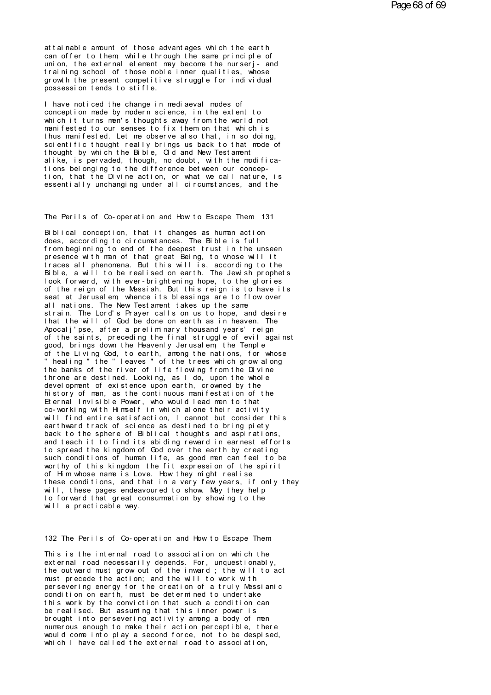at tai nable amount of those advantages which the earth can offer to them while through the same principle of attainable amount of those advantages which the earth<br>can offer to them; while through the same principle of<br>union, the external element may become the nurserj- and<br>training school of those poble inner qualities whose attainable amount of those advantages which the earth<br>can offer to them, while through the same principle of<br>union, the external element may become the nurserj- and<br>growth the present commetitive strugle for individual<br>gro attainable amount of those advantages which the earth<br>can offer to them, while through the same principle of<br>union, the external element may become the nurserj- and<br>training school of those noble inner qualities, whose<br>gro attainable amount of those advantages which the earth<br>can offer to them, while through the same principle of<br>union, the external element may become the nurserj- and<br>training school of those noble inner qualities, whose<br>gro attainable amount of those advantages words offer to them, while through the sampling on, the external element may become<br>training school of those noble inner que<br>growth the present competitive struggle<br>possession tends to union, the external element may become the nurserj-<br>training school of those noble inner qualities, whos<br>growth the present competitive struggle for individu<br>possession tends to stifle.<br>I have noticed the change in mediaev

training school of those noble inner qualities, whose<br>growth the present competitive struggle for individual<br>possession tends to stifle.<br>I have noticed the change in mediaeval modes of<br>conception made by modern science, in growth the present competitive struggle for individual<br>possession tends to stifle.<br>I have noticed the change in mediaeval modes of<br>conception made by modern science, in the extent to<br>manifested to our senses to fix then on possession tends to stifle.<br>I have noticed the change in mediaeval modes of<br>conception made by modern science, in the extent to<br>which it turns men's thoughts away from the world not<br>manifested to our senses to fix them on I have noticed the change in mediaeval modes of<br>conception made by modern science, in the extent to<br>which it turns men's thoughts away from the world not<br>manifested to our senses to fix them on that which is<br>thus manifeste I have noticed the change in mediaeval modes of<br>conception made by modern science, in the extent to<br>which it turns men's thoughts away from the world not<br>manifested to our senses to fix them on that which is<br>thus manifeste conception made by modern science, in the extent to<br>which it turns men's thoughts away from the world not<br>manifested to our senses to fix them on that which is<br>thus manifested. Let me observe also that, in so doing,<br>scient which it turns men's thoughts away from the world not<br>manifested to our senses to fix them on that which is<br>thus manifested. Let me observe also that, in so doing,<br>scientific thought really brings us back to that mode of<br>t manifested to our senses to fix them on that which is<br>thus manifested. Let me observe also that, in so doing,<br>scientific thought really brings us back to that mode of<br>thought by which the Bible, Old and New Testament<br>alike thus manifested. Let me observe also that, in so doing,<br>scientific thought really brings us back to that mode of<br>thought by which the Bible, Old and New Testament<br>alike, is pervaded, though, no doubt, with the modifica-<br>ti scientific thought really brings us back to that mode of<br>thought by which the Bible, Old and New Testament<br>alike, is pervaded, though, no doubt, with the modifica-<br>tions belonging to the difference between our concep-<br>tion tion, that the Divine action, or what we call nature, is<br>essentially unchanging under all circumstances, and the<br>The Perils of Co-operation and How to Escape Them. 131<br>Biblical concention, that it changes as human action.

The Perils of Co-operation and How to Escape Them 131<br>Biblical conception, that it changes as human action<br>does, according to circumstances. The Bible is full The Perils of Co-operation and How to Escape Them 131<br>Biblical conception, that it changes as human action<br>does, according to circumstances. The Bible is full<br>from beginning to end of the deepest trust in the unseen<br>presen The Perils of Co-operation and How to Escape Them 131<br>Biblical conception, that it changes as human action<br>does, according to circumstances. The Bible is full<br>from beginning to end of the deepest trust in the unseen<br>presen The Perils of Co-operation and How to Escape Them 131<br>Biblical conception, that it changes as human action<br>does, according to circumstances. The Bible is full<br>from beginning to end of the deepest trust in the unseen<br>presen Biblical conception, that it changes as human action<br>does, according to circumstances. The Bible is full<br>from beginning to end of the deepest trust in the unseen<br>presence with man of that great Being, to whose will it<br>trac Biblical conception, that it changes as human action<br>does, according to circumstances. The Bible is full<br>from beginning to end of the deepest trust in the unseen<br>presence with man of that great Being, to whose will it<br>trac does, according to circumstances. The Bible is full<br>from beginning to end of the deepest trust in the unseen<br>presence with man of that great Being, to whose will it<br>traces all phenomena. But this will is, according to the<br> from beginning to end of the deepest trust in the unseen<br>presence with man of that great Being, to whose will it<br>traces all phenomena. But this will is, according to the<br>Bible, a will to be realised on earth. The Jewish pr presence with man of that great Being, to whose will it<br>traces all phenomena. But this will is, according to the<br>Bible, a will to be realised on earth. The Jewish prophets<br>look forward, with ever-brightening hope, to the g traces all phenomena. But this will is, according to the New Bible, a will to be realised on earth. The Jewish proph<br>look forward, with ever-brightening hope, to the glorie<br>of the reign of the Messiah. But this reign is to look forward, with ever-brightening hope, to the glories of the reign of the Messiah. But this reign is to have its seat at Jerusalem, whence its blessings are to flow over all nations. The New Testament takes up the same seat at Jerusal em whence its blessings are to flow over of the reign of the Messiah. But this reign is to have its<br>seat at Jerusalem, whence its blessings are to flow over<br>all nations. The New Testament takes up the same<br>strain. The Lord's Prayer calls on us to hope, and desire seat at Jerusalem, whence its blessings are to flow over<br>all nations. The New Testament takes up the same<br>strain. The Lord's Prayer calls on us to hope, and desire<br>that the will of God be done on earth as in heaven. The<br>Ap all nations. The New Testament takes up the same<br>strain. The Lord's Prayer calls on us to hope, and desire<br>that the will of God be done on earth as in heaven. The<br>Apocalj'pse, after a preliminary thousand years' reign<br>of t strain. The Lord's Prayer calls on us to hope, and desire<br>that the will of God be done on earth as in heaven. The<br>Apocalj'pse, after a preliminary thousand years' reign<br>of the saints, preceding the final struggle of evil a that the will of God be done on earth as in heaven. The<br>Apocalj'pse, after a preliminary thousand years' reign<br>of the saints, preceding the final struggle of evil against<br>good, brings down the Heavenly Jerusalem, the Templ Apocal j'pse, after a preliminary thousand years' reign<br>of the saints, preceding the final struggle of evil against<br>good, brings down the Heavenly Jerusalem, the Temple<br>of the Living Cod, to earth, among the nations, for w of the saints, preceding the final struggle of evil against<br>good, brings down the Heavenly Jerusalem, the Temple<br>of the Living God, to earth, among the nations, for whose<br>"healing" the "leaves" of the trees which grow alon good, brings down the Heavenly Jerusalem, the Temple<br>of the Living God, to earth, among the nations, for whose<br>"healing" the "leaves" of the trees which grow along<br>the banks of the river of life flowing from the Divine<br>thr of the Living God, to earth, among the nations, for whose<br>"healing" the "leaves" of the trees which grow along<br>the banks of the river of life flowing from the Divine<br>throne are destined. Looking, as I do, upon the whole<br>de "healing" the "leaves" of the trees which grow along<br>the banks of the river of life flowing from the Divine<br>throne are destined. Looking, as I do, upon the whole<br>development of existence upon earth, crowned by the<br>history the banks of the river of life flowing from the Divine<br>throne are destined. Looking, as I do, upon the whole<br>development of existence upon earth, crowned by the<br>history of man, as the continuous manifestation of the<br>Eterna throne are destined. Looking, as I do, upon the whole<br>development of existence upon earth, crowned by the<br>history of man, as the continuous manifestation of the<br>Eternal Invisible Power, who would lead men to that<br>co-workin development of existence upon earth, crowned by the<br>history of man, as the continuous manifestation of the<br>Eternal Invisible Power, who would lead men to that<br>co-working with Himself in which alone their activity<br>will find history of man, as the continuous manifestation of the<br>Eternal Invisible Power, who would lead men to that<br>co-working with Himself in which alone their activity<br>will find entire satisfaction, I cannot but consider this<br>ear Eternal Invisible Power, who would lead men to that<br>co-working with Himself in which alone their activity<br>will find entire satisfaction, I cannot but consider this<br>earthward track of science as destined to bring piety<br>back co-working with Himself in which alone their activity<br>will find entire satisfaction, I cannot but consider this<br>earthward track of science as destined to bring piety<br>back to the sphere of Biblical thoughts and aspirations, will find entire satisfaction, I cannot but consider this<br>earthward track of science as destined to bring piety<br>back to the sphere of Biblical thoughts and aspirations,<br>and teach it to find its abiding reward in earnest ef earthward track of science as destined to bring piety<br>back to the sphere of Biblical thoughts and aspirations,<br>and teach it to find its abiding reward in earnest efforts<br>to spread the kingdom of God over the earth by creat back to the sphere of Biblical thoughts and aspirations,<br>and teach it to find its abiding reward in earnest efforts<br>to spread the kingdom of God over the earth by creating<br>such conditions of human life, as good men can fee and teach it to find its abiding reward in earnest efforts<br>to spread the kingdom of God over the earth by creating<br>such conditions of human life, as good men can feel to be<br>worthy of this kingdom; the fit expression of the to spread the kingdom of God over the earth by creating<br>such conditions of human life, as good men can feel to be<br>worthy of this kingdom, the fit expression of the spirit<br>of Him whose name is Love. How they might realise<br>t such conditions of human life, as good men can feel to be<br>worthy of this kingdom, the fit expression of the spirit<br>of Him whose name is Love. How they might realise<br>these conditions, and that in a very few years, if only t worthy of this kingdom, the fit<br>of Him whose name is Love. How<br>these conditions, and that in a<br>will, these pages endeavoured t<br>to forward that great consummat<br>will a practicable way. 132 The Perils of Co-operation and How to Escape Them.<br>132 The Perils of Co-operation and How to Escape Them.

This is the internal road to association on which the external road necessarily depends. For, unquestionably, 132 The Perils of Co-operation and How to Escape Them<br>This is the internal road to association on which the<br>external road necessarily depends. For, unquestionably,<br>the outward must prove out of the invariant intervilled in 132 The Perils of Co-operation and How to Escape Them<br>This is the internal road to association on which the<br>external road necessarily depends. For, unquestionably,<br>the outward must grow out of the inward ; the will to act<br> 132 The Perils of Co-operation and How to Escape Them<br>This is the internal road to association on which the<br>external road necessarily depends. For, unquestionably,<br>the outward must grow out of the inward; the will to act<br>m This is the internal road to association on which the external road necessarily depends. For, unquestionably,<br>the outward must grow out of the inward ; the will to act<br>must precede the action; and the will to work with<br>per This is the internal road to association on which the<br>external road necessarily depends. For, unquestionably,<br>the outward must grow out of the inward ; the will to act<br>must precede the action; and the will to work with<br>per external road necessarily depends. For, unquestionably,<br>the outward must grow out of the inward; the will to act<br>must precede the action; and the will to work with<br>persevering energy for the creation of a truly Messianic<br>c the outward must grow out of the inward; the will to act<br>must precede the action; and the will to work with<br>persevering energy for the creation of a truly Messianic<br>condition on earth, must be determined to undertake<br>this must precede the action; and the will to work with<br>persevering energy for the creation of a truly Messianic<br>condition on earth, must be determined to undertake<br>this work by the conviction that such a condition can<br>be reali persevering energy for the creation of a truly Messianic<br>condition on earth, must be determined to undertake<br>this work by the conviction that such a condition can<br>be realised. But assuming that this inner power is<br>brought condition on earth, must be determined to undertake<br>this work by the conviction that such a condition can<br>be realised. But assuming that this inner power is<br>brought into persevering activity among a body of men<br>numerous en this work by the conviction that such a condition can<br>be realised. But assuming that this inner power is<br>brought into persevering activity among a body of men<br>numerous enough to make their action perceptible, there<br>would c